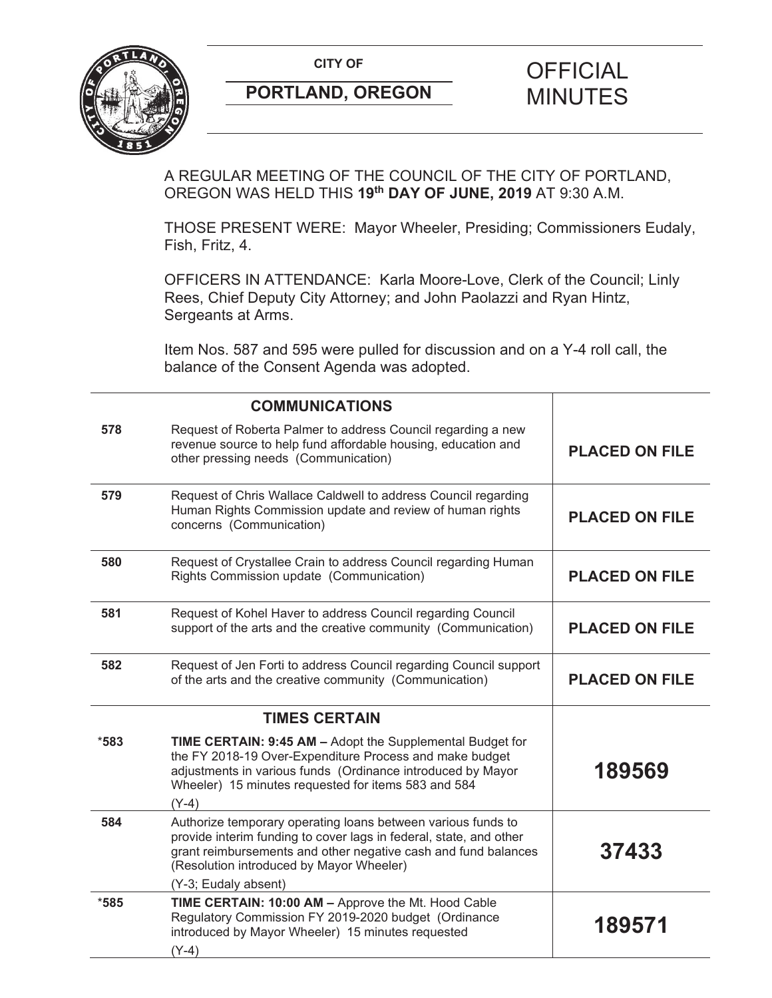

# **PORTLAND, OREGON MINUTES**

# **CITY OF CITY OF PICIAL**

A REGULAR MEETING OF THE COUNCIL OF THE CITY OF PORTLAND, OREGON WAS HELD THIS **19th DAY OF JUNE, 2019** AT 9:30 A.M.

THOSE PRESENT WERE: Mayor Wheeler, Presiding; Commissioners Eudaly, Fish, Fritz, 4.

OFFICERS IN ATTENDANCE: Karla Moore-Love, Clerk of the Council; Linly Rees, Chief Deputy City Attorney; and John Paolazzi and Ryan Hintz, Sergeants at Arms.

Item Nos. 587 and 595 were pulled for discussion and on a Y-4 roll call, the balance of the Consent Agenda was adopted.

|        | <b>COMMUNICATIONS</b>                                                                                                                                                                                                                                                    |                       |
|--------|--------------------------------------------------------------------------------------------------------------------------------------------------------------------------------------------------------------------------------------------------------------------------|-----------------------|
| 578    | Request of Roberta Palmer to address Council regarding a new<br>revenue source to help fund affordable housing, education and<br>other pressing needs (Communication)                                                                                                    | <b>PLACED ON FILE</b> |
| 579    | Request of Chris Wallace Caldwell to address Council regarding<br>Human Rights Commission update and review of human rights<br>concerns (Communication)                                                                                                                  | <b>PLACED ON FILE</b> |
| 580    | Request of Crystallee Crain to address Council regarding Human<br>Rights Commission update (Communication)                                                                                                                                                               | <b>PLACED ON FILE</b> |
| 581    | Request of Kohel Haver to address Council regarding Council<br>support of the arts and the creative community (Communication)                                                                                                                                            | <b>PLACED ON FILE</b> |
| 582    | Request of Jen Forti to address Council regarding Council support<br>of the arts and the creative community (Communication)                                                                                                                                              | <b>PLACED ON FILE</b> |
|        | <b>TIMES CERTAIN</b>                                                                                                                                                                                                                                                     |                       |
| $*583$ | TIME CERTAIN: 9:45 AM - Adopt the Supplemental Budget for<br>the FY 2018-19 Over-Expenditure Process and make budget<br>adjustments in various funds (Ordinance introduced by Mayor<br>Wheeler) 15 minutes requested for items 583 and 584<br>$(Y-4)$                    | 189569                |
| 584    | Authorize temporary operating loans between various funds to<br>provide interim funding to cover lags in federal, state, and other<br>grant reimbursements and other negative cash and fund balances<br>(Resolution introduced by Mayor Wheeler)<br>(Y-3; Eudaly absent) | 37433                 |
| $*585$ | TIME CERTAIN: 10:00 AM - Approve the Mt. Hood Cable<br>Regulatory Commission FY 2019-2020 budget (Ordinance<br>introduced by Mayor Wheeler) 15 minutes requested<br>$(Y-4)$                                                                                              | 189571                |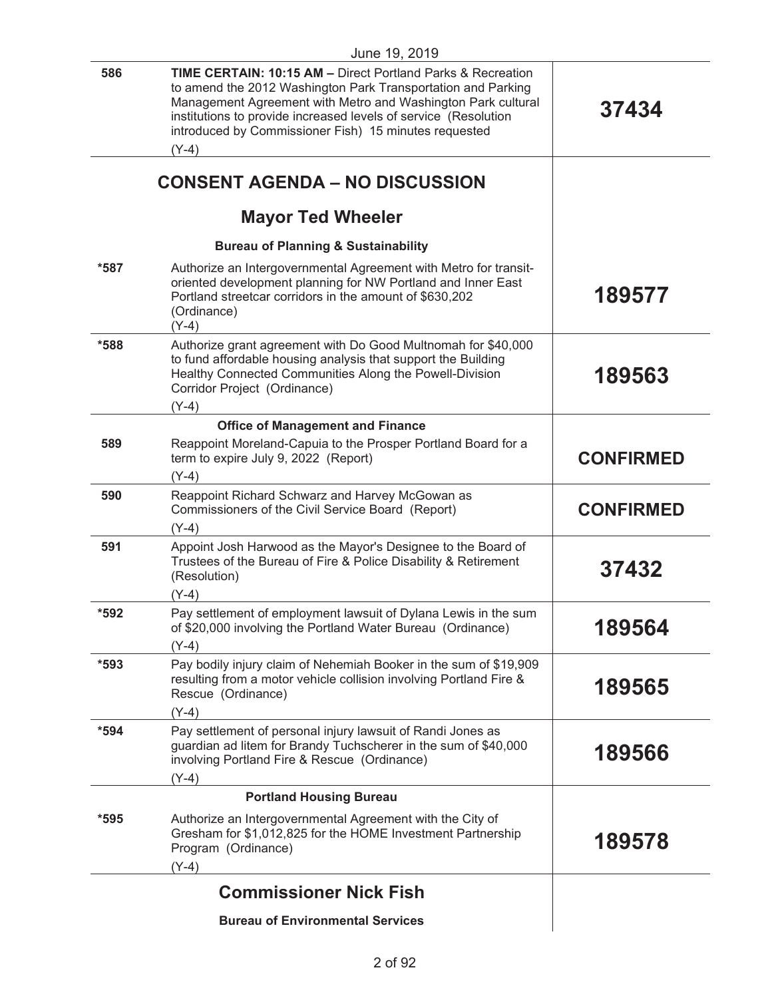| June 19, 2019 |                                                                                                                                                                                                                                                                                                                                               |                  |
|---------------|-----------------------------------------------------------------------------------------------------------------------------------------------------------------------------------------------------------------------------------------------------------------------------------------------------------------------------------------------|------------------|
| 586           | <b>TIME CERTAIN: 10:15 AM - Direct Portland Parks &amp; Recreation</b><br>to amend the 2012 Washington Park Transportation and Parking<br>Management Agreement with Metro and Washington Park cultural<br>institutions to provide increased levels of service (Resolution<br>introduced by Commissioner Fish) 15 minutes requested<br>$(Y-4)$ | 37434            |
|               | <b>CONSENT AGENDA - NO DISCUSSION</b>                                                                                                                                                                                                                                                                                                         |                  |
|               | <b>Mayor Ted Wheeler</b>                                                                                                                                                                                                                                                                                                                      |                  |
|               | <b>Bureau of Planning &amp; Sustainability</b>                                                                                                                                                                                                                                                                                                |                  |
| $*587$        | Authorize an Intergovernmental Agreement with Metro for transit-<br>oriented development planning for NW Portland and Inner East<br>Portland streetcar corridors in the amount of \$630,202<br>(Ordinance)<br>$(Y-4)$                                                                                                                         | 189577           |
| *588          | Authorize grant agreement with Do Good Multnomah for \$40,000<br>to fund affordable housing analysis that support the Building<br>Healthy Connected Communities Along the Powell-Division<br>Corridor Project (Ordinance)<br>$(Y-4)$                                                                                                          | 189563           |
|               | <b>Office of Management and Finance</b>                                                                                                                                                                                                                                                                                                       |                  |
| 589           | Reappoint Moreland-Capuia to the Prosper Portland Board for a<br>term to expire July 9, 2022 (Report)<br>$(Y-4)$                                                                                                                                                                                                                              | <b>CONFIRMED</b> |
| 590           | Reappoint Richard Schwarz and Harvey McGowan as<br>Commissioners of the Civil Service Board (Report)<br>$(Y-4)$                                                                                                                                                                                                                               | <b>CONFIRMED</b> |
| 591           | Appoint Josh Harwood as the Mayor's Designee to the Board of<br>Trustees of the Bureau of Fire & Police Disability & Retirement<br>(Resolution)<br>$(Y-4)$                                                                                                                                                                                    | 37432            |
| *592          | Pay settlement of employment lawsuit of Dylana Lewis in the sum<br>of \$20,000 involving the Portland Water Bureau (Ordinance)<br>$(Y-4)$                                                                                                                                                                                                     | 189564           |
| $*593$        | Pay bodily injury claim of Nehemiah Booker in the sum of \$19,909<br>resulting from a motor vehicle collision involving Portland Fire &<br>Rescue (Ordinance)<br>$(Y-4)$                                                                                                                                                                      | 189565           |
| $*594$        | Pay settlement of personal injury lawsuit of Randi Jones as<br>guardian ad litem for Brandy Tuchscherer in the sum of \$40,000<br>involving Portland Fire & Rescue (Ordinance)<br>$(Y-4)$                                                                                                                                                     | 189566           |
|               | <b>Portland Housing Bureau</b>                                                                                                                                                                                                                                                                                                                |                  |
| $*595$        | Authorize an Intergovernmental Agreement with the City of<br>Gresham for \$1,012,825 for the HOME Investment Partnership<br>Program (Ordinance)<br>$(Y-4)$                                                                                                                                                                                    | 189578           |
|               | <b>Commissioner Nick Fish</b>                                                                                                                                                                                                                                                                                                                 |                  |
|               | <b>Bureau of Environmental Services</b>                                                                                                                                                                                                                                                                                                       |                  |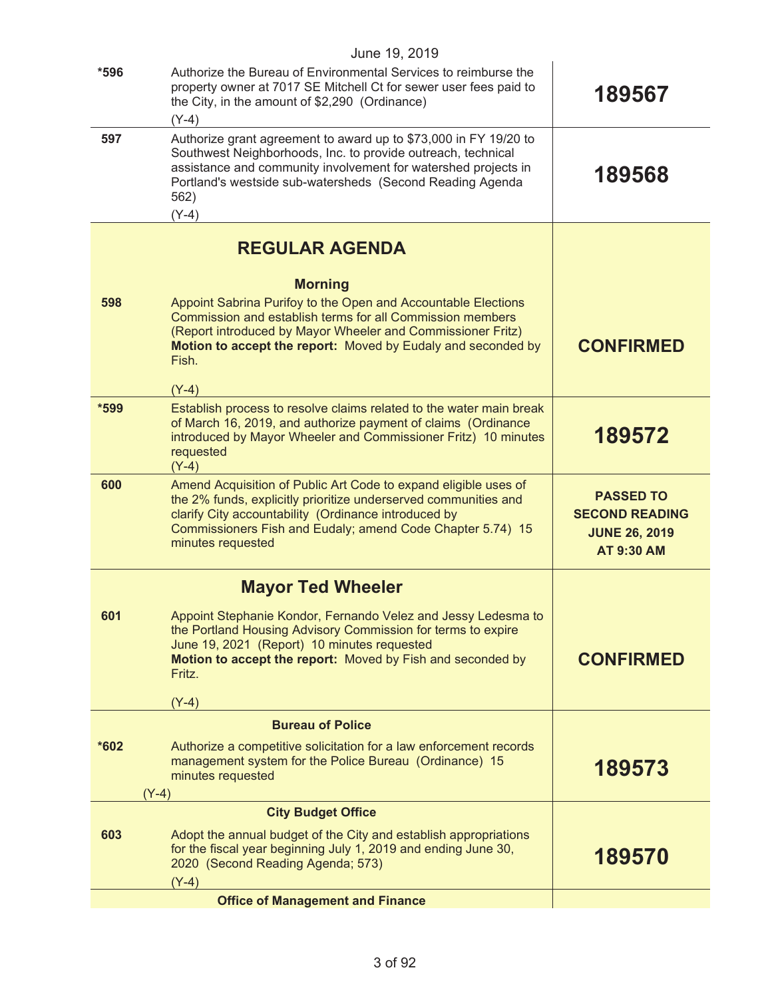|        | June 19, 2019                                                                                                                                                                                                                                                                                   |                                                                                        |
|--------|-------------------------------------------------------------------------------------------------------------------------------------------------------------------------------------------------------------------------------------------------------------------------------------------------|----------------------------------------------------------------------------------------|
| $*596$ | Authorize the Bureau of Environmental Services to reimburse the<br>property owner at 7017 SE Mitchell Ct for sewer user fees paid to<br>the City, in the amount of \$2,290 (Ordinance)<br>$(Y-4)$                                                                                               | 189567                                                                                 |
| 597    | Authorize grant agreement to award up to \$73,000 in FY 19/20 to<br>Southwest Neighborhoods, Inc. to provide outreach, technical<br>assistance and community involvement for watershed projects in<br>Portland's westside sub-watersheds (Second Reading Agenda<br>562)<br>$(Y-4)$              | 189568                                                                                 |
|        | <b>REGULAR AGENDA</b>                                                                                                                                                                                                                                                                           |                                                                                        |
| 598    | <b>Morning</b><br>Appoint Sabrina Purifoy to the Open and Accountable Elections<br>Commission and establish terms for all Commission members<br>(Report introduced by Mayor Wheeler and Commissioner Fritz)<br>Motion to accept the report: Moved by Eudaly and seconded by<br>Fish.<br>$(Y-4)$ | <b>CONFIRMED</b>                                                                       |
| *599   | Establish process to resolve claims related to the water main break<br>of March 16, 2019, and authorize payment of claims (Ordinance<br>introduced by Mayor Wheeler and Commissioner Fritz) 10 minutes<br>requested<br>$(Y-4)$                                                                  | 189572                                                                                 |
| 600    | Amend Acquisition of Public Art Code to expand eligible uses of<br>the 2% funds, explicitly prioritize underserved communities and<br>clarify City accountability (Ordinance introduced by<br>Commissioners Fish and Eudaly; amend Code Chapter 5.74) 15<br>minutes requested                   | <b>PASSED TO</b><br><b>SECOND READING</b><br><b>JUNE 26, 2019</b><br><b>AT 9:30 AM</b> |
|        | <b>Mayor Ted Wheeler</b>                                                                                                                                                                                                                                                                        |                                                                                        |
| 601    | Appoint Stephanie Kondor, Fernando Velez and Jessy Ledesma to<br>the Portland Housing Advisory Commission for terms to expire<br>June 19, 2021 (Report) 10 minutes requested<br>Motion to accept the report: Moved by Fish and seconded by<br>Fritz.<br>$(Y-4)$                                 | <b>CONFIRMED</b>                                                                       |
|        | <b>Bureau of Police</b>                                                                                                                                                                                                                                                                         |                                                                                        |
| *602   | Authorize a competitive solicitation for a law enforcement records<br>management system for the Police Bureau (Ordinance) 15<br>minutes requested<br>$(Y-4)$                                                                                                                                    | 189573                                                                                 |
|        | <b>City Budget Office</b>                                                                                                                                                                                                                                                                       |                                                                                        |
| 603    | Adopt the annual budget of the City and establish appropriations<br>for the fiscal year beginning July 1, 2019 and ending June 30,<br>2020 (Second Reading Agenda; 573)<br>$(Y-4)$                                                                                                              | 189570                                                                                 |
|        | <b>Office of Management and Finance</b>                                                                                                                                                                                                                                                         |                                                                                        |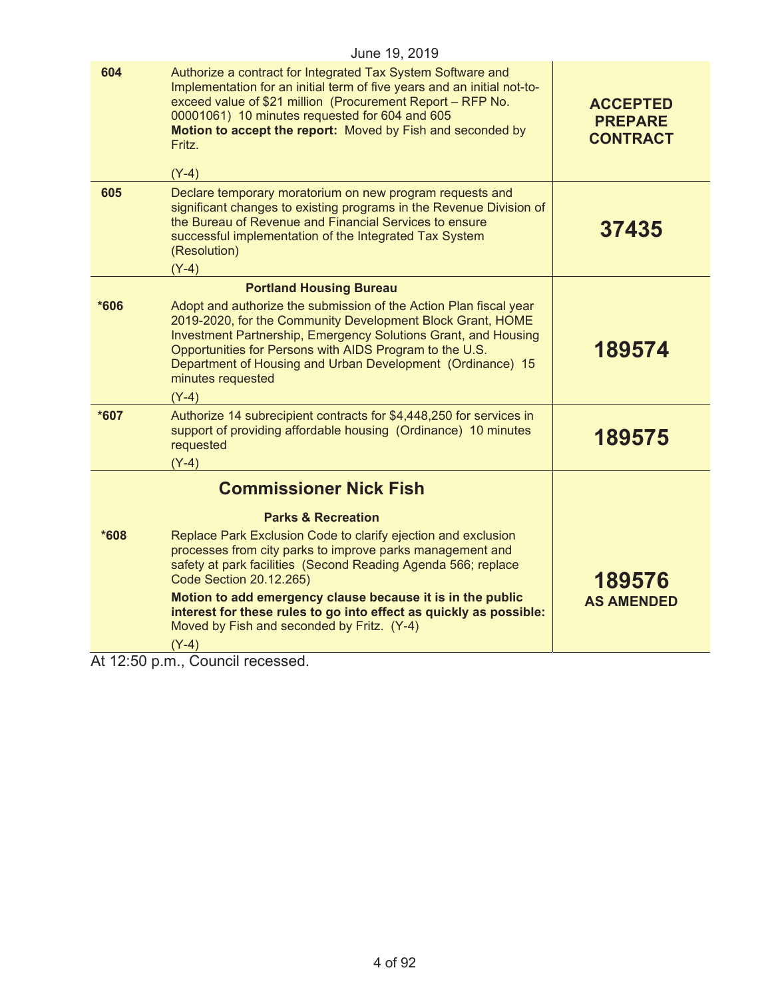|      | June 19, 2019                                                                                                                                                                                                                                                                                                                                              |                                                      |
|------|------------------------------------------------------------------------------------------------------------------------------------------------------------------------------------------------------------------------------------------------------------------------------------------------------------------------------------------------------------|------------------------------------------------------|
| 604  | Authorize a contract for Integrated Tax System Software and<br>Implementation for an initial term of five years and an initial not-to-<br>exceed value of \$21 million (Procurement Report - RFP No.<br>00001061) 10 minutes requested for 604 and 605<br>Motion to accept the report: Moved by Fish and seconded by<br>Fritz.<br>$(Y-4)$                  | <b>ACCEPTED</b><br><b>PREPARE</b><br><b>CONTRACT</b> |
| 605  | Declare temporary moratorium on new program requests and<br>significant changes to existing programs in the Revenue Division of<br>the Bureau of Revenue and Financial Services to ensure<br>successful implementation of the Integrated Tax System<br>(Resolution)<br>$(Y-4)$                                                                             | 37435                                                |
|      | <b>Portland Housing Bureau</b>                                                                                                                                                                                                                                                                                                                             |                                                      |
| *606 | Adopt and authorize the submission of the Action Plan fiscal year<br>2019-2020, for the Community Development Block Grant, HOME<br>Investment Partnership, Emergency Solutions Grant, and Housing<br>Opportunities for Persons with AIDS Program to the U.S.<br>Department of Housing and Urban Development (Ordinance) 15<br>minutes requested<br>$(Y-4)$ | 189574                                               |
| *607 | Authorize 14 subrecipient contracts for \$4,448,250 for services in<br>support of providing affordable housing (Ordinance) 10 minutes<br>requested<br>$(Y-4)$                                                                                                                                                                                              | 189575                                               |
|      | <b>Commissioner Nick Fish</b>                                                                                                                                                                                                                                                                                                                              |                                                      |
|      | <b>Parks &amp; Recreation</b>                                                                                                                                                                                                                                                                                                                              |                                                      |
| *608 | Replace Park Exclusion Code to clarify ejection and exclusion<br>processes from city parks to improve parks management and<br>safety at park facilities (Second Reading Agenda 566; replace<br>Code Section 20.12.265)<br>Motion to add emergency clause because it is in the public<br>interest for these rules to go into effect as quickly as possible: | 189576<br><b>AS AMENDED</b>                          |
|      | Moved by Fish and seconded by Fritz. (Y-4)<br>(Y-4)                                                                                                                                                                                                                                                                                                        |                                                      |
|      |                                                                                                                                                                                                                                                                                                                                                            |                                                      |

At 12:50 p.m., Council recessed.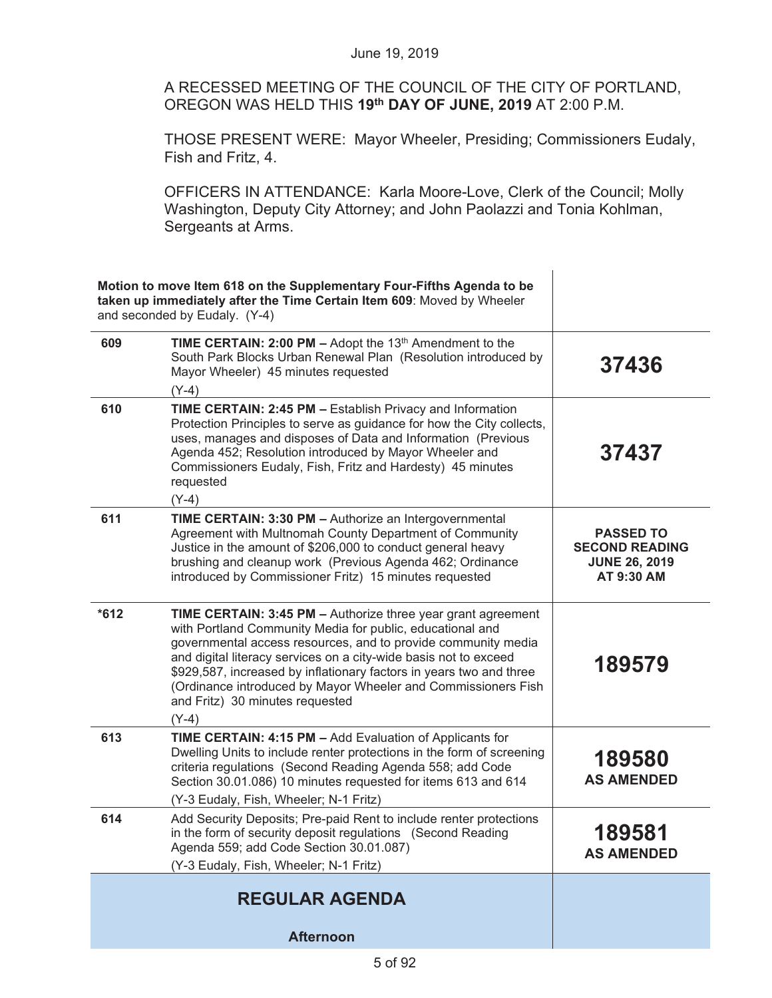A RECESSED MEETING OF THE COUNCIL OF THE CITY OF PORTLAND, OREGON WAS HELD THIS **19th DAY OF JUNE, 2019** AT 2:00 P.M.

THOSE PRESENT WERE: Mayor Wheeler, Presiding; Commissioners Eudaly, Fish and Fritz, 4.

OFFICERS IN ATTENDANCE: Karla Moore-Love, Clerk of the Council; Molly Washington, Deputy City Attorney; and John Paolazzi and Tonia Kohlman, Sergeants at Arms.

|        | Motion to move Item 618 on the Supplementary Four-Fifths Agenda to be<br>taken up immediately after the Time Certain Item 609: Moved by Wheeler<br>and seconded by Eudaly. (Y-4)                                                                                                                                                                                                                                                                     |                                                                                 |
|--------|------------------------------------------------------------------------------------------------------------------------------------------------------------------------------------------------------------------------------------------------------------------------------------------------------------------------------------------------------------------------------------------------------------------------------------------------------|---------------------------------------------------------------------------------|
| 609    | <b>TIME CERTAIN: 2:00 PM - Adopt the 13th Amendment to the</b><br>South Park Blocks Urban Renewal Plan (Resolution introduced by<br>Mayor Wheeler) 45 minutes requested<br>$(Y-4)$                                                                                                                                                                                                                                                                   | 37436                                                                           |
| 610    | <b>TIME CERTAIN: 2:45 PM - Establish Privacy and Information</b><br>Protection Principles to serve as guidance for how the City collects,<br>uses, manages and disposes of Data and Information (Previous<br>Agenda 452; Resolution introduced by Mayor Wheeler and<br>Commissioners Eudaly, Fish, Fritz and Hardesty) 45 minutes<br>requested<br>$(Y-4)$                                                                                            | 37437                                                                           |
| 611    | TIME CERTAIN: 3:30 PM - Authorize an Intergovernmental<br>Agreement with Multnomah County Department of Community<br>Justice in the amount of \$206,000 to conduct general heavy<br>brushing and cleanup work (Previous Agenda 462; Ordinance<br>introduced by Commissioner Fritz) 15 minutes requested                                                                                                                                              | <b>PASSED TO</b><br><b>SECOND READING</b><br><b>JUNE 26, 2019</b><br>AT 9:30 AM |
| $*612$ | TIME CERTAIN: 3:45 PM - Authorize three year grant agreement<br>with Portland Community Media for public, educational and<br>governmental access resources, and to provide community media<br>and digital literacy services on a city-wide basis not to exceed<br>\$929,587, increased by inflationary factors in years two and three<br>(Ordinance introduced by Mayor Wheeler and Commissioners Fish<br>and Fritz) 30 minutes requested<br>$(Y-4)$ | 189579                                                                          |
| 613    | <b>TIME CERTAIN: 4:15 PM - Add Evaluation of Applicants for</b><br>Dwelling Units to include renter protections in the form of screening<br>criteria regulations (Second Reading Agenda 558; add Code<br>Section 30.01.086) 10 minutes requested for items 613 and 614<br>(Y-3 Eudaly, Fish, Wheeler; N-1 Fritz)                                                                                                                                     | 189580<br><b>AS AMENDED</b>                                                     |
| 614    | Add Security Deposits; Pre-paid Rent to include renter protections<br>in the form of security deposit regulations (Second Reading<br>Agenda 559; add Code Section 30.01.087)<br>(Y-3 Eudaly, Fish, Wheeler; N-1 Fritz)                                                                                                                                                                                                                               | 189581<br><b>AS AMENDED</b>                                                     |
|        | <b>REGULAR AGENDA</b>                                                                                                                                                                                                                                                                                                                                                                                                                                |                                                                                 |
|        | <b>Afternoon</b>                                                                                                                                                                                                                                                                                                                                                                                                                                     |                                                                                 |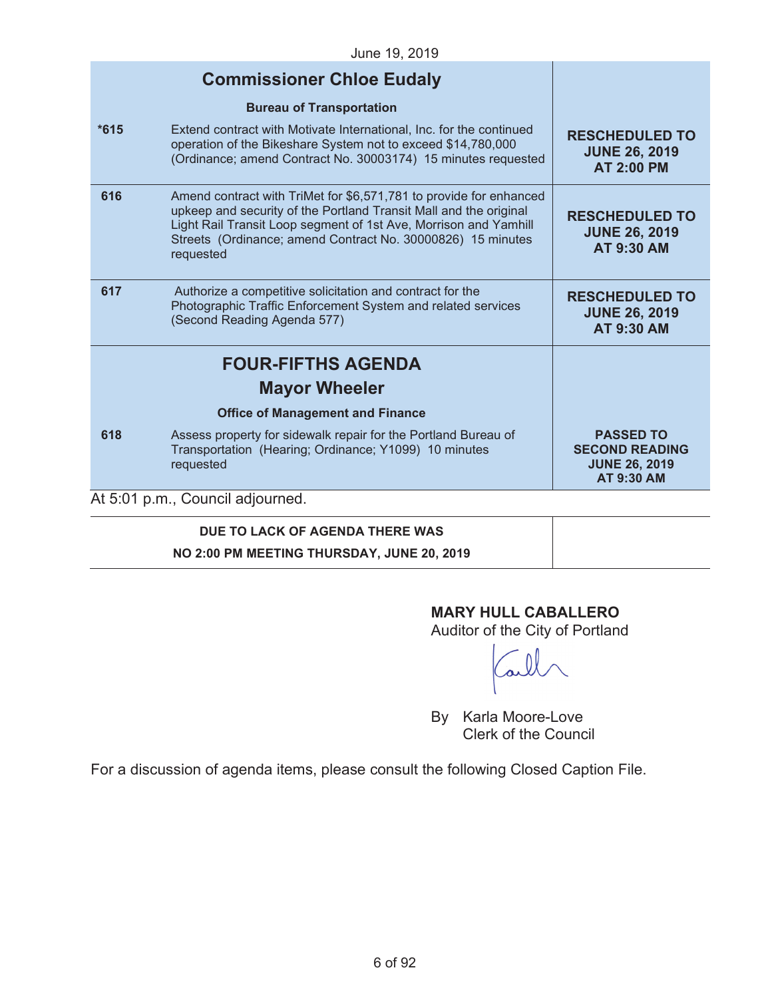|        | 00110 10.2010                                                                                                                                                                                                                                                                           |                                                                                        |
|--------|-----------------------------------------------------------------------------------------------------------------------------------------------------------------------------------------------------------------------------------------------------------------------------------------|----------------------------------------------------------------------------------------|
|        | <b>Commissioner Chloe Eudaly</b>                                                                                                                                                                                                                                                        |                                                                                        |
|        | <b>Bureau of Transportation</b>                                                                                                                                                                                                                                                         |                                                                                        |
| $*615$ | Extend contract with Motivate International, Inc. for the continued<br>operation of the Bikeshare System not to exceed \$14,780,000<br>(Ordinance; amend Contract No. 30003174) 15 minutes requested                                                                                    | <b>RESCHEDULED TO</b><br><b>JUNE 26, 2019</b><br><b>AT 2:00 PM</b>                     |
| 616    | Amend contract with TriMet for \$6,571,781 to provide for enhanced<br>upkeep and security of the Portland Transit Mall and the original<br>Light Rail Transit Loop segment of 1st Ave, Morrison and Yamhill<br>Streets (Ordinance; amend Contract No. 30000826) 15 minutes<br>requested | <b>RESCHEDULED TO</b><br><b>JUNE 26, 2019</b><br><b>AT 9:30 AM</b>                     |
| 617    | Authorize a competitive solicitation and contract for the<br>Photographic Traffic Enforcement System and related services<br>(Second Reading Agenda 577)                                                                                                                                | <b>RESCHEDULED TO</b><br><b>JUNE 26, 2019</b><br><b>AT 9:30 AM</b>                     |
|        | <b>FOUR-FIFTHS AGENDA</b>                                                                                                                                                                                                                                                               |                                                                                        |
|        | <b>Mayor Wheeler</b>                                                                                                                                                                                                                                                                    |                                                                                        |
|        | <b>Office of Management and Finance</b>                                                                                                                                                                                                                                                 |                                                                                        |
| 618    | Assess property for sidewalk repair for the Portland Bureau of<br>Transportation (Hearing; Ordinance; Y1099) 10 minutes<br>requested                                                                                                                                                    | <b>PASSED TO</b><br><b>SECOND READING</b><br><b>JUNE 26, 2019</b><br><b>AT 9:30 AM</b> |
|        | At 5:01 p.m., Council adjourned.                                                                                                                                                                                                                                                        |                                                                                        |
|        |                                                                                                                                                                                                                                                                                         |                                                                                        |

# **DUE TO LACK OF AGENDA THERE WAS**

**NO 2:00 PM MEETING THURSDAY, JUNE 20, 2019** 

## **MARY HULL CABALLERO**

Auditor of the City of Portland

By Karla Moore-Love Clerk of the Council

For a discussion of agenda items, please consult the following Closed Caption File.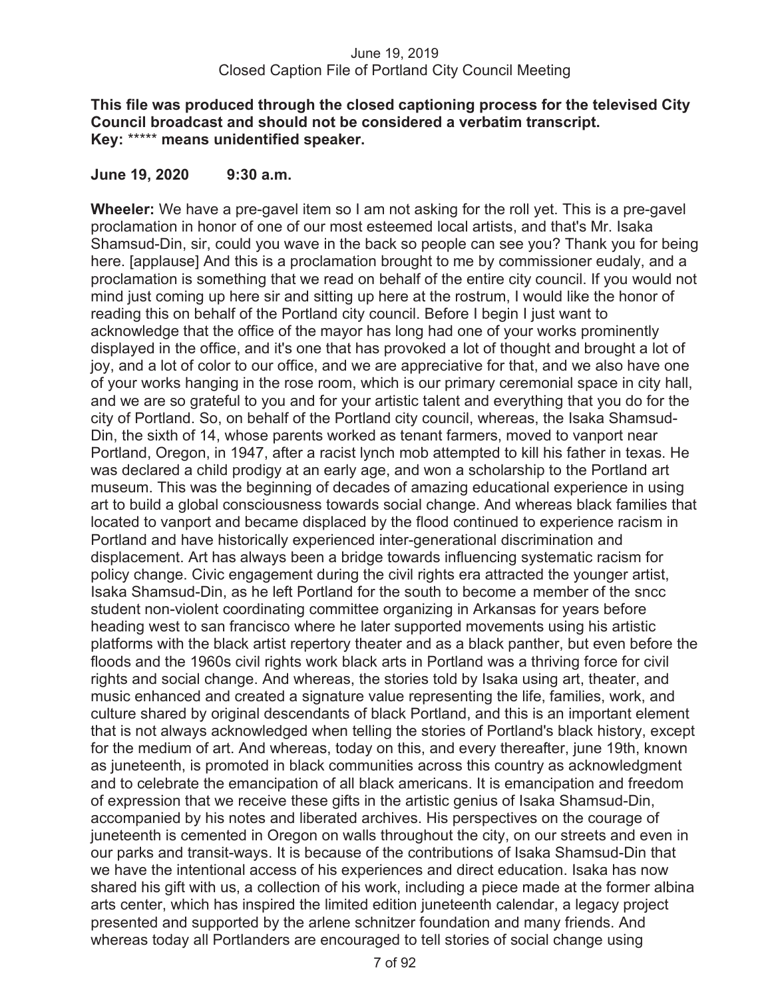#### **This file was produced through the closed captioning process for the televised City Council broadcast and should not be considered a verbatim transcript. Key:** \*\*\*\*\* **means unidentified speaker.**

#### **June 19, 2020 9:30 a.m.**

**Wheeler:** We have a pre-gavel item so I am not asking for the roll yet. This is a pre-gavel proclamation in honor of one of our most esteemed local artists, and that's Mr. Isaka Shamsud-Din, sir, could you wave in the back so people can see you? Thank you for being here. [applause] And this is a proclamation brought to me by commissioner eudaly, and a proclamation is something that we read on behalf of the entire city council. If you would not mind just coming up here sir and sitting up here at the rostrum, I would like the honor of reading this on behalf of the Portland city council. Before I begin I just want to acknowledge that the office of the mayor has long had one of your works prominently displayed in the office, and it's one that has provoked a lot of thought and brought a lot of joy, and a lot of color to our office, and we are appreciative for that, and we also have one of your works hanging in the rose room, which is our primary ceremonial space in city hall, and we are so grateful to you and for your artistic talent and everything that you do for the city of Portland. So, on behalf of the Portland city council, whereas, the Isaka Shamsud-Din, the sixth of 14, whose parents worked as tenant farmers, moved to vanport near Portland, Oregon, in 1947, after a racist lynch mob attempted to kill his father in texas. He was declared a child prodigy at an early age, and won a scholarship to the Portland art museum. This was the beginning of decades of amazing educational experience in using art to build a global consciousness towards social change. And whereas black families that located to vanport and became displaced by the flood continued to experience racism in Portland and have historically experienced inter-generational discrimination and displacement. Art has always been a bridge towards influencing systematic racism for policy change. Civic engagement during the civil rights era attracted the younger artist, Isaka Shamsud-Din, as he left Portland for the south to become a member of the sncc student non-violent coordinating committee organizing in Arkansas for years before heading west to san francisco where he later supported movements using his artistic platforms with the black artist repertory theater and as a black panther, but even before the floods and the 1960s civil rights work black arts in Portland was a thriving force for civil rights and social change. And whereas, the stories told by Isaka using art, theater, and music enhanced and created a signature value representing the life, families, work, and culture shared by original descendants of black Portland, and this is an important element that is not always acknowledged when telling the stories of Portland's black history, except for the medium of art. And whereas, today on this, and every thereafter, june 19th, known as juneteenth, is promoted in black communities across this country as acknowledgment and to celebrate the emancipation of all black americans. It is emancipation and freedom of expression that we receive these gifts in the artistic genius of Isaka Shamsud-Din, accompanied by his notes and liberated archives. His perspectives on the courage of juneteenth is cemented in Oregon on walls throughout the city, on our streets and even in our parks and transit-ways. It is because of the contributions of Isaka Shamsud-Din that we have the intentional access of his experiences and direct education. Isaka has now shared his gift with us, a collection of his work, including a piece made at the former albina arts center, which has inspired the limited edition juneteenth calendar, a legacy project presented and supported by the arlene schnitzer foundation and many friends. And whereas today all Portlanders are encouraged to tell stories of social change using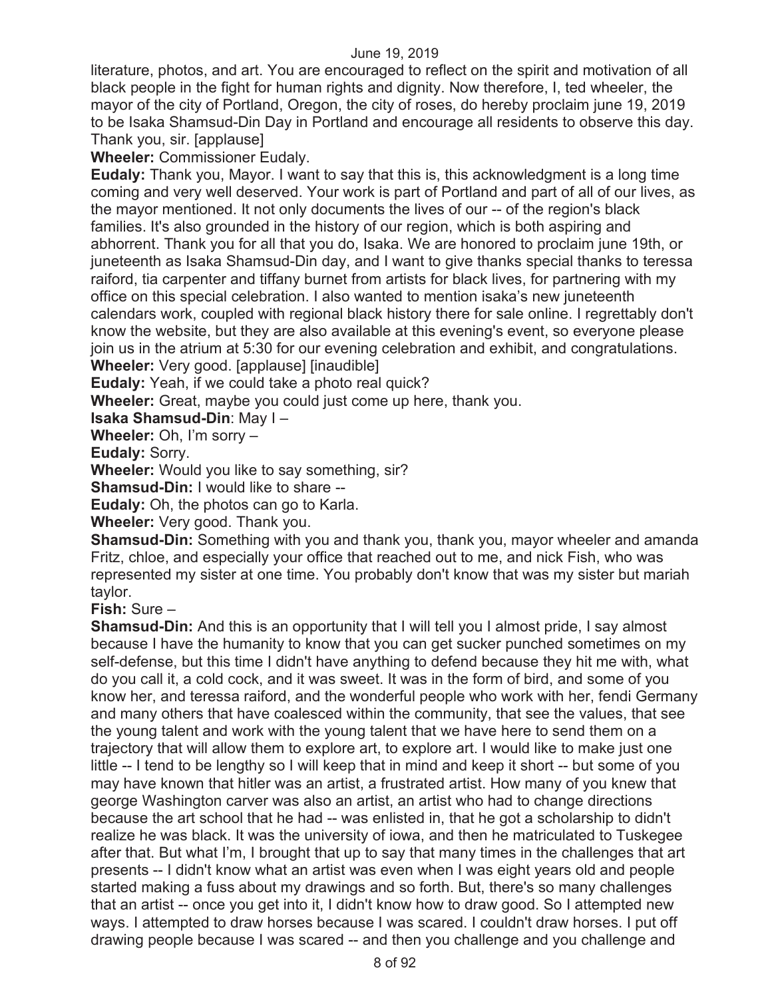literature, photos, and art. You are encouraged to reflect on the spirit and motivation of all black people in the fight for human rights and dignity. Now therefore, I, ted wheeler, the mayor of the city of Portland, Oregon, the city of roses, do hereby proclaim june 19, 2019 to be Isaka Shamsud-Din Day in Portland and encourage all residents to observe this day. Thank you, sir. [applause]

**Wheeler:** Commissioner Eudaly.

**Eudaly:** Thank you, Mayor. I want to say that this is, this acknowledgment is a long time coming and very well deserved. Your work is part of Portland and part of all of our lives, as the mayor mentioned. It not only documents the lives of our -- of the region's black families. It's also grounded in the history of our region, which is both aspiring and abhorrent. Thank you for all that you do, Isaka. We are honored to proclaim june 19th, or juneteenth as Isaka Shamsud-Din day, and I want to give thanks special thanks to teressa raiford, tia carpenter and tiffany burnet from artists for black lives, for partnering with my office on this special celebration. I also wanted to mention isaka's new juneteenth calendars work, coupled with regional black history there for sale online. I regrettably don't know the website, but they are also available at this evening's event, so everyone please join us in the atrium at 5:30 for our evening celebration and exhibit, and congratulations.

**Wheeler:** Very good. [applause] [inaudible]

**Eudaly:** Yeah, if we could take a photo real quick?

**Wheeler:** Great, maybe you could just come up here, thank you.

**Isaka Shamsud-Din**: May I –

**Wheeler:** Oh, I'm sorry –

**Eudaly:** Sorry.

**Wheeler:** Would you like to say something, sir?

**Shamsud-Din: I would like to share --**

**Eudaly:** Oh, the photos can go to Karla.

**Wheeler:** Very good. Thank you.

**Shamsud-Din:** Something with you and thank you, thank you, mayor wheeler and amanda Fritz, chloe, and especially your office that reached out to me, and nick Fish, who was represented my sister at one time. You probably don't know that was my sister but mariah taylor.

**Fish:** Sure –

**Shamsud-Din:** And this is an opportunity that I will tell you I almost pride, I say almost because I have the humanity to know that you can get sucker punched sometimes on my self-defense, but this time I didn't have anything to defend because they hit me with, what do you call it, a cold cock, and it was sweet. It was in the form of bird, and some of you know her, and teressa raiford, and the wonderful people who work with her, fendi Germany and many others that have coalesced within the community, that see the values, that see the young talent and work with the young talent that we have here to send them on a trajectory that will allow them to explore art, to explore art. I would like to make just one little -- I tend to be lengthy so I will keep that in mind and keep it short -- but some of you may have known that hitler was an artist, a frustrated artist. How many of you knew that george Washington carver was also an artist, an artist who had to change directions because the art school that he had -- was enlisted in, that he got a scholarship to didn't realize he was black. It was the university of iowa, and then he matriculated to Tuskegee after that. But what I'm, I brought that up to say that many times in the challenges that art presents -- I didn't know what an artist was even when I was eight years old and people started making a fuss about my drawings and so forth. But, there's so many challenges that an artist -- once you get into it, I didn't know how to draw good. So I attempted new ways. I attempted to draw horses because I was scared. I couldn't draw horses. I put off drawing people because I was scared -- and then you challenge and you challenge and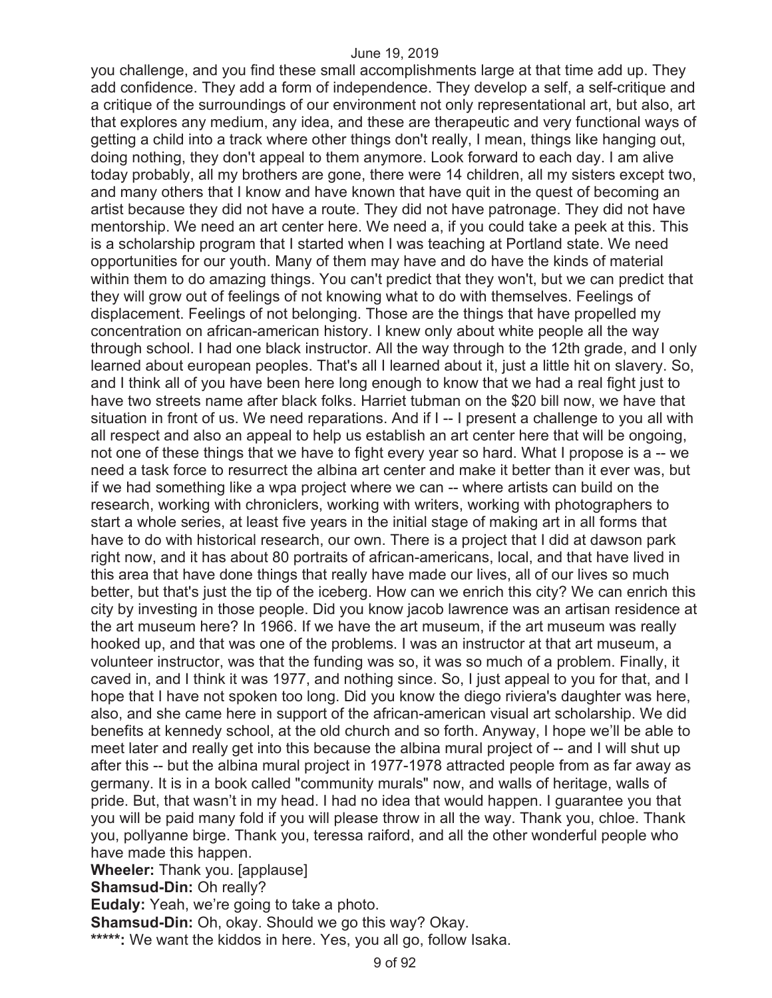you challenge, and you find these small accomplishments large at that time add up. They add confidence. They add a form of independence. They develop a self, a self-critique and a critique of the surroundings of our environment not only representational art, but also, art that explores any medium, any idea, and these are therapeutic and very functional ways of getting a child into a track where other things don't really, I mean, things like hanging out, doing nothing, they don't appeal to them anymore. Look forward to each day. I am alive today probably, all my brothers are gone, there were 14 children, all my sisters except two, and many others that I know and have known that have quit in the quest of becoming an artist because they did not have a route. They did not have patronage. They did not have mentorship. We need an art center here. We need a, if you could take a peek at this. This is a scholarship program that I started when I was teaching at Portland state. We need opportunities for our youth. Many of them may have and do have the kinds of material within them to do amazing things. You can't predict that they won't, but we can predict that they will grow out of feelings of not knowing what to do with themselves. Feelings of displacement. Feelings of not belonging. Those are the things that have propelled my concentration on african-american history. I knew only about white people all the way through school. I had one black instructor. All the way through to the 12th grade, and I only learned about european peoples. That's all I learned about it, just a little hit on slavery. So, and I think all of you have been here long enough to know that we had a real fight just to have two streets name after black folks. Harriet tubman on the \$20 bill now, we have that situation in front of us. We need reparations. And if I -- I present a challenge to you all with all respect and also an appeal to help us establish an art center here that will be ongoing, not one of these things that we have to fight every year so hard. What I propose is a -- we need a task force to resurrect the albina art center and make it better than it ever was, but if we had something like a wpa project where we can -- where artists can build on the research, working with chroniclers, working with writers, working with photographers to start a whole series, at least five years in the initial stage of making art in all forms that have to do with historical research, our own. There is a project that I did at dawson park right now, and it has about 80 portraits of african-americans, local, and that have lived in this area that have done things that really have made our lives, all of our lives so much better, but that's just the tip of the iceberg. How can we enrich this city? We can enrich this city by investing in those people. Did you know jacob lawrence was an artisan residence at the art museum here? In 1966. If we have the art museum, if the art museum was really hooked up, and that was one of the problems. I was an instructor at that art museum, a volunteer instructor, was that the funding was so, it was so much of a problem. Finally, it caved in, and I think it was 1977, and nothing since. So, I just appeal to you for that, and I hope that I have not spoken too long. Did you know the diego riviera's daughter was here, also, and she came here in support of the african-american visual art scholarship. We did benefits at kennedy school, at the old church and so forth. Anyway, I hope we'll be able to meet later and really get into this because the albina mural project of -- and I will shut up after this -- but the albina mural project in 1977-1978 attracted people from as far away as germany. It is in a book called "community murals" now, and walls of heritage, walls of pride. But, that wasn't in my head. I had no idea that would happen. I guarantee you that you will be paid many fold if you will please throw in all the way. Thank you, chloe. Thank you, pollyanne birge. Thank you, teressa raiford, and all the other wonderful people who have made this happen. **Wheeler:** Thank you. [applause]

**Shamsud-Din:** Oh really?

**Eudaly:** Yeah, we're going to take a photo.

**Shamsud-Din:** Oh, okay. Should we go this way? Okay.

**\*\*\*\*\*:** We want the kiddos in here. Yes, you all go, follow Isaka.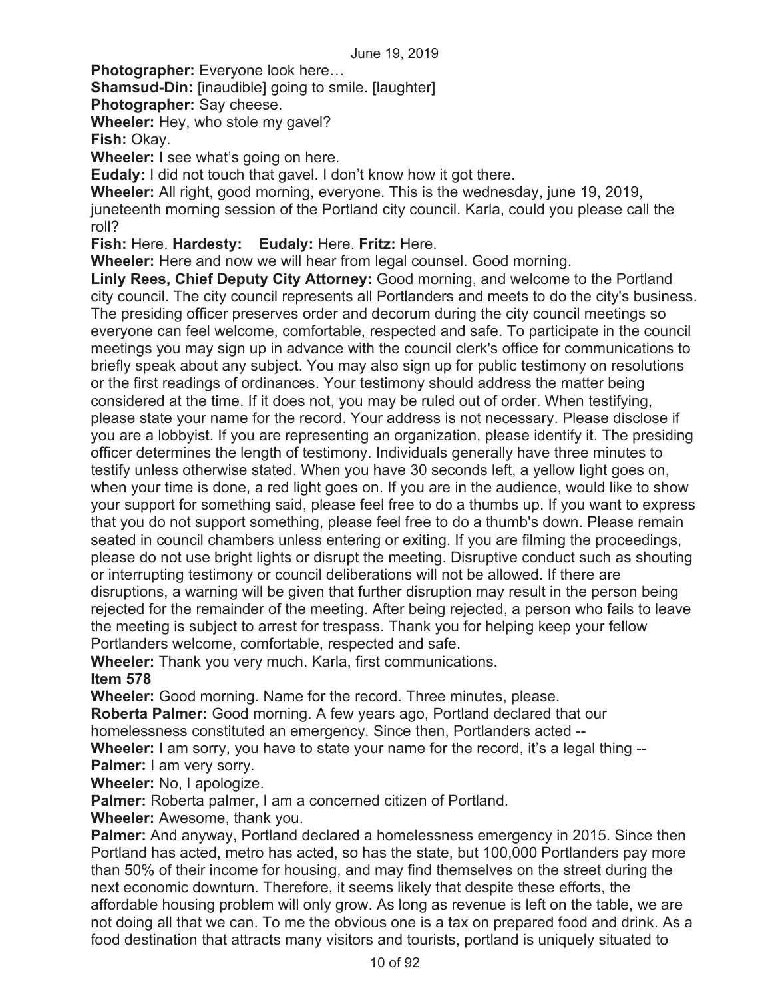**Photographer:** Everyone look here…

**Shamsud-Din:** [inaudible] going to smile. [laughter]

**Photographer:** Say cheese.

**Wheeler:** Hey, who stole my gavel?

**Fish:** Okay.

**Wheeler:** I see what's going on here.

**Eudaly:** I did not touch that gavel. I don't know how it got there.

**Wheeler:** All right, good morning, everyone. This is the wednesday, june 19, 2019, juneteenth morning session of the Portland city council. Karla, could you please call the roll?

**Fish:** Here. **Hardesty: Eudaly:** Here. **Fritz:** Here.

**Wheeler:** Here and now we will hear from legal counsel. Good morning.

**Linly Rees, Chief Deputy City Attorney:** Good morning, and welcome to the Portland city council. The city council represents all Portlanders and meets to do the city's business. The presiding officer preserves order and decorum during the city council meetings so everyone can feel welcome, comfortable, respected and safe. To participate in the council meetings you may sign up in advance with the council clerk's office for communications to briefly speak about any subject. You may also sign up for public testimony on resolutions or the first readings of ordinances. Your testimony should address the matter being considered at the time. If it does not, you may be ruled out of order. When testifying, please state your name for the record. Your address is not necessary. Please disclose if you are a lobbyist. If you are representing an organization, please identify it. The presiding officer determines the length of testimony. Individuals generally have three minutes to testify unless otherwise stated. When you have 30 seconds left, a yellow light goes on, when your time is done, a red light goes on. If you are in the audience, would like to show your support for something said, please feel free to do a thumbs up. If you want to express that you do not support something, please feel free to do a thumb's down. Please remain seated in council chambers unless entering or exiting. If you are filming the proceedings, please do not use bright lights or disrupt the meeting. Disruptive conduct such as shouting or interrupting testimony or council deliberations will not be allowed. If there are disruptions, a warning will be given that further disruption may result in the person being rejected for the remainder of the meeting. After being rejected, a person who fails to leave the meeting is subject to arrest for trespass. Thank you for helping keep your fellow Portlanders welcome, comfortable, respected and safe.

**Wheeler:** Thank you very much. Karla, first communications.

#### **Item 578**

**Wheeler:** Good morning. Name for the record. Three minutes, please.

**Roberta Palmer:** Good morning. A few years ago, Portland declared that our homelessness constituted an emergency. Since then, Portlanders acted --

**Wheeler:** I am sorry, you have to state your name for the record, it's a legal thing --**Palmer:** I am very sorry.

**Wheeler:** No, I apologize.

**Palmer:** Roberta palmer, I am a concerned citizen of Portland.

**Wheeler:** Awesome, thank you.

**Palmer:** And anyway, Portland declared a homelessness emergency in 2015. Since then Portland has acted, metro has acted, so has the state, but 100,000 Portlanders pay more than 50% of their income for housing, and may find themselves on the street during the next economic downturn. Therefore, it seems likely that despite these efforts, the affordable housing problem will only grow. As long as revenue is left on the table, we are not doing all that we can. To me the obvious one is a tax on prepared food and drink. As a food destination that attracts many visitors and tourists, portland is uniquely situated to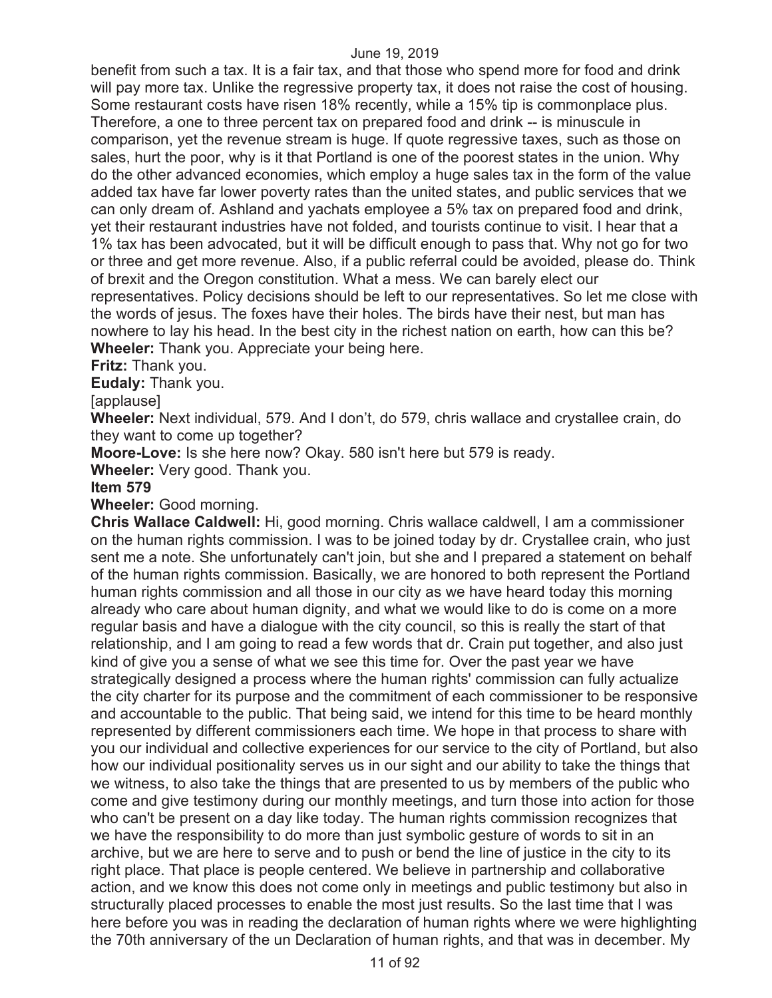benefit from such a tax. It is a fair tax, and that those who spend more for food and drink will pay more tax. Unlike the regressive property tax, it does not raise the cost of housing. Some restaurant costs have risen 18% recently, while a 15% tip is commonplace plus. Therefore, a one to three percent tax on prepared food and drink -- is minuscule in comparison, yet the revenue stream is huge. If quote regressive taxes, such as those on sales, hurt the poor, why is it that Portland is one of the poorest states in the union. Why do the other advanced economies, which employ a huge sales tax in the form of the value added tax have far lower poverty rates than the united states, and public services that we can only dream of. Ashland and yachats employee a 5% tax on prepared food and drink, yet their restaurant industries have not folded, and tourists continue to visit. I hear that a 1% tax has been advocated, but it will be difficult enough to pass that. Why not go for two or three and get more revenue. Also, if a public referral could be avoided, please do. Think of brexit and the Oregon constitution. What a mess. We can barely elect our representatives. Policy decisions should be left to our representatives. So let me close with the words of jesus. The foxes have their holes. The birds have their nest, but man has nowhere to lay his head. In the best city in the richest nation on earth, how can this be? **Wheeler:** Thank you. Appreciate your being here.

#### **Fritz:** Thank you.

**Eudaly:** Thank you.

[applause]

**Wheeler:** Next individual, 579. And I don't, do 579, chris wallace and crystallee crain, do they want to come up together?

**Moore-Love:** Is she here now? Okay. 580 isn't here but 579 is ready.

**Wheeler:** Very good. Thank you.

#### **Item 579**

**Wheeler:** Good morning.

**Chris Wallace Caldwell:** Hi, good morning. Chris wallace caldwell, I am a commissioner on the human rights commission. I was to be joined today by dr. Crystallee crain, who just sent me a note. She unfortunately can't join, but she and I prepared a statement on behalf of the human rights commission. Basically, we are honored to both represent the Portland human rights commission and all those in our city as we have heard today this morning already who care about human dignity, and what we would like to do is come on a more regular basis and have a dialogue with the city council, so this is really the start of that relationship, and I am going to read a few words that dr. Crain put together, and also just kind of give you a sense of what we see this time for. Over the past year we have strategically designed a process where the human rights' commission can fully actualize the city charter for its purpose and the commitment of each commissioner to be responsive and accountable to the public. That being said, we intend for this time to be heard monthly represented by different commissioners each time. We hope in that process to share with you our individual and collective experiences for our service to the city of Portland, but also how our individual positionality serves us in our sight and our ability to take the things that we witness, to also take the things that are presented to us by members of the public who come and give testimony during our monthly meetings, and turn those into action for those who can't be present on a day like today. The human rights commission recognizes that we have the responsibility to do more than just symbolic gesture of words to sit in an archive, but we are here to serve and to push or bend the line of justice in the city to its right place. That place is people centered. We believe in partnership and collaborative action, and we know this does not come only in meetings and public testimony but also in structurally placed processes to enable the most just results. So the last time that I was here before you was in reading the declaration of human rights where we were highlighting the 70th anniversary of the un Declaration of human rights, and that was in december. My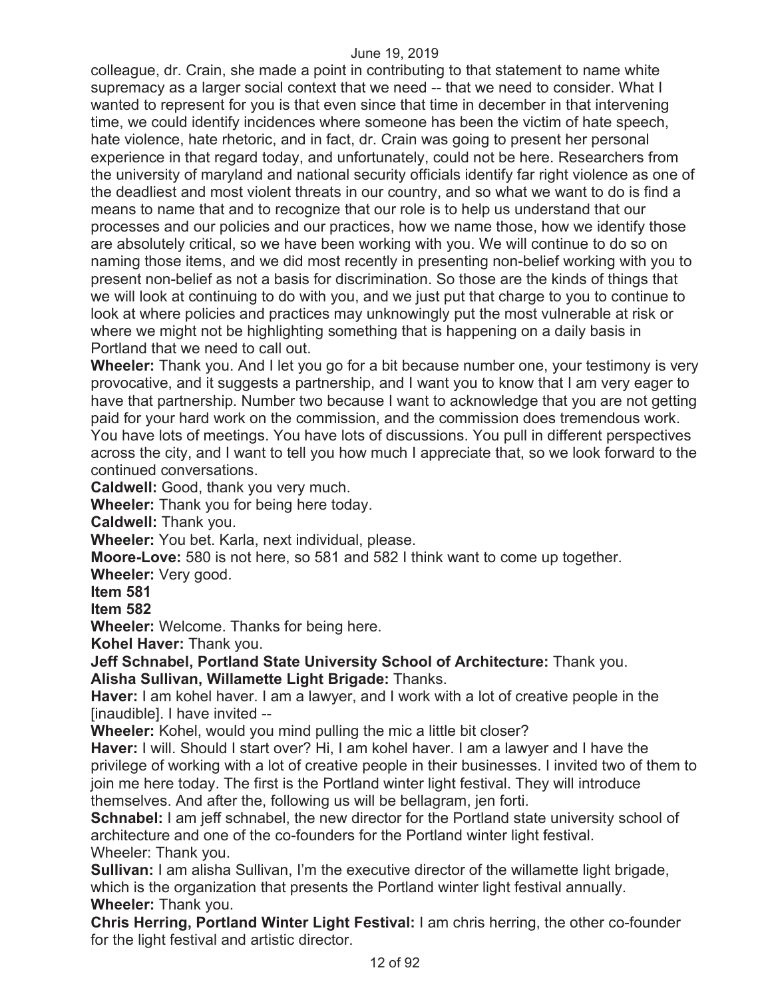colleague, dr. Crain, she made a point in contributing to that statement to name white supremacy as a larger social context that we need -- that we need to consider. What I wanted to represent for you is that even since that time in december in that intervening time, we could identify incidences where someone has been the victim of hate speech, hate violence, hate rhetoric, and in fact, dr. Crain was going to present her personal experience in that regard today, and unfortunately, could not be here. Researchers from the university of maryland and national security officials identify far right violence as one of the deadliest and most violent threats in our country, and so what we want to do is find a means to name that and to recognize that our role is to help us understand that our processes and our policies and our practices, how we name those, how we identify those are absolutely critical, so we have been working with you. We will continue to do so on naming those items, and we did most recently in presenting non-belief working with you to present non-belief as not a basis for discrimination. So those are the kinds of things that we will look at continuing to do with you, and we just put that charge to you to continue to look at where policies and practices may unknowingly put the most vulnerable at risk or where we might not be highlighting something that is happening on a daily basis in Portland that we need to call out.

**Wheeler:** Thank you. And I let you go for a bit because number one, your testimony is very provocative, and it suggests a partnership, and I want you to know that I am very eager to have that partnership. Number two because I want to acknowledge that you are not getting paid for your hard work on the commission, and the commission does tremendous work. You have lots of meetings. You have lots of discussions. You pull in different perspectives across the city, and I want to tell you how much I appreciate that, so we look forward to the continued conversations.

**Caldwell:** Good, thank you very much.

**Wheeler:** Thank you for being here today.

**Caldwell:** Thank you.

**Wheeler:** You bet. Karla, next individual, please.

**Moore-Love:** 580 is not here, so 581 and 582 I think want to come up together.

**Wheeler:** Very good.

**Item 581** 

**Item 582** 

**Wheeler:** Welcome. Thanks for being here.

**Kohel Haver:** Thank you.

**Jeff Schnabel, Portland State University School of Architecture:** Thank you. **Alisha Sullivan, Willamette Light Brigade:** Thanks.

**Haver:** I am kohel haver. I am a lawyer, and I work with a lot of creative people in the [inaudible]. I have invited --

**Wheeler:** Kohel, would you mind pulling the mic a little bit closer?

**Haver:** I will. Should I start over? Hi, I am kohel haver. I am a lawyer and I have the privilege of working with a lot of creative people in their businesses. I invited two of them to join me here today. The first is the Portland winter light festival. They will introduce themselves. And after the, following us will be bellagram, jen forti.

**Schnabel:** I am jeff schnabel, the new director for the Portland state university school of architecture and one of the co-founders for the Portland winter light festival. Wheeler: Thank you.

**Sullivan:** I am alisha Sullivan, I'm the executive director of the willamette light brigade, which is the organization that presents the Portland winter light festival annually. **Wheeler:** Thank you.

**Chris Herring, Portland Winter Light Festival:** I am chris herring, the other co-founder for the light festival and artistic director.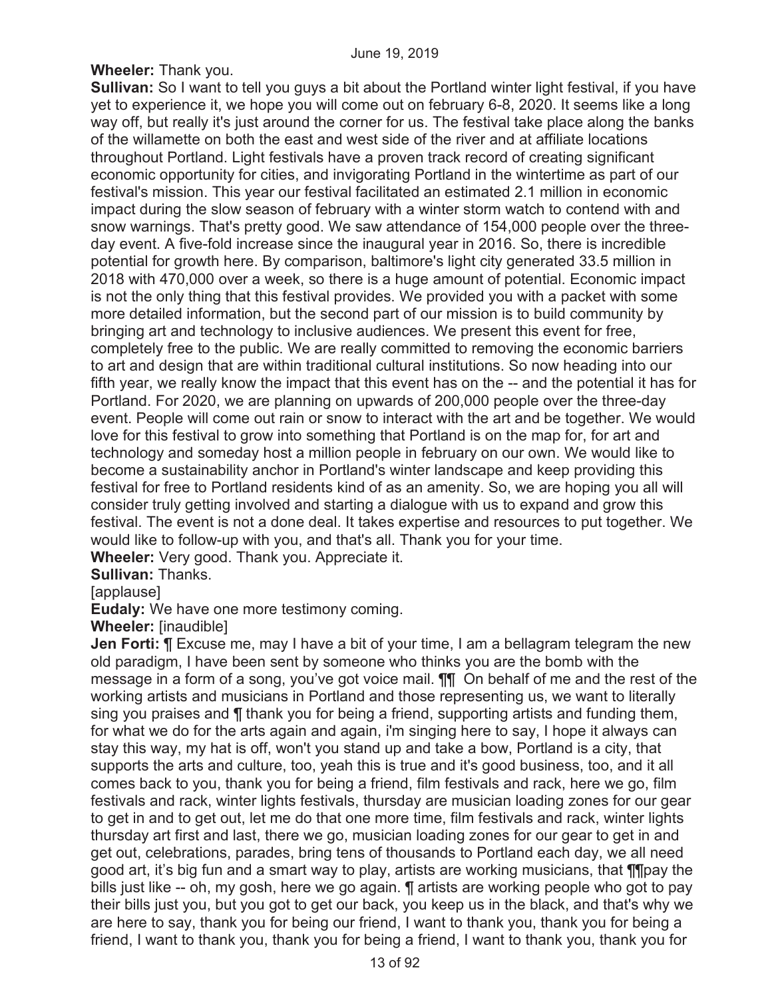**Wheeler:** Thank you.

**Sullivan:** So I want to tell you guys a bit about the Portland winter light festival, if you have yet to experience it, we hope you will come out on february 6-8, 2020. It seems like a long way off, but really it's just around the corner for us. The festival take place along the banks of the willamette on both the east and west side of the river and at affiliate locations throughout Portland. Light festivals have a proven track record of creating significant economic opportunity for cities, and invigorating Portland in the wintertime as part of our festival's mission. This year our festival facilitated an estimated 2.1 million in economic impact during the slow season of february with a winter storm watch to contend with and snow warnings. That's pretty good. We saw attendance of 154,000 people over the threeday event. A five-fold increase since the inaugural year in 2016. So, there is incredible potential for growth here. By comparison, baltimore's light city generated 33.5 million in 2018 with 470,000 over a week, so there is a huge amount of potential. Economic impact is not the only thing that this festival provides. We provided you with a packet with some more detailed information, but the second part of our mission is to build community by bringing art and technology to inclusive audiences. We present this event for free, completely free to the public. We are really committed to removing the economic barriers to art and design that are within traditional cultural institutions. So now heading into our fifth year, we really know the impact that this event has on the -- and the potential it has for Portland. For 2020, we are planning on upwards of 200,000 people over the three-day event. People will come out rain or snow to interact with the art and be together. We would love for this festival to grow into something that Portland is on the map for, for art and technology and someday host a million people in february on our own. We would like to become a sustainability anchor in Portland's winter landscape and keep providing this festival for free to Portland residents kind of as an amenity. So, we are hoping you all will consider truly getting involved and starting a dialogue with us to expand and grow this festival. The event is not a done deal. It takes expertise and resources to put together. We would like to follow-up with you, and that's all. Thank you for your time.

**Wheeler:** Very good. Thank you. Appreciate it.

**Sullivan:** Thanks.

[applause]

**Eudaly:** We have one more testimony coming.

**Wheeler:** [inaudible]

**Jen Forti: ¶** Excuse me, may I have a bit of your time, I am a bellagram telegram the new old paradigm, I have been sent by someone who thinks you are the bomb with the message in a form of a song, you've got voice mail. ¶¶ On behalf of me and the rest of the working artists and musicians in Portland and those representing us, we want to literally sing you praises and ¶ thank you for being a friend, supporting artists and funding them, for what we do for the arts again and again, i'm singing here to say, I hope it always can stay this way, my hat is off, won't you stand up and take a bow, Portland is a city, that supports the arts and culture, too, yeah this is true and it's good business, too, and it all comes back to you, thank you for being a friend, film festivals and rack, here we go, film festivals and rack, winter lights festivals, thursday are musician loading zones for our gear to get in and to get out, let me do that one more time, film festivals and rack, winter lights thursday art first and last, there we go, musician loading zones for our gear to get in and get out, celebrations, parades, bring tens of thousands to Portland each day, we all need good art, it's big fun and a smart way to play, artists are working musicians, that ¶¶pay the bills just like -- oh, my gosh, here we go again. ¶ artists are working people who got to pay their bills just you, but you got to get our back, you keep us in the black, and that's why we are here to say, thank you for being our friend, I want to thank you, thank you for being a friend, I want to thank you, thank you for being a friend, I want to thank you, thank you for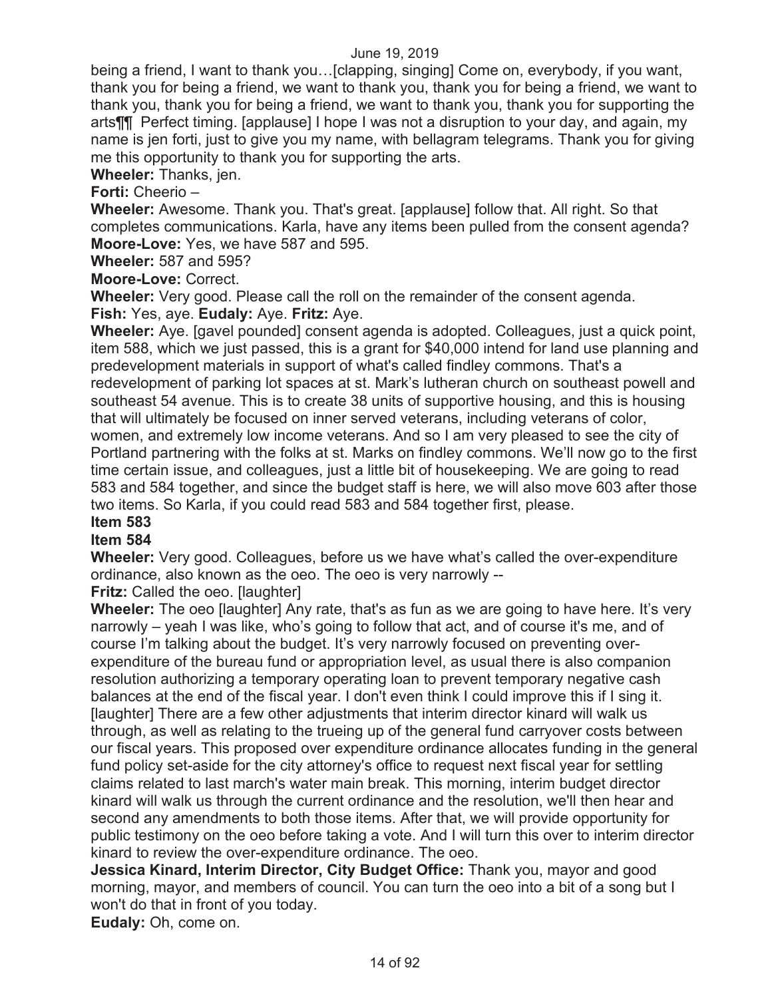being a friend, I want to thank you…[clapping, singing] Come on, everybody, if you want, thank you for being a friend, we want to thank you, thank you for being a friend, we want to thank you, thank you for being a friend, we want to thank you, thank you for supporting the arts¶¶ Perfect timing. [applause] I hope I was not a disruption to your day, and again, my name is jen forti, just to give you my name, with bellagram telegrams. Thank you for giving me this opportunity to thank you for supporting the arts.

**Wheeler:** Thanks, jen.

**Forti:** Cheerio –

**Wheeler:** Awesome. Thank you. That's great. [applause] follow that. All right. So that completes communications. Karla, have any items been pulled from the consent agenda? **Moore-Love:** Yes, we have 587 and 595.

**Wheeler:** 587 and 595?

**Moore-Love:** Correct.

**Wheeler:** Very good. Please call the roll on the remainder of the consent agenda. **Fish:** Yes, aye. **Eudaly:** Aye. **Fritz:** Aye.

**Wheeler:** Aye. [gavel pounded] consent agenda is adopted. Colleagues, just a quick point, item 588, which we just passed, this is a grant for \$40,000 intend for land use planning and predevelopment materials in support of what's called findley commons. That's a redevelopment of parking lot spaces at st. Mark's lutheran church on southeast powell and southeast 54 avenue. This is to create 38 units of supportive housing, and this is housing that will ultimately be focused on inner served veterans, including veterans of color, women, and extremely low income veterans. And so I am very pleased to see the city of Portland partnering with the folks at st. Marks on findley commons. We'll now go to the first time certain issue, and colleagues, just a little bit of housekeeping. We are going to read 583 and 584 together, and since the budget staff is here, we will also move 603 after those two items. So Karla, if you could read 583 and 584 together first, please.

### **Item 583**

#### **Item 584**

**Wheeler:** Very good. Colleagues, before us we have what's called the over-expenditure ordinance, also known as the oeo. The oeo is very narrowly --

**Fritz:** Called the oeo. Ilaughter

**Wheeler:** The oeo [laughter] Any rate, that's as fun as we are going to have here. It's very narrowly – yeah I was like, who's going to follow that act, and of course it's me, and of course I'm talking about the budget. It's very narrowly focused on preventing overexpenditure of the bureau fund or appropriation level, as usual there is also companion resolution authorizing a temporary operating loan to prevent temporary negative cash balances at the end of the fiscal year. I don't even think I could improve this if I sing it. [laughter] There are a few other adjustments that interim director kinard will walk us through, as well as relating to the trueing up of the general fund carryover costs between our fiscal years. This proposed over expenditure ordinance allocates funding in the general fund policy set-aside for the city attorney's office to request next fiscal year for settling claims related to last march's water main break. This morning, interim budget director kinard will walk us through the current ordinance and the resolution, we'll then hear and second any amendments to both those items. After that, we will provide opportunity for public testimony on the oeo before taking a vote. And I will turn this over to interim director kinard to review the over-expenditure ordinance. The oeo.

**Jessica Kinard, Interim Director, City Budget Office:** Thank you, mayor and good morning, mayor, and members of council. You can turn the oeo into a bit of a song but I won't do that in front of you today.

**Eudaly:** Oh, come on.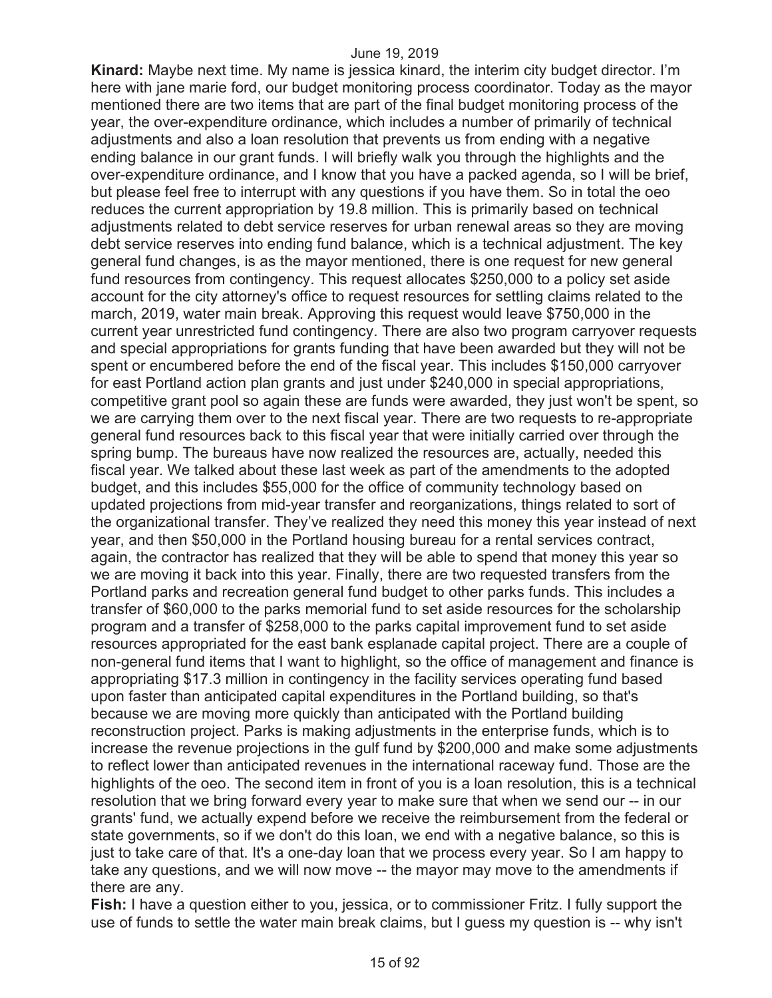**Kinard:** Maybe next time. My name is jessica kinard, the interim city budget director. I'm here with jane marie ford, our budget monitoring process coordinator. Today as the mayor mentioned there are two items that are part of the final budget monitoring process of the year, the over-expenditure ordinance, which includes a number of primarily of technical adjustments and also a loan resolution that prevents us from ending with a negative ending balance in our grant funds. I will briefly walk you through the highlights and the over-expenditure ordinance, and I know that you have a packed agenda, so I will be brief, but please feel free to interrupt with any questions if you have them. So in total the oeo reduces the current appropriation by 19.8 million. This is primarily based on technical adjustments related to debt service reserves for urban renewal areas so they are moving debt service reserves into ending fund balance, which is a technical adjustment. The key general fund changes, is as the mayor mentioned, there is one request for new general fund resources from contingency. This request allocates \$250,000 to a policy set aside account for the city attorney's office to request resources for settling claims related to the march, 2019, water main break. Approving this request would leave \$750,000 in the current year unrestricted fund contingency. There are also two program carryover requests and special appropriations for grants funding that have been awarded but they will not be spent or encumbered before the end of the fiscal year. This includes \$150,000 carryover for east Portland action plan grants and just under \$240,000 in special appropriations, competitive grant pool so again these are funds were awarded, they just won't be spent, so we are carrying them over to the next fiscal year. There are two requests to re-appropriate general fund resources back to this fiscal year that were initially carried over through the spring bump. The bureaus have now realized the resources are, actually, needed this fiscal year. We talked about these last week as part of the amendments to the adopted budget, and this includes \$55,000 for the office of community technology based on updated projections from mid-year transfer and reorganizations, things related to sort of the organizational transfer. They've realized they need this money this year instead of next year, and then \$50,000 in the Portland housing bureau for a rental services contract, again, the contractor has realized that they will be able to spend that money this year so we are moving it back into this year. Finally, there are two requested transfers from the Portland parks and recreation general fund budget to other parks funds. This includes a transfer of \$60,000 to the parks memorial fund to set aside resources for the scholarship program and a transfer of \$258,000 to the parks capital improvement fund to set aside resources appropriated for the east bank esplanade capital project. There are a couple of non-general fund items that I want to highlight, so the office of management and finance is appropriating \$17.3 million in contingency in the facility services operating fund based upon faster than anticipated capital expenditures in the Portland building, so that's because we are moving more quickly than anticipated with the Portland building reconstruction project. Parks is making adjustments in the enterprise funds, which is to increase the revenue projections in the gulf fund by \$200,000 and make some adjustments to reflect lower than anticipated revenues in the international raceway fund. Those are the highlights of the oeo. The second item in front of you is a loan resolution, this is a technical resolution that we bring forward every year to make sure that when we send our -- in our grants' fund, we actually expend before we receive the reimbursement from the federal or state governments, so if we don't do this loan, we end with a negative balance, so this is just to take care of that. It's a one-day loan that we process every year. So I am happy to take any questions, and we will now move -- the mayor may move to the amendments if there are any.

**Fish:** I have a question either to you, jessica, or to commissioner Fritz. I fully support the use of funds to settle the water main break claims, but I guess my question is -- why isn't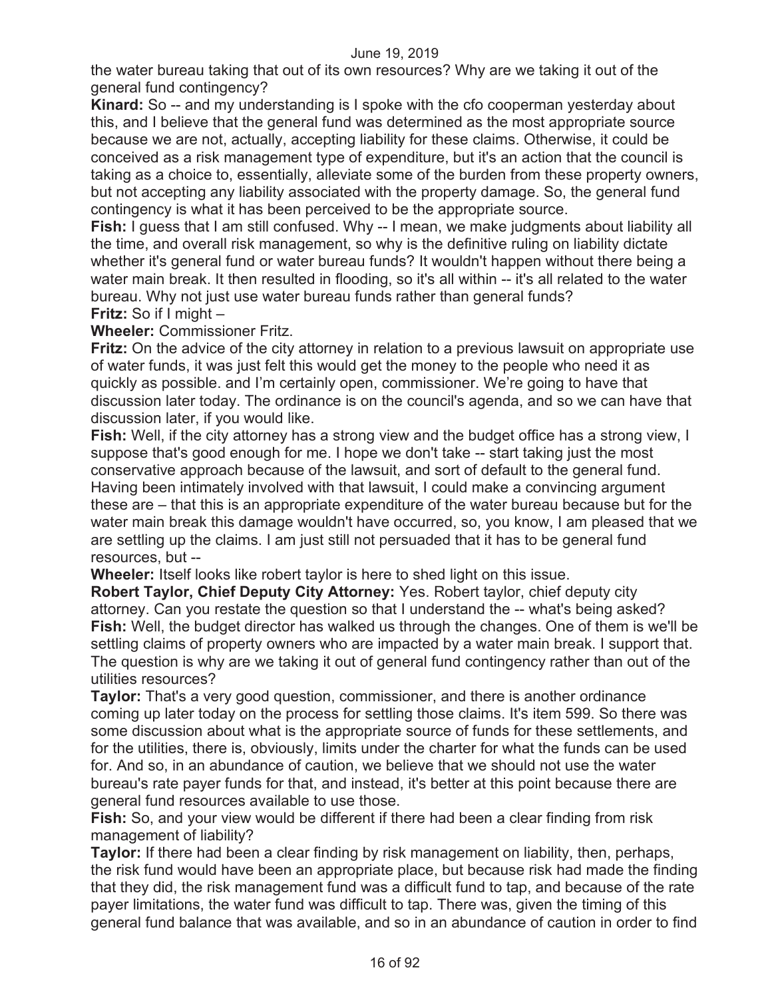the water bureau taking that out of its own resources? Why are we taking it out of the general fund contingency?

**Kinard:** So -- and my understanding is I spoke with the cfo cooperman yesterday about this, and I believe that the general fund was determined as the most appropriate source because we are not, actually, accepting liability for these claims. Otherwise, it could be conceived as a risk management type of expenditure, but it's an action that the council is taking as a choice to, essentially, alleviate some of the burden from these property owners, but not accepting any liability associated with the property damage. So, the general fund contingency is what it has been perceived to be the appropriate source.

**Fish:** I guess that I am still confused. Why -- I mean, we make judgments about liability all the time, and overall risk management, so why is the definitive ruling on liability dictate whether it's general fund or water bureau funds? It wouldn't happen without there being a water main break. It then resulted in flooding, so it's all within -- it's all related to the water bureau. Why not just use water bureau funds rather than general funds? **Fritz:** So if I might –

**Wheeler:** Commissioner Fritz.

**Fritz:** On the advice of the city attorney in relation to a previous lawsuit on appropriate use of water funds, it was just felt this would get the money to the people who need it as quickly as possible. and I'm certainly open, commissioner. We're going to have that discussion later today. The ordinance is on the council's agenda, and so we can have that discussion later, if you would like.

**Fish:** Well, if the city attorney has a strong view and the budget office has a strong view, I suppose that's good enough for me. I hope we don't take -- start taking just the most conservative approach because of the lawsuit, and sort of default to the general fund. Having been intimately involved with that lawsuit, I could make a convincing argument these are – that this is an appropriate expenditure of the water bureau because but for the water main break this damage wouldn't have occurred, so, you know, I am pleased that we are settling up the claims. I am just still not persuaded that it has to be general fund resources, but --

**Wheeler:** Itself looks like robert taylor is here to shed light on this issue.

**Robert Taylor, Chief Deputy City Attorney:** Yes. Robert taylor, chief deputy city attorney. Can you restate the question so that I understand the -- what's being asked? **Fish:** Well, the budget director has walked us through the changes. One of them is we'll be settling claims of property owners who are impacted by a water main break. I support that. The question is why are we taking it out of general fund contingency rather than out of the utilities resources?

**Taylor:** That's a very good question, commissioner, and there is another ordinance coming up later today on the process for settling those claims. It's item 599. So there was some discussion about what is the appropriate source of funds for these settlements, and for the utilities, there is, obviously, limits under the charter for what the funds can be used for. And so, in an abundance of caution, we believe that we should not use the water bureau's rate payer funds for that, and instead, it's better at this point because there are general fund resources available to use those.

**Fish:** So, and your view would be different if there had been a clear finding from risk management of liability?

**Taylor:** If there had been a clear finding by risk management on liability, then, perhaps, the risk fund would have been an appropriate place, but because risk had made the finding that they did, the risk management fund was a difficult fund to tap, and because of the rate payer limitations, the water fund was difficult to tap. There was, given the timing of this general fund balance that was available, and so in an abundance of caution in order to find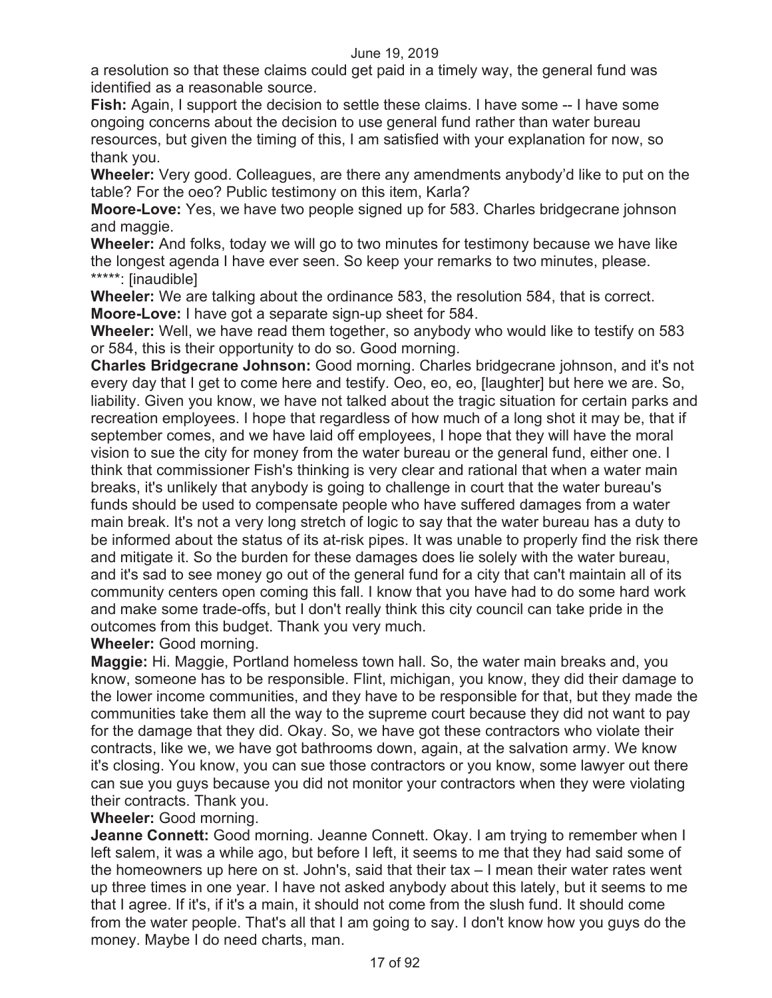a resolution so that these claims could get paid in a timely way, the general fund was identified as a reasonable source.

**Fish:** Again, I support the decision to settle these claims. I have some -- I have some ongoing concerns about the decision to use general fund rather than water bureau resources, but given the timing of this, I am satisfied with your explanation for now, so thank you.

**Wheeler:** Very good. Colleagues, are there any amendments anybody'd like to put on the table? For the oeo? Public testimony on this item, Karla?

**Moore-Love:** Yes, we have two people signed up for 583. Charles bridgecrane johnson and maggie.

**Wheeler:** And folks, today we will go to two minutes for testimony because we have like the longest agenda I have ever seen. So keep your remarks to two minutes, please. \*\*\*\*\*: [inaudible]

**Wheeler:** We are talking about the ordinance 583, the resolution 584, that is correct. **Moore-Love:** I have got a separate sign-up sheet for 584.

**Wheeler:** Well, we have read them together, so anybody who would like to testify on 583 or 584, this is their opportunity to do so. Good morning.

**Charles Bridgecrane Johnson:** Good morning. Charles bridgecrane johnson, and it's not every day that I get to come here and testify. Oeo, eo, eo, [laughter] but here we are. So, liability. Given you know, we have not talked about the tragic situation for certain parks and recreation employees. I hope that regardless of how much of a long shot it may be, that if september comes, and we have laid off employees, I hope that they will have the moral vision to sue the city for money from the water bureau or the general fund, either one. I think that commissioner Fish's thinking is very clear and rational that when a water main breaks, it's unlikely that anybody is going to challenge in court that the water bureau's funds should be used to compensate people who have suffered damages from a water main break. It's not a very long stretch of logic to say that the water bureau has a duty to be informed about the status of its at-risk pipes. It was unable to properly find the risk there and mitigate it. So the burden for these damages does lie solely with the water bureau, and it's sad to see money go out of the general fund for a city that can't maintain all of its community centers open coming this fall. I know that you have had to do some hard work and make some trade-offs, but I don't really think this city council can take pride in the outcomes from this budget. Thank you very much.

**Wheeler:** Good morning.

**Maggie:** Hi. Maggie, Portland homeless town hall. So, the water main breaks and, you know, someone has to be responsible. Flint, michigan, you know, they did their damage to the lower income communities, and they have to be responsible for that, but they made the communities take them all the way to the supreme court because they did not want to pay for the damage that they did. Okay. So, we have got these contractors who violate their contracts, like we, we have got bathrooms down, again, at the salvation army. We know it's closing. You know, you can sue those contractors or you know, some lawyer out there can sue you guys because you did not monitor your contractors when they were violating their contracts. Thank you.

#### **Wheeler:** Good morning.

**Jeanne Connett:** Good morning. Jeanne Connett. Okay. I am trying to remember when I left salem, it was a while ago, but before I left, it seems to me that they had said some of the homeowners up here on st. John's, said that their tax – I mean their water rates went up three times in one year. I have not asked anybody about this lately, but it seems to me that I agree. If it's, if it's a main, it should not come from the slush fund. It should come from the water people. That's all that I am going to say. I don't know how you guys do the money. Maybe I do need charts, man.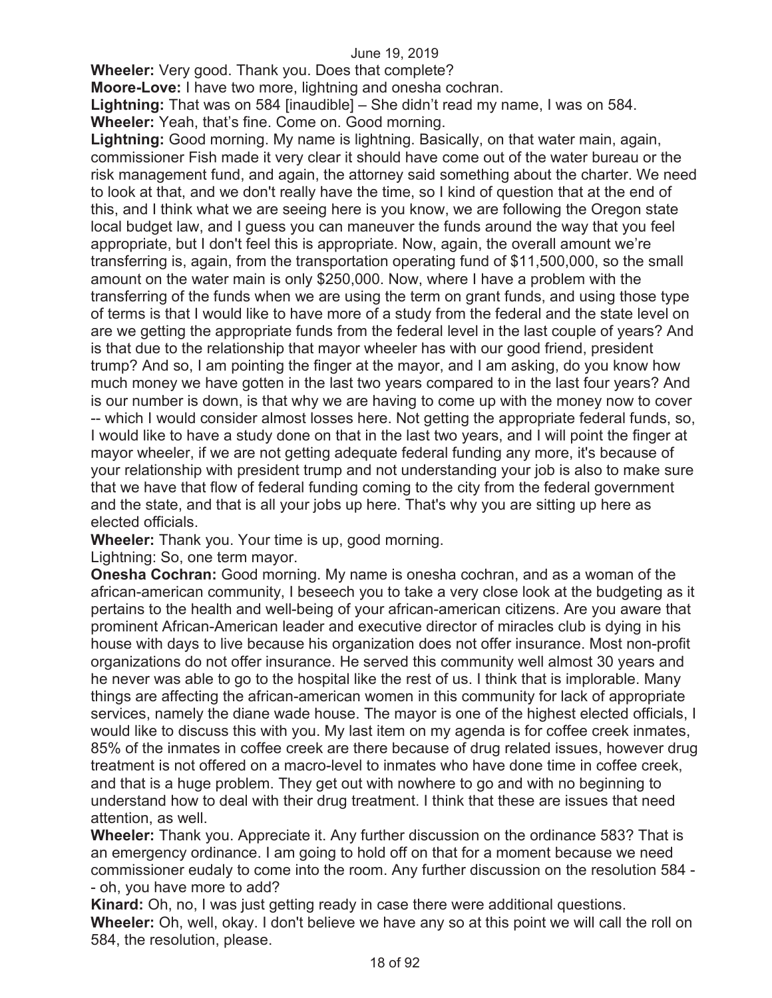**Wheeler:** Very good. Thank you. Does that complete?

**Moore-Love:** I have two more, lightning and onesha cochran.

**Lightning:** That was on 584 [inaudible] – She didn't read my name, I was on 584. **Wheeler:** Yeah, that's fine. Come on. Good morning.

**Lightning:** Good morning. My name is lightning. Basically, on that water main, again, commissioner Fish made it very clear it should have come out of the water bureau or the risk management fund, and again, the attorney said something about the charter. We need to look at that, and we don't really have the time, so I kind of question that at the end of this, and I think what we are seeing here is you know, we are following the Oregon state local budget law, and I guess you can maneuver the funds around the way that you feel appropriate, but I don't feel this is appropriate. Now, again, the overall amount we're transferring is, again, from the transportation operating fund of \$11,500,000, so the small amount on the water main is only \$250,000. Now, where I have a problem with the transferring of the funds when we are using the term on grant funds, and using those type of terms is that I would like to have more of a study from the federal and the state level on are we getting the appropriate funds from the federal level in the last couple of years? And is that due to the relationship that mayor wheeler has with our good friend, president trump? And so, I am pointing the finger at the mayor, and I am asking, do you know how much money we have gotten in the last two years compared to in the last four years? And is our number is down, is that why we are having to come up with the money now to cover -- which I would consider almost losses here. Not getting the appropriate federal funds, so, I would like to have a study done on that in the last two years, and I will point the finger at mayor wheeler, if we are not getting adequate federal funding any more, it's because of your relationship with president trump and not understanding your job is also to make sure that we have that flow of federal funding coming to the city from the federal government and the state, and that is all your jobs up here. That's why you are sitting up here as elected officials.

**Wheeler:** Thank you. Your time is up, good morning.

Lightning: So, one term mayor.

**Onesha Cochran:** Good morning. My name is onesha cochran, and as a woman of the african-american community, I beseech you to take a very close look at the budgeting as it pertains to the health and well-being of your african-american citizens. Are you aware that prominent African-American leader and executive director of miracles club is dying in his house with days to live because his organization does not offer insurance. Most non-profit organizations do not offer insurance. He served this community well almost 30 years and he never was able to go to the hospital like the rest of us. I think that is implorable. Many things are affecting the african-american women in this community for lack of appropriate services, namely the diane wade house. The mayor is one of the highest elected officials, I would like to discuss this with you. My last item on my agenda is for coffee creek inmates, 85% of the inmates in coffee creek are there because of drug related issues, however drug treatment is not offered on a macro-level to inmates who have done time in coffee creek, and that is a huge problem. They get out with nowhere to go and with no beginning to understand how to deal with their drug treatment. I think that these are issues that need attention, as well.

**Wheeler:** Thank you. Appreciate it. Any further discussion on the ordinance 583? That is an emergency ordinance. I am going to hold off on that for a moment because we need commissioner eudaly to come into the room. Any further discussion on the resolution 584 - - oh, you have more to add?

**Kinard:** Oh, no, I was just getting ready in case there were additional questions. **Wheeler:** Oh, well, okay. I don't believe we have any so at this point we will call the roll on 584, the resolution, please.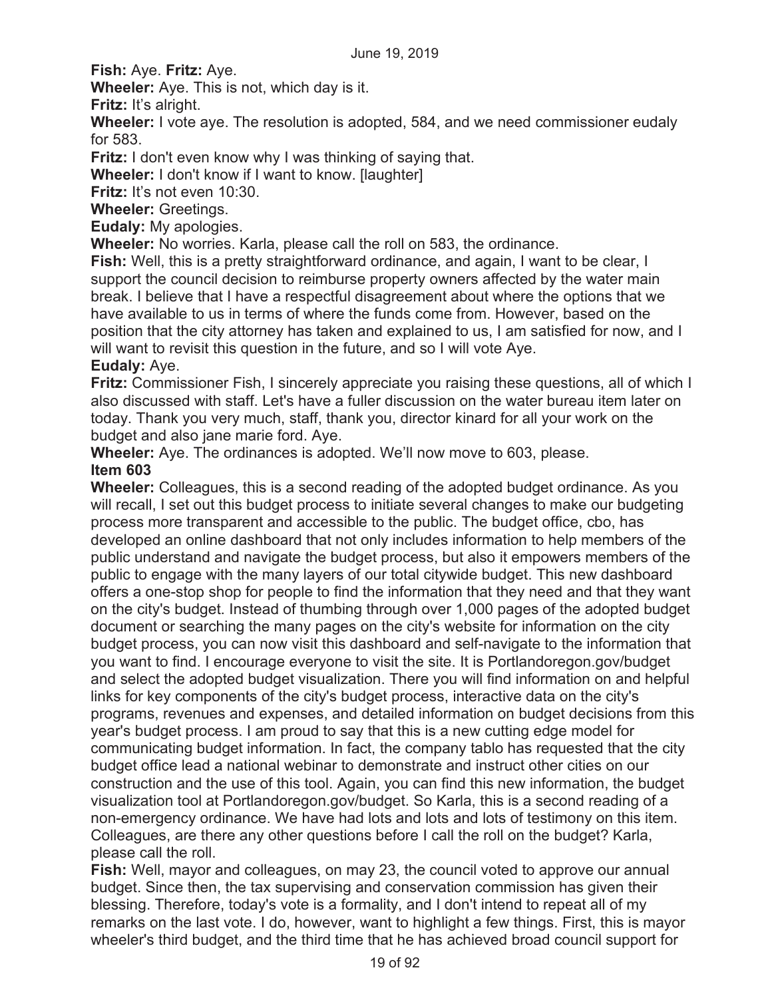**Fish:** Aye. **Fritz:** Aye.

**Wheeler:** Aye. This is not, which day is it.

**Fritz:** It's alright.

**Wheeler:** I vote aye. The resolution is adopted, 584, and we need commissioner eudaly for 583.

**Fritz:** I don't even know why I was thinking of saying that.

**Wheeler:** I don't know if I want to know. [laughter]

**Fritz:** It's not even 10:30.

**Wheeler:** Greetings.

**Eudaly:** My apologies.

**Wheeler:** No worries. Karla, please call the roll on 583, the ordinance.

**Fish:** Well, this is a pretty straightforward ordinance, and again, I want to be clear, I support the council decision to reimburse property owners affected by the water main break. I believe that I have a respectful disagreement about where the options that we have available to us in terms of where the funds come from. However, based on the position that the city attorney has taken and explained to us, I am satisfied for now, and I will want to revisit this question in the future, and so I will vote Aye.

#### **Eudaly:** Aye.

**Fritz:** Commissioner Fish, I sincerely appreciate you raising these questions, all of which I also discussed with staff. Let's have a fuller discussion on the water bureau item later on today. Thank you very much, staff, thank you, director kinard for all your work on the budget and also jane marie ford. Aye.

**Wheeler:** Aye. The ordinances is adopted. We'll now move to 603, please. **Item 603** 

**Wheeler:** Colleagues, this is a second reading of the adopted budget ordinance. As you will recall, I set out this budget process to initiate several changes to make our budgeting process more transparent and accessible to the public. The budget office, cbo, has developed an online dashboard that not only includes information to help members of the public understand and navigate the budget process, but also it empowers members of the public to engage with the many layers of our total citywide budget. This new dashboard offers a one-stop shop for people to find the information that they need and that they want on the city's budget. Instead of thumbing through over 1,000 pages of the adopted budget document or searching the many pages on the city's website for information on the city budget process, you can now visit this dashboard and self-navigate to the information that you want to find. I encourage everyone to visit the site. It is Portlandoregon.gov/budget and select the adopted budget visualization. There you will find information on and helpful links for key components of the city's budget process, interactive data on the city's programs, revenues and expenses, and detailed information on budget decisions from this year's budget process. I am proud to say that this is a new cutting edge model for communicating budget information. In fact, the company tablo has requested that the city budget office lead a national webinar to demonstrate and instruct other cities on our construction and the use of this tool. Again, you can find this new information, the budget visualization tool at Portlandoregon.gov/budget. So Karla, this is a second reading of a non-emergency ordinance. We have had lots and lots and lots of testimony on this item. Colleagues, are there any other questions before I call the roll on the budget? Karla, please call the roll.

**Fish:** Well, mayor and colleagues, on may 23, the council voted to approve our annual budget. Since then, the tax supervising and conservation commission has given their blessing. Therefore, today's vote is a formality, and I don't intend to repeat all of my remarks on the last vote. I do, however, want to highlight a few things. First, this is mayor wheeler's third budget, and the third time that he has achieved broad council support for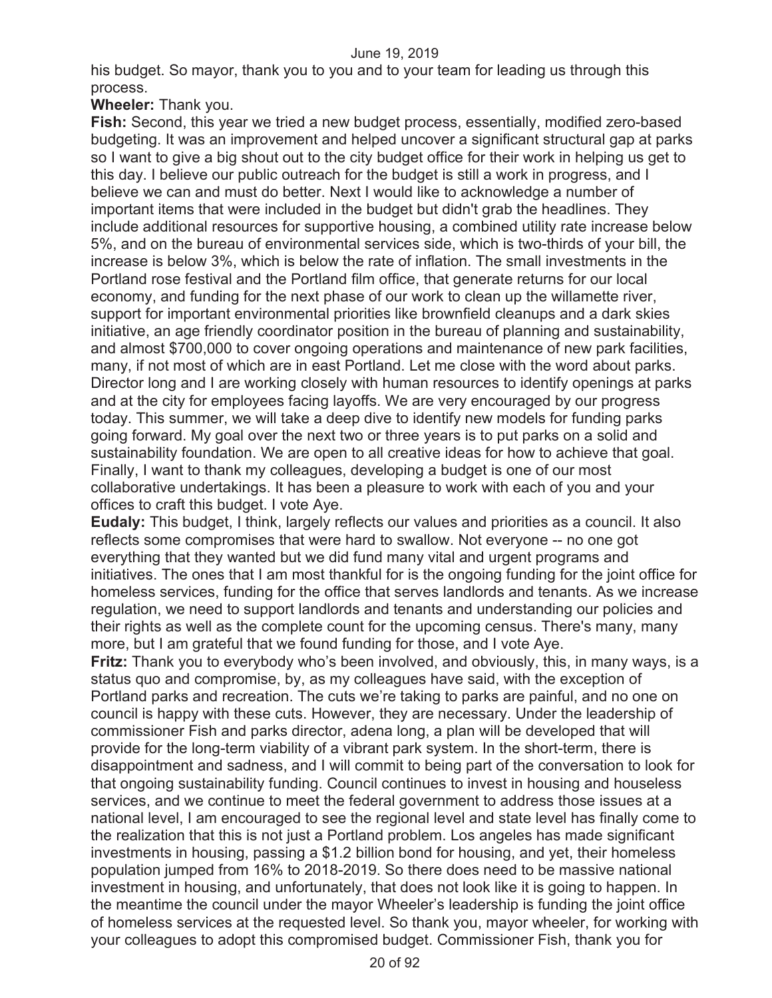his budget. So mayor, thank you to you and to your team for leading us through this process.

**Wheeler:** Thank you.

**Fish:** Second, this year we tried a new budget process, essentially, modified zero-based budgeting. It was an improvement and helped uncover a significant structural gap at parks so I want to give a big shout out to the city budget office for their work in helping us get to this day. I believe our public outreach for the budget is still a work in progress, and I believe we can and must do better. Next I would like to acknowledge a number of important items that were included in the budget but didn't grab the headlines. They include additional resources for supportive housing, a combined utility rate increase below 5%, and on the bureau of environmental services side, which is two-thirds of your bill, the increase is below 3%, which is below the rate of inflation. The small investments in the Portland rose festival and the Portland film office, that generate returns for our local economy, and funding for the next phase of our work to clean up the willamette river, support for important environmental priorities like brownfield cleanups and a dark skies initiative, an age friendly coordinator position in the bureau of planning and sustainability, and almost \$700,000 to cover ongoing operations and maintenance of new park facilities, many, if not most of which are in east Portland. Let me close with the word about parks. Director long and I are working closely with human resources to identify openings at parks and at the city for employees facing layoffs. We are very encouraged by our progress today. This summer, we will take a deep dive to identify new models for funding parks going forward. My goal over the next two or three years is to put parks on a solid and sustainability foundation. We are open to all creative ideas for how to achieve that goal. Finally, I want to thank my colleagues, developing a budget is one of our most collaborative undertakings. It has been a pleasure to work with each of you and your offices to craft this budget. I vote Aye.

**Eudaly:** This budget, I think, largely reflects our values and priorities as a council. It also reflects some compromises that were hard to swallow. Not everyone -- no one got everything that they wanted but we did fund many vital and urgent programs and initiatives. The ones that I am most thankful for is the ongoing funding for the joint office for homeless services, funding for the office that serves landlords and tenants. As we increase regulation, we need to support landlords and tenants and understanding our policies and their rights as well as the complete count for the upcoming census. There's many, many more, but I am grateful that we found funding for those, and I vote Aye.

**Fritz:** Thank you to everybody who's been involved, and obviously, this, in many ways, is a status quo and compromise, by, as my colleagues have said, with the exception of Portland parks and recreation. The cuts we're taking to parks are painful, and no one on council is happy with these cuts. However, they are necessary. Under the leadership of commissioner Fish and parks director, adena long, a plan will be developed that will provide for the long-term viability of a vibrant park system. In the short-term, there is disappointment and sadness, and I will commit to being part of the conversation to look for that ongoing sustainability funding. Council continues to invest in housing and houseless services, and we continue to meet the federal government to address those issues at a national level, I am encouraged to see the regional level and state level has finally come to the realization that this is not just a Portland problem. Los angeles has made significant investments in housing, passing a \$1.2 billion bond for housing, and yet, their homeless population jumped from 16% to 2018-2019. So there does need to be massive national investment in housing, and unfortunately, that does not look like it is going to happen. In the meantime the council under the mayor Wheeler's leadership is funding the joint office of homeless services at the requested level. So thank you, mayor wheeler, for working with your colleagues to adopt this compromised budget. Commissioner Fish, thank you for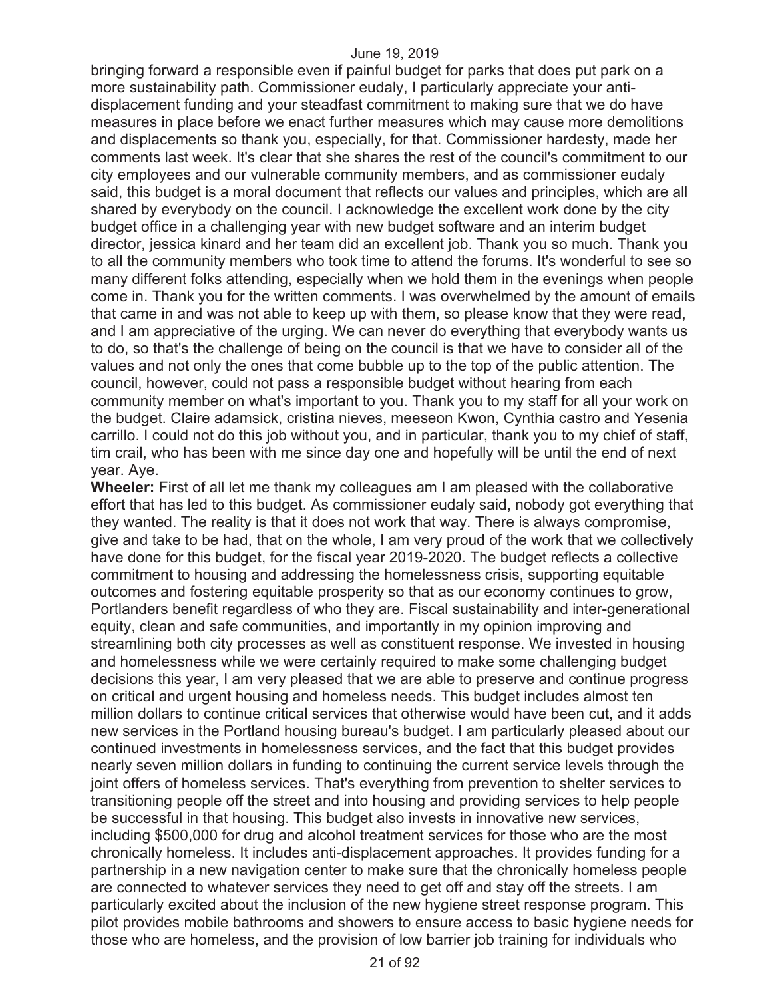bringing forward a responsible even if painful budget for parks that does put park on a more sustainability path. Commissioner eudaly, I particularly appreciate your antidisplacement funding and your steadfast commitment to making sure that we do have measures in place before we enact further measures which may cause more demolitions and displacements so thank you, especially, for that. Commissioner hardesty, made her comments last week. It's clear that she shares the rest of the council's commitment to our city employees and our vulnerable community members, and as commissioner eudaly said, this budget is a moral document that reflects our values and principles, which are all shared by everybody on the council. I acknowledge the excellent work done by the city budget office in a challenging year with new budget software and an interim budget director, jessica kinard and her team did an excellent job. Thank you so much. Thank you to all the community members who took time to attend the forums. It's wonderful to see so many different folks attending, especially when we hold them in the evenings when people come in. Thank you for the written comments. I was overwhelmed by the amount of emails that came in and was not able to keep up with them, so please know that they were read, and I am appreciative of the urging. We can never do everything that everybody wants us to do, so that's the challenge of being on the council is that we have to consider all of the values and not only the ones that come bubble up to the top of the public attention. The council, however, could not pass a responsible budget without hearing from each community member on what's important to you. Thank you to my staff for all your work on the budget. Claire adamsick, cristina nieves, meeseon Kwon, Cynthia castro and Yesenia carrillo. I could not do this job without you, and in particular, thank you to my chief of staff, tim crail, who has been with me since day one and hopefully will be until the end of next year. Aye.

**Wheeler:** First of all let me thank my colleagues am I am pleased with the collaborative effort that has led to this budget. As commissioner eudaly said, nobody got everything that they wanted. The reality is that it does not work that way. There is always compromise, give and take to be had, that on the whole, I am very proud of the work that we collectively have done for this budget, for the fiscal year 2019-2020. The budget reflects a collective commitment to housing and addressing the homelessness crisis, supporting equitable outcomes and fostering equitable prosperity so that as our economy continues to grow, Portlanders benefit regardless of who they are. Fiscal sustainability and inter-generational equity, clean and safe communities, and importantly in my opinion improving and streamlining both city processes as well as constituent response. We invested in housing and homelessness while we were certainly required to make some challenging budget decisions this year, I am very pleased that we are able to preserve and continue progress on critical and urgent housing and homeless needs. This budget includes almost ten million dollars to continue critical services that otherwise would have been cut, and it adds new services in the Portland housing bureau's budget. I am particularly pleased about our continued investments in homelessness services, and the fact that this budget provides nearly seven million dollars in funding to continuing the current service levels through the joint offers of homeless services. That's everything from prevention to shelter services to transitioning people off the street and into housing and providing services to help people be successful in that housing. This budget also invests in innovative new services, including \$500,000 for drug and alcohol treatment services for those who are the most chronically homeless. It includes anti-displacement approaches. It provides funding for a partnership in a new navigation center to make sure that the chronically homeless people are connected to whatever services they need to get off and stay off the streets. I am particularly excited about the inclusion of the new hygiene street response program. This pilot provides mobile bathrooms and showers to ensure access to basic hygiene needs for those who are homeless, and the provision of low barrier job training for individuals who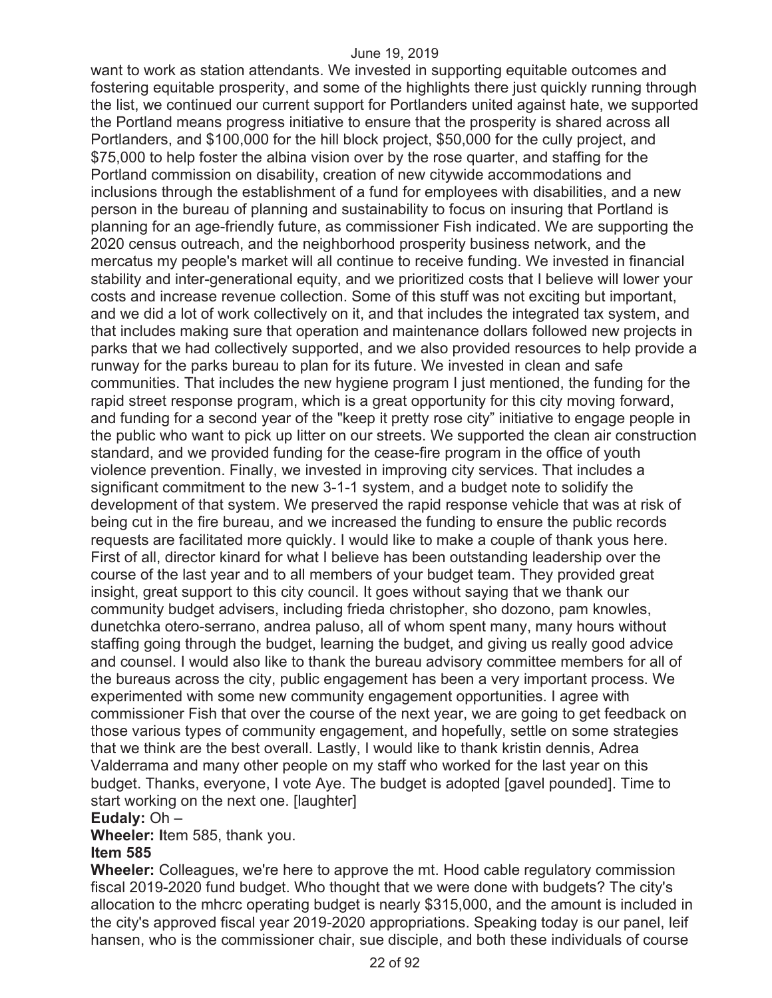want to work as station attendants. We invested in supporting equitable outcomes and fostering equitable prosperity, and some of the highlights there just quickly running through the list, we continued our current support for Portlanders united against hate, we supported the Portland means progress initiative to ensure that the prosperity is shared across all Portlanders, and \$100,000 for the hill block project, \$50,000 for the cully project, and \$75,000 to help foster the albina vision over by the rose quarter, and staffing for the Portland commission on disability, creation of new citywide accommodations and inclusions through the establishment of a fund for employees with disabilities, and a new person in the bureau of planning and sustainability to focus on insuring that Portland is planning for an age-friendly future, as commissioner Fish indicated. We are supporting the 2020 census outreach, and the neighborhood prosperity business network, and the mercatus my people's market will all continue to receive funding. We invested in financial stability and inter-generational equity, and we prioritized costs that I believe will lower your costs and increase revenue collection. Some of this stuff was not exciting but important, and we did a lot of work collectively on it, and that includes the integrated tax system, and that includes making sure that operation and maintenance dollars followed new projects in parks that we had collectively supported, and we also provided resources to help provide a runway for the parks bureau to plan for its future. We invested in clean and safe communities. That includes the new hygiene program I just mentioned, the funding for the rapid street response program, which is a great opportunity for this city moving forward, and funding for a second year of the "keep it pretty rose city" initiative to engage people in the public who want to pick up litter on our streets. We supported the clean air construction standard, and we provided funding for the cease-fire program in the office of youth violence prevention. Finally, we invested in improving city services. That includes a significant commitment to the new 3-1-1 system, and a budget note to solidify the development of that system. We preserved the rapid response vehicle that was at risk of being cut in the fire bureau, and we increased the funding to ensure the public records requests are facilitated more quickly. I would like to make a couple of thank yous here. First of all, director kinard for what I believe has been outstanding leadership over the course of the last year and to all members of your budget team. They provided great insight, great support to this city council. It goes without saying that we thank our community budget advisers, including frieda christopher, sho dozono, pam knowles, dunetchka otero-serrano, andrea paluso, all of whom spent many, many hours without staffing going through the budget, learning the budget, and giving us really good advice and counsel. I would also like to thank the bureau advisory committee members for all of the bureaus across the city, public engagement has been a very important process. We experimented with some new community engagement opportunities. I agree with commissioner Fish that over the course of the next year, we are going to get feedback on those various types of community engagement, and hopefully, settle on some strategies that we think are the best overall. Lastly, I would like to thank kristin dennis, Adrea Valderrama and many other people on my staff who worked for the last year on this budget. Thanks, everyone, I vote Aye. The budget is adopted [gavel pounded]. Time to start working on the next one. [laughter]

#### **Eudaly:** Oh –

**Wheeler: I**tem 585, thank you.

#### **Item 585**

**Wheeler:** Colleagues, we're here to approve the mt. Hood cable regulatory commission fiscal 2019-2020 fund budget. Who thought that we were done with budgets? The city's allocation to the mhcrc operating budget is nearly \$315,000, and the amount is included in the city's approved fiscal year 2019-2020 appropriations. Speaking today is our panel, leif hansen, who is the commissioner chair, sue disciple, and both these individuals of course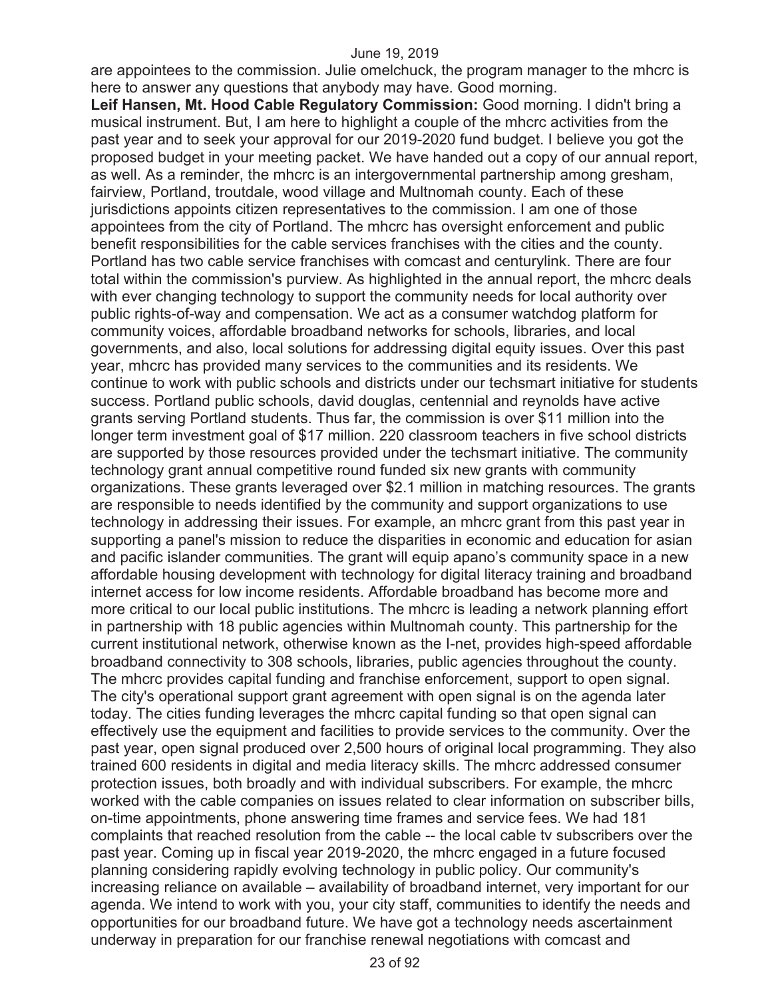are appointees to the commission. Julie omelchuck, the program manager to the mhcrc is here to answer any questions that anybody may have. Good morning.

**Leif Hansen, Mt. Hood Cable Regulatory Commission:** Good morning. I didn't bring a musical instrument. But, I am here to highlight a couple of the mhcrc activities from the past year and to seek your approval for our 2019-2020 fund budget. I believe you got the proposed budget in your meeting packet. We have handed out a copy of our annual report, as well. As a reminder, the mhcrc is an intergovernmental partnership among gresham, fairview, Portland, troutdale, wood village and Multnomah county. Each of these jurisdictions appoints citizen representatives to the commission. I am one of those appointees from the city of Portland. The mhcrc has oversight enforcement and public benefit responsibilities for the cable services franchises with the cities and the county. Portland has two cable service franchises with comcast and centurylink. There are four total within the commission's purview. As highlighted in the annual report, the mhcrc deals with ever changing technology to support the community needs for local authority over public rights-of-way and compensation. We act as a consumer watchdog platform for community voices, affordable broadband networks for schools, libraries, and local governments, and also, local solutions for addressing digital equity issues. Over this past year, mhcrc has provided many services to the communities and its residents. We continue to work with public schools and districts under our techsmart initiative for students success. Portland public schools, david douglas, centennial and reynolds have active grants serving Portland students. Thus far, the commission is over \$11 million into the longer term investment goal of \$17 million. 220 classroom teachers in five school districts are supported by those resources provided under the techsmart initiative. The community technology grant annual competitive round funded six new grants with community organizations. These grants leveraged over \$2.1 million in matching resources. The grants are responsible to needs identified by the community and support organizations to use technology in addressing their issues. For example, an mhcrc grant from this past year in supporting a panel's mission to reduce the disparities in economic and education for asian and pacific islander communities. The grant will equip apano's community space in a new affordable housing development with technology for digital literacy training and broadband internet access for low income residents. Affordable broadband has become more and more critical to our local public institutions. The mhcrc is leading a network planning effort in partnership with 18 public agencies within Multnomah county. This partnership for the current institutional network, otherwise known as the I-net, provides high-speed affordable broadband connectivity to 308 schools, libraries, public agencies throughout the county. The mhcrc provides capital funding and franchise enforcement, support to open signal. The city's operational support grant agreement with open signal is on the agenda later today. The cities funding leverages the mhcrc capital funding so that open signal can effectively use the equipment and facilities to provide services to the community. Over the past year, open signal produced over 2,500 hours of original local programming. They also trained 600 residents in digital and media literacy skills. The mhcrc addressed consumer protection issues, both broadly and with individual subscribers. For example, the mhcrc worked with the cable companies on issues related to clear information on subscriber bills, on-time appointments, phone answering time frames and service fees. We had 181 complaints that reached resolution from the cable -- the local cable tv subscribers over the past year. Coming up in fiscal year 2019-2020, the mhcrc engaged in a future focused planning considering rapidly evolving technology in public policy. Our community's increasing reliance on available – availability of broadband internet, very important for our agenda. We intend to work with you, your city staff, communities to identify the needs and opportunities for our broadband future. We have got a technology needs ascertainment underway in preparation for our franchise renewal negotiations with comcast and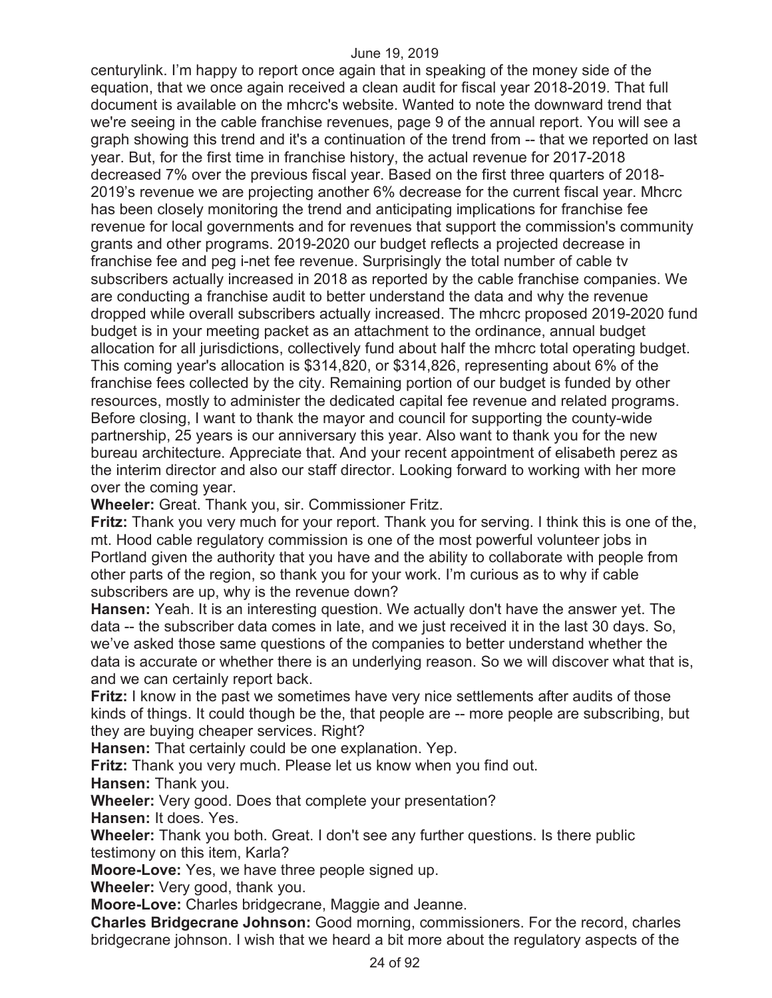centurylink. I'm happy to report once again that in speaking of the money side of the equation, that we once again received a clean audit for fiscal year 2018-2019. That full document is available on the mhcrc's website. Wanted to note the downward trend that we're seeing in the cable franchise revenues, page 9 of the annual report. You will see a graph showing this trend and it's a continuation of the trend from -- that we reported on last year. But, for the first time in franchise history, the actual revenue for 2017-2018 decreased 7% over the previous fiscal year. Based on the first three quarters of 2018- 2019's revenue we are projecting another 6% decrease for the current fiscal year. Mhcrc has been closely monitoring the trend and anticipating implications for franchise fee revenue for local governments and for revenues that support the commission's community grants and other programs. 2019-2020 our budget reflects a projected decrease in franchise fee and peg i-net fee revenue. Surprisingly the total number of cable tv subscribers actually increased in 2018 as reported by the cable franchise companies. We are conducting a franchise audit to better understand the data and why the revenue dropped while overall subscribers actually increased. The mhcrc proposed 2019-2020 fund budget is in your meeting packet as an attachment to the ordinance, annual budget allocation for all jurisdictions, collectively fund about half the mhcrc total operating budget. This coming year's allocation is \$314,820, or \$314,826, representing about 6% of the franchise fees collected by the city. Remaining portion of our budget is funded by other resources, mostly to administer the dedicated capital fee revenue and related programs. Before closing, I want to thank the mayor and council for supporting the county-wide partnership, 25 years is our anniversary this year. Also want to thank you for the new bureau architecture. Appreciate that. And your recent appointment of elisabeth perez as the interim director and also our staff director. Looking forward to working with her more over the coming year.

**Wheeler:** Great. Thank you, sir. Commissioner Fritz.

**Fritz:** Thank you very much for your report. Thank you for serving. I think this is one of the, mt. Hood cable regulatory commission is one of the most powerful volunteer jobs in Portland given the authority that you have and the ability to collaborate with people from other parts of the region, so thank you for your work. I'm curious as to why if cable subscribers are up, why is the revenue down?

**Hansen:** Yeah. It is an interesting question. We actually don't have the answer yet. The data -- the subscriber data comes in late, and we just received it in the last 30 days. So, we've asked those same questions of the companies to better understand whether the data is accurate or whether there is an underlying reason. So we will discover what that is, and we can certainly report back.

**Fritz:** I know in the past we sometimes have very nice settlements after audits of those kinds of things. It could though be the, that people are -- more people are subscribing, but they are buying cheaper services. Right?

**Hansen:** That certainly could be one explanation. Yep.

**Fritz:** Thank you very much. Please let us know when you find out.

**Hansen:** Thank you.

**Wheeler:** Very good. Does that complete your presentation?

**Hansen:** It does. Yes.

**Wheeler:** Thank you both. Great. I don't see any further questions. Is there public testimony on this item, Karla?

**Moore-Love:** Yes, we have three people signed up.

**Wheeler:** Very good, thank you.

**Moore-Love:** Charles bridgecrane, Maggie and Jeanne.

**Charles Bridgecrane Johnson:** Good morning, commissioners. For the record, charles bridgecrane johnson. I wish that we heard a bit more about the regulatory aspects of the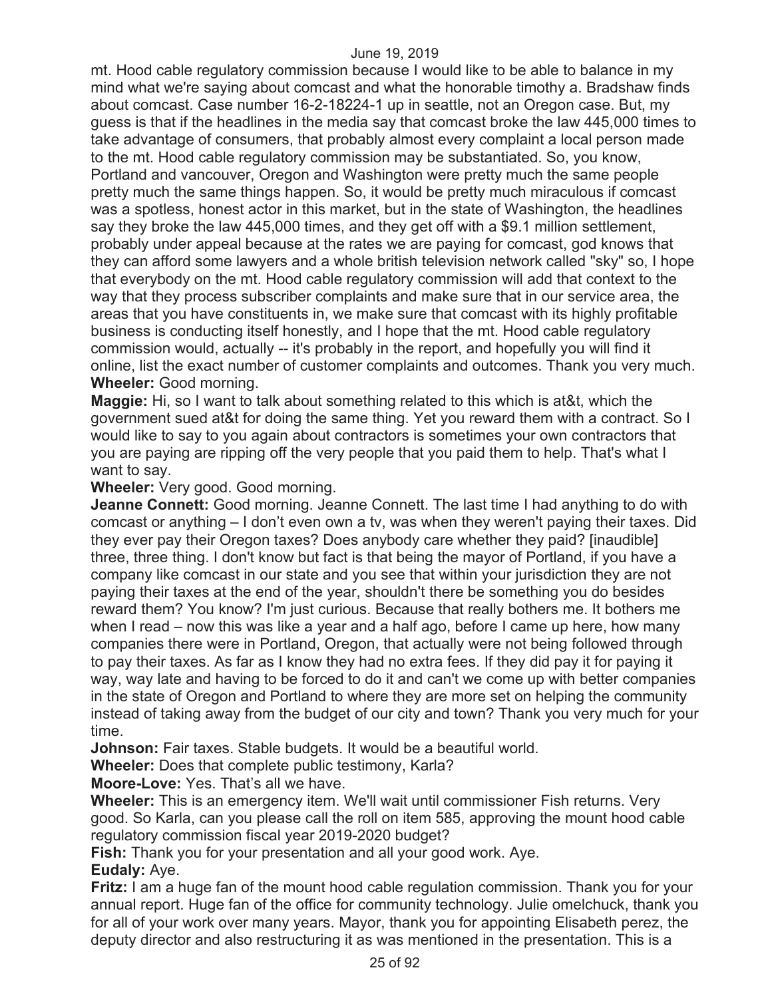mt. Hood cable regulatory commission because I would like to be able to balance in my mind what we're saying about comcast and what the honorable timothy a. Bradshaw finds about comcast. Case number 16-2-18224-1 up in seattle, not an Oregon case. But, my guess is that if the headlines in the media say that comcast broke the law 445,000 times to take advantage of consumers, that probably almost every complaint a local person made to the mt. Hood cable regulatory commission may be substantiated. So, you know, Portland and vancouver, Oregon and Washington were pretty much the same people pretty much the same things happen. So, it would be pretty much miraculous if comcast was a spotless, honest actor in this market, but in the state of Washington, the headlines say they broke the law 445,000 times, and they get off with a \$9.1 million settlement, probably under appeal because at the rates we are paying for comcast, god knows that they can afford some lawyers and a whole british television network called "sky" so, I hope that everybody on the mt. Hood cable regulatory commission will add that context to the way that they process subscriber complaints and make sure that in our service area, the areas that you have constituents in, we make sure that comcast with its highly profitable business is conducting itself honestly, and I hope that the mt. Hood cable regulatory commission would, actually -- it's probably in the report, and hopefully you will find it online, list the exact number of customer complaints and outcomes. Thank you very much. **Wheeler:** Good morning.

**Maggie:** Hi, so I want to talk about something related to this which is at&t, which the government sued at&t for doing the same thing. Yet you reward them with a contract. So I would like to say to you again about contractors is sometimes your own contractors that you are paying are ripping off the very people that you paid them to help. That's what I want to say.

**Wheeler:** Very good. Good morning.

**Jeanne Connett:** Good morning. Jeanne Connett. The last time I had anything to do with comcast or anything – I don't even own a tv, was when they weren't paying their taxes. Did they ever pay their Oregon taxes? Does anybody care whether they paid? [inaudible] three, three thing. I don't know but fact is that being the mayor of Portland, if you have a company like comcast in our state and you see that within your jurisdiction they are not paying their taxes at the end of the year, shouldn't there be something you do besides reward them? You know? I'm just curious. Because that really bothers me. It bothers me when I read – now this was like a year and a half ago, before I came up here, how many companies there were in Portland, Oregon, that actually were not being followed through to pay their taxes. As far as I know they had no extra fees. If they did pay it for paying it way, way late and having to be forced to do it and can't we come up with better companies in the state of Oregon and Portland to where they are more set on helping the community instead of taking away from the budget of our city and town? Thank you very much for your time.

**Johnson:** Fair taxes. Stable budgets. It would be a beautiful world.

**Wheeler:** Does that complete public testimony, Karla?

**Moore-Love:** Yes. That's all we have.

**Wheeler:** This is an emergency item. We'll wait until commissioner Fish returns. Very good. So Karla, can you please call the roll on item 585, approving the mount hood cable regulatory commission fiscal year 2019-2020 budget?

**Fish:** Thank you for your presentation and all your good work. Aye.

#### **Eudaly:** Aye.

**Fritz:** I am a huge fan of the mount hood cable regulation commission. Thank you for your annual report. Huge fan of the office for community technology. Julie omelchuck, thank you for all of your work over many years. Mayor, thank you for appointing Elisabeth perez, the deputy director and also restructuring it as was mentioned in the presentation. This is a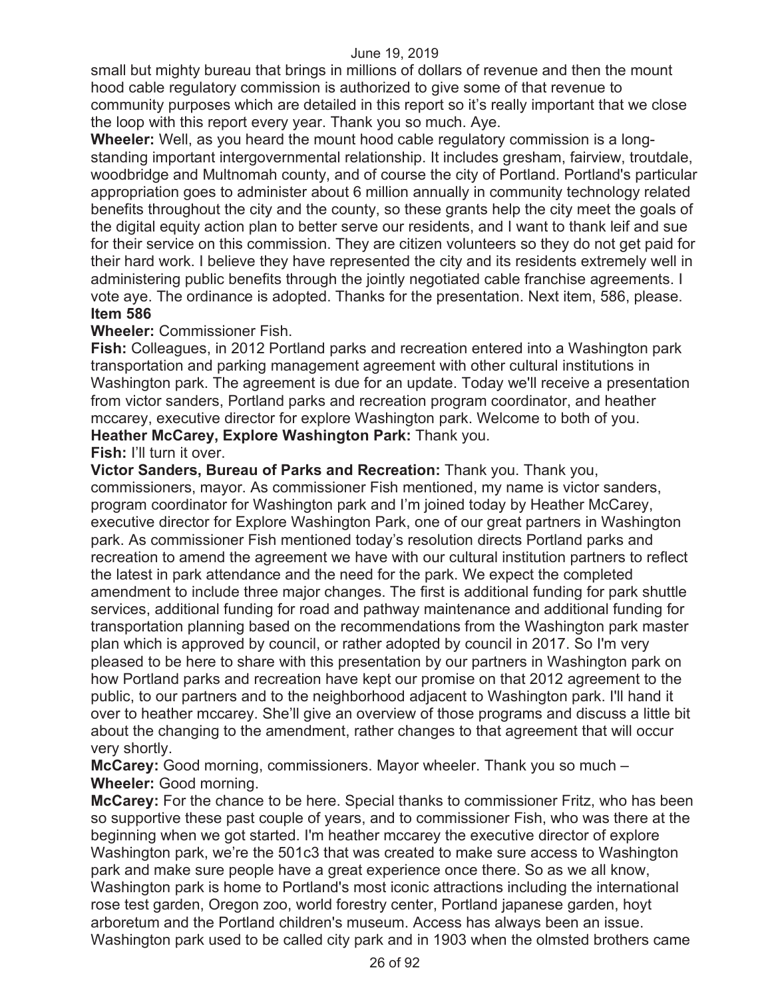small but mighty bureau that brings in millions of dollars of revenue and then the mount hood cable regulatory commission is authorized to give some of that revenue to community purposes which are detailed in this report so it's really important that we close the loop with this report every year. Thank you so much. Aye.

**Wheeler:** Well, as you heard the mount hood cable regulatory commission is a longstanding important intergovernmental relationship. It includes gresham, fairview, troutdale, woodbridge and Multnomah county, and of course the city of Portland. Portland's particular appropriation goes to administer about 6 million annually in community technology related benefits throughout the city and the county, so these grants help the city meet the goals of the digital equity action plan to better serve our residents, and I want to thank leif and sue for their service on this commission. They are citizen volunteers so they do not get paid for their hard work. I believe they have represented the city and its residents extremely well in administering public benefits through the jointly negotiated cable franchise agreements. I vote aye. The ordinance is adopted. Thanks for the presentation. Next item, 586, please. **Item 586** 

#### **Wheeler:** Commissioner Fish.

**Fish:** Colleagues, in 2012 Portland parks and recreation entered into a Washington park transportation and parking management agreement with other cultural institutions in Washington park. The agreement is due for an update. Today we'll receive a presentation from victor sanders, Portland parks and recreation program coordinator, and heather mccarey, executive director for explore Washington park. Welcome to both of you. **Heather McCarey, Explore Washington Park:** Thank you.

#### **Fish:** I'll turn it over.

**Victor Sanders, Bureau of Parks and Recreation:** Thank you. Thank you, commissioners, mayor. As commissioner Fish mentioned, my name is victor sanders, program coordinator for Washington park and I'm joined today by Heather McCarey, executive director for Explore Washington Park, one of our great partners in Washington park. As commissioner Fish mentioned today's resolution directs Portland parks and recreation to amend the agreement we have with our cultural institution partners to reflect the latest in park attendance and the need for the park. We expect the completed amendment to include three major changes. The first is additional funding for park shuttle services, additional funding for road and pathway maintenance and additional funding for transportation planning based on the recommendations from the Washington park master plan which is approved by council, or rather adopted by council in 2017. So I'm very pleased to be here to share with this presentation by our partners in Washington park on how Portland parks and recreation have kept our promise on that 2012 agreement to the public, to our partners and to the neighborhood adjacent to Washington park. I'll hand it over to heather mccarey. She'll give an overview of those programs and discuss a little bit about the changing to the amendment, rather changes to that agreement that will occur very shortly.

**McCarey:** Good morning, commissioners. Mayor wheeler. Thank you so much – **Wheeler:** Good morning.

**McCarey:** For the chance to be here. Special thanks to commissioner Fritz, who has been so supportive these past couple of years, and to commissioner Fish, who was there at the beginning when we got started. I'm heather mccarey the executive director of explore Washington park, we're the 501c3 that was created to make sure access to Washington park and make sure people have a great experience once there. So as we all know, Washington park is home to Portland's most iconic attractions including the international rose test garden, Oregon zoo, world forestry center, Portland japanese garden, hoyt arboretum and the Portland children's museum. Access has always been an issue. Washington park used to be called city park and in 1903 when the olmsted brothers came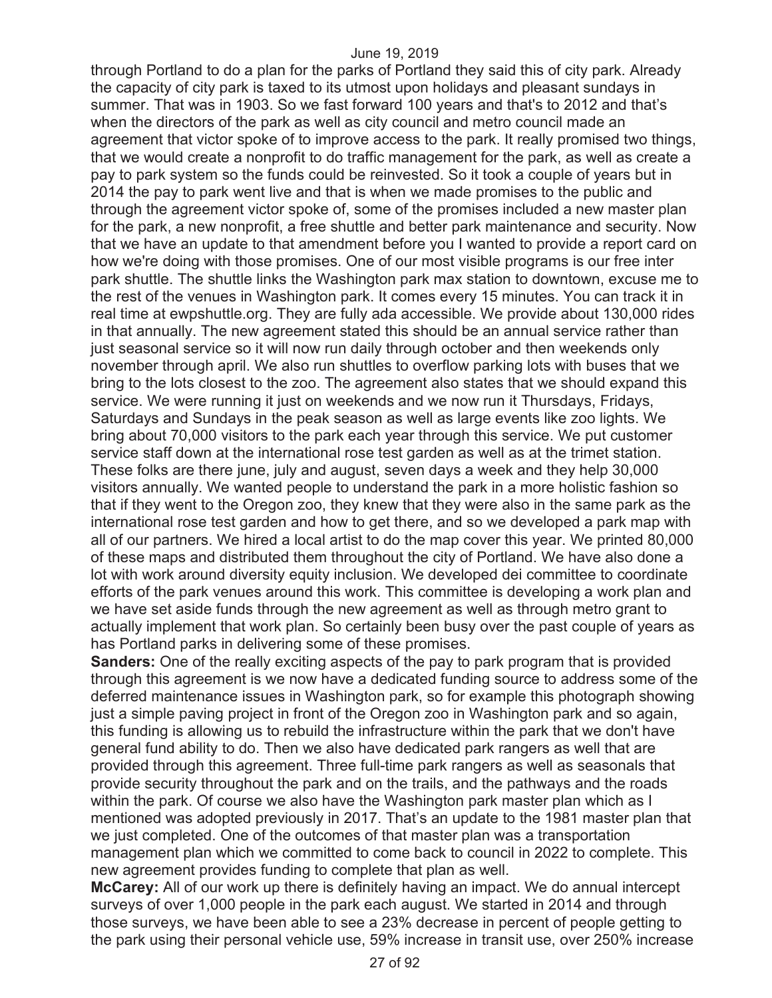through Portland to do a plan for the parks of Portland they said this of city park. Already the capacity of city park is taxed to its utmost upon holidays and pleasant sundays in summer. That was in 1903. So we fast forward 100 years and that's to 2012 and that's when the directors of the park as well as city council and metro council made an agreement that victor spoke of to improve access to the park. It really promised two things, that we would create a nonprofit to do traffic management for the park, as well as create a pay to park system so the funds could be reinvested. So it took a couple of years but in 2014 the pay to park went live and that is when we made promises to the public and through the agreement victor spoke of, some of the promises included a new master plan for the park, a new nonprofit, a free shuttle and better park maintenance and security. Now that we have an update to that amendment before you I wanted to provide a report card on how we're doing with those promises. One of our most visible programs is our free inter park shuttle. The shuttle links the Washington park max station to downtown, excuse me to the rest of the venues in Washington park. It comes every 15 minutes. You can track it in real time at ewpshuttle.org. They are fully ada accessible. We provide about 130,000 rides in that annually. The new agreement stated this should be an annual service rather than just seasonal service so it will now run daily through october and then weekends only november through april. We also run shuttles to overflow parking lots with buses that we bring to the lots closest to the zoo. The agreement also states that we should expand this service. We were running it just on weekends and we now run it Thursdays, Fridays, Saturdays and Sundays in the peak season as well as large events like zoo lights. We bring about 70,000 visitors to the park each year through this service. We put customer service staff down at the international rose test garden as well as at the trimet station. These folks are there june, july and august, seven days a week and they help 30,000 visitors annually. We wanted people to understand the park in a more holistic fashion so that if they went to the Oregon zoo, they knew that they were also in the same park as the international rose test garden and how to get there, and so we developed a park map with all of our partners. We hired a local artist to do the map cover this year. We printed 80,000 of these maps and distributed them throughout the city of Portland. We have also done a lot with work around diversity equity inclusion. We developed dei committee to coordinate efforts of the park venues around this work. This committee is developing a work plan and we have set aside funds through the new agreement as well as through metro grant to actually implement that work plan. So certainly been busy over the past couple of years as has Portland parks in delivering some of these promises.

**Sanders:** One of the really exciting aspects of the pay to park program that is provided through this agreement is we now have a dedicated funding source to address some of the deferred maintenance issues in Washington park, so for example this photograph showing just a simple paving project in front of the Oregon zoo in Washington park and so again, this funding is allowing us to rebuild the infrastructure within the park that we don't have general fund ability to do. Then we also have dedicated park rangers as well that are provided through this agreement. Three full-time park rangers as well as seasonals that provide security throughout the park and on the trails, and the pathways and the roads within the park. Of course we also have the Washington park master plan which as I mentioned was adopted previously in 2017. That's an update to the 1981 master plan that we just completed. One of the outcomes of that master plan was a transportation management plan which we committed to come back to council in 2022 to complete. This new agreement provides funding to complete that plan as well.

**McCarey:** All of our work up there is definitely having an impact. We do annual intercept surveys of over 1,000 people in the park each august. We started in 2014 and through those surveys, we have been able to see a 23% decrease in percent of people getting to the park using their personal vehicle use, 59% increase in transit use, over 250% increase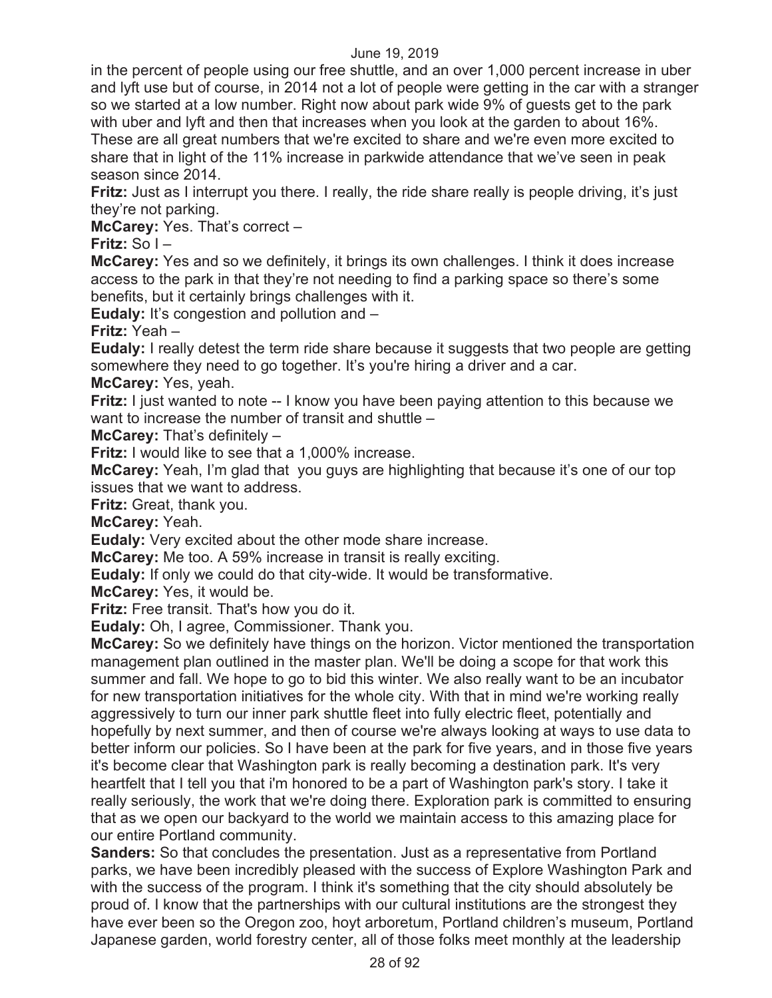in the percent of people using our free shuttle, and an over 1,000 percent increase in uber and lyft use but of course, in 2014 not a lot of people were getting in the car with a stranger so we started at a low number. Right now about park wide 9% of guests get to the park with uber and lyft and then that increases when you look at the garden to about 16%. These are all great numbers that we're excited to share and we're even more excited to share that in light of the 11% increase in parkwide attendance that we've seen in peak season since 2014.

**Fritz:** Just as I interrupt you there. I really, the ride share really is people driving, it's just they're not parking.

**McCarey:** Yes. That's correct –

**Fritz:** So I –

**McCarey:** Yes and so we definitely, it brings its own challenges. I think it does increase access to the park in that they're not needing to find a parking space so there's some benefits, but it certainly brings challenges with it.

**Eudaly:** It's congestion and pollution and –

**Fritz:** Yeah –

**Eudaly:** I really detest the term ride share because it suggests that two people are getting somewhere they need to go together. It's you're hiring a driver and a car.

**McCarey:** Yes, yeah.

**Fritz:** I just wanted to note -- I know you have been paying attention to this because we want to increase the number of transit and shuttle –

**McCarey:** That's definitely –

**Fritz:** I would like to see that a 1,000% increase.

**McCarey:** Yeah, I'm glad that you guys are highlighting that because it's one of our top issues that we want to address.

**Fritz:** Great, thank you.

**McCarey:** Yeah.

**Eudaly:** Very excited about the other mode share increase.

**McCarey:** Me too. A 59% increase in transit is really exciting.

**Eudaly:** If only we could do that city-wide. It would be transformative.

**McCarey:** Yes, it would be.

**Fritz:** Free transit. That's how you do it.

**Eudaly:** Oh, I agree, Commissioner. Thank you.

**McCarey:** So we definitely have things on the horizon. Victor mentioned the transportation management plan outlined in the master plan. We'll be doing a scope for that work this summer and fall. We hope to go to bid this winter. We also really want to be an incubator for new transportation initiatives for the whole city. With that in mind we're working really aggressively to turn our inner park shuttle fleet into fully electric fleet, potentially and hopefully by next summer, and then of course we're always looking at ways to use data to better inform our policies. So I have been at the park for five years, and in those five years it's become clear that Washington park is really becoming a destination park. It's very heartfelt that I tell you that i'm honored to be a part of Washington park's story. I take it really seriously, the work that we're doing there. Exploration park is committed to ensuring that as we open our backyard to the world we maintain access to this amazing place for our entire Portland community.

**Sanders:** So that concludes the presentation. Just as a representative from Portland parks, we have been incredibly pleased with the success of Explore Washington Park and with the success of the program. I think it's something that the city should absolutely be proud of. I know that the partnerships with our cultural institutions are the strongest they have ever been so the Oregon zoo, hoyt arboretum, Portland children's museum, Portland Japanese garden, world forestry center, all of those folks meet monthly at the leadership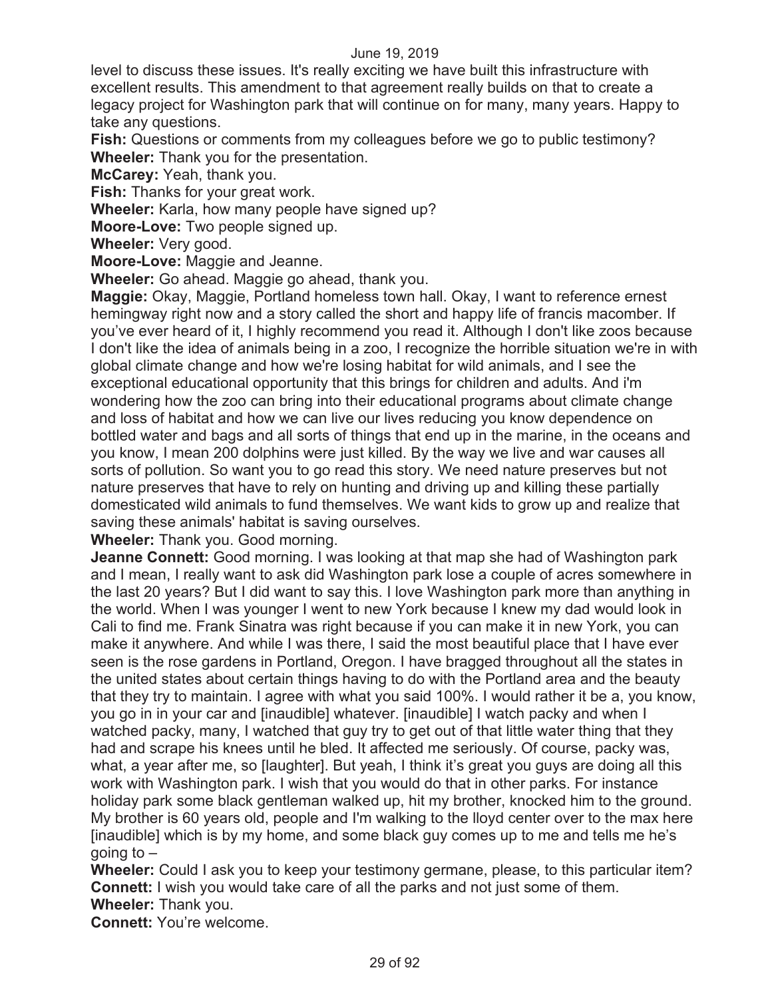level to discuss these issues. It's really exciting we have built this infrastructure with excellent results. This amendment to that agreement really builds on that to create a legacy project for Washington park that will continue on for many, many years. Happy to take any questions.

**Fish:** Questions or comments from my colleagues before we go to public testimony? **Wheeler:** Thank you for the presentation.

**McCarey:** Yeah, thank you.

**Fish:** Thanks for your great work.

**Wheeler:** Karla, how many people have signed up?

**Moore-Love:** Two people signed up.

**Wheeler:** Very good.

**Moore-Love:** Maggie and Jeanne.

**Wheeler:** Go ahead. Maggie go ahead, thank you.

**Maggie:** Okay, Maggie, Portland homeless town hall. Okay, I want to reference ernest hemingway right now and a story called the short and happy life of francis macomber. If you've ever heard of it, I highly recommend you read it. Although I don't like zoos because I don't like the idea of animals being in a zoo, I recognize the horrible situation we're in with global climate change and how we're losing habitat for wild animals, and I see the exceptional educational opportunity that this brings for children and adults. And i'm wondering how the zoo can bring into their educational programs about climate change and loss of habitat and how we can live our lives reducing you know dependence on bottled water and bags and all sorts of things that end up in the marine, in the oceans and you know, I mean 200 dolphins were just killed. By the way we live and war causes all sorts of pollution. So want you to go read this story. We need nature preserves but not nature preserves that have to rely on hunting and driving up and killing these partially domesticated wild animals to fund themselves. We want kids to grow up and realize that saving these animals' habitat is saving ourselves.

**Wheeler:** Thank you. Good morning.

**Jeanne Connett:** Good morning. I was looking at that map she had of Washington park and I mean, I really want to ask did Washington park lose a couple of acres somewhere in the last 20 years? But I did want to say this. I love Washington park more than anything in the world. When I was younger I went to new York because I knew my dad would look in Cali to find me. Frank Sinatra was right because if you can make it in new York, you can make it anywhere. And while I was there, I said the most beautiful place that I have ever seen is the rose gardens in Portland, Oregon. I have bragged throughout all the states in the united states about certain things having to do with the Portland area and the beauty that they try to maintain. I agree with what you said 100%. I would rather it be a, you know, you go in in your car and [inaudible] whatever. [inaudible] I watch packy and when I watched packy, many, I watched that guy try to get out of that little water thing that they had and scrape his knees until he bled. It affected me seriously. Of course, packy was, what, a year after me, so [laughter]. But yeah, I think it's great you guys are doing all this work with Washington park. I wish that you would do that in other parks. For instance holiday park some black gentleman walked up, hit my brother, knocked him to the ground. My brother is 60 years old, people and I'm walking to the lloyd center over to the max here [inaudible] which is by my home, and some black guy comes up to me and tells me he's going to  $-$ 

**Wheeler:** Could I ask you to keep your testimony germane, please, to this particular item? **Connett:** I wish you would take care of all the parks and not just some of them. **Wheeler:** Thank you.

**Connett:** You're welcome.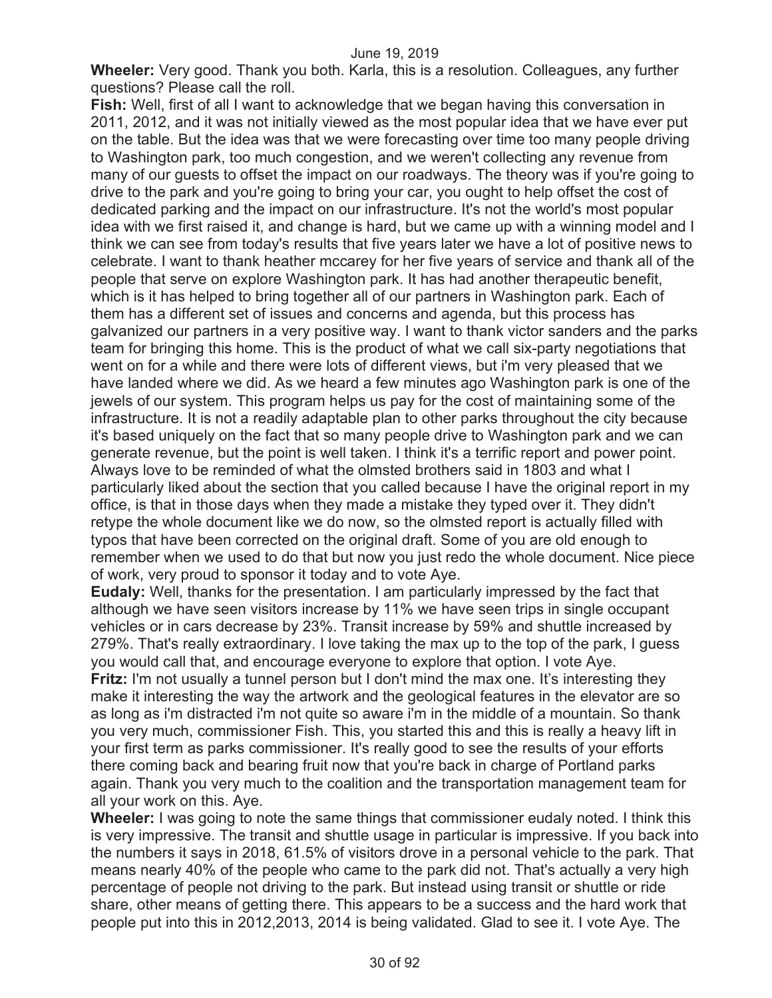**Wheeler:** Very good. Thank you both. Karla, this is a resolution. Colleagues, any further questions? Please call the roll.

**Fish:** Well, first of all I want to acknowledge that we began having this conversation in 2011, 2012, and it was not initially viewed as the most popular idea that we have ever put on the table. But the idea was that we were forecasting over time too many people driving to Washington park, too much congestion, and we weren't collecting any revenue from many of our guests to offset the impact on our roadways. The theory was if you're going to drive to the park and you're going to bring your car, you ought to help offset the cost of dedicated parking and the impact on our infrastructure. It's not the world's most popular idea with we first raised it, and change is hard, but we came up with a winning model and I think we can see from today's results that five years later we have a lot of positive news to celebrate. I want to thank heather mccarey for her five years of service and thank all of the people that serve on explore Washington park. It has had another therapeutic benefit, which is it has helped to bring together all of our partners in Washington park. Each of them has a different set of issues and concerns and agenda, but this process has galvanized our partners in a very positive way. I want to thank victor sanders and the parks team for bringing this home. This is the product of what we call six-party negotiations that went on for a while and there were lots of different views, but i'm very pleased that we have landed where we did. As we heard a few minutes ago Washington park is one of the jewels of our system. This program helps us pay for the cost of maintaining some of the infrastructure. It is not a readily adaptable plan to other parks throughout the city because it's based uniquely on the fact that so many people drive to Washington park and we can generate revenue, but the point is well taken. I think it's a terrific report and power point. Always love to be reminded of what the olmsted brothers said in 1803 and what I particularly liked about the section that you called because I have the original report in my office, is that in those days when they made a mistake they typed over it. They didn't retype the whole document like we do now, so the olmsted report is actually filled with typos that have been corrected on the original draft. Some of you are old enough to remember when we used to do that but now you just redo the whole document. Nice piece of work, very proud to sponsor it today and to vote Aye.

**Eudaly:** Well, thanks for the presentation. I am particularly impressed by the fact that although we have seen visitors increase by 11% we have seen trips in single occupant vehicles or in cars decrease by 23%. Transit increase by 59% and shuttle increased by 279%. That's really extraordinary. I love taking the max up to the top of the park, I guess you would call that, and encourage everyone to explore that option. I vote Aye. **Fritz:** I'm not usually a tunnel person but I don't mind the max one. It's interesting they make it interesting the way the artwork and the geological features in the elevator are so as long as i'm distracted i'm not quite so aware i'm in the middle of a mountain. So thank you very much, commissioner Fish. This, you started this and this is really a heavy lift in your first term as parks commissioner. It's really good to see the results of your efforts there coming back and bearing fruit now that you're back in charge of Portland parks again. Thank you very much to the coalition and the transportation management team for all your work on this. Aye.

**Wheeler:** I was going to note the same things that commissioner eudaly noted. I think this is very impressive. The transit and shuttle usage in particular is impressive. If you back into the numbers it says in 2018, 61.5% of visitors drove in a personal vehicle to the park. That means nearly 40% of the people who came to the park did not. That's actually a very high percentage of people not driving to the park. But instead using transit or shuttle or ride share, other means of getting there. This appears to be a success and the hard work that people put into this in 2012,2013, 2014 is being validated. Glad to see it. I vote Aye. The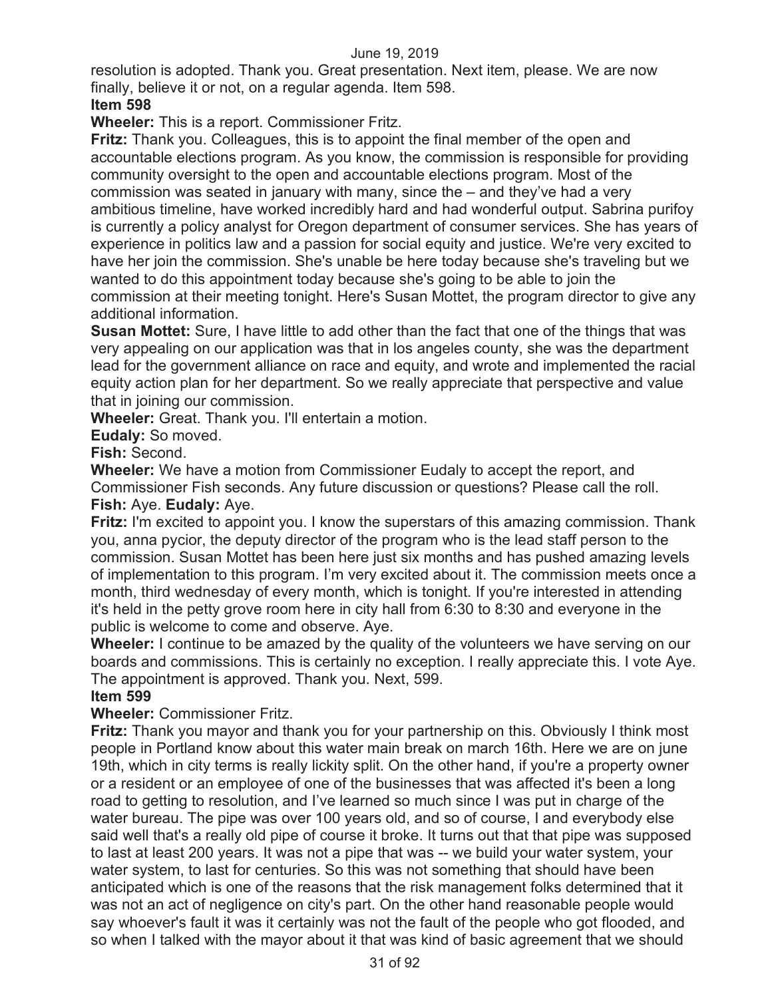resolution is adopted. Thank you. Great presentation. Next item, please. We are now finally, believe it or not, on a regular agenda. Item 598.

#### **Item 598**

**Wheeler:** This is a report. Commissioner Fritz.

**Fritz:** Thank you. Colleagues, this is to appoint the final member of the open and accountable elections program. As you know, the commission is responsible for providing community oversight to the open and accountable elections program. Most of the commission was seated in january with many, since the – and they've had a very ambitious timeline, have worked incredibly hard and had wonderful output. Sabrina purifoy is currently a policy analyst for Oregon department of consumer services. She has years of experience in politics law and a passion for social equity and justice. We're very excited to have her join the commission. She's unable be here today because she's traveling but we wanted to do this appointment today because she's going to be able to join the commission at their meeting tonight. Here's Susan Mottet, the program director to give any additional information.

**Susan Mottet:** Sure, I have little to add other than the fact that one of the things that was very appealing on our application was that in los angeles county, she was the department lead for the government alliance on race and equity, and wrote and implemented the racial equity action plan for her department. So we really appreciate that perspective and value that in joining our commission.

**Wheeler:** Great. Thank you. I'll entertain a motion.

**Eudaly:** So moved.

**Fish:** Second.

**Wheeler:** We have a motion from Commissioner Eudaly to accept the report, and Commissioner Fish seconds. Any future discussion or questions? Please call the roll. **Fish:** Aye. **Eudaly:** Aye.

**Fritz:** I'm excited to appoint you. I know the superstars of this amazing commission. Thank you, anna pycior, the deputy director of the program who is the lead staff person to the commission. Susan Mottet has been here just six months and has pushed amazing levels of implementation to this program. I'm very excited about it. The commission meets once a month, third wednesday of every month, which is tonight. If you're interested in attending it's held in the petty grove room here in city hall from 6:30 to 8:30 and everyone in the public is welcome to come and observe. Aye.

**Wheeler:** I continue to be amazed by the quality of the volunteers we have serving on our boards and commissions. This is certainly no exception. I really appreciate this. I vote Aye. The appointment is approved. Thank you. Next, 599.

#### **Item 599**

**Wheeler:** Commissioner Fritz.

**Fritz:** Thank you mayor and thank you for your partnership on this. Obviously I think most people in Portland know about this water main break on march 16th. Here we are on june 19th, which in city terms is really lickity split. On the other hand, if you're a property owner or a resident or an employee of one of the businesses that was affected it's been a long road to getting to resolution, and I've learned so much since I was put in charge of the water bureau. The pipe was over 100 years old, and so of course, I and everybody else said well that's a really old pipe of course it broke. It turns out that that pipe was supposed to last at least 200 years. It was not a pipe that was -- we build your water system, your water system, to last for centuries. So this was not something that should have been anticipated which is one of the reasons that the risk management folks determined that it was not an act of negligence on city's part. On the other hand reasonable people would say whoever's fault it was it certainly was not the fault of the people who got flooded, and so when I talked with the mayor about it that was kind of basic agreement that we should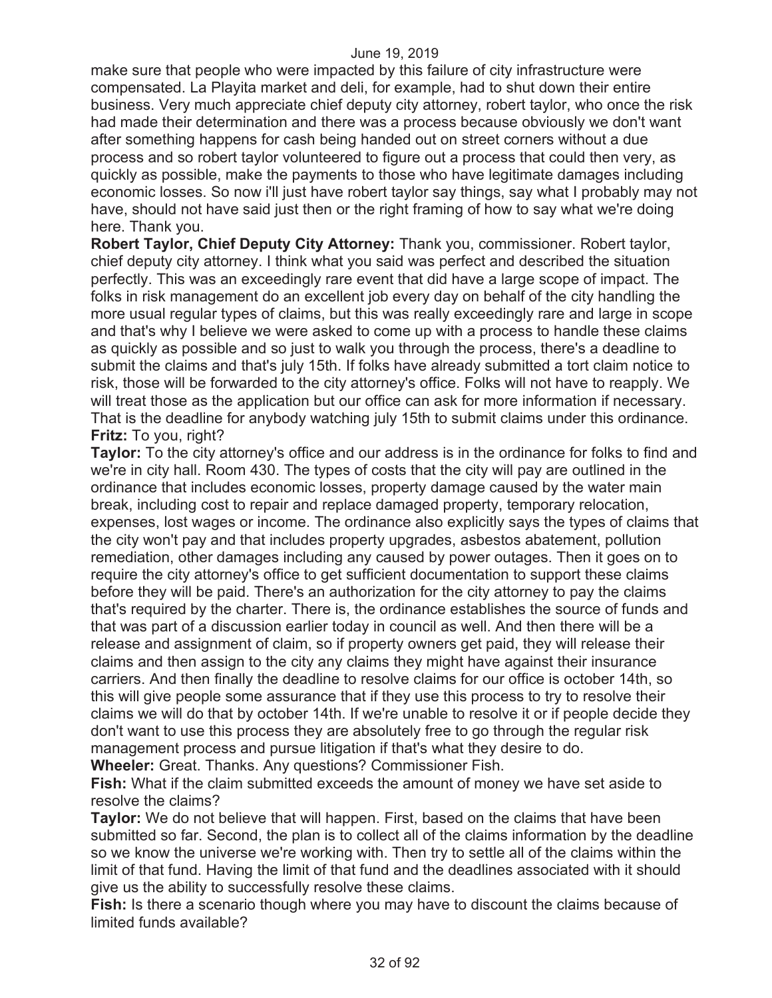make sure that people who were impacted by this failure of city infrastructure were compensated. La Playita market and deli, for example, had to shut down their entire business. Very much appreciate chief deputy city attorney, robert taylor, who once the risk had made their determination and there was a process because obviously we don't want after something happens for cash being handed out on street corners without a due process and so robert taylor volunteered to figure out a process that could then very, as quickly as possible, make the payments to those who have legitimate damages including economic losses. So now i'll just have robert taylor say things, say what I probably may not have, should not have said just then or the right framing of how to say what we're doing here. Thank you.

**Robert Taylor, Chief Deputy City Attorney:** Thank you, commissioner. Robert taylor, chief deputy city attorney. I think what you said was perfect and described the situation perfectly. This was an exceedingly rare event that did have a large scope of impact. The folks in risk management do an excellent job every day on behalf of the city handling the more usual regular types of claims, but this was really exceedingly rare and large in scope and that's why I believe we were asked to come up with a process to handle these claims as quickly as possible and so just to walk you through the process, there's a deadline to submit the claims and that's july 15th. If folks have already submitted a tort claim notice to risk, those will be forwarded to the city attorney's office. Folks will not have to reapply. We will treat those as the application but our office can ask for more information if necessary. That is the deadline for anybody watching july 15th to submit claims under this ordinance. **Fritz:** To you, right?

**Taylor:** To the city attorney's office and our address is in the ordinance for folks to find and we're in city hall. Room 430. The types of costs that the city will pay are outlined in the ordinance that includes economic losses, property damage caused by the water main break, including cost to repair and replace damaged property, temporary relocation, expenses, lost wages or income. The ordinance also explicitly says the types of claims that the city won't pay and that includes property upgrades, asbestos abatement, pollution remediation, other damages including any caused by power outages. Then it goes on to require the city attorney's office to get sufficient documentation to support these claims before they will be paid. There's an authorization for the city attorney to pay the claims that's required by the charter. There is, the ordinance establishes the source of funds and that was part of a discussion earlier today in council as well. And then there will be a release and assignment of claim, so if property owners get paid, they will release their claims and then assign to the city any claims they might have against their insurance carriers. And then finally the deadline to resolve claims for our office is october 14th, so this will give people some assurance that if they use this process to try to resolve their claims we will do that by october 14th. If we're unable to resolve it or if people decide they don't want to use this process they are absolutely free to go through the regular risk management process and pursue litigation if that's what they desire to do. **Wheeler:** Great. Thanks. Any questions? Commissioner Fish.

**Fish:** What if the claim submitted exceeds the amount of money we have set aside to resolve the claims?

**Taylor:** We do not believe that will happen. First, based on the claims that have been submitted so far. Second, the plan is to collect all of the claims information by the deadline so we know the universe we're working with. Then try to settle all of the claims within the limit of that fund. Having the limit of that fund and the deadlines associated with it should give us the ability to successfully resolve these claims.

**Fish:** Is there a scenario though where you may have to discount the claims because of limited funds available?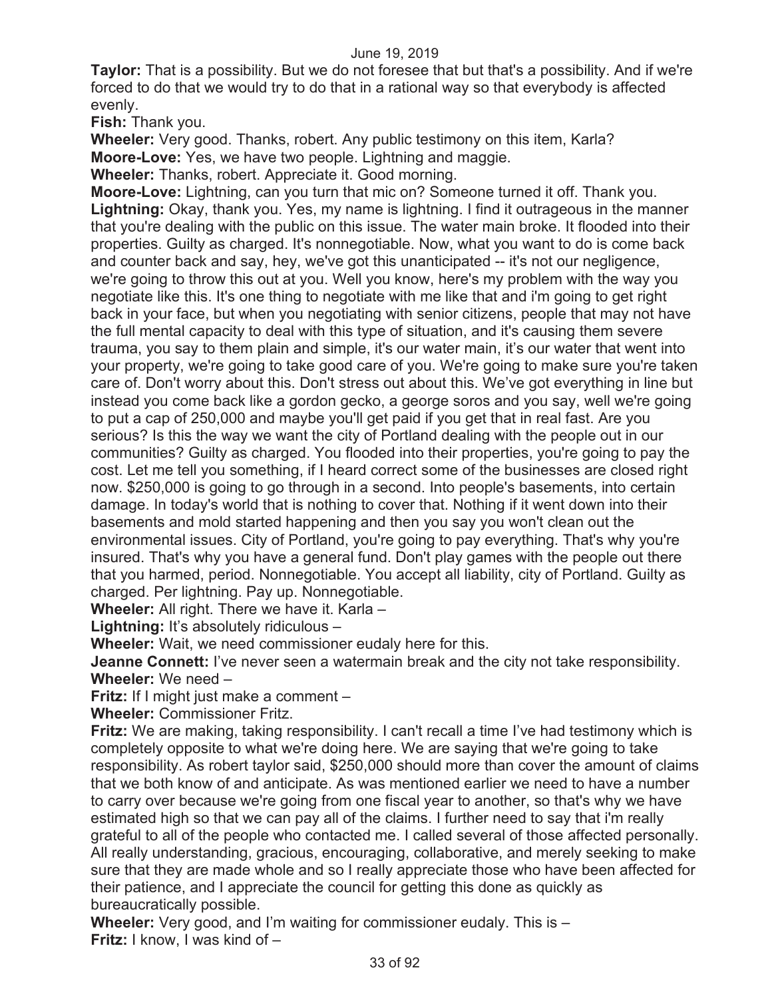**Taylor:** That is a possibility. But we do not foresee that but that's a possibility. And if we're forced to do that we would try to do that in a rational way so that everybody is affected evenly.

**Fish:** Thank you.

**Wheeler:** Very good. Thanks, robert. Any public testimony on this item, Karla? **Moore-Love:** Yes, we have two people. Lightning and maggie.

**Wheeler:** Thanks, robert. Appreciate it. Good morning.

**Moore-Love:** Lightning, can you turn that mic on? Someone turned it off. Thank you. **Lightning:** Okay, thank you. Yes, my name is lightning. I find it outrageous in the manner that you're dealing with the public on this issue. The water main broke. It flooded into their properties. Guilty as charged. It's nonnegotiable. Now, what you want to do is come back and counter back and say, hey, we've got this unanticipated -- it's not our negligence, we're going to throw this out at you. Well you know, here's my problem with the way you negotiate like this. It's one thing to negotiate with me like that and i'm going to get right back in your face, but when you negotiating with senior citizens, people that may not have the full mental capacity to deal with this type of situation, and it's causing them severe trauma, you say to them plain and simple, it's our water main, it's our water that went into your property, we're going to take good care of you. We're going to make sure you're taken care of. Don't worry about this. Don't stress out about this. We've got everything in line but instead you come back like a gordon gecko, a george soros and you say, well we're going to put a cap of 250,000 and maybe you'll get paid if you get that in real fast. Are you serious? Is this the way we want the city of Portland dealing with the people out in our communities? Guilty as charged. You flooded into their properties, you're going to pay the cost. Let me tell you something, if I heard correct some of the businesses are closed right now. \$250,000 is going to go through in a second. Into people's basements, into certain damage. In today's world that is nothing to cover that. Nothing if it went down into their basements and mold started happening and then you say you won't clean out the environmental issues. City of Portland, you're going to pay everything. That's why you're insured. That's why you have a general fund. Don't play games with the people out there that you harmed, period. Nonnegotiable. You accept all liability, city of Portland. Guilty as charged. Per lightning. Pay up. Nonnegotiable.

**Wheeler:** All right. There we have it. Karla –

**Lightning:** It's absolutely ridiculous –

**Wheeler:** Wait, we need commissioner eudaly here for this.

**Jeanne Connett:** I've never seen a watermain break and the city not take responsibility. **Wheeler:** We need –

**Fritz:** If I might just make a comment –

**Wheeler:** Commissioner Fritz.

**Fritz:** We are making, taking responsibility. I can't recall a time I've had testimony which is completely opposite to what we're doing here. We are saying that we're going to take responsibility. As robert taylor said, \$250,000 should more than cover the amount of claims that we both know of and anticipate. As was mentioned earlier we need to have a number to carry over because we're going from one fiscal year to another, so that's why we have estimated high so that we can pay all of the claims. I further need to say that i'm really grateful to all of the people who contacted me. I called several of those affected personally. All really understanding, gracious, encouraging, collaborative, and merely seeking to make sure that they are made whole and so I really appreciate those who have been affected for their patience, and I appreciate the council for getting this done as quickly as bureaucratically possible.

**Wheeler:** Very good, and I'm waiting for commissioner eudaly. This is – **Fritz:** I know, I was kind of –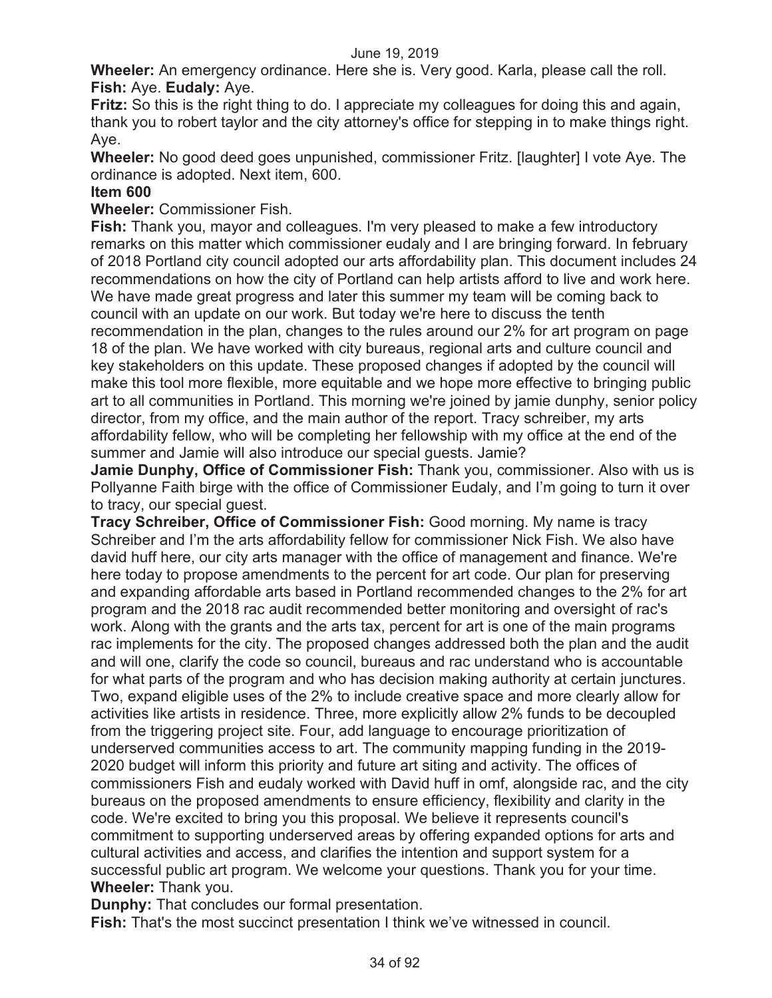**Wheeler:** An emergency ordinance. Here she is. Very good. Karla, please call the roll. **Fish:** Aye. **Eudaly:** Aye.

**Fritz:** So this is the right thing to do. I appreciate my colleagues for doing this and again, thank you to robert taylor and the city attorney's office for stepping in to make things right. Aye.

**Wheeler:** No good deed goes unpunished, commissioner Fritz. [laughter] I vote Aye. The ordinance is adopted. Next item, 600.

#### **Item 600**

**Wheeler:** Commissioner Fish.

**Fish:** Thank you, mayor and colleagues. I'm very pleased to make a few introductory remarks on this matter which commissioner eudaly and I are bringing forward. In february of 2018 Portland city council adopted our arts affordability plan. This document includes 24 recommendations on how the city of Portland can help artists afford to live and work here. We have made great progress and later this summer my team will be coming back to council with an update on our work. But today we're here to discuss the tenth recommendation in the plan, changes to the rules around our 2% for art program on page 18 of the plan. We have worked with city bureaus, regional arts and culture council and key stakeholders on this update. These proposed changes if adopted by the council will make this tool more flexible, more equitable and we hope more effective to bringing public art to all communities in Portland. This morning we're joined by jamie dunphy, senior policy director, from my office, and the main author of the report. Tracy schreiber, my arts affordability fellow, who will be completing her fellowship with my office at the end of the summer and Jamie will also introduce our special guests. Jamie?

**Jamie Dunphy, Office of Commissioner Fish:** Thank you, commissioner. Also with us is Pollyanne Faith birge with the office of Commissioner Eudaly, and I'm going to turn it over to tracy, our special guest.

**Tracy Schreiber, Office of Commissioner Fish:** Good morning. My name is tracy Schreiber and I'm the arts affordability fellow for commissioner Nick Fish. We also have david huff here, our city arts manager with the office of management and finance. We're here today to propose amendments to the percent for art code. Our plan for preserving and expanding affordable arts based in Portland recommended changes to the 2% for art program and the 2018 rac audit recommended better monitoring and oversight of rac's work. Along with the grants and the arts tax, percent for art is one of the main programs rac implements for the city. The proposed changes addressed both the plan and the audit and will one, clarify the code so council, bureaus and rac understand who is accountable for what parts of the program and who has decision making authority at certain junctures. Two, expand eligible uses of the 2% to include creative space and more clearly allow for activities like artists in residence. Three, more explicitly allow 2% funds to be decoupled from the triggering project site. Four, add language to encourage prioritization of underserved communities access to art. The community mapping funding in the 2019- 2020 budget will inform this priority and future art siting and activity. The offices of commissioners Fish and eudaly worked with David huff in omf, alongside rac, and the city bureaus on the proposed amendments to ensure efficiency, flexibility and clarity in the code. We're excited to bring you this proposal. We believe it represents council's commitment to supporting underserved areas by offering expanded options for arts and cultural activities and access, and clarifies the intention and support system for a successful public art program. We welcome your questions. Thank you for your time. **Wheeler:** Thank you.

**Dunphy:** That concludes our formal presentation.

**Fish:** That's the most succinct presentation I think we've witnessed in council.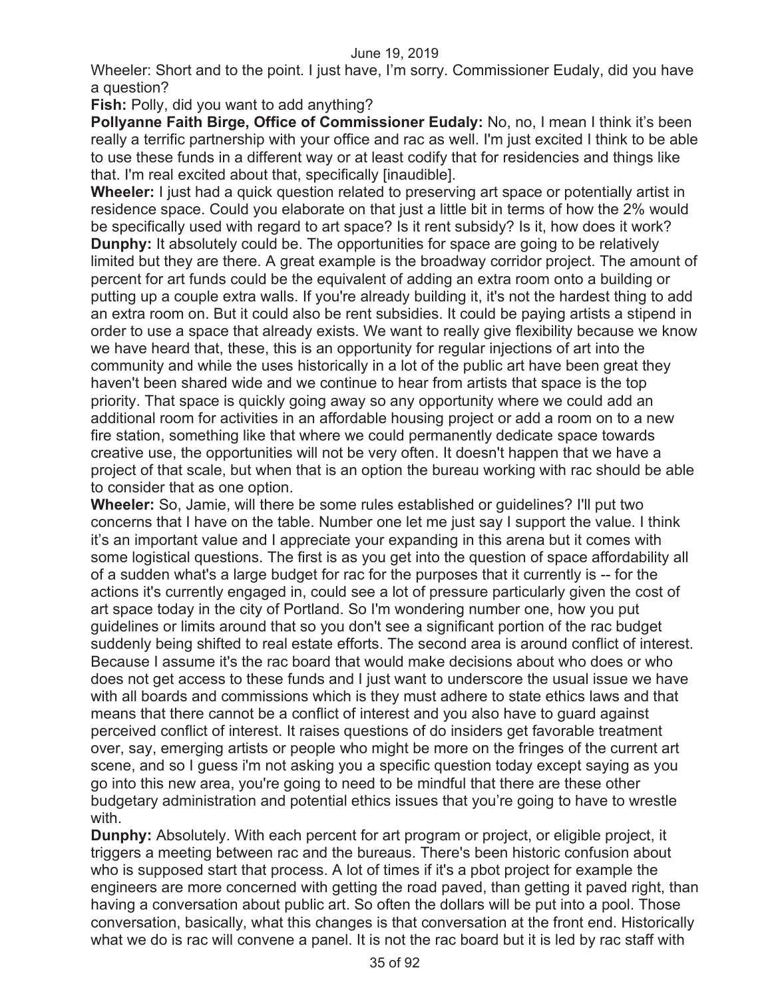Wheeler: Short and to the point. I just have, I'm sorry. Commissioner Eudaly, did you have a question?

**Fish:** Polly, did you want to add anything?

**Pollyanne Faith Birge, Office of Commissioner Eudaly: No, no, I mean I think it's been** really a terrific partnership with your office and rac as well. I'm just excited I think to be able to use these funds in a different way or at least codify that for residencies and things like that. I'm real excited about that, specifically [inaudible].

**Wheeler:** I just had a quick question related to preserving art space or potentially artist in residence space. Could you elaborate on that just a little bit in terms of how the 2% would be specifically used with regard to art space? Is it rent subsidy? Is it, how does it work? **Dunphy:** It absolutely could be. The opportunities for space are going to be relatively limited but they are there. A great example is the broadway corridor project. The amount of percent for art funds could be the equivalent of adding an extra room onto a building or putting up a couple extra walls. If you're already building it, it's not the hardest thing to add an extra room on. But it could also be rent subsidies. It could be paying artists a stipend in order to use a space that already exists. We want to really give flexibility because we know we have heard that, these, this is an opportunity for regular injections of art into the community and while the uses historically in a lot of the public art have been great they haven't been shared wide and we continue to hear from artists that space is the top priority. That space is quickly going away so any opportunity where we could add an additional room for activities in an affordable housing project or add a room on to a new fire station, something like that where we could permanently dedicate space towards creative use, the opportunities will not be very often. It doesn't happen that we have a project of that scale, but when that is an option the bureau working with rac should be able to consider that as one option.

**Wheeler:** So, Jamie, will there be some rules established or guidelines? I'll put two concerns that I have on the table. Number one let me just say I support the value. I think it's an important value and I appreciate your expanding in this arena but it comes with some logistical questions. The first is as you get into the question of space affordability all of a sudden what's a large budget for rac for the purposes that it currently is -- for the actions it's currently engaged in, could see a lot of pressure particularly given the cost of art space today in the city of Portland. So I'm wondering number one, how you put guidelines or limits around that so you don't see a significant portion of the rac budget suddenly being shifted to real estate efforts. The second area is around conflict of interest. Because I assume it's the rac board that would make decisions about who does or who does not get access to these funds and I just want to underscore the usual issue we have with all boards and commissions which is they must adhere to state ethics laws and that means that there cannot be a conflict of interest and you also have to guard against perceived conflict of interest. It raises questions of do insiders get favorable treatment over, say, emerging artists or people who might be more on the fringes of the current art scene, and so I guess i'm not asking you a specific question today except saying as you go into this new area, you're going to need to be mindful that there are these other budgetary administration and potential ethics issues that you're going to have to wrestle with.

**Dunphy:** Absolutely. With each percent for art program or project, or eligible project, it triggers a meeting between rac and the bureaus. There's been historic confusion about who is supposed start that process. A lot of times if it's a pbot project for example the engineers are more concerned with getting the road paved, than getting it paved right, than having a conversation about public art. So often the dollars will be put into a pool. Those conversation, basically, what this changes is that conversation at the front end. Historically what we do is rac will convene a panel. It is not the rac board but it is led by rac staff with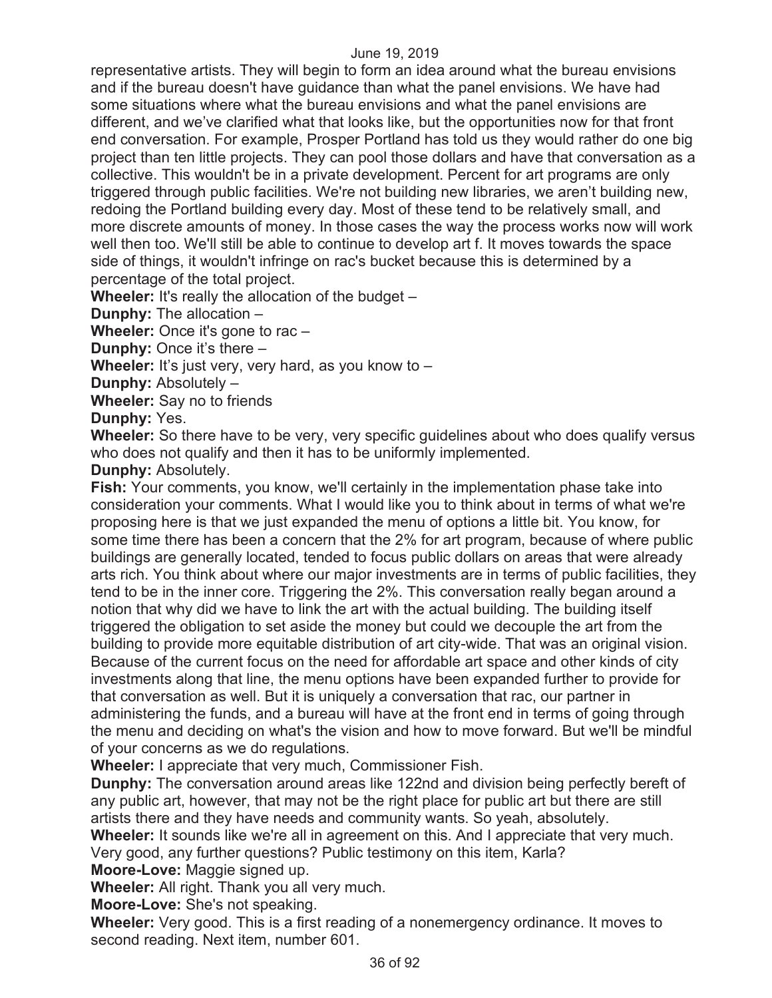representative artists. They will begin to form an idea around what the bureau envisions and if the bureau doesn't have guidance than what the panel envisions. We have had some situations where what the bureau envisions and what the panel envisions are different, and we've clarified what that looks like, but the opportunities now for that front end conversation. For example, Prosper Portland has told us they would rather do one big project than ten little projects. They can pool those dollars and have that conversation as a collective. This wouldn't be in a private development. Percent for art programs are only triggered through public facilities. We're not building new libraries, we aren't building new, redoing the Portland building every day. Most of these tend to be relatively small, and more discrete amounts of money. In those cases the way the process works now will work well then too. We'll still be able to continue to develop art f. It moves towards the space side of things, it wouldn't infringe on rac's bucket because this is determined by a percentage of the total project.

**Wheeler:** It's really the allocation of the budget –

**Dunphy:** The allocation –

**Wheeler:** Once it's gone to rac –

**Dunphy:** Once it's there –

**Wheeler:** It's just very, very hard, as you know to –

**Dunphy:** Absolutely –

**Wheeler:** Say no to friends

**Dunphy:** Yes.

**Wheeler:** So there have to be very, very specific guidelines about who does qualify versus who does not qualify and then it has to be uniformly implemented.

**Dunphy:** Absolutely.

**Fish:** Your comments, you know, we'll certainly in the implementation phase take into consideration your comments. What I would like you to think about in terms of what we're proposing here is that we just expanded the menu of options a little bit. You know, for some time there has been a concern that the 2% for art program, because of where public buildings are generally located, tended to focus public dollars on areas that were already arts rich. You think about where our major investments are in terms of public facilities, they tend to be in the inner core. Triggering the 2%. This conversation really began around a notion that why did we have to link the art with the actual building. The building itself triggered the obligation to set aside the money but could we decouple the art from the building to provide more equitable distribution of art city-wide. That was an original vision. Because of the current focus on the need for affordable art space and other kinds of city investments along that line, the menu options have been expanded further to provide for that conversation as well. But it is uniquely a conversation that rac, our partner in administering the funds, and a bureau will have at the front end in terms of going through the menu and deciding on what's the vision and how to move forward. But we'll be mindful of your concerns as we do regulations.

**Wheeler:** I appreciate that very much, Commissioner Fish.

**Dunphy:** The conversation around areas like 122nd and division being perfectly bereft of any public art, however, that may not be the right place for public art but there are still artists there and they have needs and community wants. So yeah, absolutely.

**Wheeler:** It sounds like we're all in agreement on this. And I appreciate that very much.

Very good, any further questions? Public testimony on this item, Karla?

**Moore-Love:** Maggie signed up.

**Wheeler:** All right. Thank you all very much.

**Moore-Love:** She's not speaking.

**Wheeler:** Very good. This is a first reading of a nonemergency ordinance. It moves to second reading. Next item, number 601.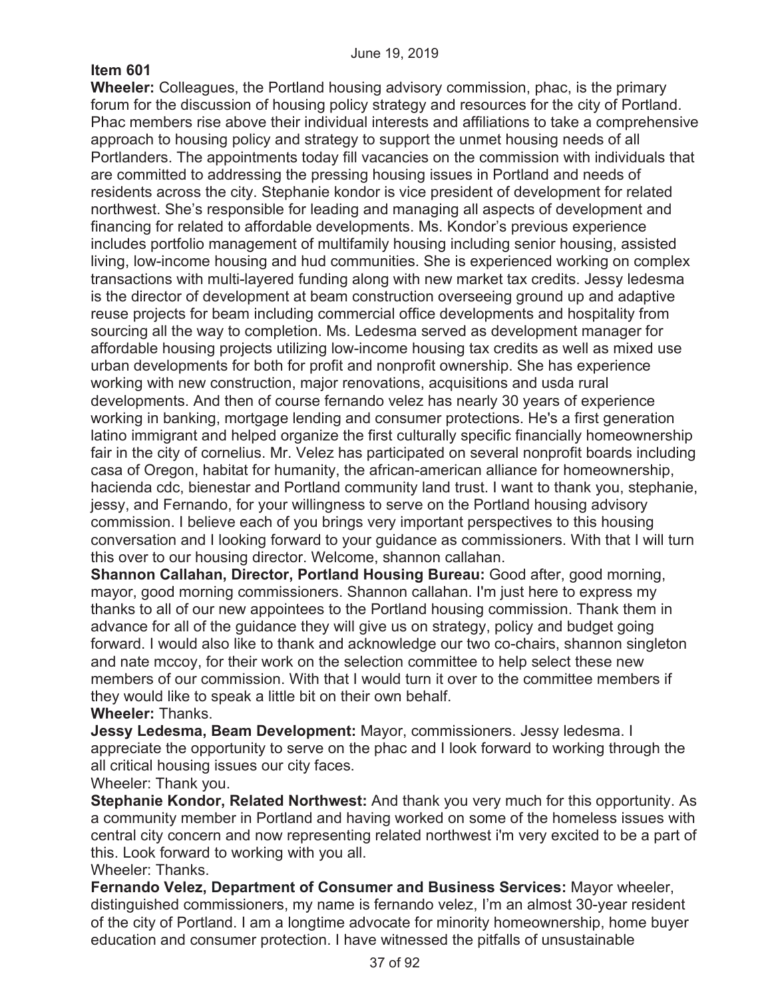# **Item 601**

**Wheeler:** Colleagues, the Portland housing advisory commission, phac, is the primary forum for the discussion of housing policy strategy and resources for the city of Portland. Phac members rise above their individual interests and affiliations to take a comprehensive approach to housing policy and strategy to support the unmet housing needs of all Portlanders. The appointments today fill vacancies on the commission with individuals that are committed to addressing the pressing housing issues in Portland and needs of residents across the city. Stephanie kondor is vice president of development for related northwest. She's responsible for leading and managing all aspects of development and financing for related to affordable developments. Ms. Kondor's previous experience includes portfolio management of multifamily housing including senior housing, assisted living, low-income housing and hud communities. She is experienced working on complex transactions with multi-layered funding along with new market tax credits. Jessy ledesma is the director of development at beam construction overseeing ground up and adaptive reuse projects for beam including commercial office developments and hospitality from sourcing all the way to completion. Ms. Ledesma served as development manager for affordable housing projects utilizing low-income housing tax credits as well as mixed use urban developments for both for profit and nonprofit ownership. She has experience working with new construction, major renovations, acquisitions and usda rural developments. And then of course fernando velez has nearly 30 years of experience working in banking, mortgage lending and consumer protections. He's a first generation latino immigrant and helped organize the first culturally specific financially homeownership fair in the city of cornelius. Mr. Velez has participated on several nonprofit boards including casa of Oregon, habitat for humanity, the african-american alliance for homeownership, hacienda cdc, bienestar and Portland community land trust. I want to thank you, stephanie, jessy, and Fernando, for your willingness to serve on the Portland housing advisory commission. I believe each of you brings very important perspectives to this housing conversation and I looking forward to your guidance as commissioners. With that I will turn this over to our housing director. Welcome, shannon callahan.

**Shannon Callahan, Director, Portland Housing Bureau:** Good after, good morning, mayor, good morning commissioners. Shannon callahan. I'm just here to express my thanks to all of our new appointees to the Portland housing commission. Thank them in advance for all of the guidance they will give us on strategy, policy and budget going forward. I would also like to thank and acknowledge our two co-chairs, shannon singleton and nate mccoy, for their work on the selection committee to help select these new members of our commission. With that I would turn it over to the committee members if they would like to speak a little bit on their own behalf.

# **Wheeler:** Thanks.

**Jessy Ledesma, Beam Development:** Mayor, commissioners. Jessy ledesma. I appreciate the opportunity to serve on the phac and I look forward to working through the all critical housing issues our city faces.

Wheeler: Thank you.

**Stephanie Kondor, Related Northwest:** And thank you very much for this opportunity. As a community member in Portland and having worked on some of the homeless issues with central city concern and now representing related northwest i'm very excited to be a part of this. Look forward to working with you all.

### Wheeler: Thanks.

**Fernando Velez, Department of Consumer and Business Services:** Mayor wheeler, distinguished commissioners, my name is fernando velez, I'm an almost 30-year resident of the city of Portland. I am a longtime advocate for minority homeownership, home buyer education and consumer protection. I have witnessed the pitfalls of unsustainable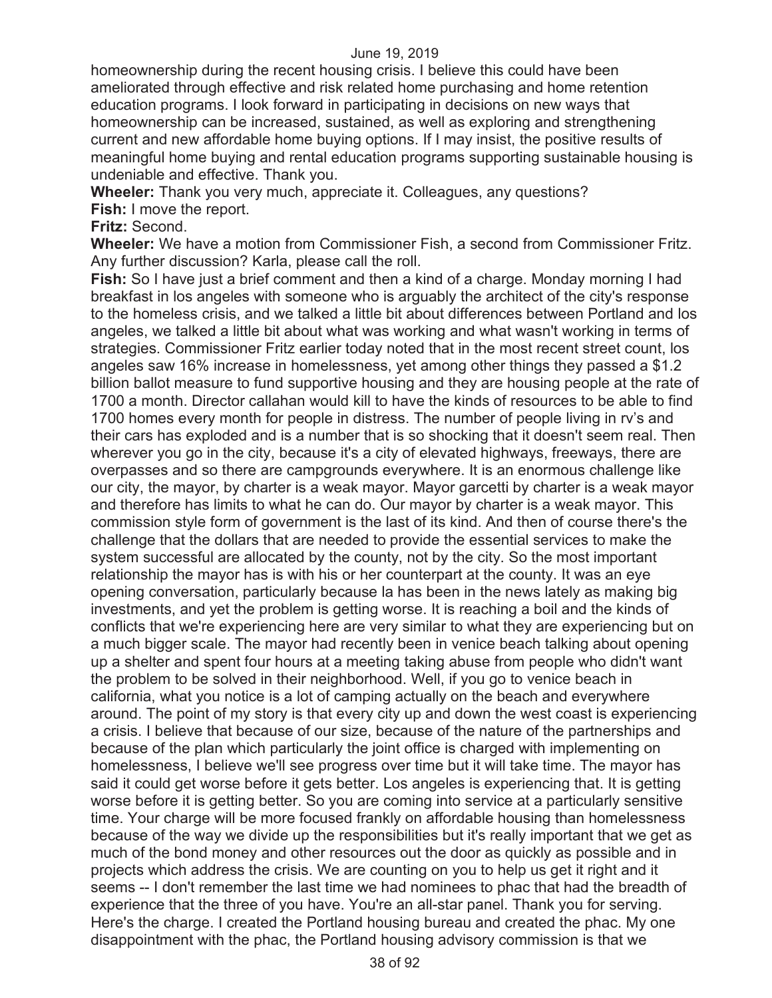homeownership during the recent housing crisis. I believe this could have been ameliorated through effective and risk related home purchasing and home retention education programs. I look forward in participating in decisions on new ways that homeownership can be increased, sustained, as well as exploring and strengthening current and new affordable home buying options. If I may insist, the positive results of meaningful home buying and rental education programs supporting sustainable housing is undeniable and effective. Thank you.

**Wheeler:** Thank you very much, appreciate it. Colleagues, any questions? **Fish:** I move the report.

**Fritz:** Second.

**Wheeler:** We have a motion from Commissioner Fish, a second from Commissioner Fritz. Any further discussion? Karla, please call the roll.

**Fish:** So I have just a brief comment and then a kind of a charge. Monday morning I had breakfast in los angeles with someone who is arguably the architect of the city's response to the homeless crisis, and we talked a little bit about differences between Portland and los angeles, we talked a little bit about what was working and what wasn't working in terms of strategies. Commissioner Fritz earlier today noted that in the most recent street count, los angeles saw 16% increase in homelessness, yet among other things they passed a \$1.2 billion ballot measure to fund supportive housing and they are housing people at the rate of 1700 a month. Director callahan would kill to have the kinds of resources to be able to find 1700 homes every month for people in distress. The number of people living in rv's and their cars has exploded and is a number that is so shocking that it doesn't seem real. Then wherever you go in the city, because it's a city of elevated highways, freeways, there are overpasses and so there are campgrounds everywhere. It is an enormous challenge like our city, the mayor, by charter is a weak mayor. Mayor garcetti by charter is a weak mayor and therefore has limits to what he can do. Our mayor by charter is a weak mayor. This commission style form of government is the last of its kind. And then of course there's the challenge that the dollars that are needed to provide the essential services to make the system successful are allocated by the county, not by the city. So the most important relationship the mayor has is with his or her counterpart at the county. It was an eye opening conversation, particularly because la has been in the news lately as making big investments, and yet the problem is getting worse. It is reaching a boil and the kinds of conflicts that we're experiencing here are very similar to what they are experiencing but on a much bigger scale. The mayor had recently been in venice beach talking about opening up a shelter and spent four hours at a meeting taking abuse from people who didn't want the problem to be solved in their neighborhood. Well, if you go to venice beach in california, what you notice is a lot of camping actually on the beach and everywhere around. The point of my story is that every city up and down the west coast is experiencing a crisis. I believe that because of our size, because of the nature of the partnerships and because of the plan which particularly the joint office is charged with implementing on homelessness, I believe we'll see progress over time but it will take time. The mayor has said it could get worse before it gets better. Los angeles is experiencing that. It is getting worse before it is getting better. So you are coming into service at a particularly sensitive time. Your charge will be more focused frankly on affordable housing than homelessness because of the way we divide up the responsibilities but it's really important that we get as much of the bond money and other resources out the door as quickly as possible and in projects which address the crisis. We are counting on you to help us get it right and it seems -- I don't remember the last time we had nominees to phac that had the breadth of experience that the three of you have. You're an all-star panel. Thank you for serving. Here's the charge. I created the Portland housing bureau and created the phac. My one disappointment with the phac, the Portland housing advisory commission is that we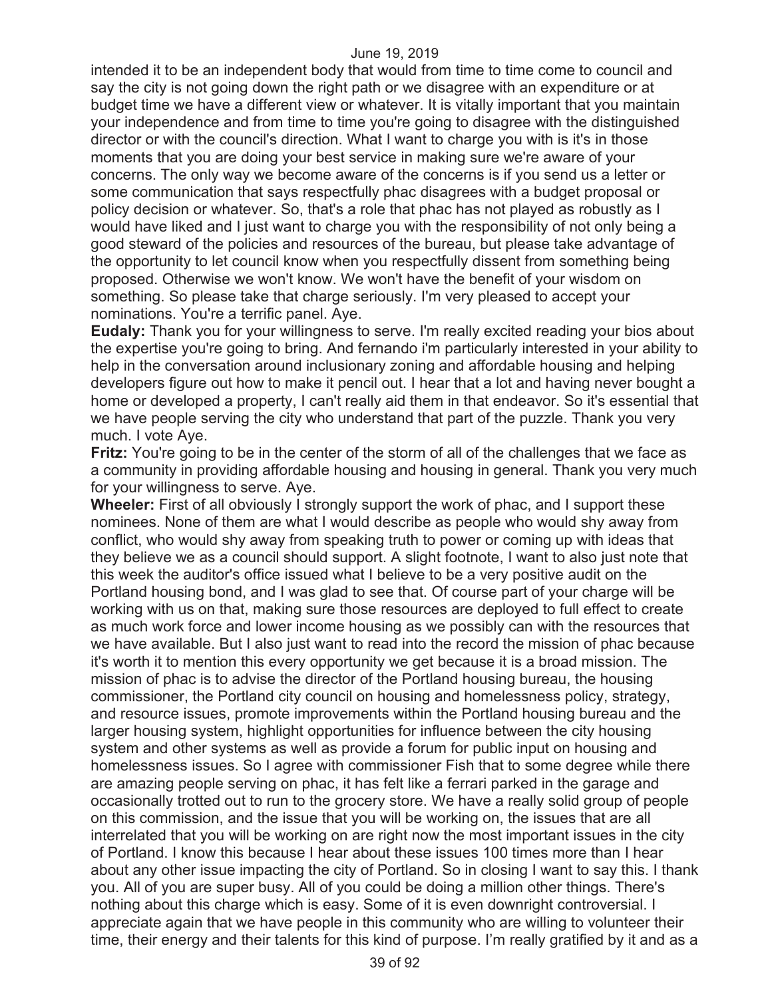intended it to be an independent body that would from time to time come to council and say the city is not going down the right path or we disagree with an expenditure or at budget time we have a different view or whatever. It is vitally important that you maintain your independence and from time to time you're going to disagree with the distinguished director or with the council's direction. What I want to charge you with is it's in those moments that you are doing your best service in making sure we're aware of your concerns. The only way we become aware of the concerns is if you send us a letter or some communication that says respectfully phac disagrees with a budget proposal or policy decision or whatever. So, that's a role that phac has not played as robustly as I would have liked and I just want to charge you with the responsibility of not only being a good steward of the policies and resources of the bureau, but please take advantage of the opportunity to let council know when you respectfully dissent from something being proposed. Otherwise we won't know. We won't have the benefit of your wisdom on something. So please take that charge seriously. I'm very pleased to accept your nominations. You're a terrific panel. Aye.

**Eudaly:** Thank you for your willingness to serve. I'm really excited reading your bios about the expertise you're going to bring. And fernando i'm particularly interested in your ability to help in the conversation around inclusionary zoning and affordable housing and helping developers figure out how to make it pencil out. I hear that a lot and having never bought a home or developed a property, I can't really aid them in that endeavor. So it's essential that we have people serving the city who understand that part of the puzzle. Thank you very much. I vote Aye.

**Fritz:** You're going to be in the center of the storm of all of the challenges that we face as a community in providing affordable housing and housing in general. Thank you very much for your willingness to serve. Aye.

**Wheeler:** First of all obviously I strongly support the work of phac, and I support these nominees. None of them are what I would describe as people who would shy away from conflict, who would shy away from speaking truth to power or coming up with ideas that they believe we as a council should support. A slight footnote, I want to also just note that this week the auditor's office issued what I believe to be a very positive audit on the Portland housing bond, and I was glad to see that. Of course part of your charge will be working with us on that, making sure those resources are deployed to full effect to create as much work force and lower income housing as we possibly can with the resources that we have available. But I also just want to read into the record the mission of phac because it's worth it to mention this every opportunity we get because it is a broad mission. The mission of phac is to advise the director of the Portland housing bureau, the housing commissioner, the Portland city council on housing and homelessness policy, strategy, and resource issues, promote improvements within the Portland housing bureau and the larger housing system, highlight opportunities for influence between the city housing system and other systems as well as provide a forum for public input on housing and homelessness issues. So I agree with commissioner Fish that to some degree while there are amazing people serving on phac, it has felt like a ferrari parked in the garage and occasionally trotted out to run to the grocery store. We have a really solid group of people on this commission, and the issue that you will be working on, the issues that are all interrelated that you will be working on are right now the most important issues in the city of Portland. I know this because I hear about these issues 100 times more than I hear about any other issue impacting the city of Portland. So in closing I want to say this. I thank you. All of you are super busy. All of you could be doing a million other things. There's nothing about this charge which is easy. Some of it is even downright controversial. I appreciate again that we have people in this community who are willing to volunteer their time, their energy and their talents for this kind of purpose. I'm really gratified by it and as a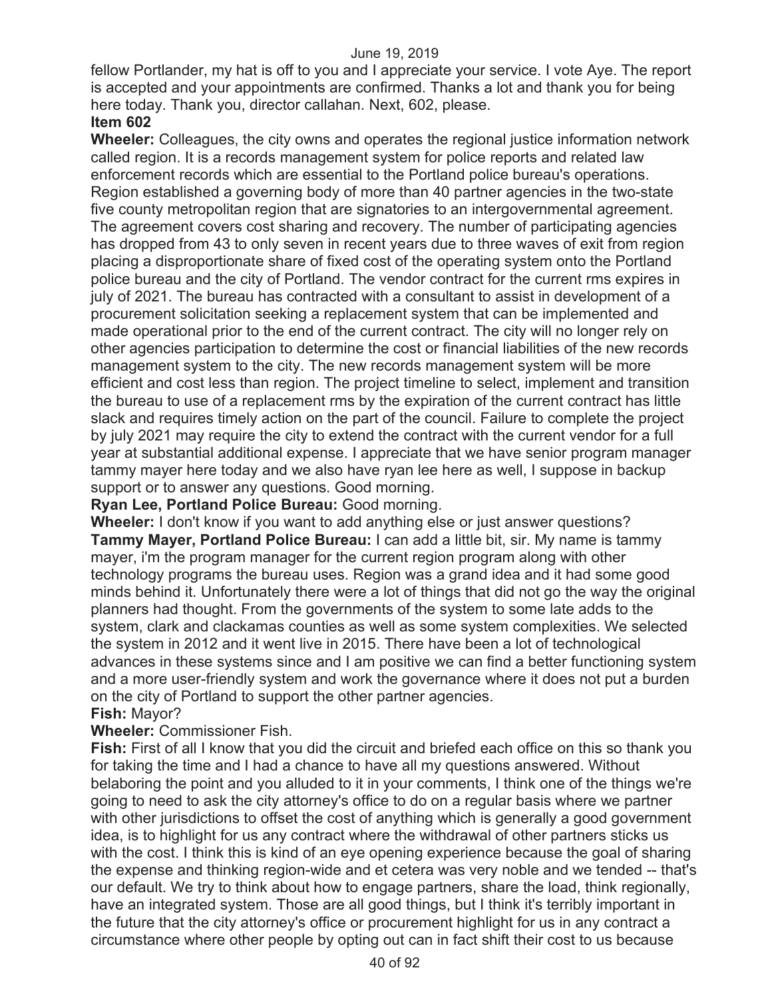fellow Portlander, my hat is off to you and I appreciate your service. I vote Aye. The report is accepted and your appointments are confirmed. Thanks a lot and thank you for being here today. Thank you, director callahan. Next, 602, please.

## **Item 602**

**Wheeler:** Colleagues, the city owns and operates the regional justice information network called region. It is a records management system for police reports and related law enforcement records which are essential to the Portland police bureau's operations. Region established a governing body of more than 40 partner agencies in the two-state five county metropolitan region that are signatories to an intergovernmental agreement. The agreement covers cost sharing and recovery. The number of participating agencies has dropped from 43 to only seven in recent years due to three waves of exit from region placing a disproportionate share of fixed cost of the operating system onto the Portland police bureau and the city of Portland. The vendor contract for the current rms expires in july of 2021. The bureau has contracted with a consultant to assist in development of a procurement solicitation seeking a replacement system that can be implemented and made operational prior to the end of the current contract. The city will no longer rely on other agencies participation to determine the cost or financial liabilities of the new records management system to the city. The new records management system will be more efficient and cost less than region. The project timeline to select, implement and transition the bureau to use of a replacement rms by the expiration of the current contract has little slack and requires timely action on the part of the council. Failure to complete the project by july 2021 may require the city to extend the contract with the current vendor for a full year at substantial additional expense. I appreciate that we have senior program manager tammy mayer here today and we also have ryan lee here as well, I suppose in backup support or to answer any questions. Good morning.

## **Ryan Lee, Portland Police Bureau:** Good morning.

**Wheeler:** I don't know if you want to add anything else or just answer questions? **Tammy Mayer, Portland Police Bureau:** I can add a little bit, sir. My name is tammy mayer, i'm the program manager for the current region program along with other technology programs the bureau uses. Region was a grand idea and it had some good minds behind it. Unfortunately there were a lot of things that did not go the way the original planners had thought. From the governments of the system to some late adds to the system, clark and clackamas counties as well as some system complexities. We selected the system in 2012 and it went live in 2015. There have been a lot of technological advances in these systems since and I am positive we can find a better functioning system and a more user-friendly system and work the governance where it does not put a burden on the city of Portland to support the other partner agencies.

# **Fish:** Mayor?

# **Wheeler:** Commissioner Fish.

**Fish:** First of all I know that you did the circuit and briefed each office on this so thank you for taking the time and I had a chance to have all my questions answered. Without belaboring the point and you alluded to it in your comments, I think one of the things we're going to need to ask the city attorney's office to do on a regular basis where we partner with other jurisdictions to offset the cost of anything which is generally a good government idea, is to highlight for us any contract where the withdrawal of other partners sticks us with the cost. I think this is kind of an eye opening experience because the goal of sharing the expense and thinking region-wide and et cetera was very noble and we tended -- that's our default. We try to think about how to engage partners, share the load, think regionally, have an integrated system. Those are all good things, but I think it's terribly important in the future that the city attorney's office or procurement highlight for us in any contract a circumstance where other people by opting out can in fact shift their cost to us because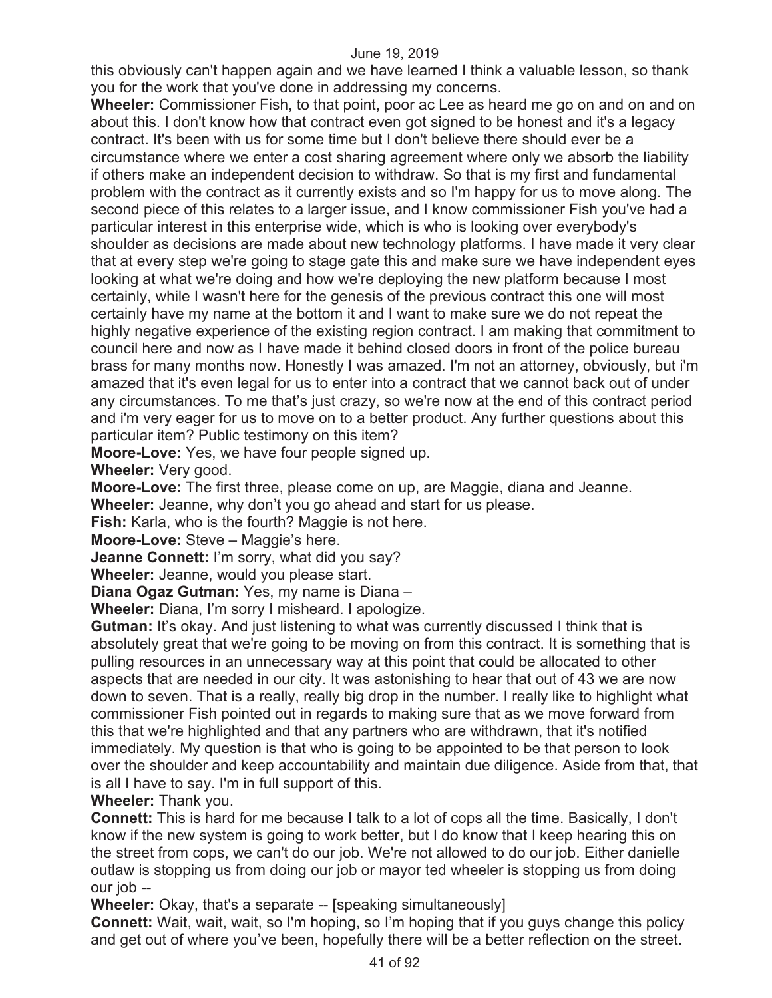this obviously can't happen again and we have learned I think a valuable lesson, so thank you for the work that you've done in addressing my concerns.

**Wheeler:** Commissioner Fish, to that point, poor ac Lee as heard me go on and on and on about this. I don't know how that contract even got signed to be honest and it's a legacy contract. It's been with us for some time but I don't believe there should ever be a circumstance where we enter a cost sharing agreement where only we absorb the liability if others make an independent decision to withdraw. So that is my first and fundamental problem with the contract as it currently exists and so I'm happy for us to move along. The second piece of this relates to a larger issue, and I know commissioner Fish you've had a particular interest in this enterprise wide, which is who is looking over everybody's shoulder as decisions are made about new technology platforms. I have made it very clear that at every step we're going to stage gate this and make sure we have independent eyes looking at what we're doing and how we're deploying the new platform because I most certainly, while I wasn't here for the genesis of the previous contract this one will most certainly have my name at the bottom it and I want to make sure we do not repeat the highly negative experience of the existing region contract. I am making that commitment to council here and now as I have made it behind closed doors in front of the police bureau brass for many months now. Honestly I was amazed. I'm not an attorney, obviously, but i'm amazed that it's even legal for us to enter into a contract that we cannot back out of under any circumstances. To me that's just crazy, so we're now at the end of this contract period and i'm very eager for us to move on to a better product. Any further questions about this particular item? Public testimony on this item?

**Moore-Love:** Yes, we have four people signed up.

**Wheeler:** Very good.

**Moore-Love:** The first three, please come on up, are Maggie, diana and Jeanne.

**Wheeler:** Jeanne, why don't you go ahead and start for us please.

**Fish:** Karla, who is the fourth? Maggie is not here.

**Moore-Love:** Steve – Maggie's here.

**Jeanne Connett:** I'm sorry, what did you say?

**Wheeler:** Jeanne, would you please start.

**Diana Ogaz Gutman:** Yes, my name is Diana –

**Wheeler:** Diana, I'm sorry I misheard. I apologize.

**Gutman:** It's okay. And just listening to what was currently discussed I think that is absolutely great that we're going to be moving on from this contract. It is something that is pulling resources in an unnecessary way at this point that could be allocated to other aspects that are needed in our city. It was astonishing to hear that out of 43 we are now down to seven. That is a really, really big drop in the number. I really like to highlight what commissioner Fish pointed out in regards to making sure that as we move forward from this that we're highlighted and that any partners who are withdrawn, that it's notified immediately. My question is that who is going to be appointed to be that person to look over the shoulder and keep accountability and maintain due diligence. Aside from that, that is all I have to say. I'm in full support of this.

**Wheeler:** Thank you.

**Connett:** This is hard for me because I talk to a lot of cops all the time. Basically, I don't know if the new system is going to work better, but I do know that I keep hearing this on the street from cops, we can't do our job. We're not allowed to do our job. Either danielle outlaw is stopping us from doing our job or mayor ted wheeler is stopping us from doing our job --

**Wheeler:** Okay, that's a separate -- [speaking simultaneously]

**Connett:** Wait, wait, wait, so I'm hoping, so I'm hoping that if you guys change this policy and get out of where you've been, hopefully there will be a better reflection on the street.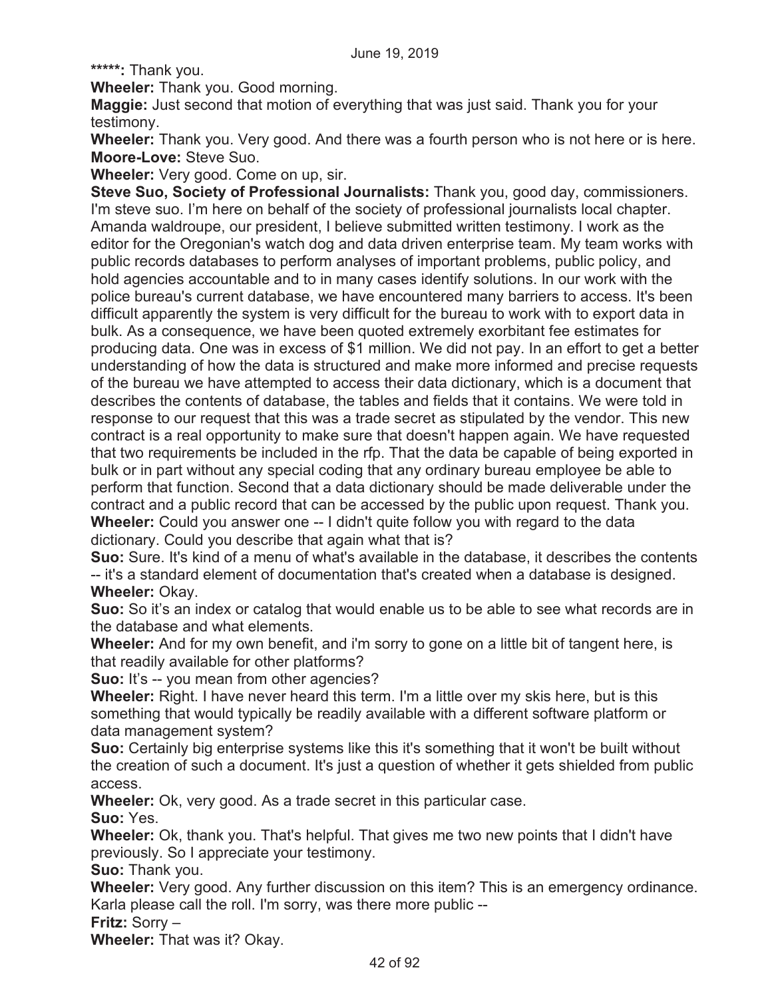**\*\*\*\*\*:** Thank you.

**Wheeler:** Thank you. Good morning.

**Maggie:** Just second that motion of everything that was just said. Thank you for your testimony.

**Wheeler:** Thank you. Very good. And there was a fourth person who is not here or is here. **Moore-Love:** Steve Suo.

**Wheeler:** Very good. Come on up, sir.

**Steve Suo, Society of Professional Journalists:** Thank you, good day, commissioners. I'm steve suo. I'm here on behalf of the society of professional journalists local chapter. Amanda waldroupe, our president, I believe submitted written testimony. I work as the editor for the Oregonian's watch dog and data driven enterprise team. My team works with public records databases to perform analyses of important problems, public policy, and hold agencies accountable and to in many cases identify solutions. In our work with the police bureau's current database, we have encountered many barriers to access. It's been difficult apparently the system is very difficult for the bureau to work with to export data in bulk. As a consequence, we have been quoted extremely exorbitant fee estimates for producing data. One was in excess of \$1 million. We did not pay. In an effort to get a better understanding of how the data is structured and make more informed and precise requests of the bureau we have attempted to access their data dictionary, which is a document that describes the contents of database, the tables and fields that it contains. We were told in response to our request that this was a trade secret as stipulated by the vendor. This new contract is a real opportunity to make sure that doesn't happen again. We have requested that two requirements be included in the rfp. That the data be capable of being exported in bulk or in part without any special coding that any ordinary bureau employee be able to perform that function. Second that a data dictionary should be made deliverable under the contract and a public record that can be accessed by the public upon request. Thank you. **Wheeler:** Could you answer one -- I didn't quite follow you with regard to the data dictionary. Could you describe that again what that is?

**Suo:** Sure. It's kind of a menu of what's available in the database, it describes the contents -- it's a standard element of documentation that's created when a database is designed. **Wheeler:** Okay.

**Suo:** So it's an index or catalog that would enable us to be able to see what records are in the database and what elements.

**Wheeler:** And for my own benefit, and i'm sorry to gone on a little bit of tangent here, is that readily available for other platforms?

**Suo:** It's -- you mean from other agencies?

**Wheeler:** Right. I have never heard this term. I'm a little over my skis here, but is this something that would typically be readily available with a different software platform or data management system?

**Suo:** Certainly big enterprise systems like this it's something that it won't be built without the creation of such a document. It's just a question of whether it gets shielded from public access.

**Wheeler:** Ok, very good. As a trade secret in this particular case.

**Suo:** Yes.

**Wheeler:** Ok, thank you. That's helpful. That gives me two new points that I didn't have previously. So I appreciate your testimony.

**Suo:** Thank you.

**Wheeler:** Very good. Any further discussion on this item? This is an emergency ordinance. Karla please call the roll. I'm sorry, was there more public --

**Fritz:** Sorry –

**Wheeler:** That was it? Okay.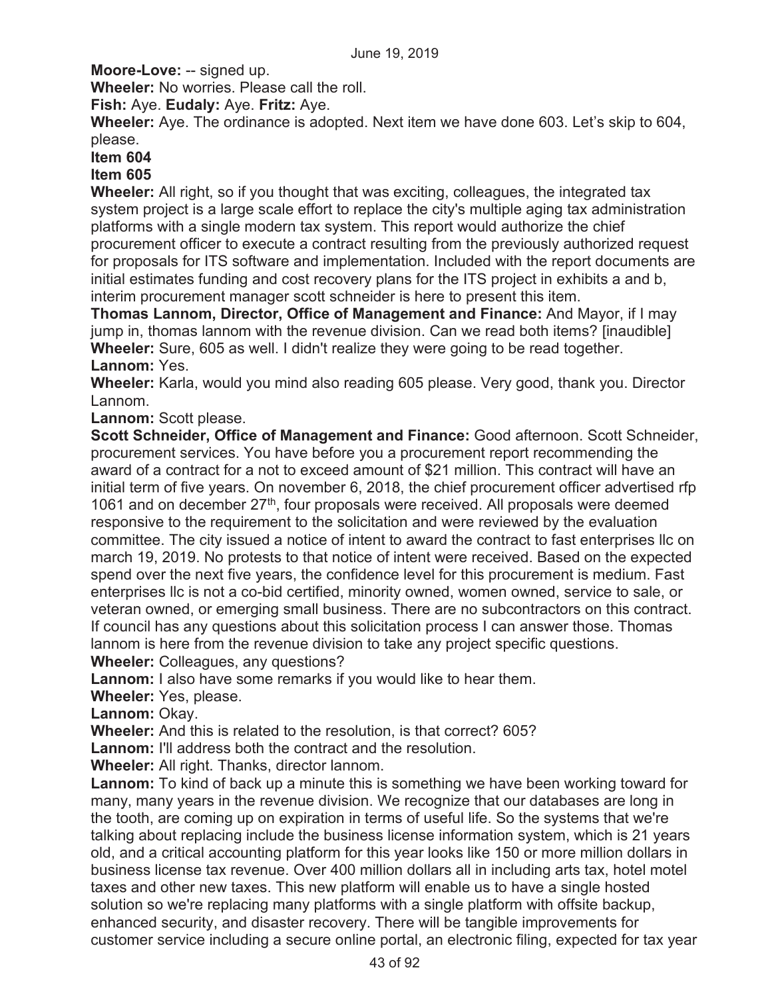**Moore-Love:** -- signed up.

**Wheeler:** No worries. Please call the roll.

**Fish:** Aye. **Eudaly:** Aye. **Fritz:** Aye.

**Wheeler:** Aye. The ordinance is adopted. Next item we have done 603. Let's skip to 604, please.

# **Item 604**

# **Item 605**

**Wheeler:** All right, so if you thought that was exciting, colleagues, the integrated tax system project is a large scale effort to replace the city's multiple aging tax administration platforms with a single modern tax system. This report would authorize the chief procurement officer to execute a contract resulting from the previously authorized request for proposals for ITS software and implementation. Included with the report documents are initial estimates funding and cost recovery plans for the ITS project in exhibits a and b, interim procurement manager scott schneider is here to present this item.

**Thomas Lannom, Director, Office of Management and Finance:** And Mayor, if I may jump in, thomas lannom with the revenue division. Can we read both items? [inaudible] **Wheeler:** Sure, 605 as well. I didn't realize they were going to be read together. **Lannom:** Yes.

**Wheeler:** Karla, would you mind also reading 605 please. Very good, thank you. Director Lannom.

# **Lannom:** Scott please.

**Scott Schneider, Office of Management and Finance:** Good afternoon. Scott Schneider, procurement services. You have before you a procurement report recommending the award of a contract for a not to exceed amount of \$21 million. This contract will have an initial term of five years. On november 6, 2018, the chief procurement officer advertised rfp 1061 and on december  $27<sup>th</sup>$ , four proposals were received. All proposals were deemed responsive to the requirement to the solicitation and were reviewed by the evaluation committee. The city issued a notice of intent to award the contract to fast enterprises llc on march 19, 2019. No protests to that notice of intent were received. Based on the expected spend over the next five years, the confidence level for this procurement is medium. Fast enterprises llc is not a co-bid certified, minority owned, women owned, service to sale, or veteran owned, or emerging small business. There are no subcontractors on this contract. If council has any questions about this solicitation process I can answer those. Thomas lannom is here from the revenue division to take any project specific questions. **Wheeler:** Colleagues, any questions?

**Lannom:** I also have some remarks if you would like to hear them.

**Wheeler:** Yes, please.

**Lannom:** Okay.

**Wheeler:** And this is related to the resolution, is that correct? 605?

**Lannom:** I'll address both the contract and the resolution.

**Wheeler:** All right. Thanks, director lannom.

**Lannom:** To kind of back up a minute this is something we have been working toward for many, many years in the revenue division. We recognize that our databases are long in the tooth, are coming up on expiration in terms of useful life. So the systems that we're talking about replacing include the business license information system, which is 21 years old, and a critical accounting platform for this year looks like 150 or more million dollars in business license tax revenue. Over 400 million dollars all in including arts tax, hotel motel taxes and other new taxes. This new platform will enable us to have a single hosted solution so we're replacing many platforms with a single platform with offsite backup, enhanced security, and disaster recovery. There will be tangible improvements for customer service including a secure online portal, an electronic filing, expected for tax year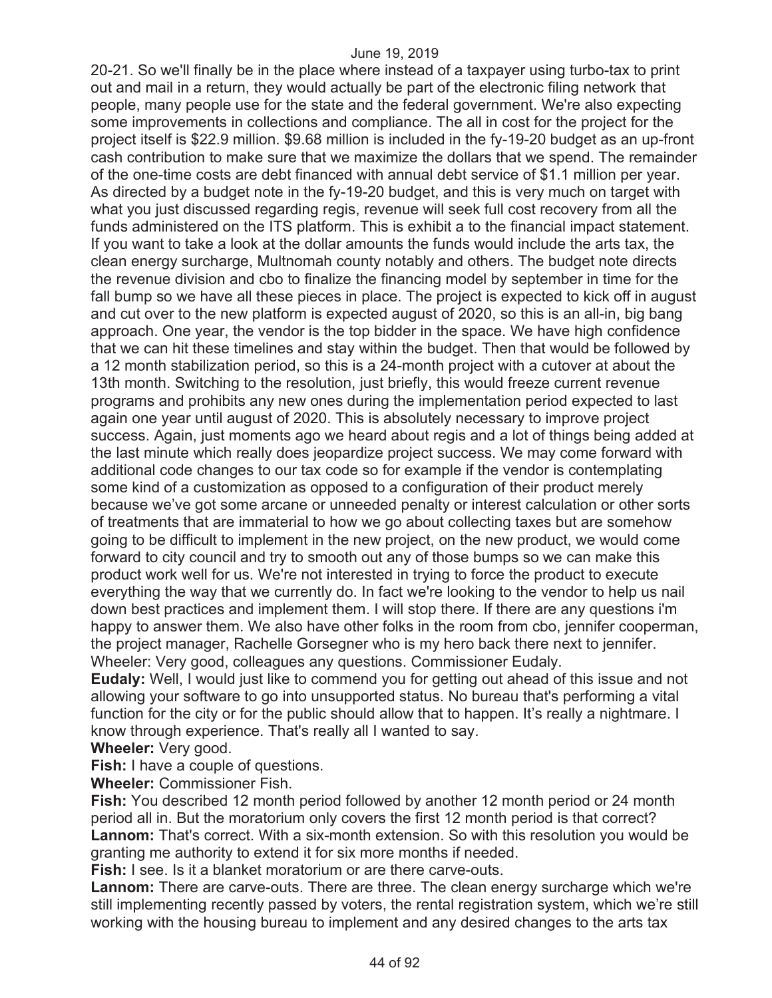20-21. So we'll finally be in the place where instead of a taxpayer using turbo-tax to print out and mail in a return, they would actually be part of the electronic filing network that people, many people use for the state and the federal government. We're also expecting some improvements in collections and compliance. The all in cost for the project for the project itself is \$22.9 million. \$9.68 million is included in the fy-19-20 budget as an up-front cash contribution to make sure that we maximize the dollars that we spend. The remainder of the one-time costs are debt financed with annual debt service of \$1.1 million per year. As directed by a budget note in the fy-19-20 budget, and this is very much on target with what you just discussed regarding regis, revenue will seek full cost recovery from all the funds administered on the ITS platform. This is exhibit a to the financial impact statement. If you want to take a look at the dollar amounts the funds would include the arts tax, the clean energy surcharge, Multnomah county notably and others. The budget note directs the revenue division and cbo to finalize the financing model by september in time for the fall bump so we have all these pieces in place. The project is expected to kick off in august and cut over to the new platform is expected august of 2020, so this is an all-in, big bang approach. One year, the vendor is the top bidder in the space. We have high confidence that we can hit these timelines and stay within the budget. Then that would be followed by a 12 month stabilization period, so this is a 24-month project with a cutover at about the 13th month. Switching to the resolution, just briefly, this would freeze current revenue programs and prohibits any new ones during the implementation period expected to last again one year until august of 2020. This is absolutely necessary to improve project success. Again, just moments ago we heard about regis and a lot of things being added at the last minute which really does jeopardize project success. We may come forward with additional code changes to our tax code so for example if the vendor is contemplating some kind of a customization as opposed to a configuration of their product merely because we've got some arcane or unneeded penalty or interest calculation or other sorts of treatments that are immaterial to how we go about collecting taxes but are somehow going to be difficult to implement in the new project, on the new product, we would come forward to city council and try to smooth out any of those bumps so we can make this product work well for us. We're not interested in trying to force the product to execute everything the way that we currently do. In fact we're looking to the vendor to help us nail down best practices and implement them. I will stop there. If there are any questions i'm happy to answer them. We also have other folks in the room from cbo, jennifer cooperman, the project manager, Rachelle Gorsegner who is my hero back there next to jennifer. Wheeler: Very good, colleagues any questions. Commissioner Eudaly.

**Eudaly:** Well, I would just like to commend you for getting out ahead of this issue and not allowing your software to go into unsupported status. No bureau that's performing a vital function for the city or for the public should allow that to happen. It's really a nightmare. I know through experience. That's really all I wanted to say.

**Wheeler:** Very good.

**Fish:** I have a couple of questions.

**Wheeler:** Commissioner Fish.

**Fish:** You described 12 month period followed by another 12 month period or 24 month period all in. But the moratorium only covers the first 12 month period is that correct? **Lannom:** That's correct. With a six-month extension. So with this resolution you would be granting me authority to extend it for six more months if needed.

**Fish:** I see. Is it a blanket moratorium or are there carve-outs.

**Lannom:** There are carve-outs. There are three. The clean energy surcharge which we're still implementing recently passed by voters, the rental registration system, which we're still working with the housing bureau to implement and any desired changes to the arts tax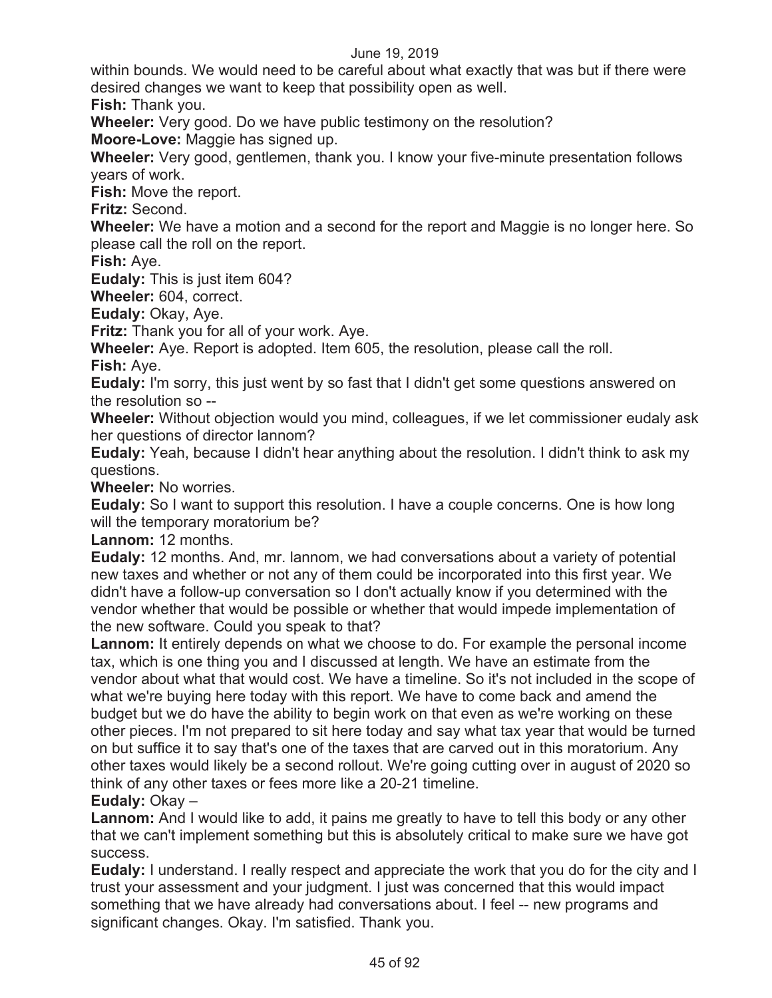within bounds. We would need to be careful about what exactly that was but if there were desired changes we want to keep that possibility open as well.

**Fish:** Thank you.

**Wheeler:** Very good. Do we have public testimony on the resolution?

**Moore-Love:** Maggie has signed up.

**Wheeler:** Very good, gentlemen, thank you. I know your five-minute presentation follows years of work.

**Fish:** Move the report.

**Fritz:** Second.

**Wheeler:** We have a motion and a second for the report and Maggie is no longer here. So please call the roll on the report.

**Fish:** Aye.

**Eudaly:** This is just item 604?

**Wheeler:** 604, correct.

**Eudaly:** Okay, Aye.

**Fritz:** Thank you for all of your work. Aye.

**Wheeler:** Aye. Report is adopted. Item 605, the resolution, please call the roll.

**Fish:** Aye.

**Eudaly:** I'm sorry, this just went by so fast that I didn't get some questions answered on the resolution so --

**Wheeler:** Without objection would you mind, colleagues, if we let commissioner eudaly ask her questions of director lannom?

**Eudaly:** Yeah, because I didn't hear anything about the resolution. I didn't think to ask my questions.

**Wheeler:** No worries.

**Eudaly:** So I want to support this resolution. I have a couple concerns. One is how long will the temporary moratorium be?

**Lannom:** 12 months.

**Eudaly:** 12 months. And, mr. lannom, we had conversations about a variety of potential new taxes and whether or not any of them could be incorporated into this first year. We didn't have a follow-up conversation so I don't actually know if you determined with the vendor whether that would be possible or whether that would impede implementation of the new software. Could you speak to that?

**Lannom:** It entirely depends on what we choose to do. For example the personal income tax, which is one thing you and I discussed at length. We have an estimate from the vendor about what that would cost. We have a timeline. So it's not included in the scope of what we're buying here today with this report. We have to come back and amend the budget but we do have the ability to begin work on that even as we're working on these other pieces. I'm not prepared to sit here today and say what tax year that would be turned on but suffice it to say that's one of the taxes that are carved out in this moratorium. Any other taxes would likely be a second rollout. We're going cutting over in august of 2020 so think of any other taxes or fees more like a 20-21 timeline.

**Eudaly:** Okay –

**Lannom:** And I would like to add, it pains me greatly to have to tell this body or any other that we can't implement something but this is absolutely critical to make sure we have got success.

**Eudaly:** I understand. I really respect and appreciate the work that you do for the city and I trust your assessment and your judgment. I just was concerned that this would impact something that we have already had conversations about. I feel -- new programs and significant changes. Okay. I'm satisfied. Thank you.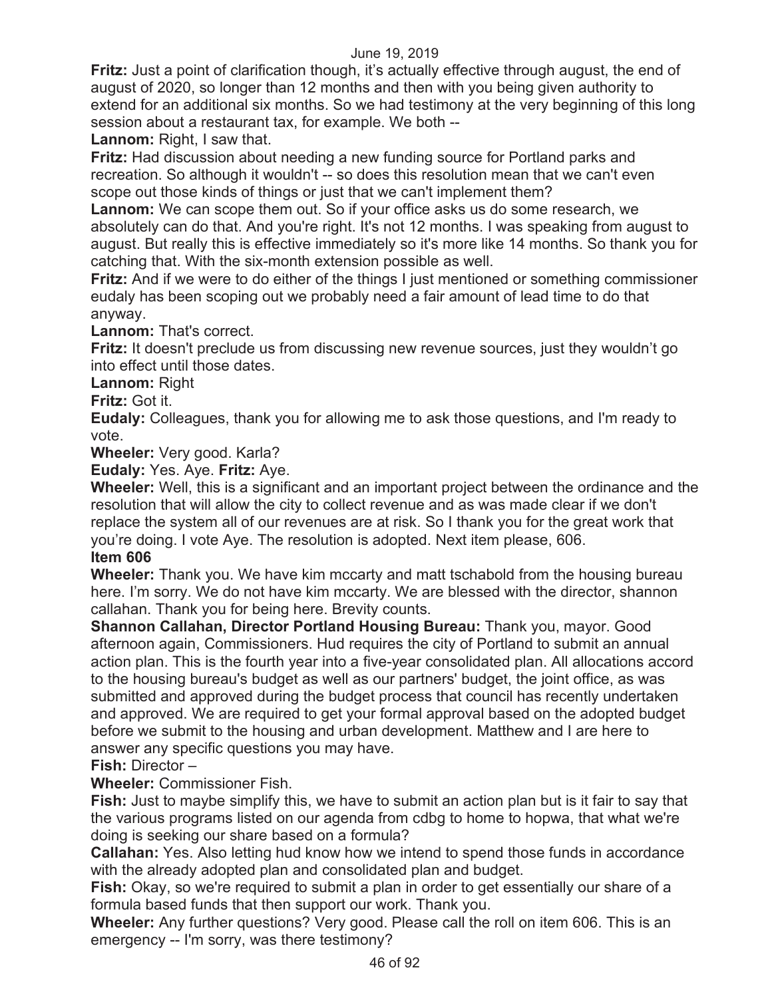**Fritz:** Just a point of clarification though, it's actually effective through august, the end of august of 2020, so longer than 12 months and then with you being given authority to extend for an additional six months. So we had testimony at the very beginning of this long session about a restaurant tax, for example. We both --

**Lannom:** Right, I saw that.

**Fritz:** Had discussion about needing a new funding source for Portland parks and recreation. So although it wouldn't -- so does this resolution mean that we can't even scope out those kinds of things or just that we can't implement them?

**Lannom:** We can scope them out. So if your office asks us do some research, we absolutely can do that. And you're right. It's not 12 months. I was speaking from august to august. But really this is effective immediately so it's more like 14 months. So thank you for catching that. With the six-month extension possible as well.

**Fritz:** And if we were to do either of the things I just mentioned or something commissioner eudaly has been scoping out we probably need a fair amount of lead time to do that anyway.

**Lannom:** That's correct.

**Fritz:** It doesn't preclude us from discussing new revenue sources, just they wouldn't go into effect until those dates.

**Lannom:** Right

**Fritz:** Got it.

**Eudaly:** Colleagues, thank you for allowing me to ask those questions, and I'm ready to vote.

**Wheeler:** Very good. Karla?

**Eudaly:** Yes. Aye. **Fritz:** Aye.

**Wheeler:** Well, this is a significant and an important project between the ordinance and the resolution that will allow the city to collect revenue and as was made clear if we don't replace the system all of our revenues are at risk. So I thank you for the great work that you're doing. I vote Aye. The resolution is adopted. Next item please, 606.

# **Item 606**

**Wheeler:** Thank you. We have kim mccarty and matt tschabold from the housing bureau here. I'm sorry. We do not have kim mccarty. We are blessed with the director, shannon callahan. Thank you for being here. Brevity counts.

**Shannon Callahan, Director Portland Housing Bureau:** Thank you, mayor. Good afternoon again, Commissioners. Hud requires the city of Portland to submit an annual action plan. This is the fourth year into a five-year consolidated plan. All allocations accord to the housing bureau's budget as well as our partners' budget, the joint office, as was submitted and approved during the budget process that council has recently undertaken and approved. We are required to get your formal approval based on the adopted budget before we submit to the housing and urban development. Matthew and I are here to answer any specific questions you may have.

# **Fish:** Director –

**Wheeler:** Commissioner Fish.

**Fish:** Just to maybe simplify this, we have to submit an action plan but is it fair to say that the various programs listed on our agenda from cdbg to home to hopwa, that what we're doing is seeking our share based on a formula?

**Callahan:** Yes. Also letting hud know how we intend to spend those funds in accordance with the already adopted plan and consolidated plan and budget.

**Fish:** Okay, so we're required to submit a plan in order to get essentially our share of a formula based funds that then support our work. Thank you.

**Wheeler:** Any further questions? Very good. Please call the roll on item 606. This is an emergency -- I'm sorry, was there testimony?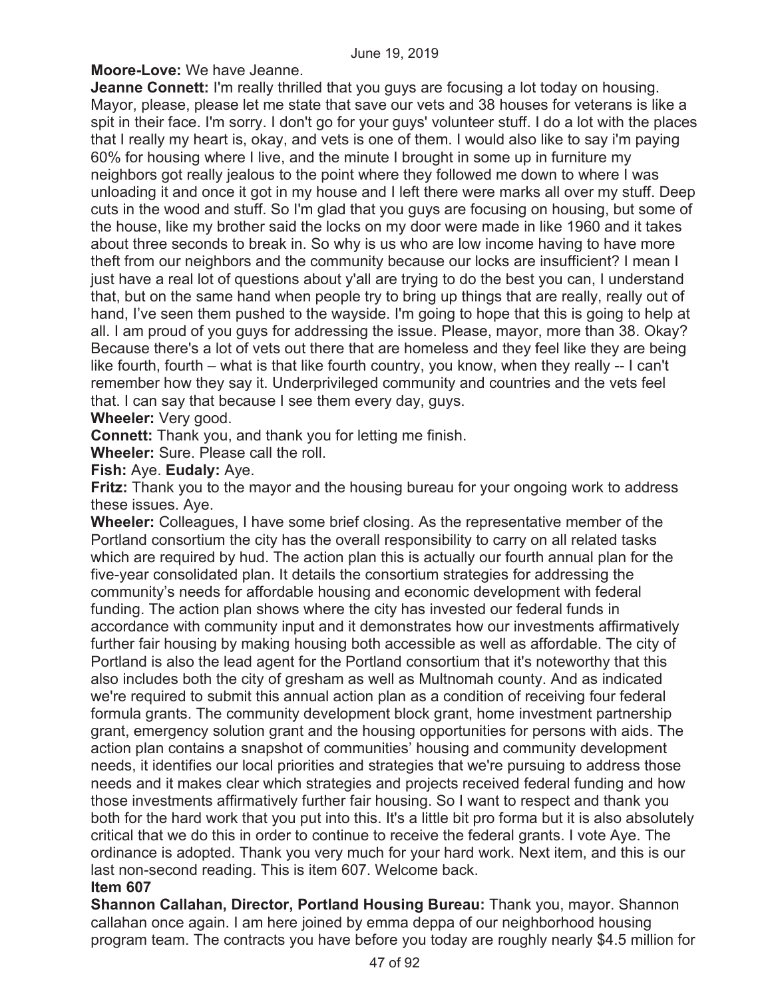**Moore-Love:** We have Jeanne.

**Jeanne Connett:** I'm really thrilled that you guys are focusing a lot today on housing. Mayor, please, please let me state that save our vets and 38 houses for veterans is like a spit in their face. I'm sorry. I don't go for your guys' volunteer stuff. I do a lot with the places that I really my heart is, okay, and vets is one of them. I would also like to say i'm paying 60% for housing where I live, and the minute I brought in some up in furniture my neighbors got really jealous to the point where they followed me down to where I was unloading it and once it got in my house and I left there were marks all over my stuff. Deep cuts in the wood and stuff. So I'm glad that you guys are focusing on housing, but some of the house, like my brother said the locks on my door were made in like 1960 and it takes about three seconds to break in. So why is us who are low income having to have more theft from our neighbors and the community because our locks are insufficient? I mean I just have a real lot of questions about y'all are trying to do the best you can, I understand that, but on the same hand when people try to bring up things that are really, really out of hand, I've seen them pushed to the wayside. I'm going to hope that this is going to help at all. I am proud of you guys for addressing the issue. Please, mayor, more than 38. Okay? Because there's a lot of vets out there that are homeless and they feel like they are being like fourth, fourth – what is that like fourth country, you know, when they really -- I can't remember how they say it. Underprivileged community and countries and the vets feel that. I can say that because I see them every day, guys.

**Wheeler:** Very good.

**Connett:** Thank you, and thank you for letting me finish.

**Wheeler:** Sure. Please call the roll.

**Fish:** Aye. **Eudaly:** Aye.

**Fritz:** Thank you to the mayor and the housing bureau for your ongoing work to address these issues. Aye.

**Wheeler:** Colleagues, I have some brief closing. As the representative member of the Portland consortium the city has the overall responsibility to carry on all related tasks which are required by hud. The action plan this is actually our fourth annual plan for the five-year consolidated plan. It details the consortium strategies for addressing the community's needs for affordable housing and economic development with federal funding. The action plan shows where the city has invested our federal funds in accordance with community input and it demonstrates how our investments affirmatively further fair housing by making housing both accessible as well as affordable. The city of Portland is also the lead agent for the Portland consortium that it's noteworthy that this also includes both the city of gresham as well as Multnomah county. And as indicated we're required to submit this annual action plan as a condition of receiving four federal formula grants. The community development block grant, home investment partnership grant, emergency solution grant and the housing opportunities for persons with aids. The action plan contains a snapshot of communities' housing and community development needs, it identifies our local priorities and strategies that we're pursuing to address those needs and it makes clear which strategies and projects received federal funding and how those investments affirmatively further fair housing. So I want to respect and thank you both for the hard work that you put into this. It's a little bit pro forma but it is also absolutely critical that we do this in order to continue to receive the federal grants. I vote Aye. The ordinance is adopted. Thank you very much for your hard work. Next item, and this is our last non-second reading. This is item 607. Welcome back.

# **Item 607**

**Shannon Callahan, Director, Portland Housing Bureau:** Thank you, mayor. Shannon callahan once again. I am here joined by emma deppa of our neighborhood housing program team. The contracts you have before you today are roughly nearly \$4.5 million for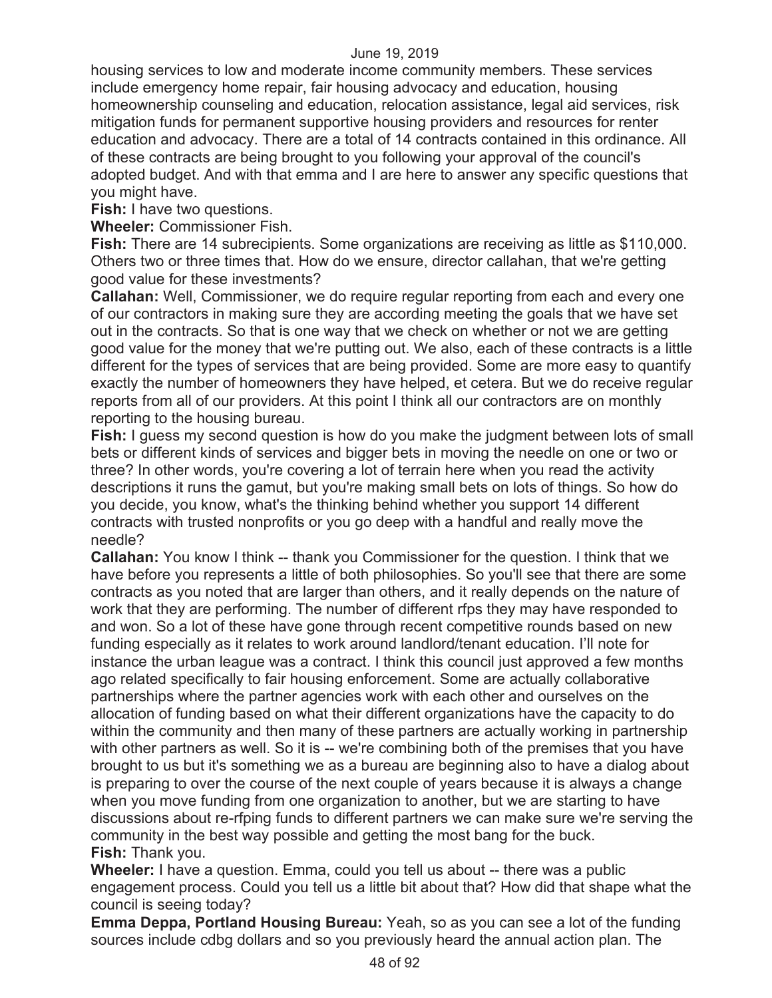housing services to low and moderate income community members. These services include emergency home repair, fair housing advocacy and education, housing homeownership counseling and education, relocation assistance, legal aid services, risk mitigation funds for permanent supportive housing providers and resources for renter education and advocacy. There are a total of 14 contracts contained in this ordinance. All of these contracts are being brought to you following your approval of the council's adopted budget. And with that emma and I are here to answer any specific questions that you might have.

**Fish:** I have two questions.

**Wheeler:** Commissioner Fish.

**Fish:** There are 14 subrecipients. Some organizations are receiving as little as \$110,000. Others two or three times that. How do we ensure, director callahan, that we're getting good value for these investments?

**Callahan:** Well, Commissioner, we do require regular reporting from each and every one of our contractors in making sure they are according meeting the goals that we have set out in the contracts. So that is one way that we check on whether or not we are getting good value for the money that we're putting out. We also, each of these contracts is a little different for the types of services that are being provided. Some are more easy to quantify exactly the number of homeowners they have helped, et cetera. But we do receive regular reports from all of our providers. At this point I think all our contractors are on monthly reporting to the housing bureau.

**Fish:** I guess my second question is how do you make the judgment between lots of small bets or different kinds of services and bigger bets in moving the needle on one or two or three? In other words, you're covering a lot of terrain here when you read the activity descriptions it runs the gamut, but you're making small bets on lots of things. So how do you decide, you know, what's the thinking behind whether you support 14 different contracts with trusted nonprofits or you go deep with a handful and really move the needle?

**Callahan:** You know I think -- thank you Commissioner for the question. I think that we have before you represents a little of both philosophies. So you'll see that there are some contracts as you noted that are larger than others, and it really depends on the nature of work that they are performing. The number of different rfps they may have responded to and won. So a lot of these have gone through recent competitive rounds based on new funding especially as it relates to work around landlord/tenant education. I'll note for instance the urban league was a contract. I think this council just approved a few months ago related specifically to fair housing enforcement. Some are actually collaborative partnerships where the partner agencies work with each other and ourselves on the allocation of funding based on what their different organizations have the capacity to do within the community and then many of these partners are actually working in partnership with other partners as well. So it is -- we're combining both of the premises that you have brought to us but it's something we as a bureau are beginning also to have a dialog about is preparing to over the course of the next couple of years because it is always a change when you move funding from one organization to another, but we are starting to have discussions about re-rfping funds to different partners we can make sure we're serving the community in the best way possible and getting the most bang for the buck. **Fish:** Thank you.

**Wheeler:** I have a question. Emma, could you tell us about -- there was a public engagement process. Could you tell us a little bit about that? How did that shape what the council is seeing today?

**Emma Deppa, Portland Housing Bureau:** Yeah, so as you can see a lot of the funding sources include cdbg dollars and so you previously heard the annual action plan. The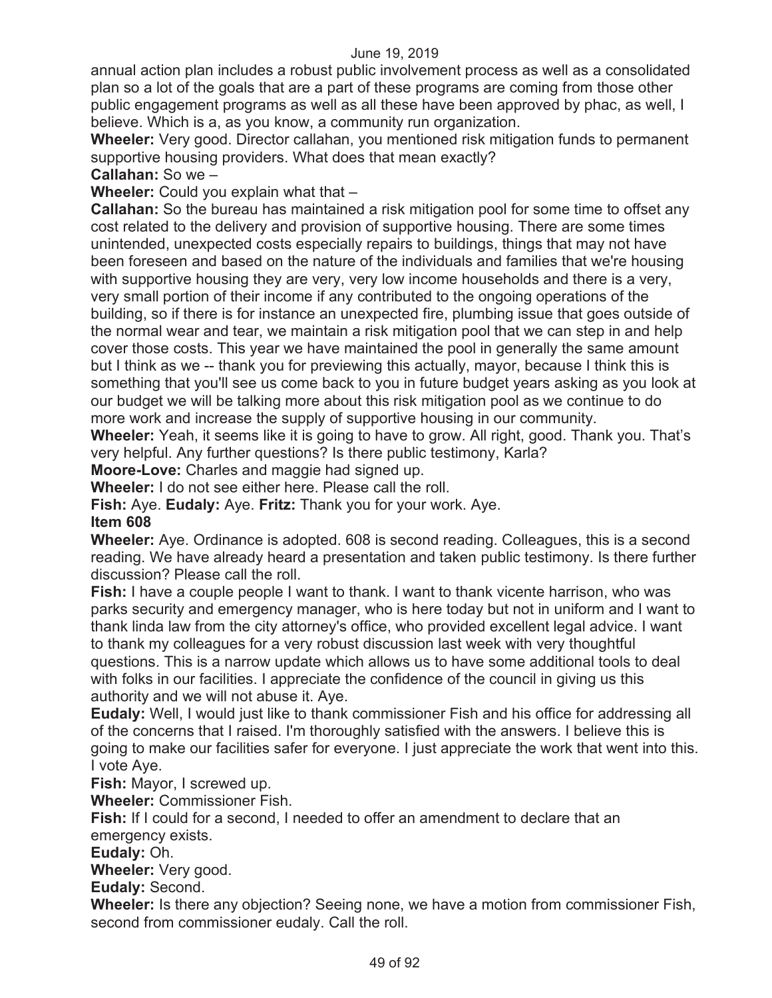annual action plan includes a robust public involvement process as well as a consolidated plan so a lot of the goals that are a part of these programs are coming from those other public engagement programs as well as all these have been approved by phac, as well, I believe. Which is a, as you know, a community run organization.

**Wheeler:** Very good. Director callahan, you mentioned risk mitigation funds to permanent supportive housing providers. What does that mean exactly?

**Callahan:** So we –

**Wheeler:** Could you explain what that –

**Callahan:** So the bureau has maintained a risk mitigation pool for some time to offset any cost related to the delivery and provision of supportive housing. There are some times unintended, unexpected costs especially repairs to buildings, things that may not have been foreseen and based on the nature of the individuals and families that we're housing with supportive housing they are very, very low income households and there is a very, very small portion of their income if any contributed to the ongoing operations of the building, so if there is for instance an unexpected fire, plumbing issue that goes outside of the normal wear and tear, we maintain a risk mitigation pool that we can step in and help cover those costs. This year we have maintained the pool in generally the same amount but I think as we -- thank you for previewing this actually, mayor, because I think this is something that you'll see us come back to you in future budget years asking as you look at our budget we will be talking more about this risk mitigation pool as we continue to do more work and increase the supply of supportive housing in our community.

**Wheeler:** Yeah, it seems like it is going to have to grow. All right, good. Thank you. That's very helpful. Any further questions? Is there public testimony, Karla?

**Moore-Love:** Charles and maggie had signed up.

**Wheeler:** I do not see either here. Please call the roll.

**Fish:** Aye. **Eudaly:** Aye. **Fritz:** Thank you for your work. Aye.

### **Item 608**

**Wheeler:** Aye. Ordinance is adopted. 608 is second reading. Colleagues, this is a second reading. We have already heard a presentation and taken public testimony. Is there further discussion? Please call the roll.

**Fish:** I have a couple people I want to thank. I want to thank vicente harrison, who was parks security and emergency manager, who is here today but not in uniform and I want to thank linda law from the city attorney's office, who provided excellent legal advice. I want to thank my colleagues for a very robust discussion last week with very thoughtful questions. This is a narrow update which allows us to have some additional tools to deal with folks in our facilities. I appreciate the confidence of the council in giving us this authority and we will not abuse it. Aye.

**Eudaly:** Well, I would just like to thank commissioner Fish and his office for addressing all of the concerns that I raised. I'm thoroughly satisfied with the answers. I believe this is going to make our facilities safer for everyone. I just appreciate the work that went into this. I vote Aye.

**Fish:** Mayor, I screwed up.

**Wheeler:** Commissioner Fish.

**Fish:** If I could for a second, I needed to offer an amendment to declare that an emergency exists.

**Eudaly:** Oh.

**Wheeler:** Very good.

**Eudaly:** Second.

**Wheeler:** Is there any objection? Seeing none, we have a motion from commissioner Fish, second from commissioner eudaly. Call the roll.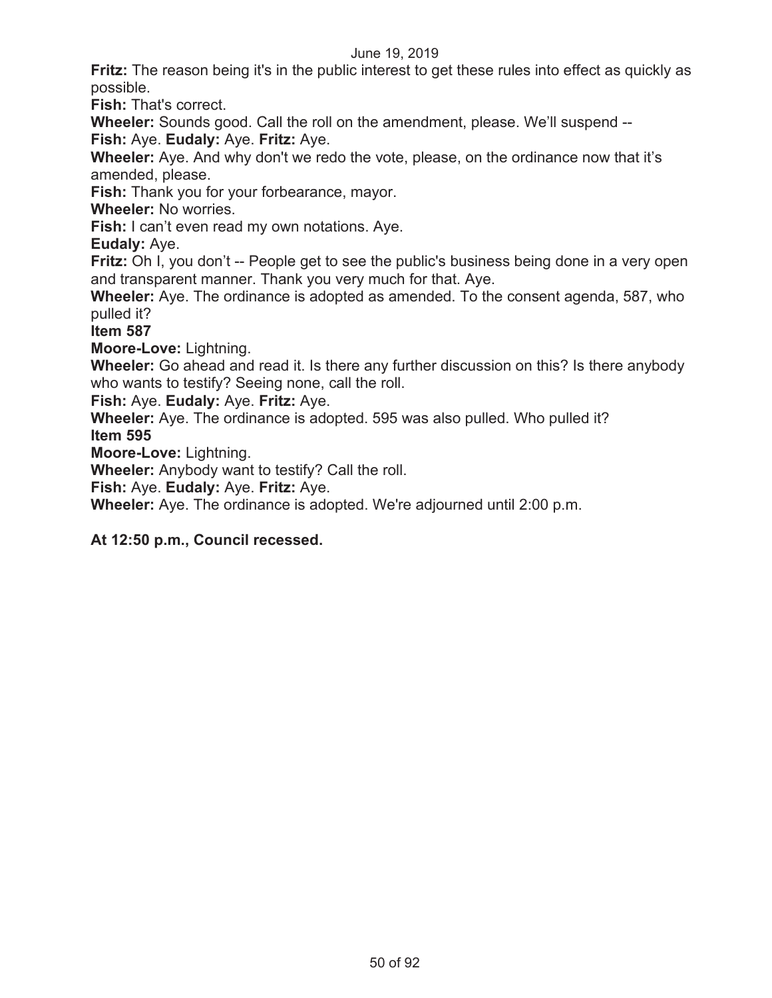**Fritz:** The reason being it's in the public interest to get these rules into effect as quickly as possible.

**Fish:** That's correct.

**Wheeler:** Sounds good. Call the roll on the amendment, please. We'll suspend -- **Fish:** Aye. **Eudaly:** Aye. **Fritz:** Aye.

**Wheeler:** Aye. And why don't we redo the vote, please, on the ordinance now that it's amended, please.

**Fish:** Thank you for your forbearance, mayor.

**Wheeler:** No worries.

**Fish:** I can't even read my own notations. Aye.

**Eudaly:** Aye.

**Fritz:** Oh I, you don't -- People get to see the public's business being done in a very open and transparent manner. Thank you very much for that. Aye.

**Wheeler:** Aye. The ordinance is adopted as amended. To the consent agenda, 587, who pulled it?

**Item 587**

**Moore-Love:** Lightning.

**Wheeler:** Go ahead and read it. Is there any further discussion on this? Is there anybody who wants to testify? Seeing none, call the roll.

**Fish:** Aye. **Eudaly:** Aye. **Fritz:** Aye.

**Wheeler:** Aye. The ordinance is adopted. 595 was also pulled. Who pulled it? **Item 595** 

**Moore-Love:** Lightning.

**Wheeler:** Anybody want to testify? Call the roll.

**Fish:** Aye. **Eudaly:** Aye. **Fritz:** Aye.

**Wheeler:** Aye. The ordinance is adopted. We're adjourned until 2:00 p.m.

**At 12:50 p.m., Council recessed.**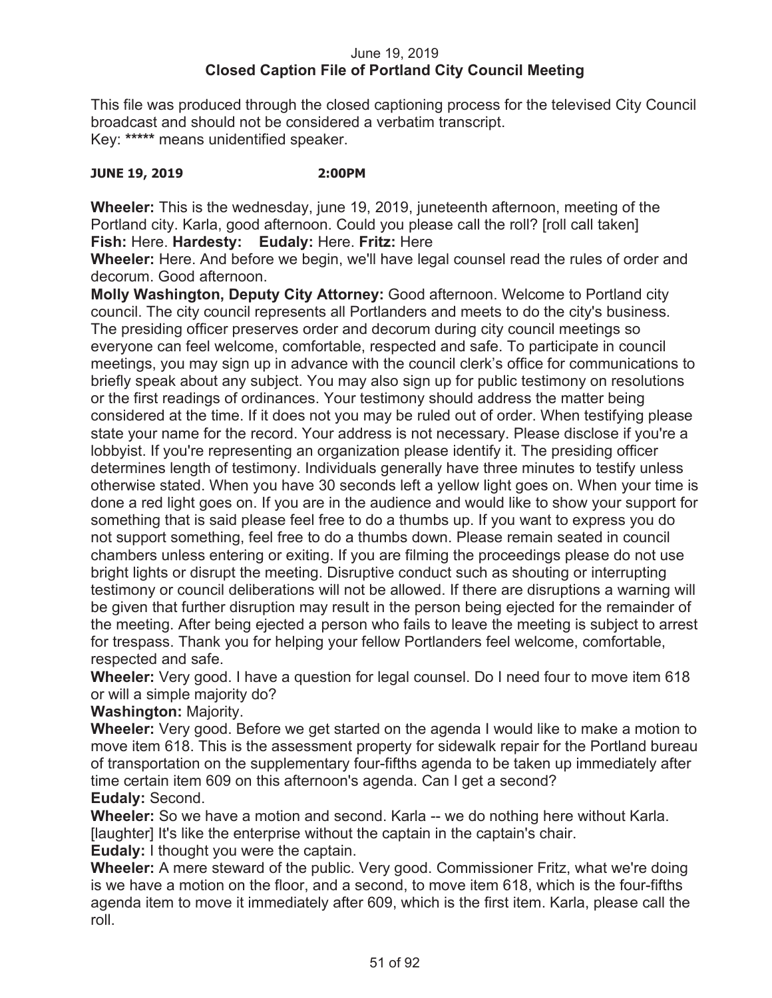### June 19, 2019 **Closed Caption File of Portland City Council Meeting**

This file was produced through the closed captioning process for the televised City Council broadcast and should not be considered a verbatim transcript. Key: **\*\*\*\*\*** means unidentified speaker.

### **JUNE 19, 2019 2:00PM**

**Wheeler:** This is the wednesday, june 19, 2019, juneteenth afternoon, meeting of the Portland city. Karla, good afternoon. Could you please call the roll? [roll call taken] **Fish:** Here. **Hardesty: Eudaly:** Here. **Fritz:** Here

**Wheeler:** Here. And before we begin, we'll have legal counsel read the rules of order and decorum. Good afternoon.

**Molly Washington, Deputy City Attorney:** Good afternoon. Welcome to Portland city council. The city council represents all Portlanders and meets to do the city's business. The presiding officer preserves order and decorum during city council meetings so everyone can feel welcome, comfortable, respected and safe. To participate in council meetings, you may sign up in advance with the council clerk's office for communications to briefly speak about any subject. You may also sign up for public testimony on resolutions or the first readings of ordinances. Your testimony should address the matter being considered at the time. If it does not you may be ruled out of order. When testifying please state your name for the record. Your address is not necessary. Please disclose if you're a lobbyist. If you're representing an organization please identify it. The presiding officer determines length of testimony. Individuals generally have three minutes to testify unless otherwise stated. When you have 30 seconds left a yellow light goes on. When your time is done a red light goes on. If you are in the audience and would like to show your support for something that is said please feel free to do a thumbs up. If you want to express you do not support something, feel free to do a thumbs down. Please remain seated in council chambers unless entering or exiting. If you are filming the proceedings please do not use bright lights or disrupt the meeting. Disruptive conduct such as shouting or interrupting testimony or council deliberations will not be allowed. If there are disruptions a warning will be given that further disruption may result in the person being ejected for the remainder of the meeting. After being ejected a person who fails to leave the meeting is subject to arrest for trespass. Thank you for helping your fellow Portlanders feel welcome, comfortable, respected and safe.

**Wheeler:** Very good. I have a question for legal counsel. Do I need four to move item 618 or will a simple majority do?

**Washington:** Majority.

**Wheeler:** Very good. Before we get started on the agenda I would like to make a motion to move item 618. This is the assessment property for sidewalk repair for the Portland bureau of transportation on the supplementary four-fifths agenda to be taken up immediately after time certain item 609 on this afternoon's agenda. Can I get a second? **Eudaly:** Second.

**Wheeler:** So we have a motion and second. Karla -- we do nothing here without Karla. [laughter] It's like the enterprise without the captain in the captain's chair.

**Eudaly:** I thought you were the captain.

**Wheeler:** A mere steward of the public. Very good. Commissioner Fritz, what we're doing is we have a motion on the floor, and a second, to move item 618, which is the four-fifths agenda item to move it immediately after 609, which is the first item. Karla, please call the roll.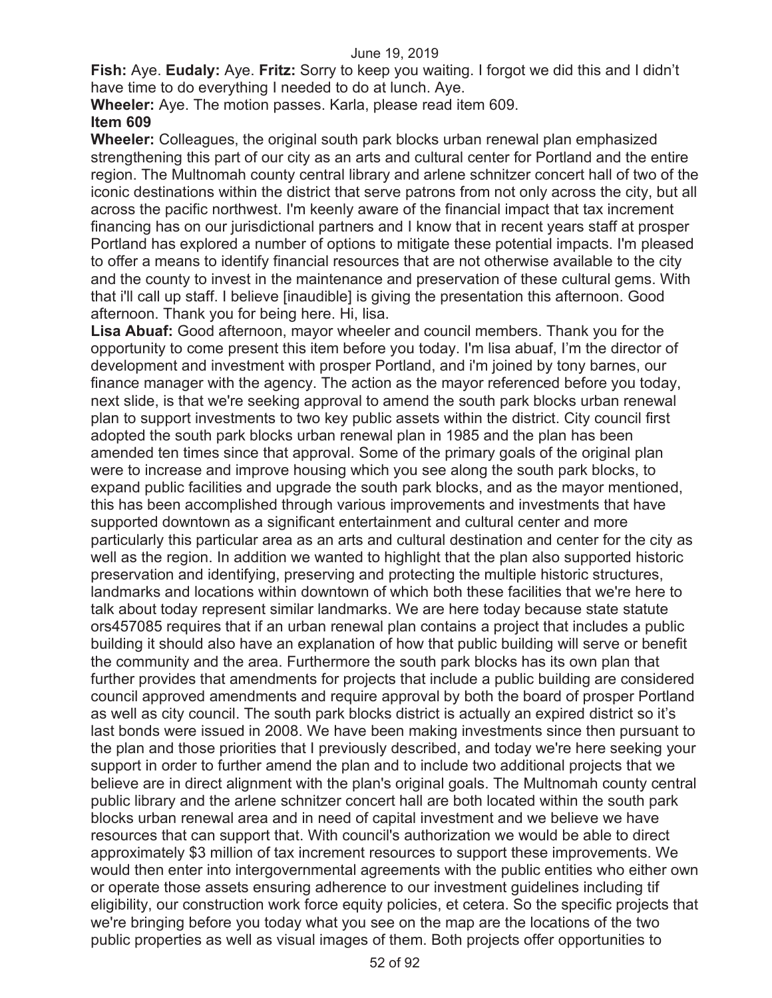**Fish:** Aye. **Eudaly:** Aye. **Fritz:** Sorry to keep you waiting. I forgot we did this and I didn't have time to do everything I needed to do at lunch. Aye.

**Wheeler:** Aye. The motion passes. Karla, please read item 609. **Item 609** 

**Wheeler:** Colleagues, the original south park blocks urban renewal plan emphasized strengthening this part of our city as an arts and cultural center for Portland and the entire region. The Multnomah county central library and arlene schnitzer concert hall of two of the iconic destinations within the district that serve patrons from not only across the city, but all across the pacific northwest. I'm keenly aware of the financial impact that tax increment financing has on our jurisdictional partners and I know that in recent years staff at prosper Portland has explored a number of options to mitigate these potential impacts. I'm pleased to offer a means to identify financial resources that are not otherwise available to the city and the county to invest in the maintenance and preservation of these cultural gems. With that i'll call up staff. I believe [inaudible] is giving the presentation this afternoon. Good afternoon. Thank you for being here. Hi, lisa.

**Lisa Abuaf:** Good afternoon, mayor wheeler and council members. Thank you for the opportunity to come present this item before you today. I'm lisa abuaf, I'm the director of development and investment with prosper Portland, and i'm joined by tony barnes, our finance manager with the agency. The action as the mayor referenced before you today, next slide, is that we're seeking approval to amend the south park blocks urban renewal plan to support investments to two key public assets within the district. City council first adopted the south park blocks urban renewal plan in 1985 and the plan has been amended ten times since that approval. Some of the primary goals of the original plan were to increase and improve housing which you see along the south park blocks, to expand public facilities and upgrade the south park blocks, and as the mayor mentioned, this has been accomplished through various improvements and investments that have supported downtown as a significant entertainment and cultural center and more particularly this particular area as an arts and cultural destination and center for the city as well as the region. In addition we wanted to highlight that the plan also supported historic preservation and identifying, preserving and protecting the multiple historic structures, landmarks and locations within downtown of which both these facilities that we're here to talk about today represent similar landmarks. We are here today because state statute ors457085 requires that if an urban renewal plan contains a project that includes a public building it should also have an explanation of how that public building will serve or benefit the community and the area. Furthermore the south park blocks has its own plan that further provides that amendments for projects that include a public building are considered council approved amendments and require approval by both the board of prosper Portland as well as city council. The south park blocks district is actually an expired district so it's last bonds were issued in 2008. We have been making investments since then pursuant to the plan and those priorities that I previously described, and today we're here seeking your support in order to further amend the plan and to include two additional projects that we believe are in direct alignment with the plan's original goals. The Multnomah county central public library and the arlene schnitzer concert hall are both located within the south park blocks urban renewal area and in need of capital investment and we believe we have resources that can support that. With council's authorization we would be able to direct approximately \$3 million of tax increment resources to support these improvements. We would then enter into intergovernmental agreements with the public entities who either own or operate those assets ensuring adherence to our investment guidelines including tif eligibility, our construction work force equity policies, et cetera. So the specific projects that we're bringing before you today what you see on the map are the locations of the two public properties as well as visual images of them. Both projects offer opportunities to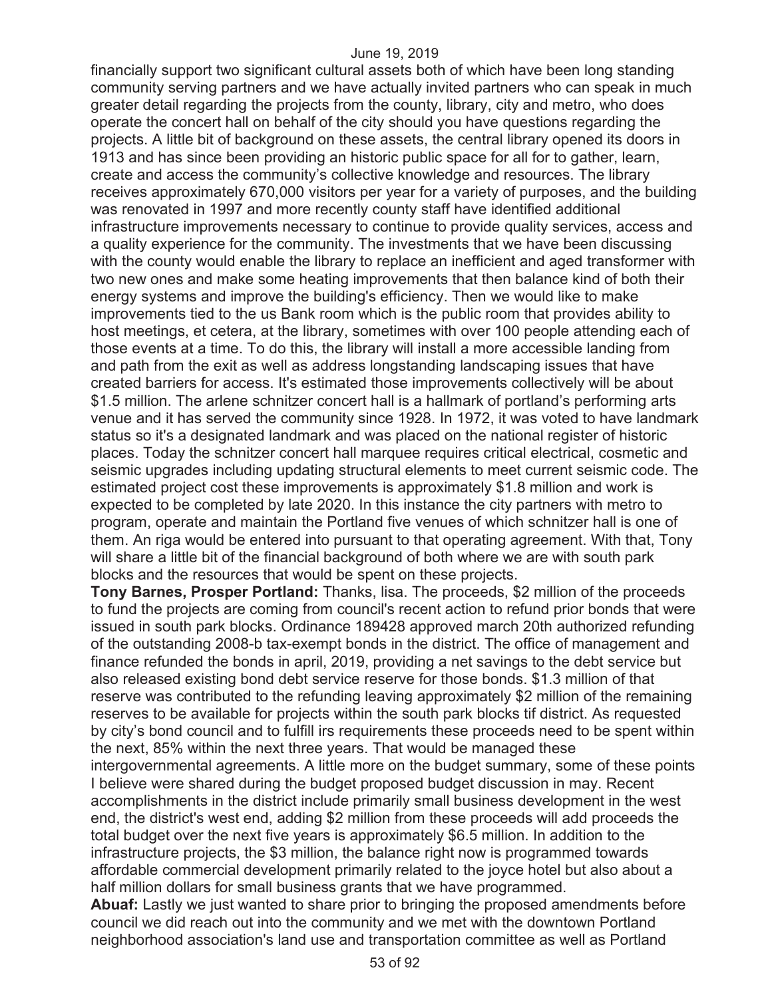financially support two significant cultural assets both of which have been long standing community serving partners and we have actually invited partners who can speak in much greater detail regarding the projects from the county, library, city and metro, who does operate the concert hall on behalf of the city should you have questions regarding the projects. A little bit of background on these assets, the central library opened its doors in 1913 and has since been providing an historic public space for all for to gather, learn, create and access the community's collective knowledge and resources. The library receives approximately 670,000 visitors per year for a variety of purposes, and the building was renovated in 1997 and more recently county staff have identified additional infrastructure improvements necessary to continue to provide quality services, access and a quality experience for the community. The investments that we have been discussing with the county would enable the library to replace an inefficient and aged transformer with two new ones and make some heating improvements that then balance kind of both their energy systems and improve the building's efficiency. Then we would like to make improvements tied to the us Bank room which is the public room that provides ability to host meetings, et cetera, at the library, sometimes with over 100 people attending each of those events at a time. To do this, the library will install a more accessible landing from and path from the exit as well as address longstanding landscaping issues that have created barriers for access. It's estimated those improvements collectively will be about \$1.5 million. The arlene schnitzer concert hall is a hallmark of portland's performing arts venue and it has served the community since 1928. In 1972, it was voted to have landmark status so it's a designated landmark and was placed on the national register of historic places. Today the schnitzer concert hall marquee requires critical electrical, cosmetic and seismic upgrades including updating structural elements to meet current seismic code. The estimated project cost these improvements is approximately \$1.8 million and work is expected to be completed by late 2020. In this instance the city partners with metro to program, operate and maintain the Portland five venues of which schnitzer hall is one of them. An riga would be entered into pursuant to that operating agreement. With that, Tony will share a little bit of the financial background of both where we are with south park blocks and the resources that would be spent on these projects.

**Tony Barnes, Prosper Portland:** Thanks, lisa. The proceeds, \$2 million of the proceeds to fund the projects are coming from council's recent action to refund prior bonds that were issued in south park blocks. Ordinance 189428 approved march 20th authorized refunding of the outstanding 2008-b tax-exempt bonds in the district. The office of management and finance refunded the bonds in april, 2019, providing a net savings to the debt service but also released existing bond debt service reserve for those bonds. \$1.3 million of that reserve was contributed to the refunding leaving approximately \$2 million of the remaining reserves to be available for projects within the south park blocks tif district. As requested by city's bond council and to fulfill irs requirements these proceeds need to be spent within the next, 85% within the next three years. That would be managed these

intergovernmental agreements. A little more on the budget summary, some of these points I believe were shared during the budget proposed budget discussion in may. Recent accomplishments in the district include primarily small business development in the west end, the district's west end, adding \$2 million from these proceeds will add proceeds the total budget over the next five years is approximately \$6.5 million. In addition to the infrastructure projects, the \$3 million, the balance right now is programmed towards affordable commercial development primarily related to the joyce hotel but also about a half million dollars for small business grants that we have programmed.

**Abuaf:** Lastly we just wanted to share prior to bringing the proposed amendments before council we did reach out into the community and we met with the downtown Portland neighborhood association's land use and transportation committee as well as Portland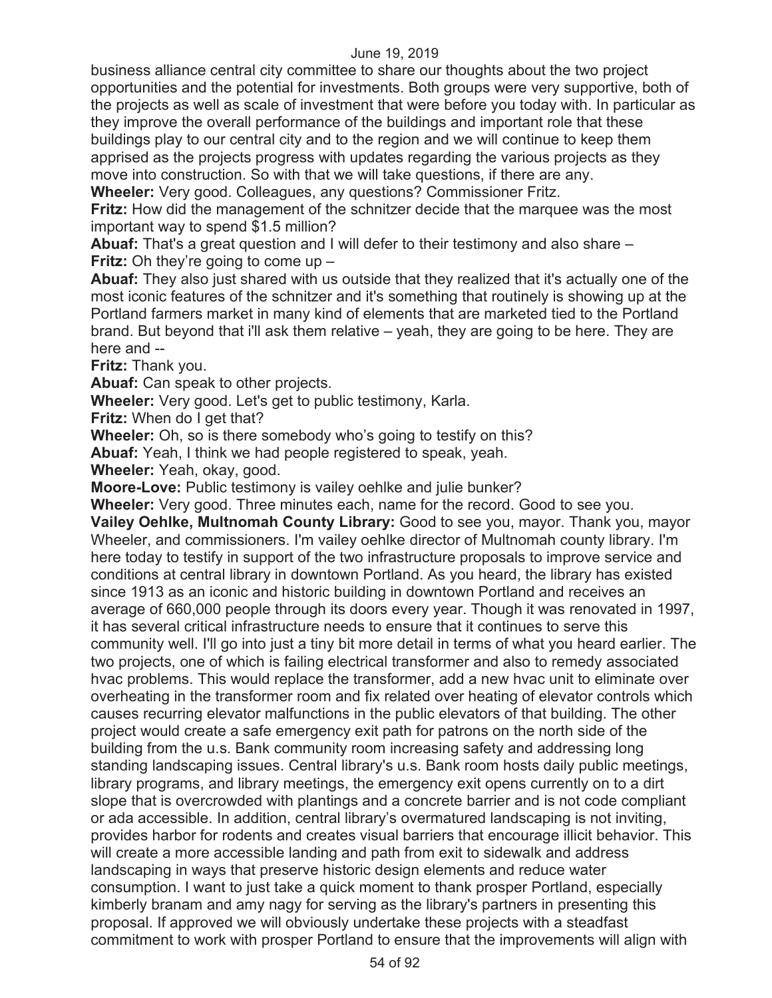business alliance central city committee to share our thoughts about the two project opportunities and the potential for investments. Both groups were very supportive, both of the projects as well as scale of investment that were before you today with. In particular as they improve the overall performance of the buildings and important role that these buildings play to our central city and to the region and we will continue to keep them apprised as the projects progress with updates regarding the various projects as they move into construction. So with that we will take questions, if there are any.

**Wheeler:** Very good. Colleagues, any questions? Commissioner Fritz.

**Fritz:** How did the management of the schnitzer decide that the marquee was the most important way to spend \$1.5 million?

**Abuaf:** That's a great question and I will defer to their testimony and also share – **Fritz:** Oh they're going to come up –

**Abuaf:** They also just shared with us outside that they realized that it's actually one of the most iconic features of the schnitzer and it's something that routinely is showing up at the Portland farmers market in many kind of elements that are marketed tied to the Portland brand. But beyond that i'll ask them relative – yeah, they are going to be here. They are here and --

**Fritz:** Thank you.

**Abuaf:** Can speak to other projects.

**Wheeler:** Very good. Let's get to public testimony, Karla.

**Fritz:** When do I get that?

**Wheeler:** Oh, so is there somebody who's going to testify on this?

**Abuaf:** Yeah, I think we had people registered to speak, yeah.

**Wheeler:** Yeah, okay, good.

**Moore-Love:** Public testimony is vailey oehlke and julie bunker?

**Wheeler:** Very good. Three minutes each, name for the record. Good to see you. **Vailey Oehlke, Multnomah County Library:** Good to see you, mayor. Thank you, mayor Wheeler, and commissioners. I'm vailey oehlke director of Multnomah county library. I'm here today to testify in support of the two infrastructure proposals to improve service and conditions at central library in downtown Portland. As you heard, the library has existed since 1913 as an iconic and historic building in downtown Portland and receives an average of 660,000 people through its doors every year. Though it was renovated in 1997, it has several critical infrastructure needs to ensure that it continues to serve this community well. I'll go into just a tiny bit more detail in terms of what you heard earlier. The two projects, one of which is failing electrical transformer and also to remedy associated hvac problems. This would replace the transformer, add a new hvac unit to eliminate over overheating in the transformer room and fix related over heating of elevator controls which causes recurring elevator malfunctions in the public elevators of that building. The other project would create a safe emergency exit path for patrons on the north side of the building from the u.s. Bank community room increasing safety and addressing long standing landscaping issues. Central library's u.s. Bank room hosts daily public meetings, library programs, and library meetings, the emergency exit opens currently on to a dirt slope that is overcrowded with plantings and a concrete barrier and is not code compliant or ada accessible. In addition, central library's overmatured landscaping is not inviting, provides harbor for rodents and creates visual barriers that encourage illicit behavior. This will create a more accessible landing and path from exit to sidewalk and address landscaping in ways that preserve historic design elements and reduce water consumption. I want to just take a quick moment to thank prosper Portland, especially kimberly branam and amy nagy for serving as the library's partners in presenting this proposal. If approved we will obviously undertake these projects with a steadfast commitment to work with prosper Portland to ensure that the improvements will align with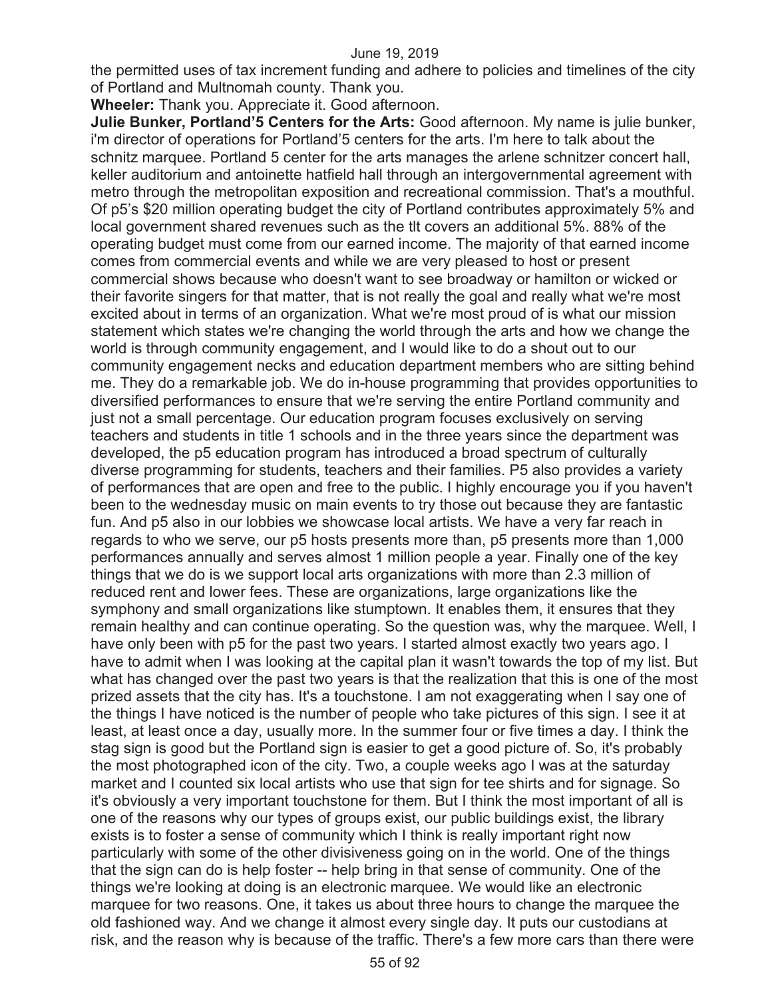the permitted uses of tax increment funding and adhere to policies and timelines of the city of Portland and Multnomah county. Thank you.

**Wheeler:** Thank you. Appreciate it. Good afternoon.

**Julie Bunker, Portland'5 Centers for the Arts:** Good afternoon. My name is julie bunker, i'm director of operations for Portland'5 centers for the arts. I'm here to talk about the schnitz marquee. Portland 5 center for the arts manages the arlene schnitzer concert hall, keller auditorium and antoinette hatfield hall through an intergovernmental agreement with metro through the metropolitan exposition and recreational commission. That's a mouthful. Of p5's \$20 million operating budget the city of Portland contributes approximately 5% and local government shared revenues such as the tlt covers an additional 5%. 88% of the operating budget must come from our earned income. The majority of that earned income comes from commercial events and while we are very pleased to host or present commercial shows because who doesn't want to see broadway or hamilton or wicked or their favorite singers for that matter, that is not really the goal and really what we're most excited about in terms of an organization. What we're most proud of is what our mission statement which states we're changing the world through the arts and how we change the world is through community engagement, and I would like to do a shout out to our community engagement necks and education department members who are sitting behind me. They do a remarkable job. We do in-house programming that provides opportunities to diversified performances to ensure that we're serving the entire Portland community and just not a small percentage. Our education program focuses exclusively on serving teachers and students in title 1 schools and in the three years since the department was developed, the p5 education program has introduced a broad spectrum of culturally diverse programming for students, teachers and their families. P5 also provides a variety of performances that are open and free to the public. I highly encourage you if you haven't been to the wednesday music on main events to try those out because they are fantastic fun. And p5 also in our lobbies we showcase local artists. We have a very far reach in regards to who we serve, our p5 hosts presents more than, p5 presents more than 1,000 performances annually and serves almost 1 million people a year. Finally one of the key things that we do is we support local arts organizations with more than 2.3 million of reduced rent and lower fees. These are organizations, large organizations like the symphony and small organizations like stumptown. It enables them, it ensures that they remain healthy and can continue operating. So the question was, why the marquee. Well, I have only been with p5 for the past two years. I started almost exactly two years ago. I have to admit when I was looking at the capital plan it wasn't towards the top of my list. But what has changed over the past two years is that the realization that this is one of the most prized assets that the city has. It's a touchstone. I am not exaggerating when I say one of the things I have noticed is the number of people who take pictures of this sign. I see it at least, at least once a day, usually more. In the summer four or five times a day. I think the stag sign is good but the Portland sign is easier to get a good picture of. So, it's probably the most photographed icon of the city. Two, a couple weeks ago I was at the saturday market and I counted six local artists who use that sign for tee shirts and for signage. So it's obviously a very important touchstone for them. But I think the most important of all is one of the reasons why our types of groups exist, our public buildings exist, the library exists is to foster a sense of community which I think is really important right now particularly with some of the other divisiveness going on in the world. One of the things that the sign can do is help foster -- help bring in that sense of community. One of the things we're looking at doing is an electronic marquee. We would like an electronic marquee for two reasons. One, it takes us about three hours to change the marquee the old fashioned way. And we change it almost every single day. It puts our custodians at risk, and the reason why is because of the traffic. There's a few more cars than there were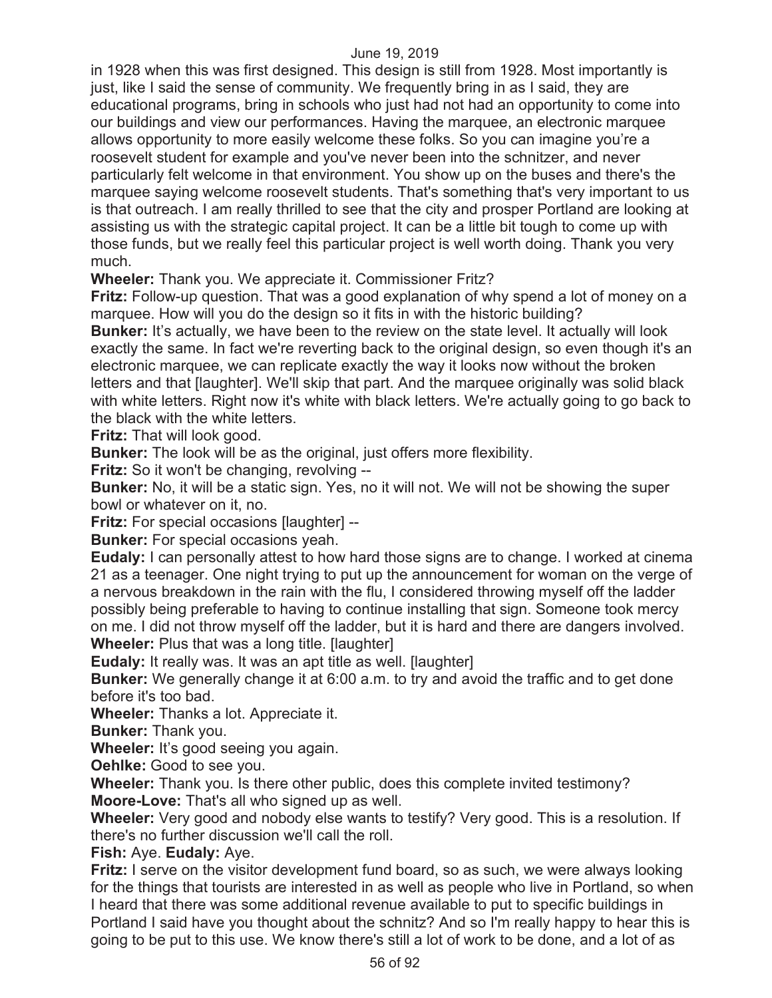in 1928 when this was first designed. This design is still from 1928. Most importantly is just, like I said the sense of community. We frequently bring in as I said, they are educational programs, bring in schools who just had not had an opportunity to come into our buildings and view our performances. Having the marquee, an electronic marquee allows opportunity to more easily welcome these folks. So you can imagine you're a roosevelt student for example and you've never been into the schnitzer, and never particularly felt welcome in that environment. You show up on the buses and there's the marquee saying welcome roosevelt students. That's something that's very important to us is that outreach. I am really thrilled to see that the city and prosper Portland are looking at assisting us with the strategic capital project. It can be a little bit tough to come up with those funds, but we really feel this particular project is well worth doing. Thank you very much.

**Wheeler:** Thank you. We appreciate it. Commissioner Fritz?

**Fritz:** Follow-up question. That was a good explanation of why spend a lot of money on a marquee. How will you do the design so it fits in with the historic building?

**Bunker:** It's actually, we have been to the review on the state level. It actually will look exactly the same. In fact we're reverting back to the original design, so even though it's an electronic marquee, we can replicate exactly the way it looks now without the broken letters and that [laughter]. We'll skip that part. And the marquee originally was solid black with white letters. Right now it's white with black letters. We're actually going to go back to the black with the white letters.

**Fritz:** That will look good.

**Bunker:** The look will be as the original, just offers more flexibility.

**Fritz:** So it won't be changing, revolving --

**Bunker:** No, it will be a static sign. Yes, no it will not. We will not be showing the super bowl or whatever on it, no.

**Fritz:** For special occasions [laughter] --

**Bunker:** For special occasions yeah.

**Eudaly:** I can personally attest to how hard those signs are to change. I worked at cinema 21 as a teenager. One night trying to put up the announcement for woman on the verge of a nervous breakdown in the rain with the flu, I considered throwing myself off the ladder possibly being preferable to having to continue installing that sign. Someone took mercy on me. I did not throw myself off the ladder, but it is hard and there are dangers involved. **Wheeler:** Plus that was a long title. [laughter]

**Eudaly:** It really was. It was an apt title as well. [laughter]

**Bunker:** We generally change it at 6:00 a.m. to try and avoid the traffic and to get done before it's too bad.

**Wheeler:** Thanks a lot. Appreciate it.

**Bunker:** Thank you.

**Wheeler:** It's good seeing you again.

**Oehlke:** Good to see you.

**Wheeler:** Thank you. Is there other public, does this complete invited testimony? **Moore-Love:** That's all who signed up as well.

**Wheeler:** Very good and nobody else wants to testify? Very good. This is a resolution. If there's no further discussion we'll call the roll.

# **Fish:** Aye. **Eudaly:** Aye.

**Fritz:** I serve on the visitor development fund board, so as such, we were always looking for the things that tourists are interested in as well as people who live in Portland, so when I heard that there was some additional revenue available to put to specific buildings in Portland I said have you thought about the schnitz? And so I'm really happy to hear this is going to be put to this use. We know there's still a lot of work to be done, and a lot of as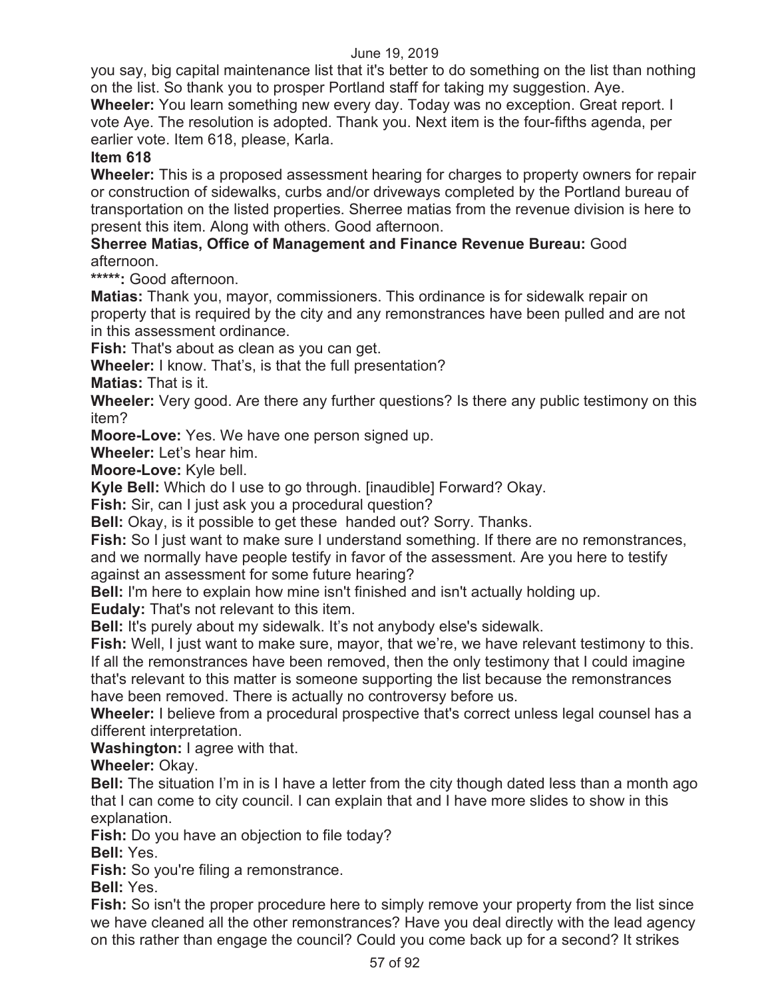you say, big capital maintenance list that it's better to do something on the list than nothing on the list. So thank you to prosper Portland staff for taking my suggestion. Aye.

**Wheeler:** You learn something new every day. Today was no exception. Great report. I vote Aye. The resolution is adopted. Thank you. Next item is the four-fifths agenda, per earlier vote. Item 618, please, Karla.

# **Item 618**

**Wheeler:** This is a proposed assessment hearing for charges to property owners for repair or construction of sidewalks, curbs and/or driveways completed by the Portland bureau of transportation on the listed properties. Sherree matias from the revenue division is here to present this item. Along with others. Good afternoon.

## **Sherree Matias, Office of Management and Finance Revenue Bureau:** Good afternoon.

**\*\*\*\*\*:** Good afternoon.

**Matias:** Thank you, mayor, commissioners. This ordinance is for sidewalk repair on property that is required by the city and any remonstrances have been pulled and are not in this assessment ordinance.

**Fish:** That's about as clean as you can get.

**Wheeler:** I know. That's, is that the full presentation?

**Matias:** That is it.

**Wheeler:** Very good. Are there any further questions? Is there any public testimony on this item?

**Moore-Love:** Yes. We have one person signed up.

**Wheeler:** Let's hear him.

**Moore-Love:** Kyle bell.

**Kyle Bell:** Which do I use to go through. [inaudible] Forward? Okay.

**Fish:** Sir, can I just ask you a procedural question?

**Bell:** Okay, is it possible to get these handed out? Sorry. Thanks.

**Fish:** So I just want to make sure I understand something. If there are no remonstrances, and we normally have people testify in favor of the assessment. Are you here to testify against an assessment for some future hearing?

**Bell:** I'm here to explain how mine isn't finished and isn't actually holding up.

**Eudaly:** That's not relevant to this item.

**Bell:** It's purely about my sidewalk. It's not anybody else's sidewalk.

**Fish:** Well, I just want to make sure, mayor, that we're, we have relevant testimony to this. If all the remonstrances have been removed, then the only testimony that I could imagine that's relevant to this matter is someone supporting the list because the remonstrances

have been removed. There is actually no controversy before us.

**Wheeler:** I believe from a procedural prospective that's correct unless legal counsel has a different interpretation.

**Washington:** I agree with that.

**Wheeler:** Okay.

**Bell:** The situation I'm in is I have a letter from the city though dated less than a month ago that I can come to city council. I can explain that and I have more slides to show in this explanation.

**Fish:** Do you have an objection to file today?

**Bell:** Yes.

**Fish:** So you're filing a remonstrance.

**Bell:** Yes.

**Fish:** So isn't the proper procedure here to simply remove your property from the list since we have cleaned all the other remonstrances? Have you deal directly with the lead agency on this rather than engage the council? Could you come back up for a second? It strikes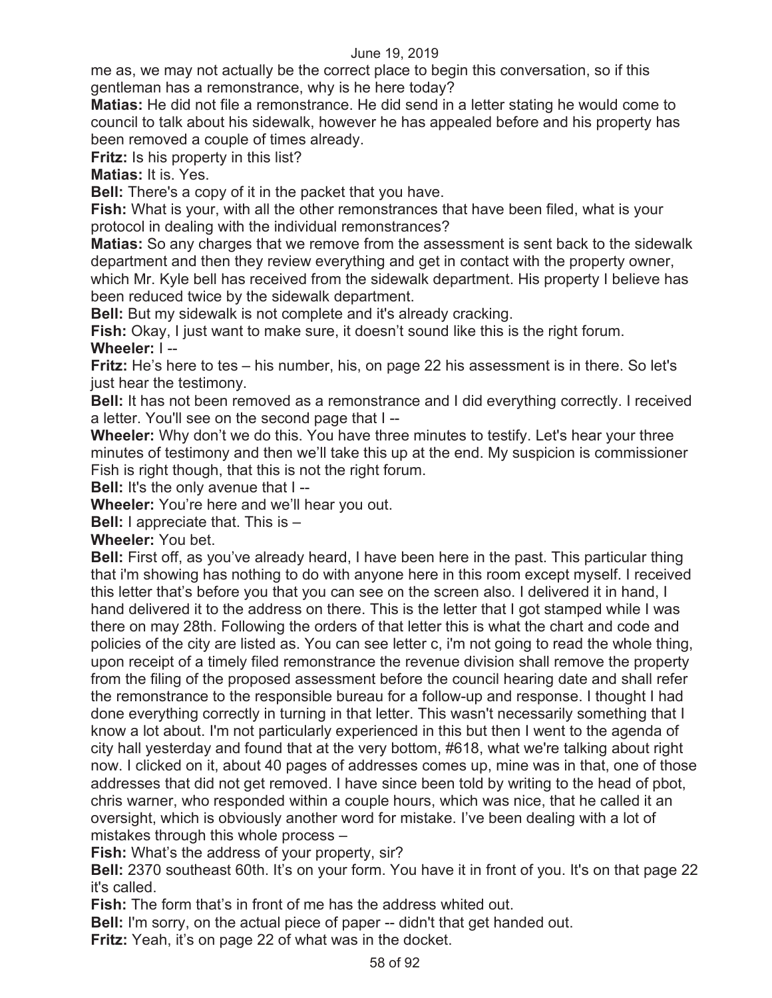me as, we may not actually be the correct place to begin this conversation, so if this gentleman has a remonstrance, why is he here today?

**Matias:** He did not file a remonstrance. He did send in a letter stating he would come to council to talk about his sidewalk, however he has appealed before and his property has been removed a couple of times already.

**Fritz:** Is his property in this list?

**Matias:** It is. Yes.

**Bell:** There's a copy of it in the packet that you have.

**Fish:** What is your, with all the other remonstrances that have been filed, what is your protocol in dealing with the individual remonstrances?

**Matias:** So any charges that we remove from the assessment is sent back to the sidewalk department and then they review everything and get in contact with the property owner,

which Mr. Kyle bell has received from the sidewalk department. His property I believe has been reduced twice by the sidewalk department.

**Bell:** But my sidewalk is not complete and it's already cracking.

**Fish:** Okay, I just want to make sure, it doesn't sound like this is the right forum. **Wheeler:** I --

**Fritz:** He's here to tes – his number, his, on page 22 his assessment is in there. So let's just hear the testimony.

**Bell:** It has not been removed as a remonstrance and I did everything correctly. I received a letter. You'll see on the second page that I --

**Wheeler:** Why don't we do this. You have three minutes to testify. Let's hear your three minutes of testimony and then we'll take this up at the end. My suspicion is commissioner Fish is right though, that this is not the right forum.

**Bell:** It's the only avenue that I --

**Wheeler:** You're here and we'll hear you out.

**Bell:** I appreciate that. This is –

**Wheeler:** You bet.

**Bell:** First off, as you've already heard, I have been here in the past. This particular thing that i'm showing has nothing to do with anyone here in this room except myself. I received this letter that's before you that you can see on the screen also. I delivered it in hand, I hand delivered it to the address on there. This is the letter that I got stamped while I was there on may 28th. Following the orders of that letter this is what the chart and code and policies of the city are listed as. You can see letter c, i'm not going to read the whole thing, upon receipt of a timely filed remonstrance the revenue division shall remove the property from the filing of the proposed assessment before the council hearing date and shall refer the remonstrance to the responsible bureau for a follow-up and response. I thought I had done everything correctly in turning in that letter. This wasn't necessarily something that I know a lot about. I'm not particularly experienced in this but then I went to the agenda of city hall yesterday and found that at the very bottom, #618, what we're talking about right now. I clicked on it, about 40 pages of addresses comes up, mine was in that, one of those addresses that did not get removed. I have since been told by writing to the head of pbot, chris warner, who responded within a couple hours, which was nice, that he called it an oversight, which is obviously another word for mistake. I've been dealing with a lot of mistakes through this whole process –

**Fish:** What's the address of your property, sir?

**Bell:** 2370 southeast 60th. It's on your form. You have it in front of you. It's on that page 22 it's called.

**Fish:** The form that's in front of me has the address whited out.

**Bell:** I'm sorry, on the actual piece of paper -- didn't that get handed out.

**Fritz:** Yeah, it's on page 22 of what was in the docket.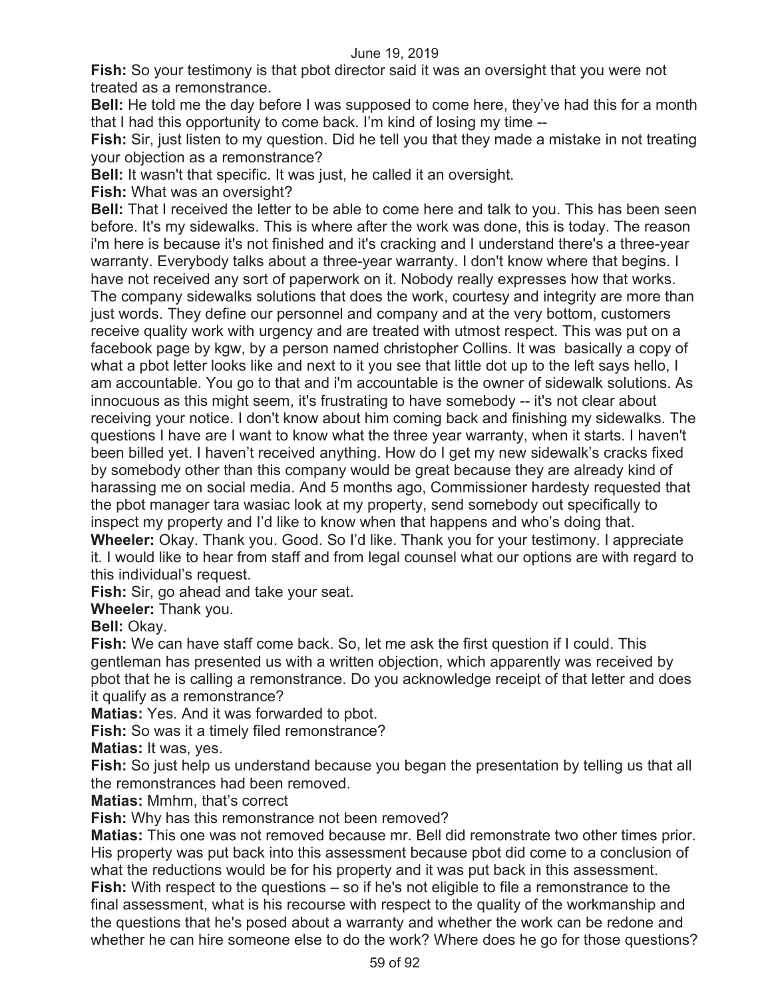**Fish:** So your testimony is that pbot director said it was an oversight that you were not treated as a remonstrance.

**Bell:** He told me the day before I was supposed to come here, they've had this for a month that I had this opportunity to come back. I'm kind of losing my time --

**Fish:** Sir, just listen to my question. Did he tell you that they made a mistake in not treating your objection as a remonstrance?

**Bell:** It wasn't that specific. It was just, he called it an oversight.

**Fish:** What was an oversight?

**Bell:** That I received the letter to be able to come here and talk to you. This has been seen before. It's my sidewalks. This is where after the work was done, this is today. The reason i'm here is because it's not finished and it's cracking and I understand there's a three-year warranty. Everybody talks about a three-year warranty. I don't know where that begins. I have not received any sort of paperwork on it. Nobody really expresses how that works. The company sidewalks solutions that does the work, courtesy and integrity are more than just words. They define our personnel and company and at the very bottom, customers receive quality work with urgency and are treated with utmost respect. This was put on a facebook page by kgw, by a person named christopher Collins. It was basically a copy of what a pbot letter looks like and next to it you see that little dot up to the left says hello, I am accountable. You go to that and i'm accountable is the owner of sidewalk solutions. As innocuous as this might seem, it's frustrating to have somebody -- it's not clear about receiving your notice. I don't know about him coming back and finishing my sidewalks. The questions I have are I want to know what the three year warranty, when it starts. I haven't been billed yet. I haven't received anything. How do I get my new sidewalk's cracks fixed by somebody other than this company would be great because they are already kind of harassing me on social media. And 5 months ago, Commissioner hardesty requested that the pbot manager tara wasiac look at my property, send somebody out specifically to inspect my property and I'd like to know when that happens and who's doing that. **Wheeler:** Okay. Thank you. Good. So I'd like. Thank you for your testimony. I appreciate

it. I would like to hear from staff and from legal counsel what our options are with regard to this individual's request.

**Fish:** Sir, go ahead and take your seat.

**Wheeler:** Thank you.

**Bell:** Okay.

**Fish:** We can have staff come back. So, let me ask the first question if I could. This gentleman has presented us with a written objection, which apparently was received by pbot that he is calling a remonstrance. Do you acknowledge receipt of that letter and does it qualify as a remonstrance?

**Matias:** Yes. And it was forwarded to pbot.

**Fish:** So was it a timely filed remonstrance?

**Matias:** It was, yes.

**Fish:** So just help us understand because you began the presentation by telling us that all the remonstrances had been removed.

**Matias:** Mmhm, that's correct

**Fish:** Why has this remonstrance not been removed?

**Matias:** This one was not removed because mr. Bell did remonstrate two other times prior. His property was put back into this assessment because pbot did come to a conclusion of what the reductions would be for his property and it was put back in this assessment. **Fish:** With respect to the questions – so if he's not eligible to file a remonstrance to the final assessment, what is his recourse with respect to the quality of the workmanship and the questions that he's posed about a warranty and whether the work can be redone and whether he can hire someone else to do the work? Where does he go for those questions?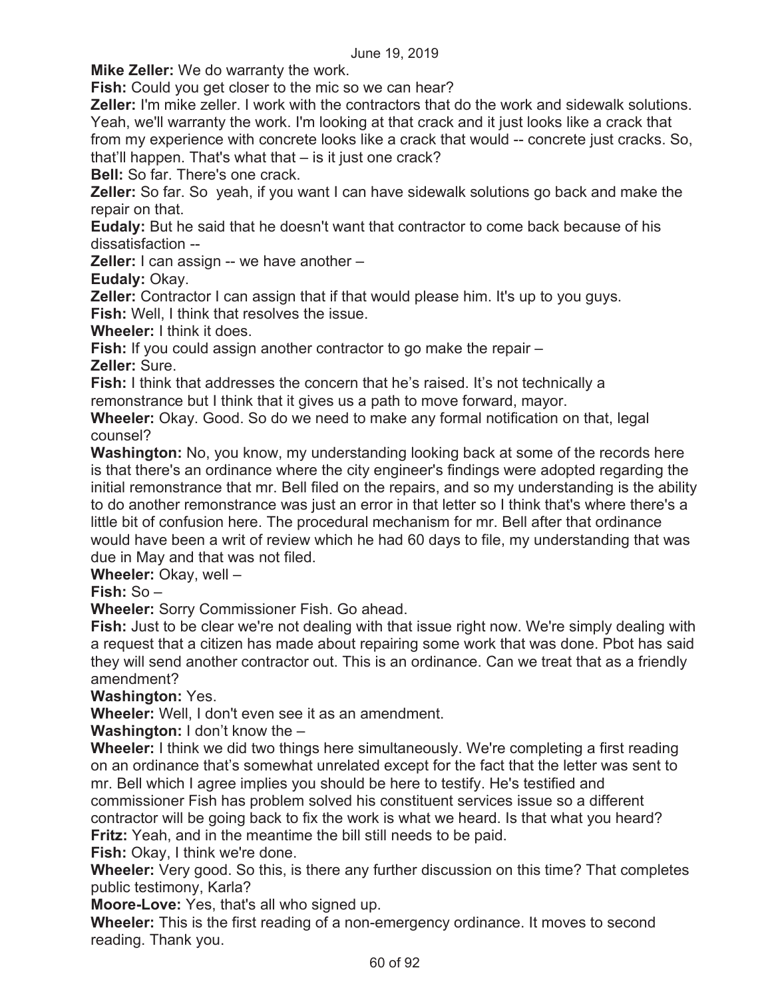**Mike Zeller:** We do warranty the work.

**Fish:** Could you get closer to the mic so we can hear?

**Zeller:** I'm mike zeller. I work with the contractors that do the work and sidewalk solutions. Yeah, we'll warranty the work. I'm looking at that crack and it just looks like a crack that from my experience with concrete looks like a crack that would -- concrete just cracks. So, that'll happen. That's what that – is it just one crack?

**Bell:** So far. There's one crack.

**Zeller:** So far. So yeah, if you want I can have sidewalk solutions go back and make the repair on that.

**Eudaly:** But he said that he doesn't want that contractor to come back because of his dissatisfaction --

**Zeller:** I can assign -- we have another –

**Eudaly:** Okay.

**Zeller:** Contractor I can assign that if that would please him. It's up to you guys. **Fish:** Well, I think that resolves the issue.

**Wheeler:** I think it does.

**Fish:** If you could assign another contractor to go make the repair –

**Zeller:** Sure.

**Fish:** I think that addresses the concern that he's raised. It's not technically a remonstrance but I think that it gives us a path to move forward, mayor.

**Wheeler:** Okay. Good. So do we need to make any formal notification on that, legal counsel?

**Washington:** No, you know, my understanding looking back at some of the records here is that there's an ordinance where the city engineer's findings were adopted regarding the initial remonstrance that mr. Bell filed on the repairs, and so my understanding is the ability to do another remonstrance was just an error in that letter so I think that's where there's a little bit of confusion here. The procedural mechanism for mr. Bell after that ordinance would have been a writ of review which he had 60 days to file, my understanding that was due in May and that was not filed.

**Wheeler:** Okay, well –

**Fish:** So –

**Wheeler:** Sorry Commissioner Fish. Go ahead.

**Fish:** Just to be clear we're not dealing with that issue right now. We're simply dealing with a request that a citizen has made about repairing some work that was done. Pbot has said they will send another contractor out. This is an ordinance. Can we treat that as a friendly amendment?

**Washington:** Yes.

**Wheeler:** Well, I don't even see it as an amendment.

**Washington:** I don't know the –

**Wheeler:** I think we did two things here simultaneously. We're completing a first reading on an ordinance that's somewhat unrelated except for the fact that the letter was sent to mr. Bell which I agree implies you should be here to testify. He's testified and commissioner Fish has problem solved his constituent services issue so a different contractor will be going back to fix the work is what we heard. Is that what you heard? **Fritz:** Yeah, and in the meantime the bill still needs to be paid.

**Fish:** Okay, I think we're done.

**Wheeler:** Very good. So this, is there any further discussion on this time? That completes public testimony, Karla?

**Moore-Love:** Yes, that's all who signed up.

**Wheeler:** This is the first reading of a non-emergency ordinance. It moves to second reading. Thank you.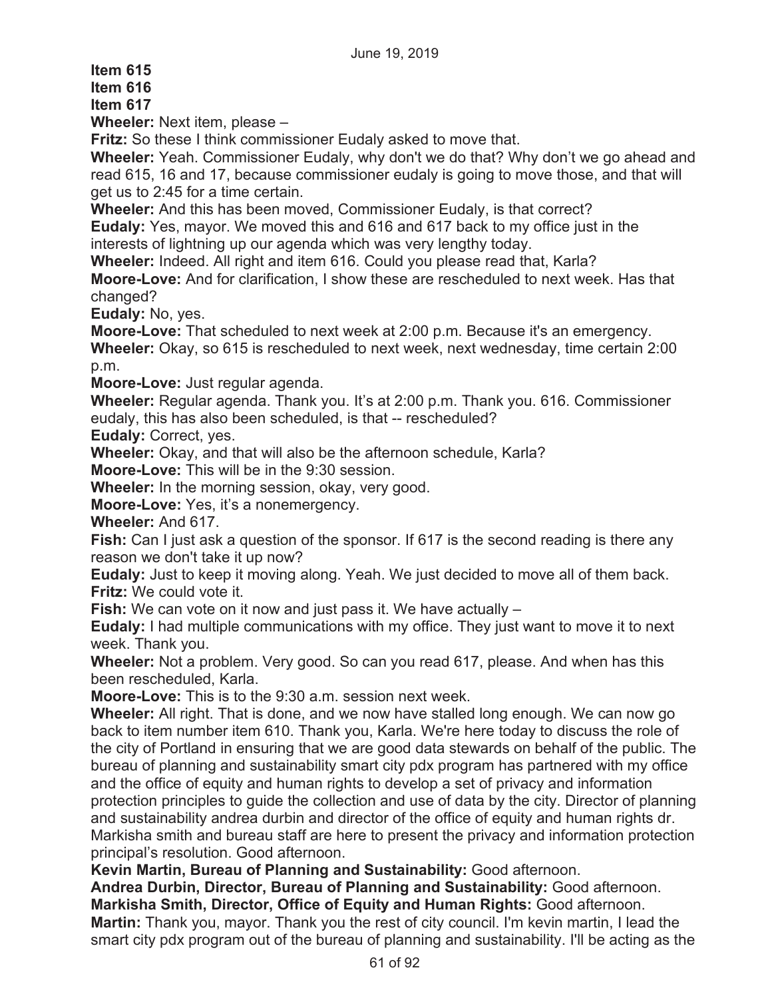**Item 615** 

**Item 616** 

**Item 617** 

**Wheeler:** Next item, please –

**Fritz:** So these I think commissioner Eudaly asked to move that.

**Wheeler:** Yeah. Commissioner Eudaly, why don't we do that? Why don't we go ahead and read 615, 16 and 17, because commissioner eudaly is going to move those, and that will get us to 2:45 for a time certain.

**Wheeler:** And this has been moved, Commissioner Eudaly, is that correct?

**Eudaly:** Yes, mayor. We moved this and 616 and 617 back to my office just in the interests of lightning up our agenda which was very lengthy today.

**Wheeler:** Indeed. All right and item 616. Could you please read that, Karla?

**Moore-Love:** And for clarification, I show these are rescheduled to next week. Has that changed?

**Eudaly:** No, yes.

**Moore-Love:** That scheduled to next week at 2:00 p.m. Because it's an emergency. **Wheeler:** Okay, so 615 is rescheduled to next week, next wednesday, time certain 2:00 p.m.

**Moore-Love:** Just regular agenda.

**Wheeler:** Regular agenda. Thank you. It's at 2:00 p.m. Thank you. 616. Commissioner eudaly, this has also been scheduled, is that -- rescheduled?

**Eudaly:** Correct, yes.

**Wheeler:** Okay, and that will also be the afternoon schedule, Karla?

**Moore-Love:** This will be in the 9:30 session.

**Wheeler:** In the morning session, okay, very good.

**Moore-Love:** Yes, it's a nonemergency.

**Wheeler:** And 617.

**Fish:** Can I just ask a question of the sponsor. If 617 is the second reading is there any reason we don't take it up now?

**Eudaly:** Just to keep it moving along. Yeah. We just decided to move all of them back. **Fritz:** We could vote it.

**Fish:** We can vote on it now and just pass it. We have actually –

**Eudaly:** I had multiple communications with my office. They just want to move it to next week. Thank you.

**Wheeler:** Not a problem. Very good. So can you read 617, please. And when has this been rescheduled, Karla.

**Moore-Love:** This is to the 9:30 a.m. session next week.

**Wheeler:** All right. That is done, and we now have stalled long enough. We can now go back to item number item 610. Thank you, Karla. We're here today to discuss the role of the city of Portland in ensuring that we are good data stewards on behalf of the public. The bureau of planning and sustainability smart city pdx program has partnered with my office and the office of equity and human rights to develop a set of privacy and information protection principles to guide the collection and use of data by the city. Director of planning and sustainability andrea durbin and director of the office of equity and human rights dr. Markisha smith and bureau staff are here to present the privacy and information protection principal's resolution. Good afternoon.

**Kevin Martin, Bureau of Planning and Sustainability:** Good afternoon.

**Andrea Durbin, Director, Bureau of Planning and Sustainability:** Good afternoon. **Markisha Smith, Director, Office of Equity and Human Rights:** Good afternoon. **Martin:** Thank you, mayor. Thank you the rest of city council. I'm kevin martin, I lead the smart city pdx program out of the bureau of planning and sustainability. I'll be acting as the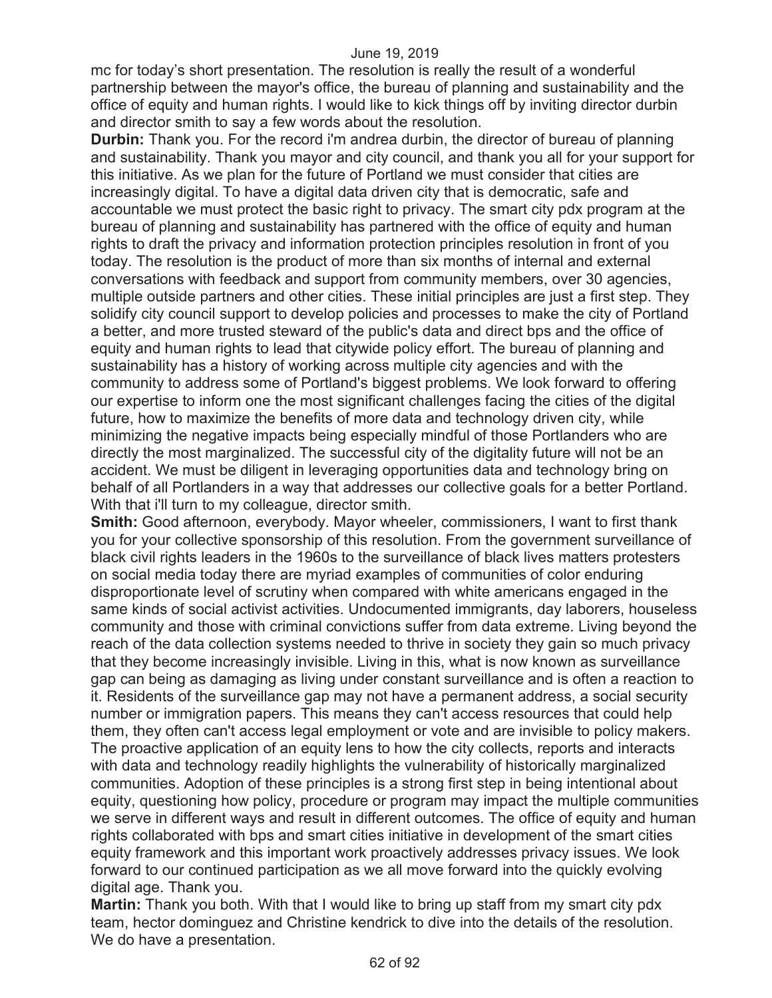mc for today's short presentation. The resolution is really the result of a wonderful partnership between the mayor's office, the bureau of planning and sustainability and the office of equity and human rights. I would like to kick things off by inviting director durbin and director smith to say a few words about the resolution.

**Durbin:** Thank you. For the record i'm andrea durbin, the director of bureau of planning and sustainability. Thank you mayor and city council, and thank you all for your support for this initiative. As we plan for the future of Portland we must consider that cities are increasingly digital. To have a digital data driven city that is democratic, safe and accountable we must protect the basic right to privacy. The smart city pdx program at the bureau of planning and sustainability has partnered with the office of equity and human rights to draft the privacy and information protection principles resolution in front of you today. The resolution is the product of more than six months of internal and external conversations with feedback and support from community members, over 30 agencies, multiple outside partners and other cities. These initial principles are just a first step. They solidify city council support to develop policies and processes to make the city of Portland a better, and more trusted steward of the public's data and direct bps and the office of equity and human rights to lead that citywide policy effort. The bureau of planning and sustainability has a history of working across multiple city agencies and with the community to address some of Portland's biggest problems. We look forward to offering our expertise to inform one the most significant challenges facing the cities of the digital future, how to maximize the benefits of more data and technology driven city, while minimizing the negative impacts being especially mindful of those Portlanders who are directly the most marginalized. The successful city of the digitality future will not be an accident. We must be diligent in leveraging opportunities data and technology bring on behalf of all Portlanders in a way that addresses our collective goals for a better Portland. With that i'll turn to my colleague, director smith.

**Smith:** Good afternoon, everybody. Mayor wheeler, commissioners, I want to first thank you for your collective sponsorship of this resolution. From the government surveillance of black civil rights leaders in the 1960s to the surveillance of black lives matters protesters on social media today there are myriad examples of communities of color enduring disproportionate level of scrutiny when compared with white americans engaged in the same kinds of social activist activities. Undocumented immigrants, day laborers, houseless community and those with criminal convictions suffer from data extreme. Living beyond the reach of the data collection systems needed to thrive in society they gain so much privacy that they become increasingly invisible. Living in this, what is now known as surveillance gap can being as damaging as living under constant surveillance and is often a reaction to it. Residents of the surveillance gap may not have a permanent address, a social security number or immigration papers. This means they can't access resources that could help them, they often can't access legal employment or vote and are invisible to policy makers. The proactive application of an equity lens to how the city collects, reports and interacts with data and technology readily highlights the vulnerability of historically marginalized communities. Adoption of these principles is a strong first step in being intentional about equity, questioning how policy, procedure or program may impact the multiple communities we serve in different ways and result in different outcomes. The office of equity and human rights collaborated with bps and smart cities initiative in development of the smart cities equity framework and this important work proactively addresses privacy issues. We look forward to our continued participation as we all move forward into the quickly evolving digital age. Thank you.

**Martin:** Thank you both. With that I would like to bring up staff from my smart city pdx team, hector dominguez and Christine kendrick to dive into the details of the resolution. We do have a presentation.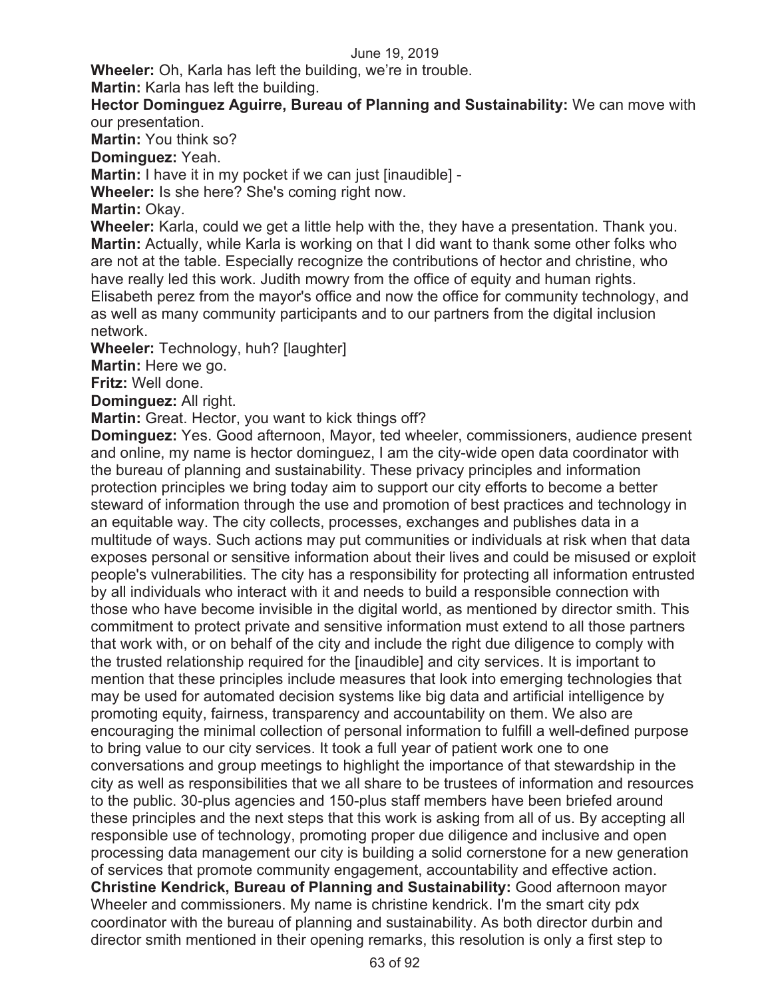**Wheeler:** Oh, Karla has left the building, we're in trouble.

**Martin:** Karla has left the building.

**Hector Dominguez Aguirre, Bureau of Planning and Sustainability:** We can move with our presentation.

**Martin:** You think so?

**Dominguez:** Yeah.

**Martin:** I have it in my pocket if we can just [inaudible] -

**Wheeler:** Is she here? She's coming right now.

**Martin:** Okay.

**Wheeler:** Karla, could we get a little help with the, they have a presentation. Thank you. **Martin:** Actually, while Karla is working on that I did want to thank some other folks who are not at the table. Especially recognize the contributions of hector and christine, who have really led this work. Judith mowry from the office of equity and human rights. Elisabeth perez from the mayor's office and now the office for community technology, and as well as many community participants and to our partners from the digital inclusion network.

**Wheeler:** Technology, huh? [laughter]

**Martin:** Here we go.

**Fritz:** Well done.

**Dominguez:** All right.

**Martin:** Great. Hector, you want to kick things off?

**Dominguez:** Yes. Good afternoon, Mayor, ted wheeler, commissioners, audience present and online, my name is hector dominguez, I am the city-wide open data coordinator with the bureau of planning and sustainability. These privacy principles and information protection principles we bring today aim to support our city efforts to become a better steward of information through the use and promotion of best practices and technology in an equitable way. The city collects, processes, exchanges and publishes data in a multitude of ways. Such actions may put communities or individuals at risk when that data exposes personal or sensitive information about their lives and could be misused or exploit people's vulnerabilities. The city has a responsibility for protecting all information entrusted by all individuals who interact with it and needs to build a responsible connection with those who have become invisible in the digital world, as mentioned by director smith. This commitment to protect private and sensitive information must extend to all those partners that work with, or on behalf of the city and include the right due diligence to comply with the trusted relationship required for the [inaudible] and city services. It is important to mention that these principles include measures that look into emerging technologies that may be used for automated decision systems like big data and artificial intelligence by promoting equity, fairness, transparency and accountability on them. We also are encouraging the minimal collection of personal information to fulfill a well-defined purpose to bring value to our city services. It took a full year of patient work one to one conversations and group meetings to highlight the importance of that stewardship in the city as well as responsibilities that we all share to be trustees of information and resources to the public. 30-plus agencies and 150-plus staff members have been briefed around these principles and the next steps that this work is asking from all of us. By accepting all responsible use of technology, promoting proper due diligence and inclusive and open processing data management our city is building a solid cornerstone for a new generation of services that promote community engagement, accountability and effective action. **Christine Kendrick, Bureau of Planning and Sustainability:** Good afternoon mayor Wheeler and commissioners. My name is christine kendrick. I'm the smart city pdx coordinator with the bureau of planning and sustainability. As both director durbin and director smith mentioned in their opening remarks, this resolution is only a first step to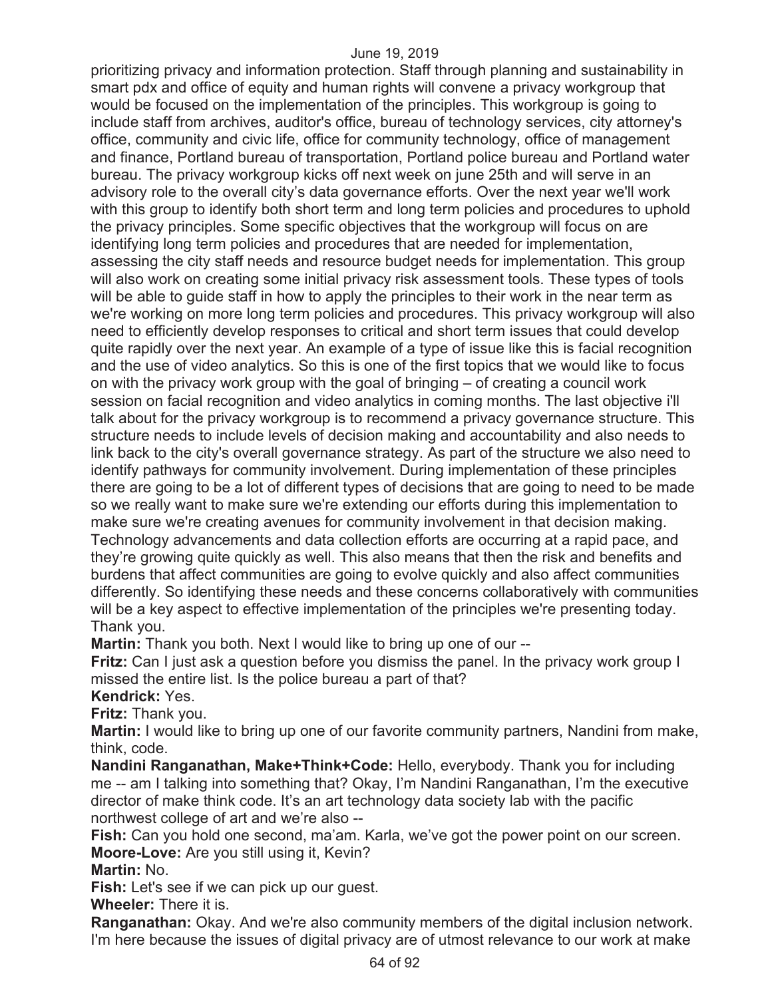prioritizing privacy and information protection. Staff through planning and sustainability in smart pdx and office of equity and human rights will convene a privacy workgroup that would be focused on the implementation of the principles. This workgroup is going to include staff from archives, auditor's office, bureau of technology services, city attorney's office, community and civic life, office for community technology, office of management and finance, Portland bureau of transportation, Portland police bureau and Portland water bureau. The privacy workgroup kicks off next week on june 25th and will serve in an advisory role to the overall city's data governance efforts. Over the next year we'll work with this group to identify both short term and long term policies and procedures to uphold the privacy principles. Some specific objectives that the workgroup will focus on are identifying long term policies and procedures that are needed for implementation, assessing the city staff needs and resource budget needs for implementation. This group will also work on creating some initial privacy risk assessment tools. These types of tools will be able to guide staff in how to apply the principles to their work in the near term as we're working on more long term policies and procedures. This privacy workgroup will also need to efficiently develop responses to critical and short term issues that could develop quite rapidly over the next year. An example of a type of issue like this is facial recognition and the use of video analytics. So this is one of the first topics that we would like to focus on with the privacy work group with the goal of bringing – of creating a council work session on facial recognition and video analytics in coming months. The last objective i'll talk about for the privacy workgroup is to recommend a privacy governance structure. This structure needs to include levels of decision making and accountability and also needs to link back to the city's overall governance strategy. As part of the structure we also need to identify pathways for community involvement. During implementation of these principles there are going to be a lot of different types of decisions that are going to need to be made so we really want to make sure we're extending our efforts during this implementation to make sure we're creating avenues for community involvement in that decision making. Technology advancements and data collection efforts are occurring at a rapid pace, and they're growing quite quickly as well. This also means that then the risk and benefits and burdens that affect communities are going to evolve quickly and also affect communities differently. So identifying these needs and these concerns collaboratively with communities will be a key aspect to effective implementation of the principles we're presenting today. Thank you.

**Martin:** Thank you both. Next I would like to bring up one of our --

**Fritz:** Can I just ask a question before you dismiss the panel. In the privacy work group I missed the entire list. Is the police bureau a part of that?

**Kendrick:** Yes.

**Fritz:** Thank you.

**Martin:** I would like to bring up one of our favorite community partners, Nandini from make, think, code.

**Nandini Ranganathan, Make+Think+Code:** Hello, everybody. Thank you for including me -- am I talking into something that? Okay, I'm Nandini Ranganathan, I'm the executive director of make think code. It's an art technology data society lab with the pacific northwest college of art and we're also --

**Fish:** Can you hold one second, ma'am. Karla, we've got the power point on our screen. **Moore-Love:** Are you still using it, Kevin?

**Martin:** No.

**Fish:** Let's see if we can pick up our guest.

**Wheeler:** There it is.

**Ranganathan:** Okay. And we're also community members of the digital inclusion network. I'm here because the issues of digital privacy are of utmost relevance to our work at make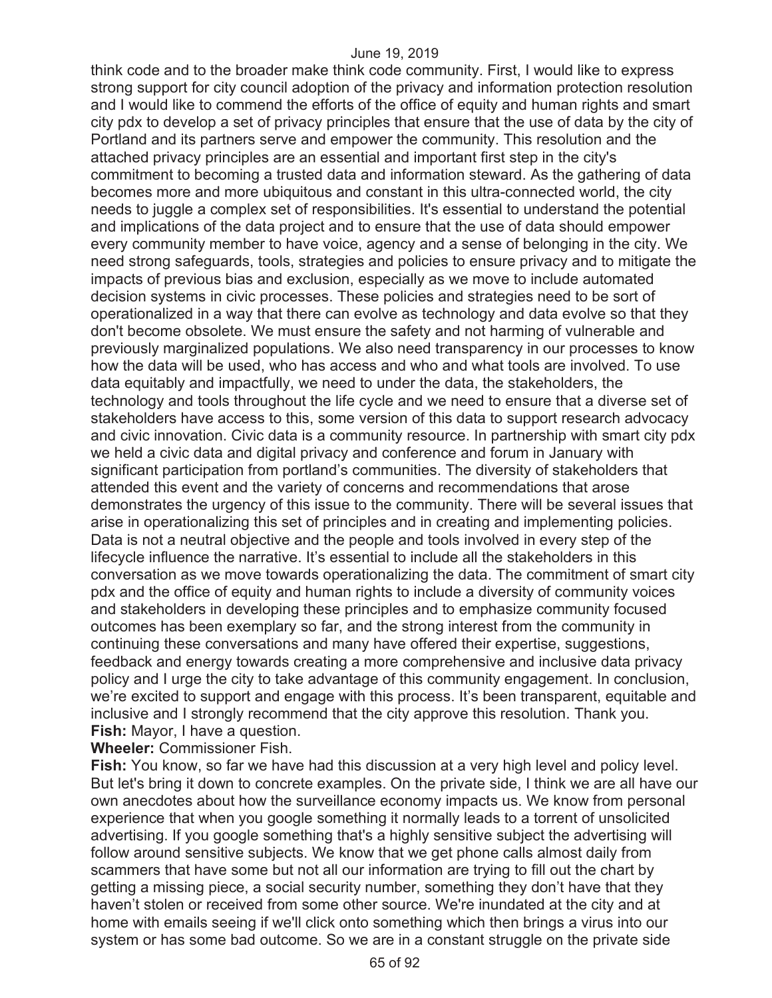think code and to the broader make think code community. First, I would like to express strong support for city council adoption of the privacy and information protection resolution and I would like to commend the efforts of the office of equity and human rights and smart city pdx to develop a set of privacy principles that ensure that the use of data by the city of Portland and its partners serve and empower the community. This resolution and the attached privacy principles are an essential and important first step in the city's commitment to becoming a trusted data and information steward. As the gathering of data becomes more and more ubiquitous and constant in this ultra-connected world, the city needs to juggle a complex set of responsibilities. It's essential to understand the potential and implications of the data project and to ensure that the use of data should empower every community member to have voice, agency and a sense of belonging in the city. We need strong safeguards, tools, strategies and policies to ensure privacy and to mitigate the impacts of previous bias and exclusion, especially as we move to include automated decision systems in civic processes. These policies and strategies need to be sort of operationalized in a way that there can evolve as technology and data evolve so that they don't become obsolete. We must ensure the safety and not harming of vulnerable and previously marginalized populations. We also need transparency in our processes to know how the data will be used, who has access and who and what tools are involved. To use data equitably and impactfully, we need to under the data, the stakeholders, the technology and tools throughout the life cycle and we need to ensure that a diverse set of stakeholders have access to this, some version of this data to support research advocacy and civic innovation. Civic data is a community resource. In partnership with smart city pdx we held a civic data and digital privacy and conference and forum in January with significant participation from portland's communities. The diversity of stakeholders that attended this event and the variety of concerns and recommendations that arose demonstrates the urgency of this issue to the community. There will be several issues that arise in operationalizing this set of principles and in creating and implementing policies. Data is not a neutral objective and the people and tools involved in every step of the lifecycle influence the narrative. It's essential to include all the stakeholders in this conversation as we move towards operationalizing the data. The commitment of smart city pdx and the office of equity and human rights to include a diversity of community voices and stakeholders in developing these principles and to emphasize community focused outcomes has been exemplary so far, and the strong interest from the community in continuing these conversations and many have offered their expertise, suggestions, feedback and energy towards creating a more comprehensive and inclusive data privacy policy and I urge the city to take advantage of this community engagement. In conclusion, we're excited to support and engage with this process. It's been transparent, equitable and inclusive and I strongly recommend that the city approve this resolution. Thank you. **Fish:** Mayor, I have a question.

**Wheeler:** Commissioner Fish.

**Fish:** You know, so far we have had this discussion at a very high level and policy level. But let's bring it down to concrete examples. On the private side, I think we are all have our own anecdotes about how the surveillance economy impacts us. We know from personal experience that when you google something it normally leads to a torrent of unsolicited advertising. If you google something that's a highly sensitive subject the advertising will follow around sensitive subjects. We know that we get phone calls almost daily from scammers that have some but not all our information are trying to fill out the chart by getting a missing piece, a social security number, something they don't have that they haven't stolen or received from some other source. We're inundated at the city and at home with emails seeing if we'll click onto something which then brings a virus into our system or has some bad outcome. So we are in a constant struggle on the private side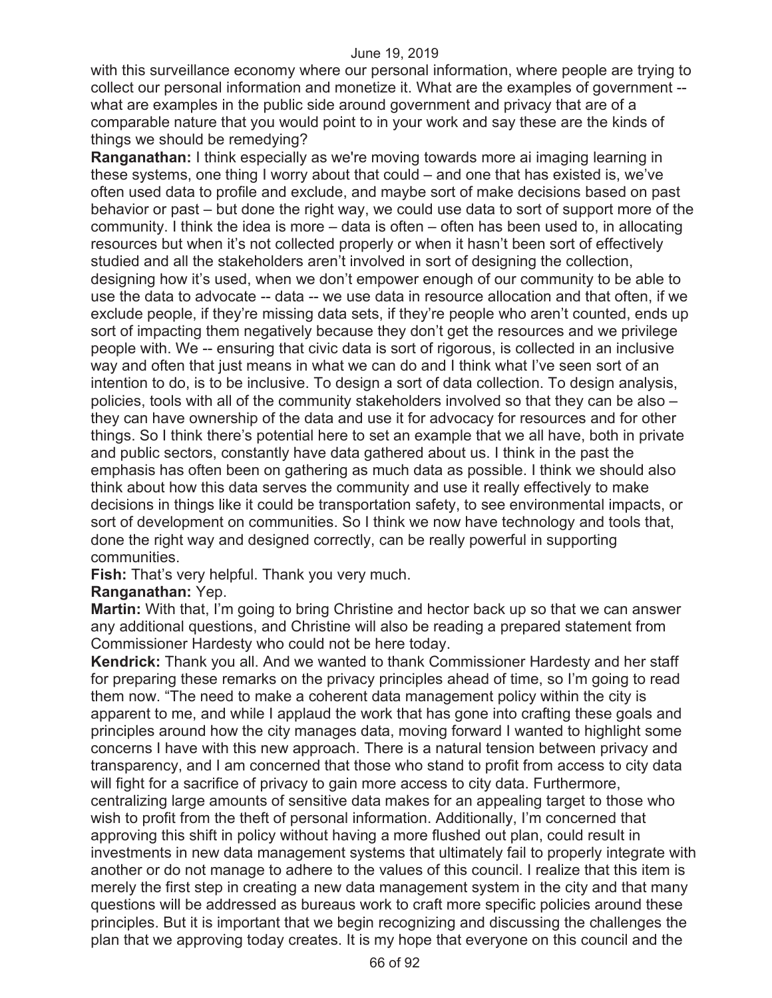with this surveillance economy where our personal information, where people are trying to collect our personal information and monetize it. What are the examples of government - what are examples in the public side around government and privacy that are of a comparable nature that you would point to in your work and say these are the kinds of things we should be remedying?

**Ranganathan:** I think especially as we're moving towards more ai imaging learning in these systems, one thing I worry about that could – and one that has existed is, we've often used data to profile and exclude, and maybe sort of make decisions based on past behavior or past – but done the right way, we could use data to sort of support more of the community. I think the idea is more – data is often – often has been used to, in allocating resources but when it's not collected properly or when it hasn't been sort of effectively studied and all the stakeholders aren't involved in sort of designing the collection, designing how it's used, when we don't empower enough of our community to be able to use the data to advocate -- data -- we use data in resource allocation and that often, if we exclude people, if they're missing data sets, if they're people who aren't counted, ends up sort of impacting them negatively because they don't get the resources and we privilege people with. We -- ensuring that civic data is sort of rigorous, is collected in an inclusive way and often that just means in what we can do and I think what I've seen sort of an intention to do, is to be inclusive. To design a sort of data collection. To design analysis, policies, tools with all of the community stakeholders involved so that they can be also – they can have ownership of the data and use it for advocacy for resources and for other things. So I think there's potential here to set an example that we all have, both in private and public sectors, constantly have data gathered about us. I think in the past the emphasis has often been on gathering as much data as possible. I think we should also think about how this data serves the community and use it really effectively to make decisions in things like it could be transportation safety, to see environmental impacts, or sort of development on communities. So I think we now have technology and tools that, done the right way and designed correctly, can be really powerful in supporting communities.

**Fish:** That's very helpful. Thank you very much.

# **Ranganathan:** Yep.

**Martin:** With that, I'm going to bring Christine and hector back up so that we can answer any additional questions, and Christine will also be reading a prepared statement from Commissioner Hardesty who could not be here today.

**Kendrick:** Thank you all. And we wanted to thank Commissioner Hardesty and her staff for preparing these remarks on the privacy principles ahead of time, so I'm going to read them now. "The need to make a coherent data management policy within the city is apparent to me, and while I applaud the work that has gone into crafting these goals and principles around how the city manages data, moving forward I wanted to highlight some concerns I have with this new approach. There is a natural tension between privacy and transparency, and I am concerned that those who stand to profit from access to city data will fight for a sacrifice of privacy to gain more access to city data. Furthermore, centralizing large amounts of sensitive data makes for an appealing target to those who wish to profit from the theft of personal information. Additionally, I'm concerned that approving this shift in policy without having a more flushed out plan, could result in investments in new data management systems that ultimately fail to properly integrate with another or do not manage to adhere to the values of this council. I realize that this item is merely the first step in creating a new data management system in the city and that many questions will be addressed as bureaus work to craft more specific policies around these principles. But it is important that we begin recognizing and discussing the challenges the plan that we approving today creates. It is my hope that everyone on this council and the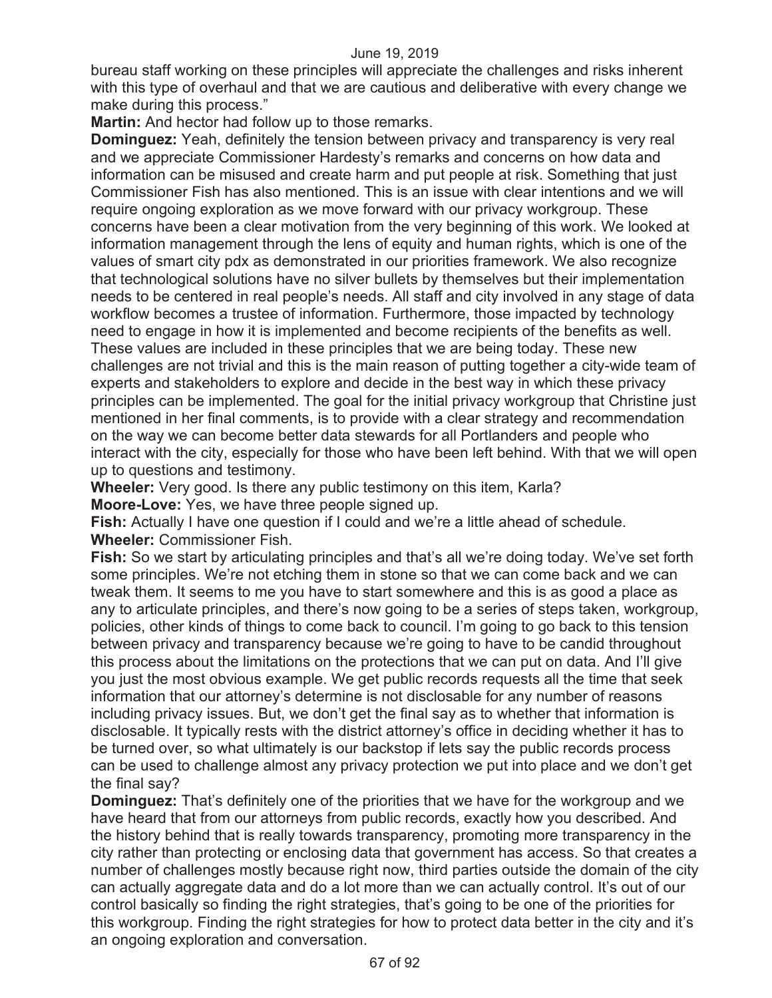bureau staff working on these principles will appreciate the challenges and risks inherent with this type of overhaul and that we are cautious and deliberative with every change we make during this process."

**Martin:** And hector had follow up to those remarks.

**Dominguez:** Yeah, definitely the tension between privacy and transparency is very real and we appreciate Commissioner Hardesty's remarks and concerns on how data and information can be misused and create harm and put people at risk. Something that just Commissioner Fish has also mentioned. This is an issue with clear intentions and we will require ongoing exploration as we move forward with our privacy workgroup. These concerns have been a clear motivation from the very beginning of this work. We looked at information management through the lens of equity and human rights, which is one of the values of smart city pdx as demonstrated in our priorities framework. We also recognize that technological solutions have no silver bullets by themselves but their implementation needs to be centered in real people's needs. All staff and city involved in any stage of data workflow becomes a trustee of information. Furthermore, those impacted by technology need to engage in how it is implemented and become recipients of the benefits as well. These values are included in these principles that we are being today. These new challenges are not trivial and this is the main reason of putting together a city-wide team of experts and stakeholders to explore and decide in the best way in which these privacy principles can be implemented. The goal for the initial privacy workgroup that Christine just mentioned in her final comments, is to provide with a clear strategy and recommendation on the way we can become better data stewards for all Portlanders and people who interact with the city, especially for those who have been left behind. With that we will open up to questions and testimony.

**Wheeler:** Very good. Is there any public testimony on this item, Karla? **Moore-Love:** Yes, we have three people signed up.

**Fish:** Actually I have one question if I could and we're a little ahead of schedule. **Wheeler:** Commissioner Fish.

**Fish:** So we start by articulating principles and that's all we're doing today. We've set forth some principles. We're not etching them in stone so that we can come back and we can tweak them. It seems to me you have to start somewhere and this is as good a place as any to articulate principles, and there's now going to be a series of steps taken, workgroup, policies, other kinds of things to come back to council. I'm going to go back to this tension between privacy and transparency because we're going to have to be candid throughout this process about the limitations on the protections that we can put on data. And I'll give you just the most obvious example. We get public records requests all the time that seek information that our attorney's determine is not disclosable for any number of reasons including privacy issues. But, we don't get the final say as to whether that information is disclosable. It typically rests with the district attorney's office in deciding whether it has to be turned over, so what ultimately is our backstop if lets say the public records process can be used to challenge almost any privacy protection we put into place and we don't get the final say?

**Dominguez:** That's definitely one of the priorities that we have for the workgroup and we have heard that from our attorneys from public records, exactly how you described. And the history behind that is really towards transparency, promoting more transparency in the city rather than protecting or enclosing data that government has access. So that creates a number of challenges mostly because right now, third parties outside the domain of the city can actually aggregate data and do a lot more than we can actually control. It's out of our control basically so finding the right strategies, that's going to be one of the priorities for this workgroup. Finding the right strategies for how to protect data better in the city and it's an ongoing exploration and conversation.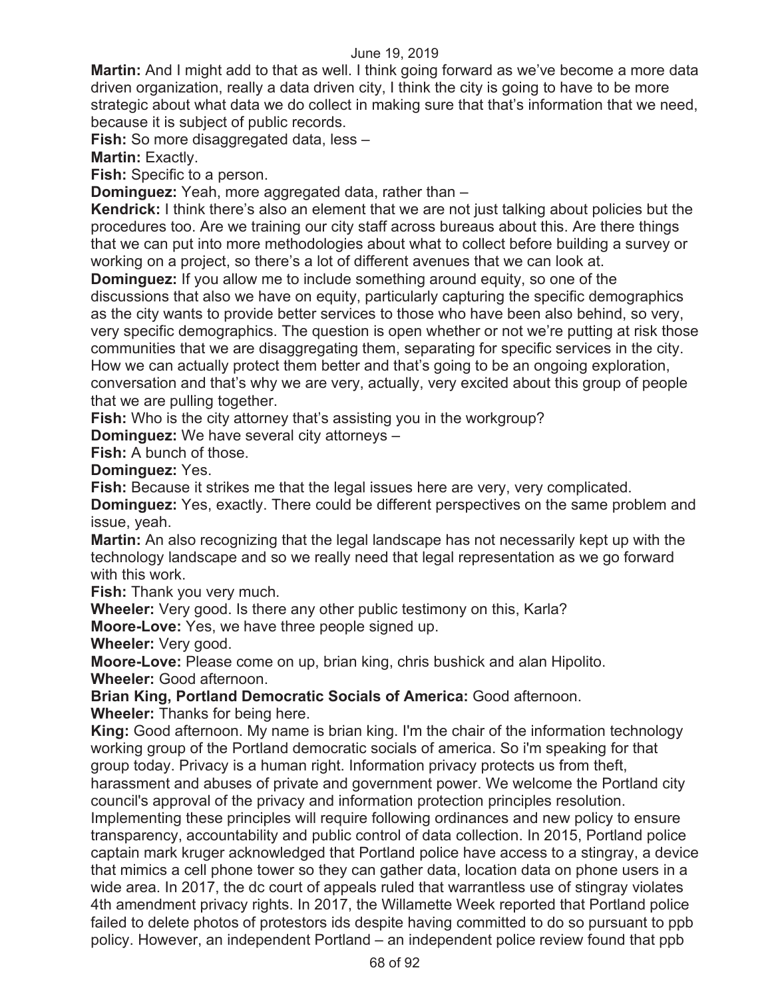**Martin:** And I might add to that as well. I think going forward as we've become a more data driven organization, really a data driven city, I think the city is going to have to be more strategic about what data we do collect in making sure that that's information that we need, because it is subject of public records.

**Fish:** So more disaggregated data, less –

**Martin:** Exactly.

**Fish:** Specific to a person.

**Dominguez:** Yeah, more aggregated data, rather than –

**Kendrick:** I think there's also an element that we are not just talking about policies but the procedures too. Are we training our city staff across bureaus about this. Are there things that we can put into more methodologies about what to collect before building a survey or working on a project, so there's a lot of different avenues that we can look at.

**Dominguez:** If you allow me to include something around equity, so one of the discussions that also we have on equity, particularly capturing the specific demographics as the city wants to provide better services to those who have been also behind, so very, very specific demographics. The question is open whether or not we're putting at risk those communities that we are disaggregating them, separating for specific services in the city. How we can actually protect them better and that's going to be an ongoing exploration, conversation and that's why we are very, actually, very excited about this group of people that we are pulling together.

**Fish:** Who is the city attorney that's assisting you in the workgroup?

**Dominguez:** We have several city attorneys –

**Fish:** A bunch of those.

**Dominguez:** Yes.

**Fish:** Because it strikes me that the legal issues here are very, very complicated.

**Dominguez:** Yes, exactly. There could be different perspectives on the same problem and issue, yeah.

**Martin:** An also recognizing that the legal landscape has not necessarily kept up with the technology landscape and so we really need that legal representation as we go forward with this work.

**Fish:** Thank you very much.

**Wheeler:** Very good. Is there any other public testimony on this, Karla?

**Moore-Love:** Yes, we have three people signed up.

**Wheeler:** Very good.

**Moore-Love:** Please come on up, brian king, chris bushick and alan Hipolito.

**Wheeler:** Good afternoon.

**Brian King, Portland Democratic Socials of America:** Good afternoon.

**Wheeler:** Thanks for being here.

**King:** Good afternoon. My name is brian king. I'm the chair of the information technology working group of the Portland democratic socials of america. So i'm speaking for that group today. Privacy is a human right. Information privacy protects us from theft, harassment and abuses of private and government power. We welcome the Portland city council's approval of the privacy and information protection principles resolution.

Implementing these principles will require following ordinances and new policy to ensure transparency, accountability and public control of data collection. In 2015, Portland police captain mark kruger acknowledged that Portland police have access to a stingray, a device that mimics a cell phone tower so they can gather data, location data on phone users in a wide area. In 2017, the dc court of appeals ruled that warrantless use of stingray violates 4th amendment privacy rights. In 2017, the Willamette Week reported that Portland police failed to delete photos of protestors ids despite having committed to do so pursuant to ppb policy. However, an independent Portland – an independent police review found that ppb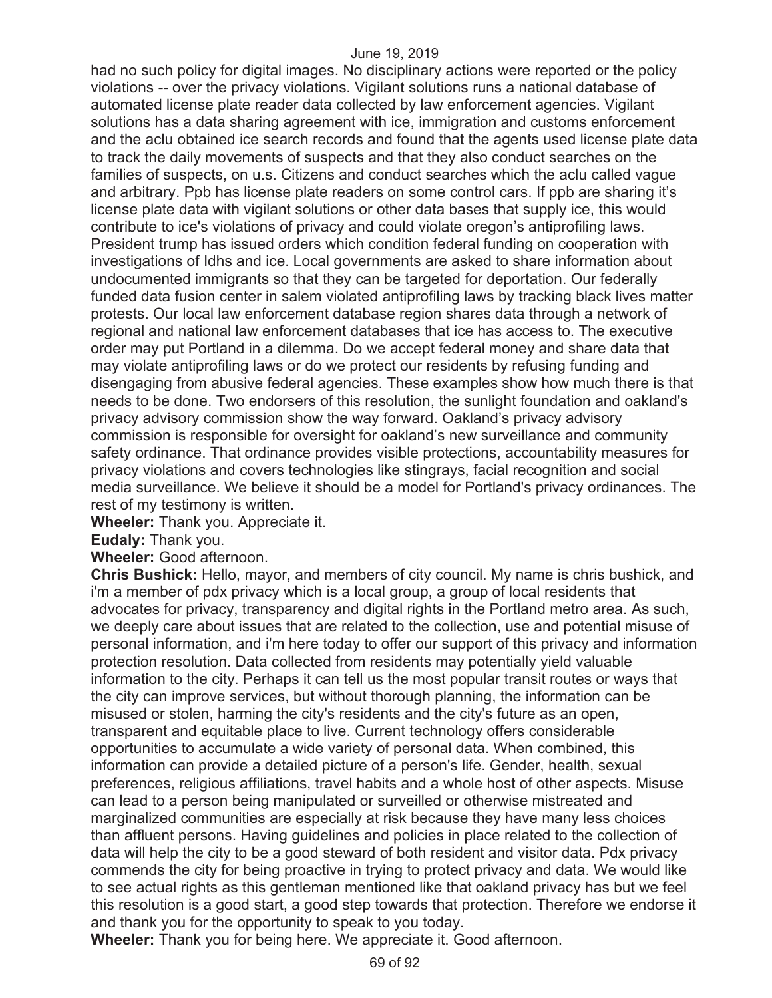had no such policy for digital images. No disciplinary actions were reported or the policy violations -- over the privacy violations. Vigilant solutions runs a national database of automated license plate reader data collected by law enforcement agencies. Vigilant solutions has a data sharing agreement with ice, immigration and customs enforcement and the aclu obtained ice search records and found that the agents used license plate data to track the daily movements of suspects and that they also conduct searches on the families of suspects, on u.s. Citizens and conduct searches which the aclu called vague and arbitrary. Ppb has license plate readers on some control cars. If ppb are sharing it's license plate data with vigilant solutions or other data bases that supply ice, this would contribute to ice's violations of privacy and could violate oregon's antiprofiling laws. President trump has issued orders which condition federal funding on cooperation with investigations of Idhs and ice. Local governments are asked to share information about undocumented immigrants so that they can be targeted for deportation. Our federally funded data fusion center in salem violated antiprofiling laws by tracking black lives matter protests. Our local law enforcement database region shares data through a network of regional and national law enforcement databases that ice has access to. The executive order may put Portland in a dilemma. Do we accept federal money and share data that may violate antiprofiling laws or do we protect our residents by refusing funding and disengaging from abusive federal agencies. These examples show how much there is that needs to be done. Two endorsers of this resolution, the sunlight foundation and oakland's privacy advisory commission show the way forward. Oakland's privacy advisory commission is responsible for oversight for oakland's new surveillance and community safety ordinance. That ordinance provides visible protections, accountability measures for privacy violations and covers technologies like stingrays, facial recognition and social media surveillance. We believe it should be a model for Portland's privacy ordinances. The rest of my testimony is written.

**Wheeler:** Thank you. Appreciate it.

**Eudaly:** Thank you.

**Wheeler:** Good afternoon.

**Chris Bushick:** Hello, mayor, and members of city council. My name is chris bushick, and i'm a member of pdx privacy which is a local group, a group of local residents that advocates for privacy, transparency and digital rights in the Portland metro area. As such, we deeply care about issues that are related to the collection, use and potential misuse of personal information, and i'm here today to offer our support of this privacy and information protection resolution. Data collected from residents may potentially yield valuable information to the city. Perhaps it can tell us the most popular transit routes or ways that the city can improve services, but without thorough planning, the information can be misused or stolen, harming the city's residents and the city's future as an open, transparent and equitable place to live. Current technology offers considerable opportunities to accumulate a wide variety of personal data. When combined, this information can provide a detailed picture of a person's life. Gender, health, sexual preferences, religious affiliations, travel habits and a whole host of other aspects. Misuse can lead to a person being manipulated or surveilled or otherwise mistreated and marginalized communities are especially at risk because they have many less choices than affluent persons. Having guidelines and policies in place related to the collection of data will help the city to be a good steward of both resident and visitor data. Pdx privacy commends the city for being proactive in trying to protect privacy and data. We would like to see actual rights as this gentleman mentioned like that oakland privacy has but we feel this resolution is a good start, a good step towards that protection. Therefore we endorse it and thank you for the opportunity to speak to you today.

**Wheeler:** Thank you for being here. We appreciate it. Good afternoon.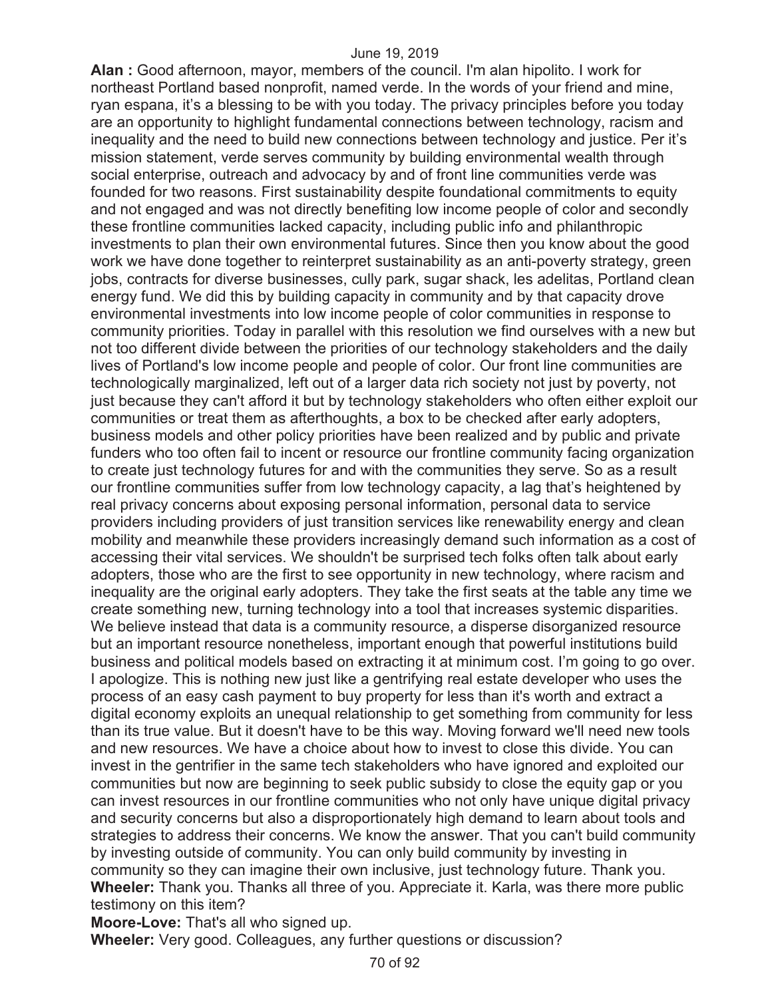**Alan :** Good afternoon, mayor, members of the council. I'm alan hipolito. I work for northeast Portland based nonprofit, named verde. In the words of your friend and mine, ryan espana, it's a blessing to be with you today. The privacy principles before you today are an opportunity to highlight fundamental connections between technology, racism and inequality and the need to build new connections between technology and justice. Per it's mission statement, verde serves community by building environmental wealth through social enterprise, outreach and advocacy by and of front line communities verde was founded for two reasons. First sustainability despite foundational commitments to equity and not engaged and was not directly benefiting low income people of color and secondly these frontline communities lacked capacity, including public info and philanthropic investments to plan their own environmental futures. Since then you know about the good work we have done together to reinterpret sustainability as an anti-poverty strategy, green jobs, contracts for diverse businesses, cully park, sugar shack, les adelitas, Portland clean energy fund. We did this by building capacity in community and by that capacity drove environmental investments into low income people of color communities in response to community priorities. Today in parallel with this resolution we find ourselves with a new but not too different divide between the priorities of our technology stakeholders and the daily lives of Portland's low income people and people of color. Our front line communities are technologically marginalized, left out of a larger data rich society not just by poverty, not just because they can't afford it but by technology stakeholders who often either exploit our communities or treat them as afterthoughts, a box to be checked after early adopters, business models and other policy priorities have been realized and by public and private funders who too often fail to incent or resource our frontline community facing organization to create just technology futures for and with the communities they serve. So as a result our frontline communities suffer from low technology capacity, a lag that's heightened by real privacy concerns about exposing personal information, personal data to service providers including providers of just transition services like renewability energy and clean mobility and meanwhile these providers increasingly demand such information as a cost of accessing their vital services. We shouldn't be surprised tech folks often talk about early adopters, those who are the first to see opportunity in new technology, where racism and inequality are the original early adopters. They take the first seats at the table any time we create something new, turning technology into a tool that increases systemic disparities. We believe instead that data is a community resource, a disperse disorganized resource but an important resource nonetheless, important enough that powerful institutions build business and political models based on extracting it at minimum cost. I'm going to go over. I apologize. This is nothing new just like a gentrifying real estate developer who uses the process of an easy cash payment to buy property for less than it's worth and extract a digital economy exploits an unequal relationship to get something from community for less than its true value. But it doesn't have to be this way. Moving forward we'll need new tools and new resources. We have a choice about how to invest to close this divide. You can invest in the gentrifier in the same tech stakeholders who have ignored and exploited our communities but now are beginning to seek public subsidy to close the equity gap or you can invest resources in our frontline communities who not only have unique digital privacy and security concerns but also a disproportionately high demand to learn about tools and strategies to address their concerns. We know the answer. That you can't build community by investing outside of community. You can only build community by investing in community so they can imagine their own inclusive, just technology future. Thank you. **Wheeler:** Thank you. Thanks all three of you. Appreciate it. Karla, was there more public testimony on this item?

**Moore-Love:** That's all who signed up.

**Wheeler:** Very good. Colleagues, any further questions or discussion?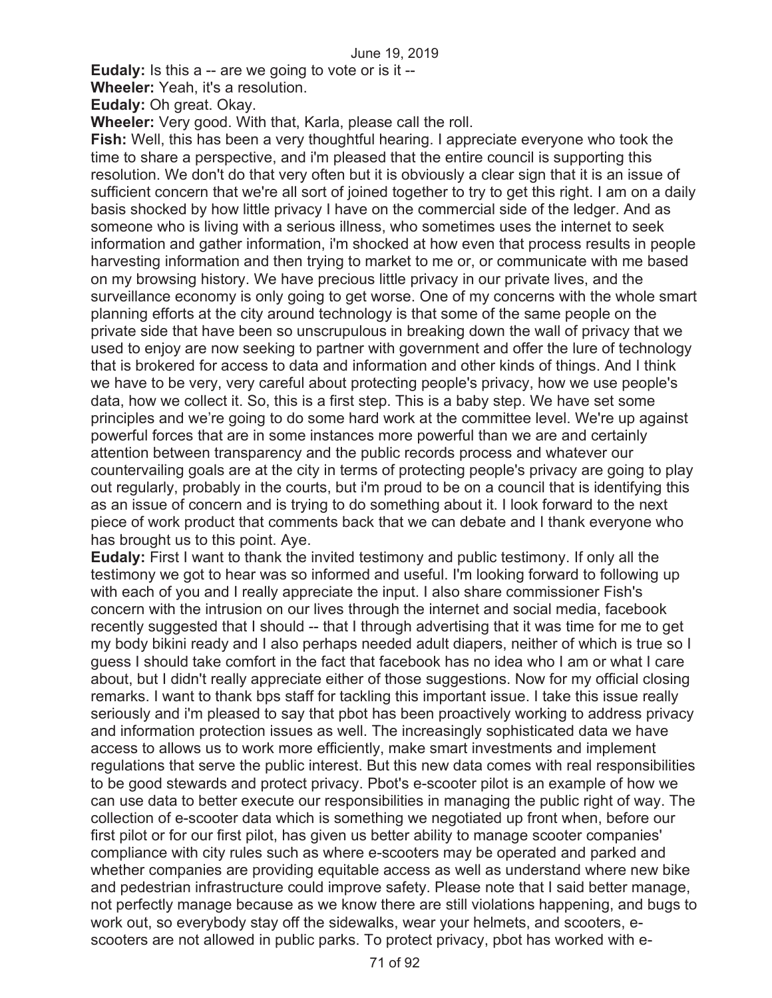**Eudaly:** Is this a -- are we going to vote or is it --

**Wheeler:** Yeah, it's a resolution.

**Eudaly:** Oh great. Okay.

**Wheeler:** Very good. With that, Karla, please call the roll.

**Fish:** Well, this has been a very thoughtful hearing. I appreciate everyone who took the time to share a perspective, and i'm pleased that the entire council is supporting this resolution. We don't do that very often but it is obviously a clear sign that it is an issue of sufficient concern that we're all sort of joined together to try to get this right. I am on a daily basis shocked by how little privacy I have on the commercial side of the ledger. And as someone who is living with a serious illness, who sometimes uses the internet to seek information and gather information, i'm shocked at how even that process results in people harvesting information and then trying to market to me or, or communicate with me based on my browsing history. We have precious little privacy in our private lives, and the surveillance economy is only going to get worse. One of my concerns with the whole smart planning efforts at the city around technology is that some of the same people on the private side that have been so unscrupulous in breaking down the wall of privacy that we used to enjoy are now seeking to partner with government and offer the lure of technology that is brokered for access to data and information and other kinds of things. And I think we have to be very, very careful about protecting people's privacy, how we use people's data, how we collect it. So, this is a first step. This is a baby step. We have set some principles and we're going to do some hard work at the committee level. We're up against powerful forces that are in some instances more powerful than we are and certainly attention between transparency and the public records process and whatever our countervailing goals are at the city in terms of protecting people's privacy are going to play out regularly, probably in the courts, but i'm proud to be on a council that is identifying this as an issue of concern and is trying to do something about it. I look forward to the next piece of work product that comments back that we can debate and I thank everyone who has brought us to this point. Aye.

**Eudaly:** First I want to thank the invited testimony and public testimony. If only all the testimony we got to hear was so informed and useful. I'm looking forward to following up with each of you and I really appreciate the input. I also share commissioner Fish's concern with the intrusion on our lives through the internet and social media, facebook recently suggested that I should -- that I through advertising that it was time for me to get my body bikini ready and I also perhaps needed adult diapers, neither of which is true so I guess I should take comfort in the fact that facebook has no idea who I am or what I care about, but I didn't really appreciate either of those suggestions. Now for my official closing remarks. I want to thank bps staff for tackling this important issue. I take this issue really seriously and i'm pleased to say that pbot has been proactively working to address privacy and information protection issues as well. The increasingly sophisticated data we have access to allows us to work more efficiently, make smart investments and implement regulations that serve the public interest. But this new data comes with real responsibilities to be good stewards and protect privacy. Pbot's e-scooter pilot is an example of how we can use data to better execute our responsibilities in managing the public right of way. The collection of e-scooter data which is something we negotiated up front when, before our first pilot or for our first pilot, has given us better ability to manage scooter companies' compliance with city rules such as where e-scooters may be operated and parked and whether companies are providing equitable access as well as understand where new bike and pedestrian infrastructure could improve safety. Please note that I said better manage, not perfectly manage because as we know there are still violations happening, and bugs to work out, so everybody stay off the sidewalks, wear your helmets, and scooters, escooters are not allowed in public parks. To protect privacy, pbot has worked with e-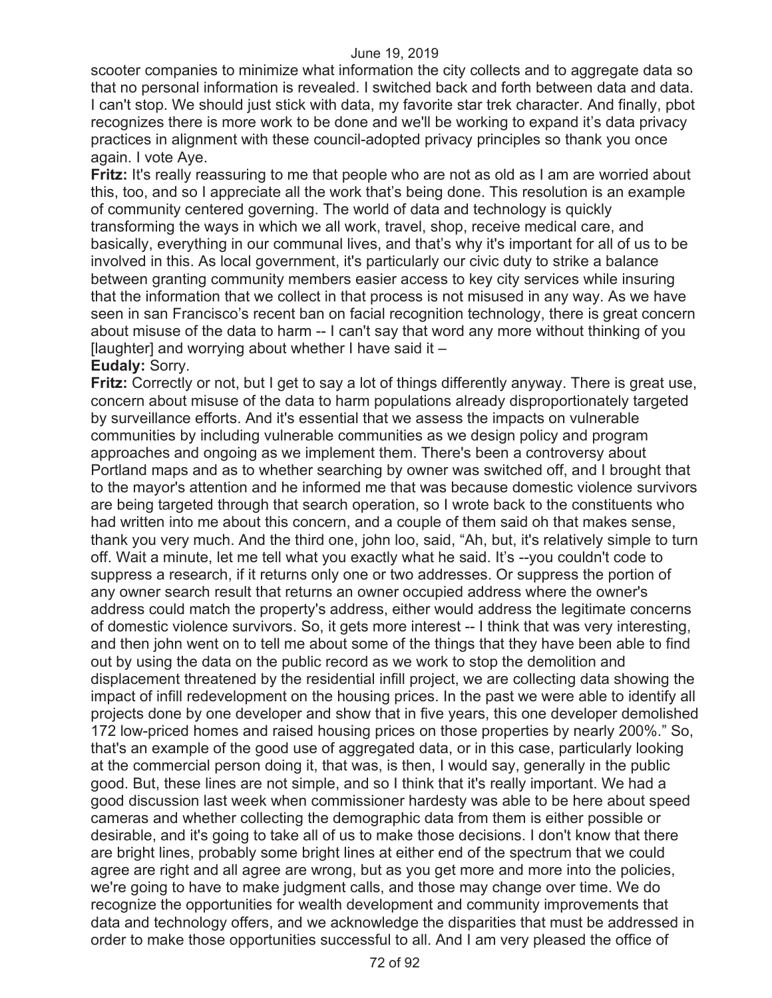scooter companies to minimize what information the city collects and to aggregate data so that no personal information is revealed. I switched back and forth between data and data. I can't stop. We should just stick with data, my favorite star trek character. And finally, pbot recognizes there is more work to be done and we'll be working to expand it's data privacy practices in alignment with these council-adopted privacy principles so thank you once again. I vote Aye.

**Fritz:** It's really reassuring to me that people who are not as old as I am are worried about this, too, and so I appreciate all the work that's being done. This resolution is an example of community centered governing. The world of data and technology is quickly transforming the ways in which we all work, travel, shop, receive medical care, and basically, everything in our communal lives, and that's why it's important for all of us to be involved in this. As local government, it's particularly our civic duty to strike a balance between granting community members easier access to key city services while insuring that the information that we collect in that process is not misused in any way. As we have seen in san Francisco's recent ban on facial recognition technology, there is great concern about misuse of the data to harm -- I can't say that word any more without thinking of you [laughter] and worrying about whether I have said it  $-$ 

**Eudaly:** Sorry.

**Fritz:** Correctly or not, but I get to say a lot of things differently anyway. There is great use, concern about misuse of the data to harm populations already disproportionately targeted by surveillance efforts. And it's essential that we assess the impacts on vulnerable communities by including vulnerable communities as we design policy and program approaches and ongoing as we implement them. There's been a controversy about Portland maps and as to whether searching by owner was switched off, and I brought that to the mayor's attention and he informed me that was because domestic violence survivors are being targeted through that search operation, so I wrote back to the constituents who had written into me about this concern, and a couple of them said oh that makes sense, thank you very much. And the third one, john loo, said, "Ah, but, it's relatively simple to turn off. Wait a minute, let me tell what you exactly what he said. It's --you couldn't code to suppress a research, if it returns only one or two addresses. Or suppress the portion of any owner search result that returns an owner occupied address where the owner's address could match the property's address, either would address the legitimate concerns of domestic violence survivors. So, it gets more interest -- I think that was very interesting, and then john went on to tell me about some of the things that they have been able to find out by using the data on the public record as we work to stop the demolition and displacement threatened by the residential infill project, we are collecting data showing the impact of infill redevelopment on the housing prices. In the past we were able to identify all projects done by one developer and show that in five years, this one developer demolished 172 low-priced homes and raised housing prices on those properties by nearly 200%." So, that's an example of the good use of aggregated data, or in this case, particularly looking at the commercial person doing it, that was, is then, I would say, generally in the public good. But, these lines are not simple, and so I think that it's really important. We had a good discussion last week when commissioner hardesty was able to be here about speed cameras and whether collecting the demographic data from them is either possible or desirable, and it's going to take all of us to make those decisions. I don't know that there are bright lines, probably some bright lines at either end of the spectrum that we could agree are right and all agree are wrong, but as you get more and more into the policies, we're going to have to make judgment calls, and those may change over time. We do recognize the opportunities for wealth development and community improvements that data and technology offers, and we acknowledge the disparities that must be addressed in order to make those opportunities successful to all. And I am very pleased the office of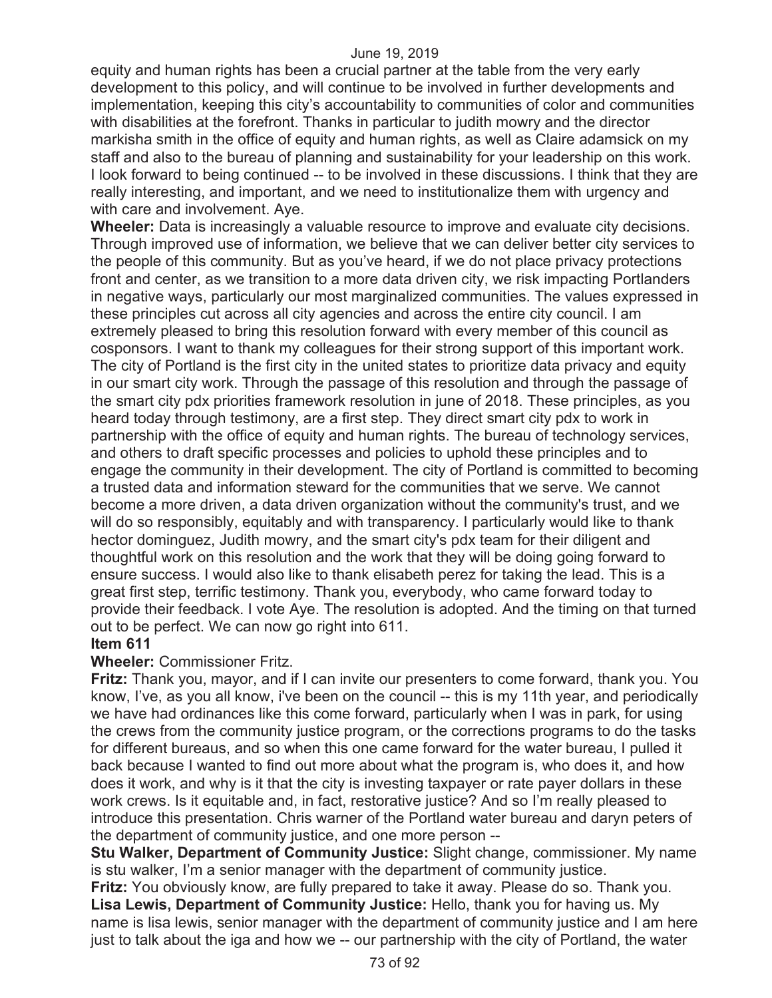equity and human rights has been a crucial partner at the table from the very early development to this policy, and will continue to be involved in further developments and implementation, keeping this city's accountability to communities of color and communities with disabilities at the forefront. Thanks in particular to judith mowry and the director markisha smith in the office of equity and human rights, as well as Claire adamsick on my staff and also to the bureau of planning and sustainability for your leadership on this work. I look forward to being continued -- to be involved in these discussions. I think that they are really interesting, and important, and we need to institutionalize them with urgency and with care and involvement. Aye.

**Wheeler:** Data is increasingly a valuable resource to improve and evaluate city decisions. Through improved use of information, we believe that we can deliver better city services to the people of this community. But as you've heard, if we do not place privacy protections front and center, as we transition to a more data driven city, we risk impacting Portlanders in negative ways, particularly our most marginalized communities. The values expressed in these principles cut across all city agencies and across the entire city council. I am extremely pleased to bring this resolution forward with every member of this council as cosponsors. I want to thank my colleagues for their strong support of this important work. The city of Portland is the first city in the united states to prioritize data privacy and equity in our smart city work. Through the passage of this resolution and through the passage of the smart city pdx priorities framework resolution in june of 2018. These principles, as you heard today through testimony, are a first step. They direct smart city pdx to work in partnership with the office of equity and human rights. The bureau of technology services, and others to draft specific processes and policies to uphold these principles and to engage the community in their development. The city of Portland is committed to becoming a trusted data and information steward for the communities that we serve. We cannot become a more driven, a data driven organization without the community's trust, and we will do so responsibly, equitably and with transparency. I particularly would like to thank hector dominguez, Judith mowry, and the smart city's pdx team for their diligent and thoughtful work on this resolution and the work that they will be doing going forward to ensure success. I would also like to thank elisabeth perez for taking the lead. This is a great first step, terrific testimony. Thank you, everybody, who came forward today to provide their feedback. I vote Aye. The resolution is adopted. And the timing on that turned out to be perfect. We can now go right into 611.

## **Item 611**

# **Wheeler:** Commissioner Fritz.

**Fritz:** Thank you, mayor, and if I can invite our presenters to come forward, thank you. You know, I've, as you all know, i've been on the council -- this is my 11th year, and periodically we have had ordinances like this come forward, particularly when I was in park, for using the crews from the community justice program, or the corrections programs to do the tasks for different bureaus, and so when this one came forward for the water bureau, I pulled it back because I wanted to find out more about what the program is, who does it, and how does it work, and why is it that the city is investing taxpayer or rate payer dollars in these work crews. Is it equitable and, in fact, restorative justice? And so I'm really pleased to introduce this presentation. Chris warner of the Portland water bureau and daryn peters of the department of community justice, and one more person --

**Stu Walker, Department of Community Justice:** Slight change, commissioner. My name is stu walker, I'm a senior manager with the department of community justice.

**Fritz:** You obviously know, are fully prepared to take it away. Please do so. Thank you. **Lisa Lewis, Department of Community Justice:** Hello, thank you for having us. My name is lisa lewis, senior manager with the department of community justice and I am here just to talk about the iga and how we -- our partnership with the city of Portland, the water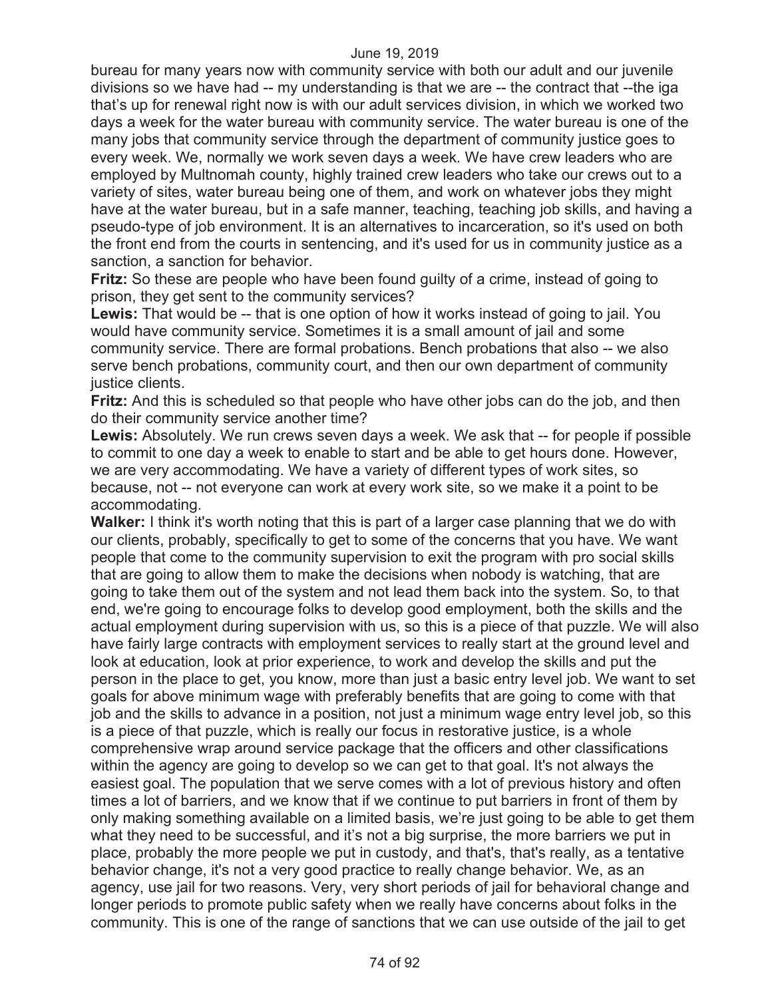bureau for many years now with community service with both our adult and our juvenile divisions so we have had -- my understanding is that we are -- the contract that --the iga that's up for renewal right now is with our adult services division, in which we worked two days a week for the water bureau with community service. The water bureau is one of the many jobs that community service through the department of community justice goes to every week. We, normally we work seven days a week. We have crew leaders who are employed by Multnomah county, highly trained crew leaders who take our crews out to a variety of sites, water bureau being one of them, and work on whatever jobs they might have at the water bureau, but in a safe manner, teaching, teaching job skills, and having a pseudo-type of job environment. It is an alternatives to incarceration, so it's used on both the front end from the courts in sentencing, and it's used for us in community justice as a sanction, a sanction for behavior.

**Fritz:** So these are people who have been found guilty of a crime, instead of going to prison, they get sent to the community services?

**Lewis:** That would be -- that is one option of how it works instead of going to jail. You would have community service. Sometimes it is a small amount of jail and some community service. There are formal probations. Bench probations that also -- we also serve bench probations, community court, and then our own department of community justice clients.

**Fritz:** And this is scheduled so that people who have other jobs can do the job, and then do their community service another time?

Lewis: Absolutely. We run crews seven days a week. We ask that -- for people if possible to commit to one day a week to enable to start and be able to get hours done. However, we are very accommodating. We have a variety of different types of work sites, so because, not -- not everyone can work at every work site, so we make it a point to be accommodating.

**Walker:** I think it's worth noting that this is part of a larger case planning that we do with our clients, probably, specifically to get to some of the concerns that you have. We want people that come to the community supervision to exit the program with pro social skills that are going to allow them to make the decisions when nobody is watching, that are going to take them out of the system and not lead them back into the system. So, to that end, we're going to encourage folks to develop good employment, both the skills and the actual employment during supervision with us, so this is a piece of that puzzle. We will also have fairly large contracts with employment services to really start at the ground level and look at education, look at prior experience, to work and develop the skills and put the person in the place to get, you know, more than just a basic entry level job. We want to set goals for above minimum wage with preferably benefits that are going to come with that job and the skills to advance in a position, not just a minimum wage entry level job, so this is a piece of that puzzle, which is really our focus in restorative justice, is a whole comprehensive wrap around service package that the officers and other classifications within the agency are going to develop so we can get to that goal. It's not always the easiest goal. The population that we serve comes with a lot of previous history and often times a lot of barriers, and we know that if we continue to put barriers in front of them by only making something available on a limited basis, we're just going to be able to get them what they need to be successful, and it's not a big surprise, the more barriers we put in place, probably the more people we put in custody, and that's, that's really, as a tentative behavior change, it's not a very good practice to really change behavior. We, as an agency, use jail for two reasons. Very, very short periods of jail for behavioral change and longer periods to promote public safety when we really have concerns about folks in the community. This is one of the range of sanctions that we can use outside of the jail to get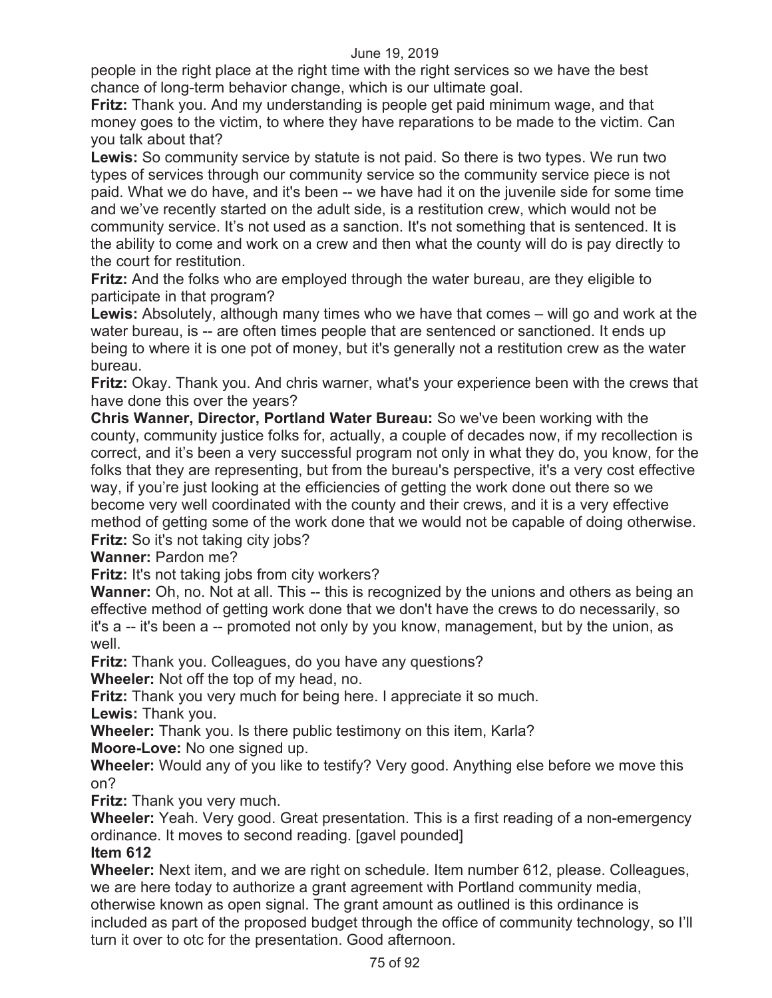people in the right place at the right time with the right services so we have the best chance of long-term behavior change, which is our ultimate goal.

**Fritz:** Thank you. And my understanding is people get paid minimum wage, and that money goes to the victim, to where they have reparations to be made to the victim. Can you talk about that?

**Lewis:** So community service by statute is not paid. So there is two types. We run two types of services through our community service so the community service piece is not paid. What we do have, and it's been -- we have had it on the juvenile side for some time and we've recently started on the adult side, is a restitution crew, which would not be community service. It's not used as a sanction. It's not something that is sentenced. It is the ability to come and work on a crew and then what the county will do is pay directly to the court for restitution.

**Fritz:** And the folks who are employed through the water bureau, are they eligible to participate in that program?

**Lewis:** Absolutely, although many times who we have that comes – will go and work at the water bureau, is -- are often times people that are sentenced or sanctioned. It ends up being to where it is one pot of money, but it's generally not a restitution crew as the water bureau.

**Fritz:** Okay. Thank you. And chris warner, what's your experience been with the crews that have done this over the years?

**Chris Wanner, Director, Portland Water Bureau:** So we've been working with the county, community justice folks for, actually, a couple of decades now, if my recollection is correct, and it's been a very successful program not only in what they do, you know, for the folks that they are representing, but from the bureau's perspective, it's a very cost effective way, if you're just looking at the efficiencies of getting the work done out there so we become very well coordinated with the county and their crews, and it is a very effective method of getting some of the work done that we would not be capable of doing otherwise. **Fritz:** So it's not taking city jobs?

**Wanner:** Pardon me?

**Fritz:** It's not taking jobs from city workers?

**Wanner:** Oh, no. Not at all. This -- this is recognized by the unions and others as being an effective method of getting work done that we don't have the crews to do necessarily, so it's a -- it's been a -- promoted not only by you know, management, but by the union, as well.

**Fritz:** Thank you. Colleagues, do you have any questions?

**Wheeler:** Not off the top of my head, no.

**Fritz:** Thank you very much for being here. I appreciate it so much.

**Lewis:** Thank you.

**Wheeler:** Thank you. Is there public testimony on this item, Karla?

**Moore-Love:** No one signed up.

**Wheeler:** Would any of you like to testify? Very good. Anything else before we move this on?

**Fritz:** Thank you very much.

**Wheeler:** Yeah. Very good. Great presentation. This is a first reading of a non-emergency ordinance. It moves to second reading. [gavel pounded]

## **Item 612**

**Wheeler:** Next item, and we are right on schedule. Item number 612, please. Colleagues, we are here today to authorize a grant agreement with Portland community media, otherwise known as open signal. The grant amount as outlined is this ordinance is included as part of the proposed budget through the office of community technology, so I'll turn it over to otc for the presentation. Good afternoon.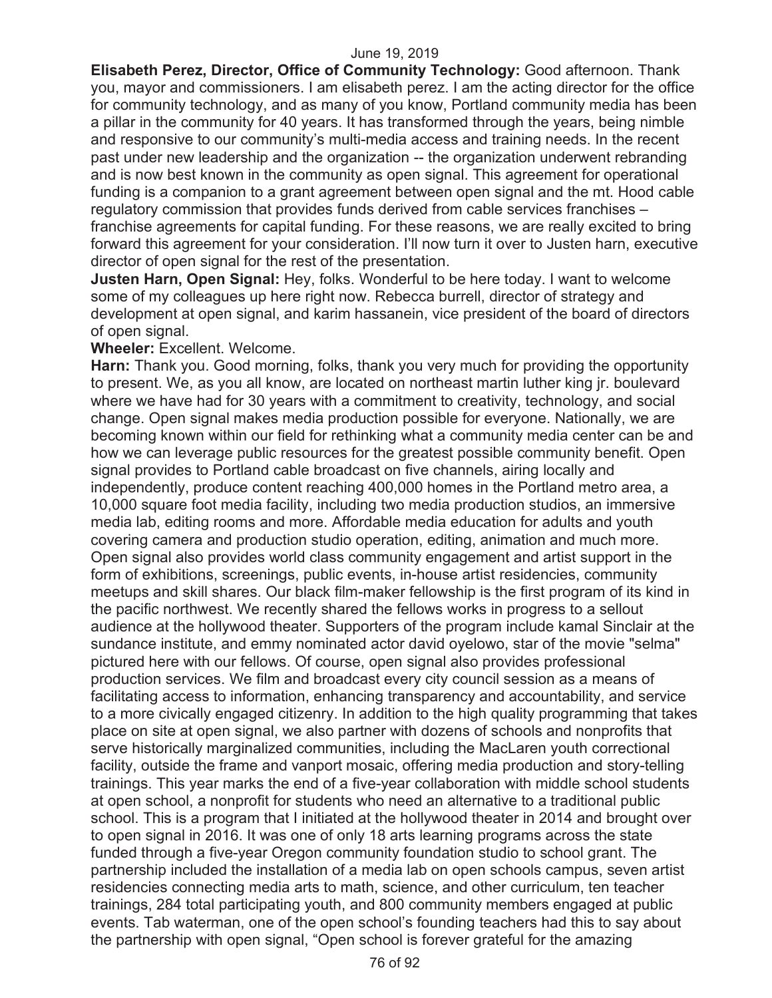**Elisabeth Perez, Director, Office of Community Technology:** Good afternoon. Thank you, mayor and commissioners. I am elisabeth perez. I am the acting director for the office for community technology, and as many of you know, Portland community media has been a pillar in the community for 40 years. It has transformed through the years, being nimble and responsive to our community's multi-media access and training needs. In the recent past under new leadership and the organization -- the organization underwent rebranding and is now best known in the community as open signal. This agreement for operational funding is a companion to a grant agreement between open signal and the mt. Hood cable regulatory commission that provides funds derived from cable services franchises – franchise agreements for capital funding. For these reasons, we are really excited to bring forward this agreement for your consideration. I'll now turn it over to Justen harn, executive director of open signal for the rest of the presentation.

**Justen Harn, Open Signal:** Hey, folks. Wonderful to be here today. I want to welcome some of my colleagues up here right now. Rebecca burrell, director of strategy and development at open signal, and karim hassanein, vice president of the board of directors of open signal.

## **Wheeler:** Excellent. Welcome.

**Harn:** Thank you. Good morning, folks, thank you very much for providing the opportunity to present. We, as you all know, are located on northeast martin luther king jr. boulevard where we have had for 30 years with a commitment to creativity, technology, and social change. Open signal makes media production possible for everyone. Nationally, we are becoming known within our field for rethinking what a community media center can be and how we can leverage public resources for the greatest possible community benefit. Open signal provides to Portland cable broadcast on five channels, airing locally and independently, produce content reaching 400,000 homes in the Portland metro area, a 10,000 square foot media facility, including two media production studios, an immersive media lab, editing rooms and more. Affordable media education for adults and youth covering camera and production studio operation, editing, animation and much more. Open signal also provides world class community engagement and artist support in the form of exhibitions, screenings, public events, in-house artist residencies, community meetups and skill shares. Our black film-maker fellowship is the first program of its kind in the pacific northwest. We recently shared the fellows works in progress to a sellout audience at the hollywood theater. Supporters of the program include kamal Sinclair at the sundance institute, and emmy nominated actor david oyelowo, star of the movie "selma" pictured here with our fellows. Of course, open signal also provides professional production services. We film and broadcast every city council session as a means of facilitating access to information, enhancing transparency and accountability, and service to a more civically engaged citizenry. In addition to the high quality programming that takes place on site at open signal, we also partner with dozens of schools and nonprofits that serve historically marginalized communities, including the MacLaren youth correctional facility, outside the frame and vanport mosaic, offering media production and story-telling trainings. This year marks the end of a five-year collaboration with middle school students at open school, a nonprofit for students who need an alternative to a traditional public school. This is a program that I initiated at the hollywood theater in 2014 and brought over to open signal in 2016. It was one of only 18 arts learning programs across the state funded through a five-year Oregon community foundation studio to school grant. The partnership included the installation of a media lab on open schools campus, seven artist residencies connecting media arts to math, science, and other curriculum, ten teacher trainings, 284 total participating youth, and 800 community members engaged at public events. Tab waterman, one of the open school's founding teachers had this to say about the partnership with open signal, "Open school is forever grateful for the amazing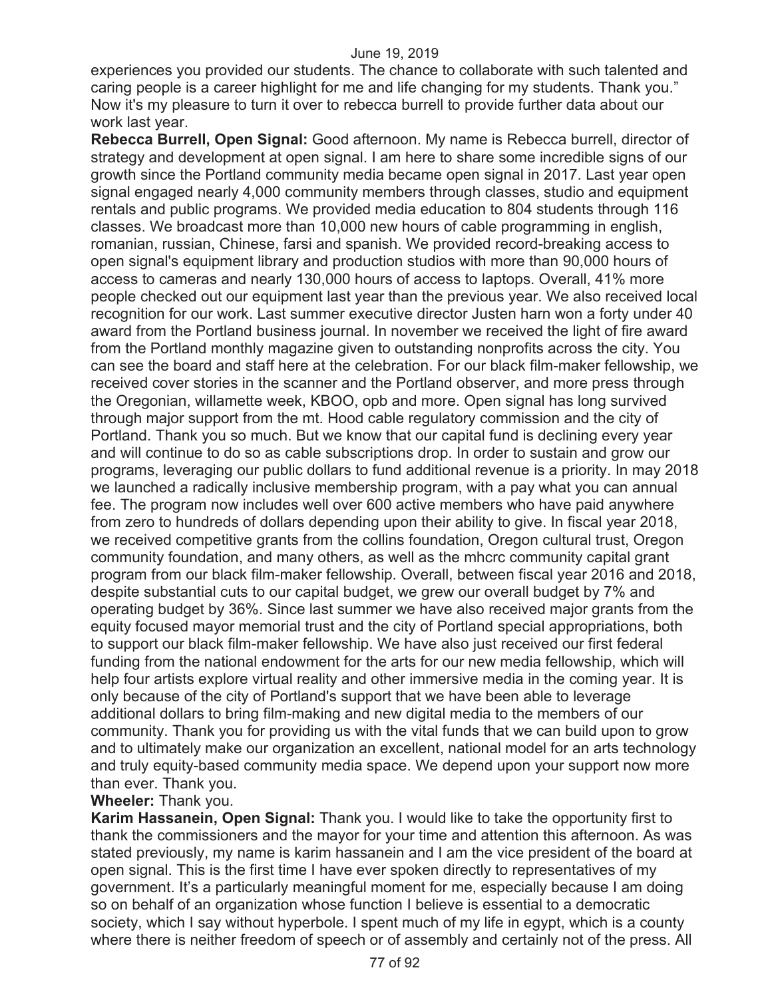experiences you provided our students. The chance to collaborate with such talented and caring people is a career highlight for me and life changing for my students. Thank you." Now it's my pleasure to turn it over to rebecca burrell to provide further data about our work last year.

**Rebecca Burrell, Open Signal:** Good afternoon. My name is Rebecca burrell, director of strategy and development at open signal. I am here to share some incredible signs of our growth since the Portland community media became open signal in 2017. Last year open signal engaged nearly 4,000 community members through classes, studio and equipment rentals and public programs. We provided media education to 804 students through 116 classes. We broadcast more than 10,000 new hours of cable programming in english, romanian, russian, Chinese, farsi and spanish. We provided record-breaking access to open signal's equipment library and production studios with more than 90,000 hours of access to cameras and nearly 130,000 hours of access to laptops. Overall, 41% more people checked out our equipment last year than the previous year. We also received local recognition for our work. Last summer executive director Justen harn won a forty under 40 award from the Portland business journal. In november we received the light of fire award from the Portland monthly magazine given to outstanding nonprofits across the city. You can see the board and staff here at the celebration. For our black film-maker fellowship, we received cover stories in the scanner and the Portland observer, and more press through the Oregonian, willamette week, KBOO, opb and more. Open signal has long survived through major support from the mt. Hood cable regulatory commission and the city of Portland. Thank you so much. But we know that our capital fund is declining every year and will continue to do so as cable subscriptions drop. In order to sustain and grow our programs, leveraging our public dollars to fund additional revenue is a priority. In may 2018 we launched a radically inclusive membership program, with a pay what you can annual fee. The program now includes well over 600 active members who have paid anywhere from zero to hundreds of dollars depending upon their ability to give. In fiscal year 2018, we received competitive grants from the collins foundation, Oregon cultural trust, Oregon community foundation, and many others, as well as the mhcrc community capital grant program from our black film-maker fellowship. Overall, between fiscal year 2016 and 2018, despite substantial cuts to our capital budget, we grew our overall budget by 7% and operating budget by 36%. Since last summer we have also received major grants from the equity focused mayor memorial trust and the city of Portland special appropriations, both to support our black film-maker fellowship. We have also just received our first federal funding from the national endowment for the arts for our new media fellowship, which will help four artists explore virtual reality and other immersive media in the coming year. It is only because of the city of Portland's support that we have been able to leverage additional dollars to bring film-making and new digital media to the members of our community. Thank you for providing us with the vital funds that we can build upon to grow and to ultimately make our organization an excellent, national model for an arts technology and truly equity-based community media space. We depend upon your support now more than ever. Thank you.

## **Wheeler:** Thank you.

**Karim Hassanein, Open Signal:** Thank you. I would like to take the opportunity first to thank the commissioners and the mayor for your time and attention this afternoon. As was stated previously, my name is karim hassanein and I am the vice president of the board at open signal. This is the first time I have ever spoken directly to representatives of my government. It's a particularly meaningful moment for me, especially because I am doing so on behalf of an organization whose function I believe is essential to a democratic society, which I say without hyperbole. I spent much of my life in egypt, which is a county where there is neither freedom of speech or of assembly and certainly not of the press. All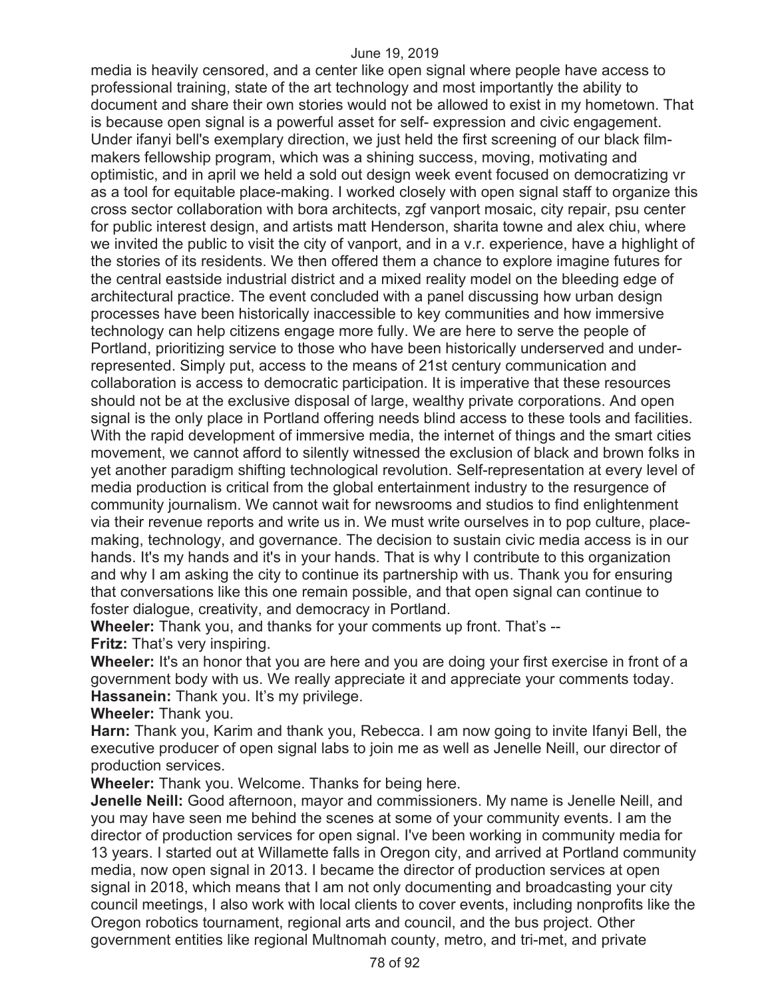media is heavily censored, and a center like open signal where people have access to professional training, state of the art technology and most importantly the ability to document and share their own stories would not be allowed to exist in my hometown. That is because open signal is a powerful asset for self- expression and civic engagement. Under ifanyi bell's exemplary direction, we just held the first screening of our black filmmakers fellowship program, which was a shining success, moving, motivating and optimistic, and in april we held a sold out design week event focused on democratizing vr as a tool for equitable place-making. I worked closely with open signal staff to organize this cross sector collaboration with bora architects, zgf vanport mosaic, city repair, psu center for public interest design, and artists matt Henderson, sharita towne and alex chiu, where we invited the public to visit the city of vanport, and in a v.r. experience, have a highlight of the stories of its residents. We then offered them a chance to explore imagine futures for the central eastside industrial district and a mixed reality model on the bleeding edge of architectural practice. The event concluded with a panel discussing how urban design processes have been historically inaccessible to key communities and how immersive technology can help citizens engage more fully. We are here to serve the people of Portland, prioritizing service to those who have been historically underserved and underrepresented. Simply put, access to the means of 21st century communication and collaboration is access to democratic participation. It is imperative that these resources should not be at the exclusive disposal of large, wealthy private corporations. And open signal is the only place in Portland offering needs blind access to these tools and facilities. With the rapid development of immersive media, the internet of things and the smart cities movement, we cannot afford to silently witnessed the exclusion of black and brown folks in yet another paradigm shifting technological revolution. Self-representation at every level of media production is critical from the global entertainment industry to the resurgence of community journalism. We cannot wait for newsrooms and studios to find enlightenment via their revenue reports and write us in. We must write ourselves in to pop culture, placemaking, technology, and governance. The decision to sustain civic media access is in our hands. It's my hands and it's in your hands. That is why I contribute to this organization and why I am asking the city to continue its partnership with us. Thank you for ensuring that conversations like this one remain possible, and that open signal can continue to foster dialogue, creativity, and democracy in Portland.

**Wheeler:** Thank you, and thanks for your comments up front. That's -- **Fritz:** That's very inspiring.

**Wheeler:** It's an honor that you are here and you are doing your first exercise in front of a government body with us. We really appreciate it and appreciate your comments today. **Hassanein:** Thank you. It's my privilege.

**Wheeler:** Thank you.

**Harn:** Thank you, Karim and thank you, Rebecca. I am now going to invite Ifanyi Bell, the executive producer of open signal labs to join me as well as Jenelle Neill, our director of production services.

**Wheeler:** Thank you. Welcome. Thanks for being here.

**Jenelle Neill:** Good afternoon, mayor and commissioners. My name is Jenelle Neill, and you may have seen me behind the scenes at some of your community events. I am the director of production services for open signal. I've been working in community media for 13 years. I started out at Willamette falls in Oregon city, and arrived at Portland community media, now open signal in 2013. I became the director of production services at open signal in 2018, which means that I am not only documenting and broadcasting your city council meetings, I also work with local clients to cover events, including nonprofits like the Oregon robotics tournament, regional arts and council, and the bus project. Other government entities like regional Multnomah county, metro, and tri-met, and private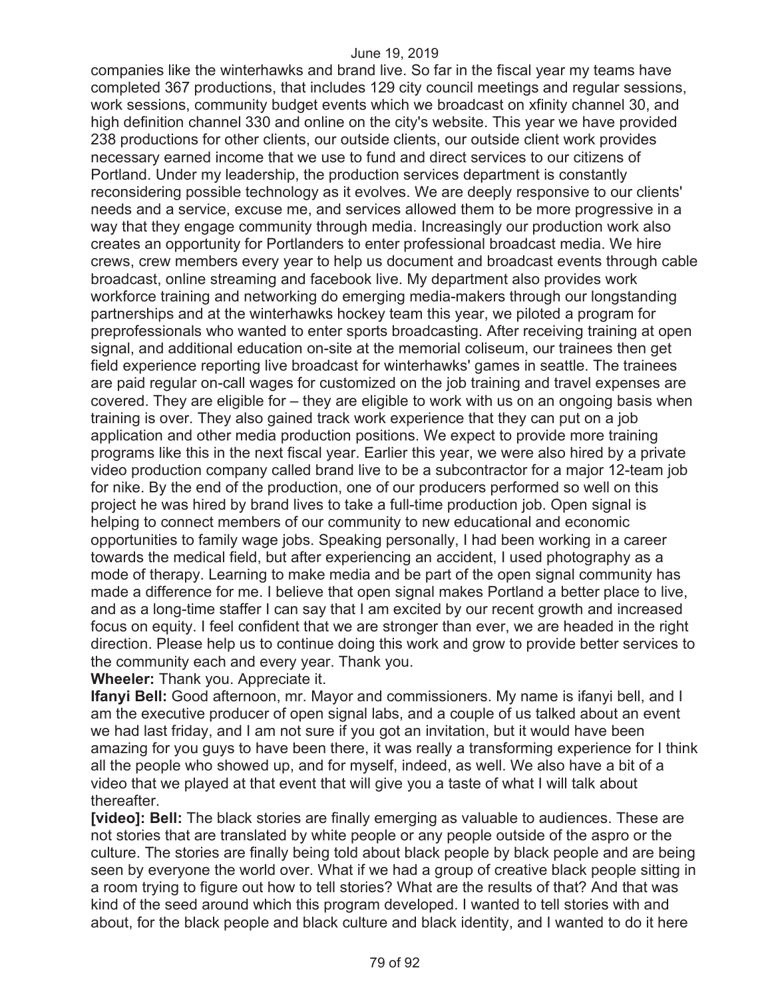companies like the winterhawks and brand live. So far in the fiscal year my teams have completed 367 productions, that includes 129 city council meetings and regular sessions, work sessions, community budget events which we broadcast on xfinity channel 30, and high definition channel 330 and online on the city's website. This year we have provided 238 productions for other clients, our outside clients, our outside client work provides necessary earned income that we use to fund and direct services to our citizens of Portland. Under my leadership, the production services department is constantly reconsidering possible technology as it evolves. We are deeply responsive to our clients' needs and a service, excuse me, and services allowed them to be more progressive in a way that they engage community through media. Increasingly our production work also creates an opportunity for Portlanders to enter professional broadcast media. We hire crews, crew members every year to help us document and broadcast events through cable broadcast, online streaming and facebook live. My department also provides work workforce training and networking do emerging media-makers through our longstanding partnerships and at the winterhawks hockey team this year, we piloted a program for preprofessionals who wanted to enter sports broadcasting. After receiving training at open signal, and additional education on-site at the memorial coliseum, our trainees then get field experience reporting live broadcast for winterhawks' games in seattle. The trainees are paid regular on-call wages for customized on the job training and travel expenses are covered. They are eligible for – they are eligible to work with us on an ongoing basis when training is over. They also gained track work experience that they can put on a job application and other media production positions. We expect to provide more training programs like this in the next fiscal year. Earlier this year, we were also hired by a private video production company called brand live to be a subcontractor for a major 12-team job for nike. By the end of the production, one of our producers performed so well on this project he was hired by brand lives to take a full-time production job. Open signal is helping to connect members of our community to new educational and economic opportunities to family wage jobs. Speaking personally, I had been working in a career towards the medical field, but after experiencing an accident, I used photography as a mode of therapy. Learning to make media and be part of the open signal community has made a difference for me. I believe that open signal makes Portland a better place to live, and as a long-time staffer I can say that I am excited by our recent growth and increased focus on equity. I feel confident that we are stronger than ever, we are headed in the right direction. Please help us to continue doing this work and grow to provide better services to the community each and every year. Thank you.

**Wheeler:** Thank you. Appreciate it.

**Ifanyi Bell:** Good afternoon, mr. Mayor and commissioners. My name is ifanyi bell, and I am the executive producer of open signal labs, and a couple of us talked about an event we had last friday, and I am not sure if you got an invitation, but it would have been amazing for you guys to have been there, it was really a transforming experience for I think all the people who showed up, and for myself, indeed, as well. We also have a bit of a video that we played at that event that will give you a taste of what I will talk about thereafter.

**[video]: Bell:** The black stories are finally emerging as valuable to audiences. These are not stories that are translated by white people or any people outside of the aspro or the culture. The stories are finally being told about black people by black people and are being seen by everyone the world over. What if we had a group of creative black people sitting in a room trying to figure out how to tell stories? What are the results of that? And that was kind of the seed around which this program developed. I wanted to tell stories with and about, for the black people and black culture and black identity, and I wanted to do it here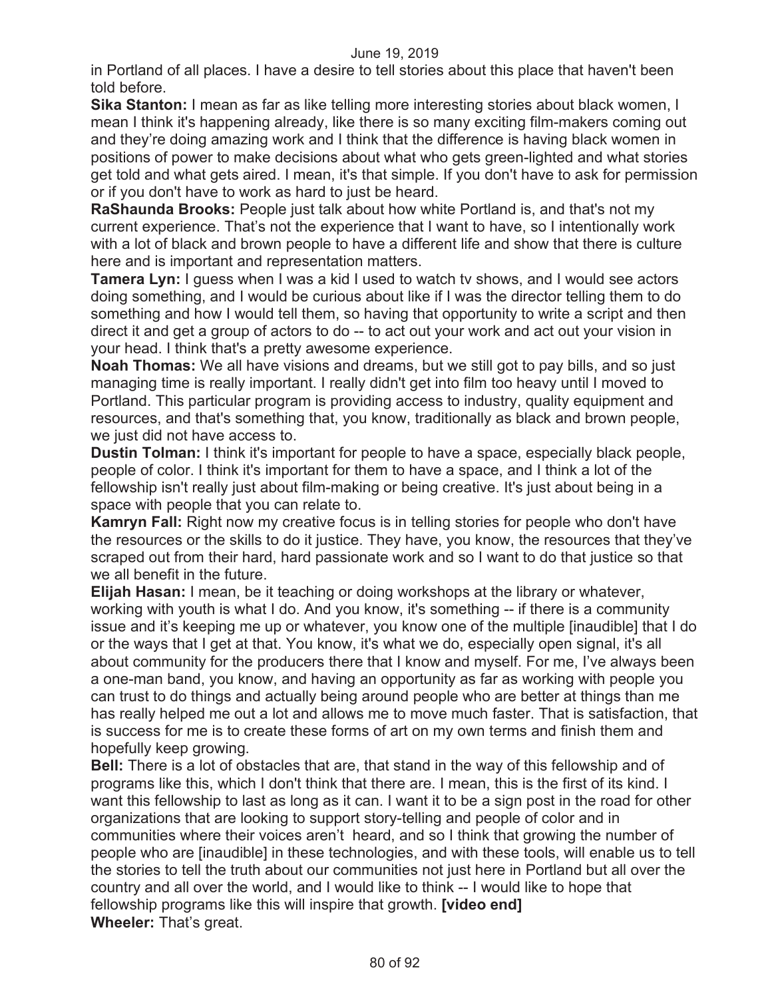in Portland of all places. I have a desire to tell stories about this place that haven't been told before.

**Sika Stanton:** I mean as far as like telling more interesting stories about black women, I mean I think it's happening already, like there is so many exciting film-makers coming out and they're doing amazing work and I think that the difference is having black women in positions of power to make decisions about what who gets green-lighted and what stories get told and what gets aired. I mean, it's that simple. If you don't have to ask for permission or if you don't have to work as hard to just be heard.

**RaShaunda Brooks:** People just talk about how white Portland is, and that's not my current experience. That's not the experience that I want to have, so I intentionally work with a lot of black and brown people to have a different life and show that there is culture here and is important and representation matters.

**Tamera Lyn:** I guess when I was a kid I used to watch tv shows, and I would see actors doing something, and I would be curious about like if I was the director telling them to do something and how I would tell them, so having that opportunity to write a script and then direct it and get a group of actors to do -- to act out your work and act out your vision in your head. I think that's a pretty awesome experience.

**Noah Thomas:** We all have visions and dreams, but we still got to pay bills, and so just managing time is really important. I really didn't get into film too heavy until I moved to Portland. This particular program is providing access to industry, quality equipment and resources, and that's something that, you know, traditionally as black and brown people, we just did not have access to.

**Dustin Tolman:** I think it's important for people to have a space, especially black people, people of color. I think it's important for them to have a space, and I think a lot of the fellowship isn't really just about film-making or being creative. It's just about being in a space with people that you can relate to.

**Kamryn Fall:** Right now my creative focus is in telling stories for people who don't have the resources or the skills to do it justice. They have, you know, the resources that they've scraped out from their hard, hard passionate work and so I want to do that justice so that we all benefit in the future.

**Elijah Hasan:** I mean, be it teaching or doing workshops at the library or whatever, working with youth is what I do. And you know, it's something -- if there is a community issue and it's keeping me up or whatever, you know one of the multiple [inaudible] that I do or the ways that I get at that. You know, it's what we do, especially open signal, it's all about community for the producers there that I know and myself. For me, I've always been a one-man band, you know, and having an opportunity as far as working with people you can trust to do things and actually being around people who are better at things than me has really helped me out a lot and allows me to move much faster. That is satisfaction, that is success for me is to create these forms of art on my own terms and finish them and hopefully keep growing.

**Bell:** There is a lot of obstacles that are, that stand in the way of this fellowship and of programs like this, which I don't think that there are. I mean, this is the first of its kind. I want this fellowship to last as long as it can. I want it to be a sign post in the road for other organizations that are looking to support story-telling and people of color and in communities where their voices aren't heard, and so I think that growing the number of people who are [inaudible] in these technologies, and with these tools, will enable us to tell the stories to tell the truth about our communities not just here in Portland but all over the country and all over the world, and I would like to think -- I would like to hope that fellowship programs like this will inspire that growth. **[video end] Wheeler:** That's great.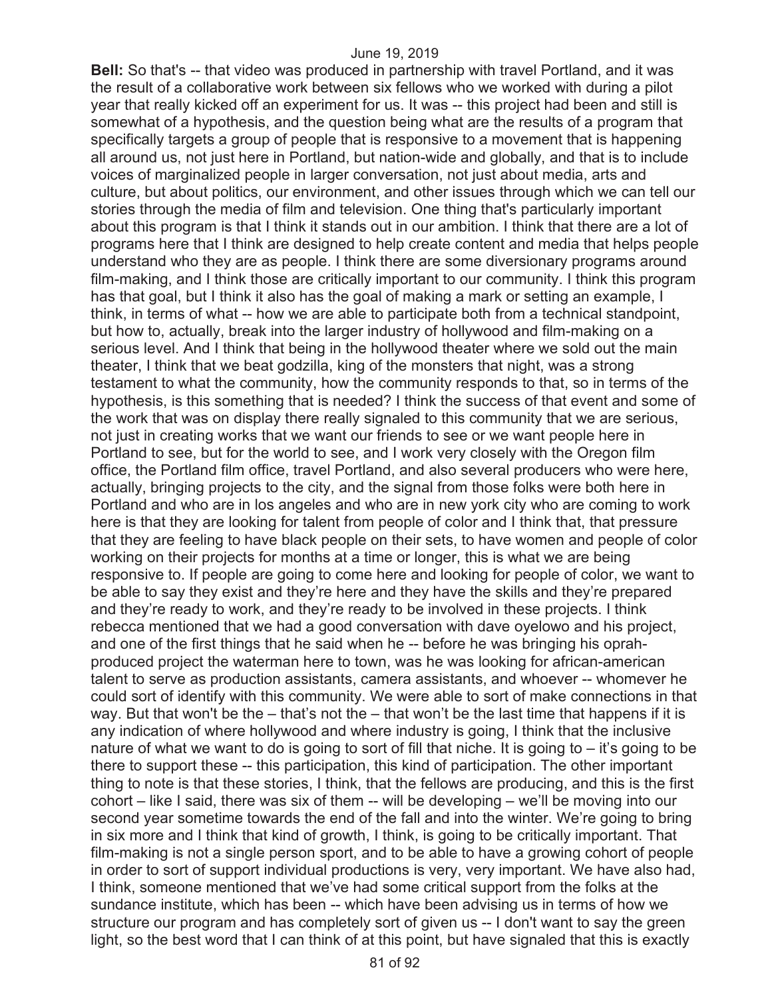**Bell:** So that's -- that video was produced in partnership with travel Portland, and it was the result of a collaborative work between six fellows who we worked with during a pilot year that really kicked off an experiment for us. It was -- this project had been and still is somewhat of a hypothesis, and the question being what are the results of a program that specifically targets a group of people that is responsive to a movement that is happening all around us, not just here in Portland, but nation-wide and globally, and that is to include voices of marginalized people in larger conversation, not just about media, arts and culture, but about politics, our environment, and other issues through which we can tell our stories through the media of film and television. One thing that's particularly important about this program is that I think it stands out in our ambition. I think that there are a lot of programs here that I think are designed to help create content and media that helps people understand who they are as people. I think there are some diversionary programs around film-making, and I think those are critically important to our community. I think this program has that goal, but I think it also has the goal of making a mark or setting an example, I think, in terms of what -- how we are able to participate both from a technical standpoint, but how to, actually, break into the larger industry of hollywood and film-making on a serious level. And I think that being in the hollywood theater where we sold out the main theater, I think that we beat godzilla, king of the monsters that night, was a strong testament to what the community, how the community responds to that, so in terms of the hypothesis, is this something that is needed? I think the success of that event and some of the work that was on display there really signaled to this community that we are serious, not just in creating works that we want our friends to see or we want people here in Portland to see, but for the world to see, and I work very closely with the Oregon film office, the Portland film office, travel Portland, and also several producers who were here, actually, bringing projects to the city, and the signal from those folks were both here in Portland and who are in los angeles and who are in new york city who are coming to work here is that they are looking for talent from people of color and I think that, that pressure that they are feeling to have black people on their sets, to have women and people of color working on their projects for months at a time or longer, this is what we are being responsive to. If people are going to come here and looking for people of color, we want to be able to say they exist and they're here and they have the skills and they're prepared and they're ready to work, and they're ready to be involved in these projects. I think rebecca mentioned that we had a good conversation with dave oyelowo and his project, and one of the first things that he said when he -- before he was bringing his oprahproduced project the waterman here to town, was he was looking for african-american talent to serve as production assistants, camera assistants, and whoever -- whomever he could sort of identify with this community. We were able to sort of make connections in that way. But that won't be the – that's not the – that won't be the last time that happens if it is any indication of where hollywood and where industry is going, I think that the inclusive nature of what we want to do is going to sort of fill that niche. It is going to – it's going to be there to support these -- this participation, this kind of participation. The other important thing to note is that these stories, I think, that the fellows are producing, and this is the first cohort – like I said, there was six of them -- will be developing – we'll be moving into our second year sometime towards the end of the fall and into the winter. We're going to bring in six more and I think that kind of growth, I think, is going to be critically important. That film-making is not a single person sport, and to be able to have a growing cohort of people in order to sort of support individual productions is very, very important. We have also had, I think, someone mentioned that we've had some critical support from the folks at the sundance institute, which has been -- which have been advising us in terms of how we structure our program and has completely sort of given us -- I don't want to say the green light, so the best word that I can think of at this point, but have signaled that this is exactly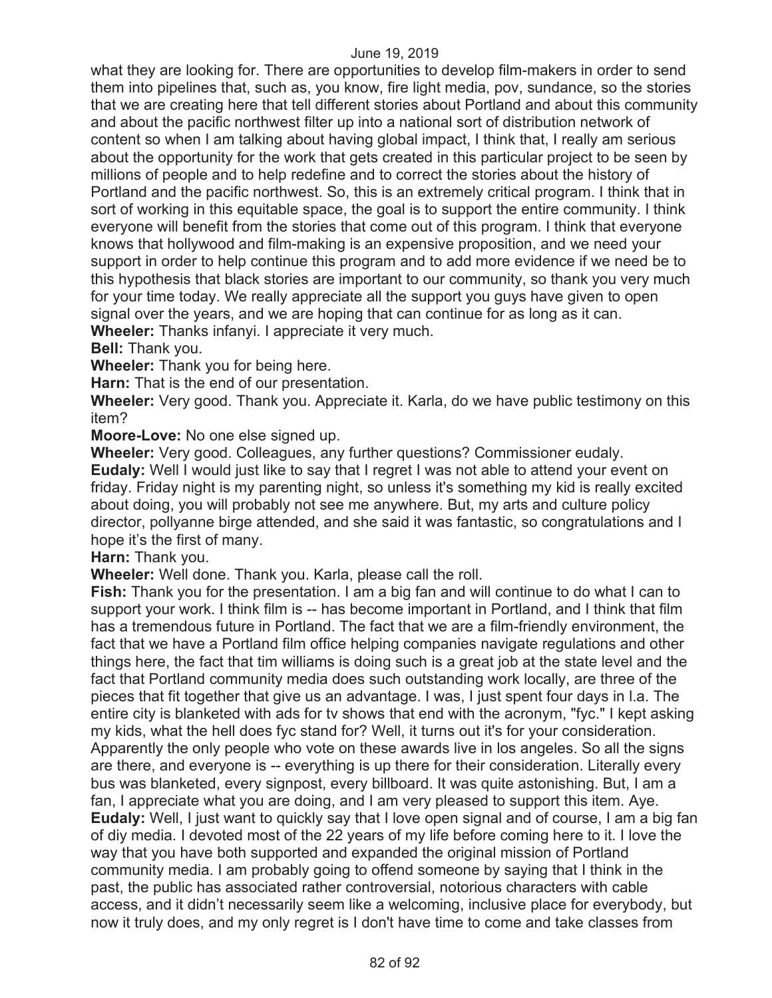what they are looking for. There are opportunities to develop film-makers in order to send them into pipelines that, such as, you know, fire light media, pov, sundance, so the stories that we are creating here that tell different stories about Portland and about this community and about the pacific northwest filter up into a national sort of distribution network of content so when I am talking about having global impact, I think that, I really am serious about the opportunity for the work that gets created in this particular project to be seen by millions of people and to help redefine and to correct the stories about the history of Portland and the pacific northwest. So, this is an extremely critical program. I think that in sort of working in this equitable space, the goal is to support the entire community. I think everyone will benefit from the stories that come out of this program. I think that everyone knows that hollywood and film-making is an expensive proposition, and we need your support in order to help continue this program and to add more evidence if we need be to this hypothesis that black stories are important to our community, so thank you very much for your time today. We really appreciate all the support you guys have given to open signal over the years, and we are hoping that can continue for as long as it can.

**Wheeler:** Thanks infanyi. I appreciate it very much.

**Bell:** Thank you.

**Wheeler:** Thank you for being here.

**Harn:** That is the end of our presentation.

**Wheeler:** Very good. Thank you. Appreciate it. Karla, do we have public testimony on this item?

**Moore-Love:** No one else signed up.

**Wheeler:** Very good. Colleagues, any further questions? Commissioner eudaly. **Eudaly:** Well I would just like to say that I regret I was not able to attend your event on friday. Friday night is my parenting night, so unless it's something my kid is really excited about doing, you will probably not see me anywhere. But, my arts and culture policy director, pollyanne birge attended, and she said it was fantastic, so congratulations and I hope it's the first of many.

**Harn:** Thank you.

**Wheeler:** Well done. Thank you. Karla, please call the roll.

**Fish:** Thank you for the presentation. I am a big fan and will continue to do what I can to support your work. I think film is -- has become important in Portland, and I think that film has a tremendous future in Portland. The fact that we are a film-friendly environment, the fact that we have a Portland film office helping companies navigate regulations and other things here, the fact that tim williams is doing such is a great job at the state level and the fact that Portland community media does such outstanding work locally, are three of the pieces that fit together that give us an advantage. I was, I just spent four days in l.a. The entire city is blanketed with ads for tv shows that end with the acronym, "fyc." I kept asking my kids, what the hell does fyc stand for? Well, it turns out it's for your consideration. Apparently the only people who vote on these awards live in los angeles. So all the signs are there, and everyone is -- everything is up there for their consideration. Literally every bus was blanketed, every signpost, every billboard. It was quite astonishing. But, I am a fan, I appreciate what you are doing, and I am very pleased to support this item. Aye. **Eudaly:** Well, I just want to quickly say that I love open signal and of course, I am a big fan of diy media. I devoted most of the 22 years of my life before coming here to it. I love the way that you have both supported and expanded the original mission of Portland community media. I am probably going to offend someone by saying that I think in the past, the public has associated rather controversial, notorious characters with cable access, and it didn't necessarily seem like a welcoming, inclusive place for everybody, but now it truly does, and my only regret is I don't have time to come and take classes from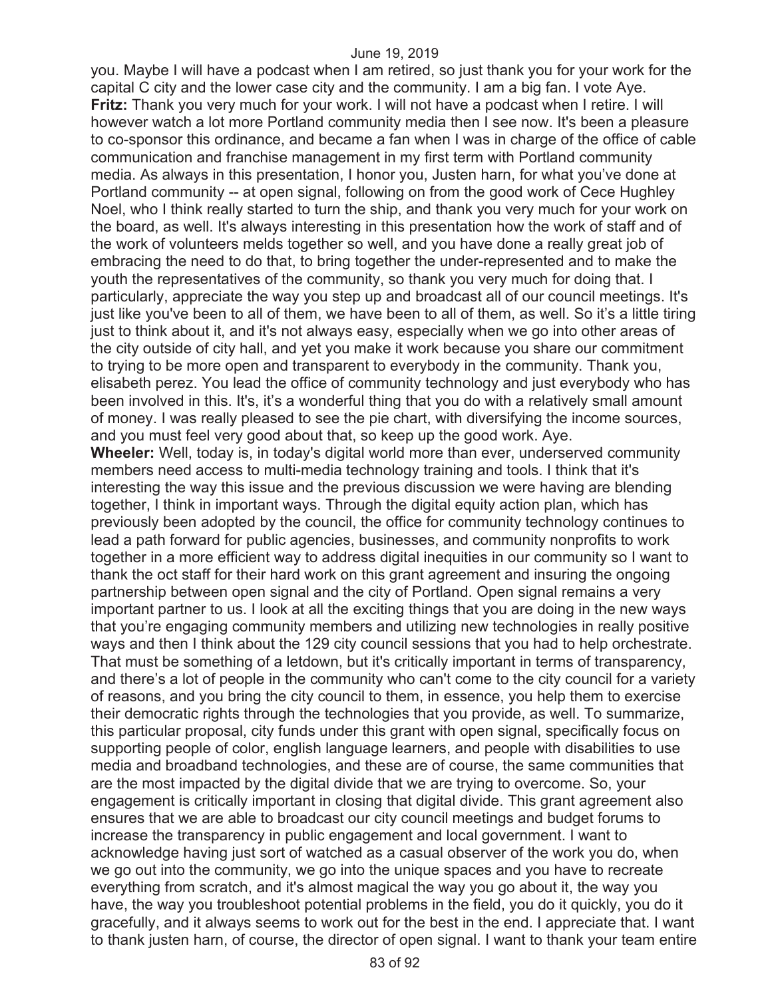you. Maybe I will have a podcast when I am retired, so just thank you for your work for the capital C city and the lower case city and the community. I am a big fan. I vote Aye. **Fritz:** Thank you very much for your work. I will not have a podcast when I retire. I will however watch a lot more Portland community media then I see now. It's been a pleasure to co-sponsor this ordinance, and became a fan when I was in charge of the office of cable communication and franchise management in my first term with Portland community media. As always in this presentation, I honor you, Justen harn, for what you've done at Portland community -- at open signal, following on from the good work of Cece Hughley Noel, who I think really started to turn the ship, and thank you very much for your work on the board, as well. It's always interesting in this presentation how the work of staff and of the work of volunteers melds together so well, and you have done a really great job of embracing the need to do that, to bring together the under-represented and to make the youth the representatives of the community, so thank you very much for doing that. I particularly, appreciate the way you step up and broadcast all of our council meetings. It's just like you've been to all of them, we have been to all of them, as well. So it's a little tiring just to think about it, and it's not always easy, especially when we go into other areas of the city outside of city hall, and yet you make it work because you share our commitment to trying to be more open and transparent to everybody in the community. Thank you, elisabeth perez. You lead the office of community technology and just everybody who has been involved in this. It's, it's a wonderful thing that you do with a relatively small amount of money. I was really pleased to see the pie chart, with diversifying the income sources, and you must feel very good about that, so keep up the good work. Aye. **Wheeler:** Well, today is, in today's digital world more than ever, underserved community members need access to multi-media technology training and tools. I think that it's interesting the way this issue and the previous discussion we were having are blending together, I think in important ways. Through the digital equity action plan, which has previously been adopted by the council, the office for community technology continues to lead a path forward for public agencies, businesses, and community nonprofits to work together in a more efficient way to address digital inequities in our community so I want to thank the oct staff for their hard work on this grant agreement and insuring the ongoing partnership between open signal and the city of Portland. Open signal remains a very important partner to us. I look at all the exciting things that you are doing in the new ways that you're engaging community members and utilizing new technologies in really positive ways and then I think about the 129 city council sessions that you had to help orchestrate. That must be something of a letdown, but it's critically important in terms of transparency, and there's a lot of people in the community who can't come to the city council for a variety of reasons, and you bring the city council to them, in essence, you help them to exercise their democratic rights through the technologies that you provide, as well. To summarize, this particular proposal, city funds under this grant with open signal, specifically focus on supporting people of color, english language learners, and people with disabilities to use media and broadband technologies, and these are of course, the same communities that are the most impacted by the digital divide that we are trying to overcome. So, your engagement is critically important in closing that digital divide. This grant agreement also ensures that we are able to broadcast our city council meetings and budget forums to increase the transparency in public engagement and local government. I want to acknowledge having just sort of watched as a casual observer of the work you do, when we go out into the community, we go into the unique spaces and you have to recreate everything from scratch, and it's almost magical the way you go about it, the way you have, the way you troubleshoot potential problems in the field, you do it quickly, you do it gracefully, and it always seems to work out for the best in the end. I appreciate that. I want to thank justen harn, of course, the director of open signal. I want to thank your team entire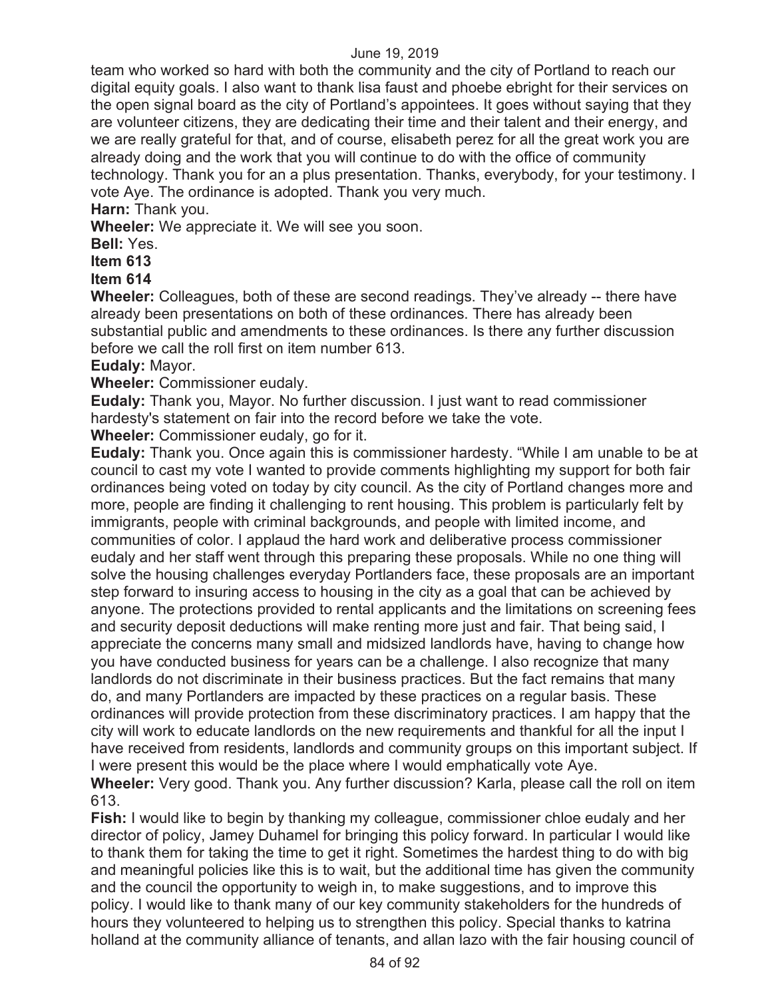team who worked so hard with both the community and the city of Portland to reach our digital equity goals. I also want to thank lisa faust and phoebe ebright for their services on the open signal board as the city of Portland's appointees. It goes without saying that they are volunteer citizens, they are dedicating their time and their talent and their energy, and we are really grateful for that, and of course, elisabeth perez for all the great work you are already doing and the work that you will continue to do with the office of community technology. Thank you for an a plus presentation. Thanks, everybody, for your testimony. I vote Aye. The ordinance is adopted. Thank you very much.

**Harn:** Thank you.

**Wheeler:** We appreciate it. We will see you soon.

**Bell:** Yes.

**Item 613** 

**Item 614** 

**Wheeler:** Colleagues, both of these are second readings. They've already -- there have already been presentations on both of these ordinances. There has already been substantial public and amendments to these ordinances. Is there any further discussion before we call the roll first on item number 613.

**Eudaly:** Mayor.

**Wheeler:** Commissioner eudaly.

**Eudaly:** Thank you, Mayor. No further discussion. I just want to read commissioner hardesty's statement on fair into the record before we take the vote.

**Wheeler:** Commissioner eudaly, go for it.

**Eudaly:** Thank you. Once again this is commissioner hardesty. "While I am unable to be at council to cast my vote I wanted to provide comments highlighting my support for both fair ordinances being voted on today by city council. As the city of Portland changes more and more, people are finding it challenging to rent housing. This problem is particularly felt by immigrants, people with criminal backgrounds, and people with limited income, and communities of color. I applaud the hard work and deliberative process commissioner eudaly and her staff went through this preparing these proposals. While no one thing will solve the housing challenges everyday Portlanders face, these proposals are an important step forward to insuring access to housing in the city as a goal that can be achieved by anyone. The protections provided to rental applicants and the limitations on screening fees and security deposit deductions will make renting more just and fair. That being said, I appreciate the concerns many small and midsized landlords have, having to change how you have conducted business for years can be a challenge. I also recognize that many landlords do not discriminate in their business practices. But the fact remains that many do, and many Portlanders are impacted by these practices on a regular basis. These ordinances will provide protection from these discriminatory practices. I am happy that the city will work to educate landlords on the new requirements and thankful for all the input I have received from residents, landlords and community groups on this important subject. If I were present this would be the place where I would emphatically vote Aye. **Wheeler:** Very good. Thank you. Any further discussion? Karla, please call the roll on item 613.

**Fish:** I would like to begin by thanking my colleague, commissioner chloe eudaly and her director of policy, Jamey Duhamel for bringing this policy forward. In particular I would like to thank them for taking the time to get it right. Sometimes the hardest thing to do with big and meaningful policies like this is to wait, but the additional time has given the community and the council the opportunity to weigh in, to make suggestions, and to improve this policy. I would like to thank many of our key community stakeholders for the hundreds of hours they volunteered to helping us to strengthen this policy. Special thanks to katrina holland at the community alliance of tenants, and allan lazo with the fair housing council of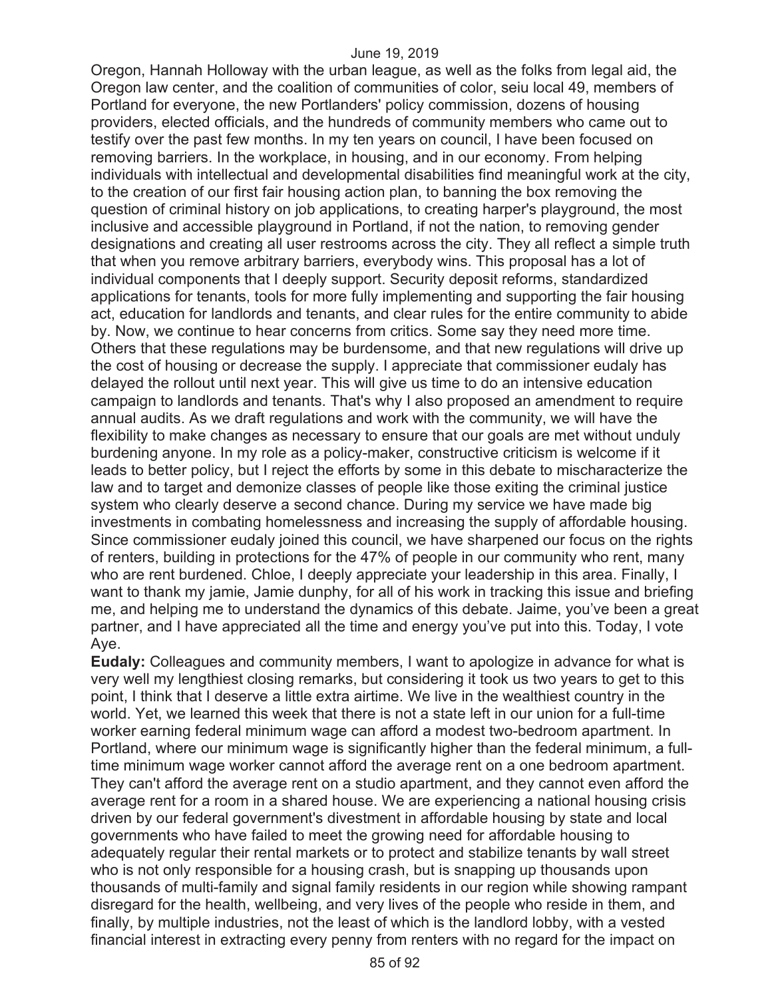Oregon, Hannah Holloway with the urban league, as well as the folks from legal aid, the Oregon law center, and the coalition of communities of color, seiu local 49, members of Portland for everyone, the new Portlanders' policy commission, dozens of housing providers, elected officials, and the hundreds of community members who came out to testify over the past few months. In my ten years on council, I have been focused on removing barriers. In the workplace, in housing, and in our economy. From helping individuals with intellectual and developmental disabilities find meaningful work at the city, to the creation of our first fair housing action plan, to banning the box removing the question of criminal history on job applications, to creating harper's playground, the most inclusive and accessible playground in Portland, if not the nation, to removing gender designations and creating all user restrooms across the city. They all reflect a simple truth that when you remove arbitrary barriers, everybody wins. This proposal has a lot of individual components that I deeply support. Security deposit reforms, standardized applications for tenants, tools for more fully implementing and supporting the fair housing act, education for landlords and tenants, and clear rules for the entire community to abide by. Now, we continue to hear concerns from critics. Some say they need more time. Others that these regulations may be burdensome, and that new regulations will drive up the cost of housing or decrease the supply. I appreciate that commissioner eudaly has delayed the rollout until next year. This will give us time to do an intensive education campaign to landlords and tenants. That's why I also proposed an amendment to require annual audits. As we draft regulations and work with the community, we will have the flexibility to make changes as necessary to ensure that our goals are met without unduly burdening anyone. In my role as a policy-maker, constructive criticism is welcome if it leads to better policy, but I reject the efforts by some in this debate to mischaracterize the law and to target and demonize classes of people like those exiting the criminal justice system who clearly deserve a second chance. During my service we have made big investments in combating homelessness and increasing the supply of affordable housing. Since commissioner eudaly joined this council, we have sharpened our focus on the rights of renters, building in protections for the 47% of people in our community who rent, many who are rent burdened. Chloe, I deeply appreciate your leadership in this area. Finally, I want to thank my jamie, Jamie dunphy, for all of his work in tracking this issue and briefing me, and helping me to understand the dynamics of this debate. Jaime, you've been a great partner, and I have appreciated all the time and energy you've put into this. Today, I vote Aye.

**Eudaly:** Colleagues and community members, I want to apologize in advance for what is very well my lengthiest closing remarks, but considering it took us two years to get to this point, I think that I deserve a little extra airtime. We live in the wealthiest country in the world. Yet, we learned this week that there is not a state left in our union for a full-time worker earning federal minimum wage can afford a modest two-bedroom apartment. In Portland, where our minimum wage is significantly higher than the federal minimum, a fulltime minimum wage worker cannot afford the average rent on a one bedroom apartment. They can't afford the average rent on a studio apartment, and they cannot even afford the average rent for a room in a shared house. We are experiencing a national housing crisis driven by our federal government's divestment in affordable housing by state and local governments who have failed to meet the growing need for affordable housing to adequately regular their rental markets or to protect and stabilize tenants by wall street who is not only responsible for a housing crash, but is snapping up thousands upon thousands of multi-family and signal family residents in our region while showing rampant disregard for the health, wellbeing, and very lives of the people who reside in them, and finally, by multiple industries, not the least of which is the landlord lobby, with a vested financial interest in extracting every penny from renters with no regard for the impact on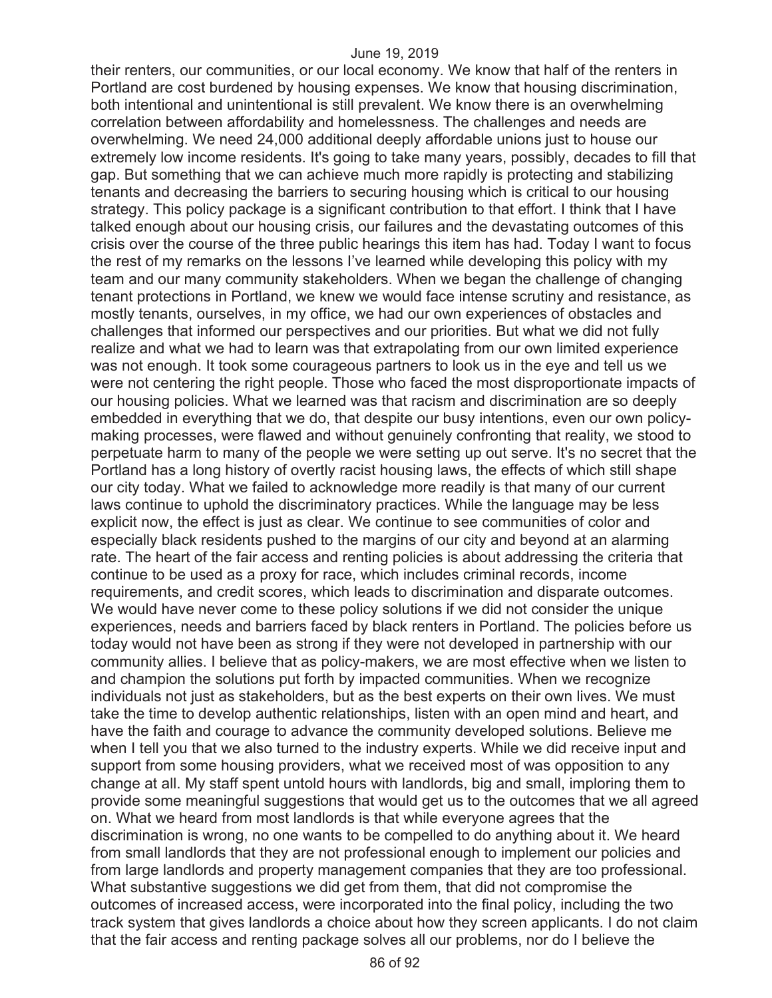their renters, our communities, or our local economy. We know that half of the renters in Portland are cost burdened by housing expenses. We know that housing discrimination, both intentional and unintentional is still prevalent. We know there is an overwhelming correlation between affordability and homelessness. The challenges and needs are overwhelming. We need 24,000 additional deeply affordable unions just to house our extremely low income residents. It's going to take many years, possibly, decades to fill that gap. But something that we can achieve much more rapidly is protecting and stabilizing tenants and decreasing the barriers to securing housing which is critical to our housing strategy. This policy package is a significant contribution to that effort. I think that I have talked enough about our housing crisis, our failures and the devastating outcomes of this crisis over the course of the three public hearings this item has had. Today I want to focus the rest of my remarks on the lessons I've learned while developing this policy with my team and our many community stakeholders. When we began the challenge of changing tenant protections in Portland, we knew we would face intense scrutiny and resistance, as mostly tenants, ourselves, in my office, we had our own experiences of obstacles and challenges that informed our perspectives and our priorities. But what we did not fully realize and what we had to learn was that extrapolating from our own limited experience was not enough. It took some courageous partners to look us in the eye and tell us we were not centering the right people. Those who faced the most disproportionate impacts of our housing policies. What we learned was that racism and discrimination are so deeply embedded in everything that we do, that despite our busy intentions, even our own policymaking processes, were flawed and without genuinely confronting that reality, we stood to perpetuate harm to many of the people we were setting up out serve. It's no secret that the Portland has a long history of overtly racist housing laws, the effects of which still shape our city today. What we failed to acknowledge more readily is that many of our current laws continue to uphold the discriminatory practices. While the language may be less explicit now, the effect is just as clear. We continue to see communities of color and especially black residents pushed to the margins of our city and beyond at an alarming rate. The heart of the fair access and renting policies is about addressing the criteria that continue to be used as a proxy for race, which includes criminal records, income requirements, and credit scores, which leads to discrimination and disparate outcomes. We would have never come to these policy solutions if we did not consider the unique experiences, needs and barriers faced by black renters in Portland. The policies before us today would not have been as strong if they were not developed in partnership with our community allies. I believe that as policy-makers, we are most effective when we listen to and champion the solutions put forth by impacted communities. When we recognize individuals not just as stakeholders, but as the best experts on their own lives. We must take the time to develop authentic relationships, listen with an open mind and heart, and have the faith and courage to advance the community developed solutions. Believe me when I tell you that we also turned to the industry experts. While we did receive input and support from some housing providers, what we received most of was opposition to any change at all. My staff spent untold hours with landlords, big and small, imploring them to provide some meaningful suggestions that would get us to the outcomes that we all agreed on. What we heard from most landlords is that while everyone agrees that the discrimination is wrong, no one wants to be compelled to do anything about it. We heard from small landlords that they are not professional enough to implement our policies and from large landlords and property management companies that they are too professional. What substantive suggestions we did get from them, that did not compromise the outcomes of increased access, were incorporated into the final policy, including the two track system that gives landlords a choice about how they screen applicants. I do not claim that the fair access and renting package solves all our problems, nor do I believe the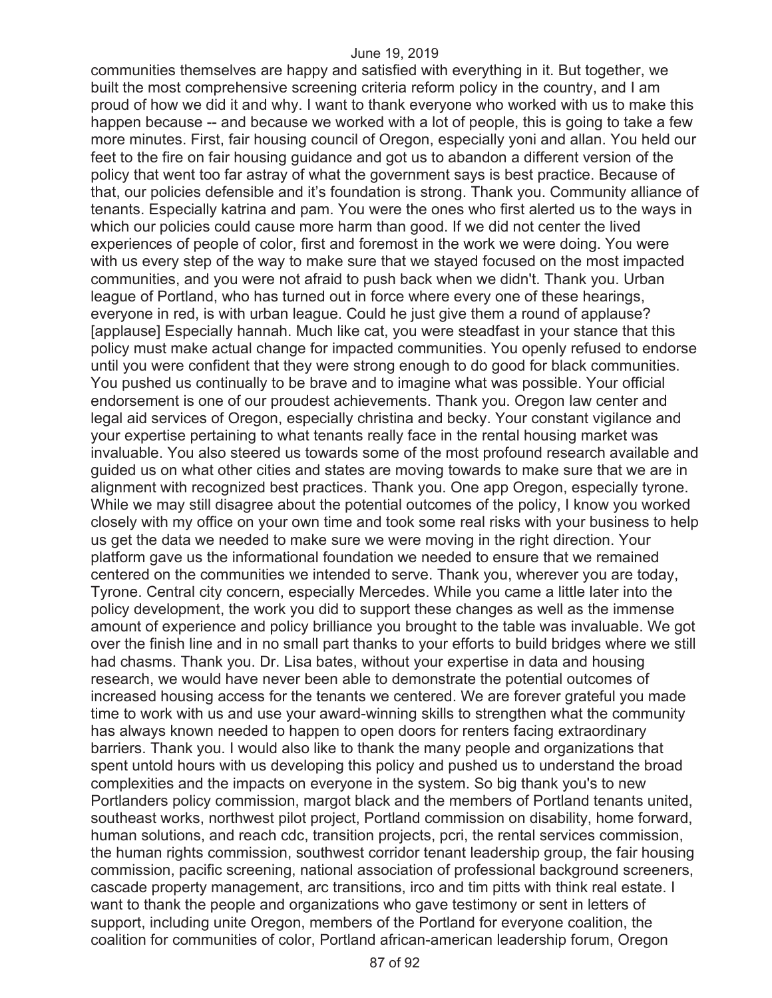communities themselves are happy and satisfied with everything in it. But together, we built the most comprehensive screening criteria reform policy in the country, and I am proud of how we did it and why. I want to thank everyone who worked with us to make this happen because -- and because we worked with a lot of people, this is going to take a few more minutes. First, fair housing council of Oregon, especially yoni and allan. You held our feet to the fire on fair housing guidance and got us to abandon a different version of the policy that went too far astray of what the government says is best practice. Because of that, our policies defensible and it's foundation is strong. Thank you. Community alliance of tenants. Especially katrina and pam. You were the ones who first alerted us to the ways in which our policies could cause more harm than good. If we did not center the lived experiences of people of color, first and foremost in the work we were doing. You were with us every step of the way to make sure that we stayed focused on the most impacted communities, and you were not afraid to push back when we didn't. Thank you. Urban league of Portland, who has turned out in force where every one of these hearings, everyone in red, is with urban league. Could he just give them a round of applause? [applause] Especially hannah. Much like cat, you were steadfast in your stance that this policy must make actual change for impacted communities. You openly refused to endorse until you were confident that they were strong enough to do good for black communities. You pushed us continually to be brave and to imagine what was possible. Your official endorsement is one of our proudest achievements. Thank you. Oregon law center and legal aid services of Oregon, especially christina and becky. Your constant vigilance and your expertise pertaining to what tenants really face in the rental housing market was invaluable. You also steered us towards some of the most profound research available and guided us on what other cities and states are moving towards to make sure that we are in alignment with recognized best practices. Thank you. One app Oregon, especially tyrone. While we may still disagree about the potential outcomes of the policy, I know you worked closely with my office on your own time and took some real risks with your business to help us get the data we needed to make sure we were moving in the right direction. Your platform gave us the informational foundation we needed to ensure that we remained centered on the communities we intended to serve. Thank you, wherever you are today, Tyrone. Central city concern, especially Mercedes. While you came a little later into the policy development, the work you did to support these changes as well as the immense amount of experience and policy brilliance you brought to the table was invaluable. We got over the finish line and in no small part thanks to your efforts to build bridges where we still had chasms. Thank you. Dr. Lisa bates, without your expertise in data and housing research, we would have never been able to demonstrate the potential outcomes of increased housing access for the tenants we centered. We are forever grateful you made time to work with us and use your award-winning skills to strengthen what the community has always known needed to happen to open doors for renters facing extraordinary barriers. Thank you. I would also like to thank the many people and organizations that spent untold hours with us developing this policy and pushed us to understand the broad complexities and the impacts on everyone in the system. So big thank you's to new Portlanders policy commission, margot black and the members of Portland tenants united, southeast works, northwest pilot project, Portland commission on disability, home forward, human solutions, and reach cdc, transition projects, pcri, the rental services commission, the human rights commission, southwest corridor tenant leadership group, the fair housing commission, pacific screening, national association of professional background screeners, cascade property management, arc transitions, irco and tim pitts with think real estate. I want to thank the people and organizations who gave testimony or sent in letters of support, including unite Oregon, members of the Portland for everyone coalition, the coalition for communities of color, Portland african-american leadership forum, Oregon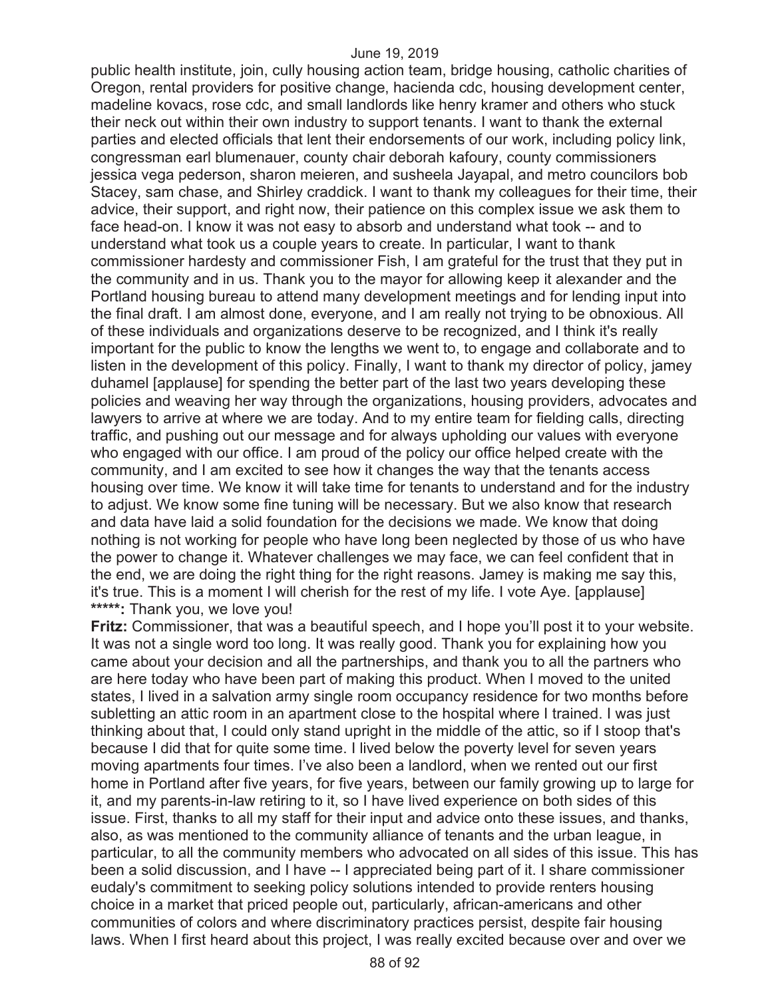public health institute, join, cully housing action team, bridge housing, catholic charities of Oregon, rental providers for positive change, hacienda cdc, housing development center, madeline kovacs, rose cdc, and small landlords like henry kramer and others who stuck their neck out within their own industry to support tenants. I want to thank the external parties and elected officials that lent their endorsements of our work, including policy link, congressman earl blumenauer, county chair deborah kafoury, county commissioners jessica vega pederson, sharon meieren, and susheela Jayapal, and metro councilors bob Stacey, sam chase, and Shirley craddick. I want to thank my colleagues for their time, their advice, their support, and right now, their patience on this complex issue we ask them to face head-on. I know it was not easy to absorb and understand what took -- and to understand what took us a couple years to create. In particular, I want to thank commissioner hardesty and commissioner Fish, I am grateful for the trust that they put in the community and in us. Thank you to the mayor for allowing keep it alexander and the Portland housing bureau to attend many development meetings and for lending input into the final draft. I am almost done, everyone, and I am really not trying to be obnoxious. All of these individuals and organizations deserve to be recognized, and I think it's really important for the public to know the lengths we went to, to engage and collaborate and to listen in the development of this policy. Finally, I want to thank my director of policy, jamey duhamel [applause] for spending the better part of the last two years developing these policies and weaving her way through the organizations, housing providers, advocates and lawyers to arrive at where we are today. And to my entire team for fielding calls, directing traffic, and pushing out our message and for always upholding our values with everyone who engaged with our office. I am proud of the policy our office helped create with the community, and I am excited to see how it changes the way that the tenants access housing over time. We know it will take time for tenants to understand and for the industry to adjust. We know some fine tuning will be necessary. But we also know that research and data have laid a solid foundation for the decisions we made. We know that doing nothing is not working for people who have long been neglected by those of us who have the power to change it. Whatever challenges we may face, we can feel confident that in the end, we are doing the right thing for the right reasons. Jamey is making me say this, it's true. This is a moment I will cherish for the rest of my life. I vote Aye. [applause] **\*\*\*\*\*:** Thank you, we love you!

**Fritz:** Commissioner, that was a beautiful speech, and I hope you'll post it to your website. It was not a single word too long. It was really good. Thank you for explaining how you came about your decision and all the partnerships, and thank you to all the partners who are here today who have been part of making this product. When I moved to the united states, I lived in a salvation army single room occupancy residence for two months before subletting an attic room in an apartment close to the hospital where I trained. I was just thinking about that, I could only stand upright in the middle of the attic, so if I stoop that's because I did that for quite some time. I lived below the poverty level for seven years moving apartments four times. I've also been a landlord, when we rented out our first home in Portland after five years, for five years, between our family growing up to large for it, and my parents-in-law retiring to it, so I have lived experience on both sides of this issue. First, thanks to all my staff for their input and advice onto these issues, and thanks, also, as was mentioned to the community alliance of tenants and the urban league, in particular, to all the community members who advocated on all sides of this issue. This has been a solid discussion, and I have -- I appreciated being part of it. I share commissioner eudaly's commitment to seeking policy solutions intended to provide renters housing choice in a market that priced people out, particularly, african-americans and other communities of colors and where discriminatory practices persist, despite fair housing laws. When I first heard about this project, I was really excited because over and over we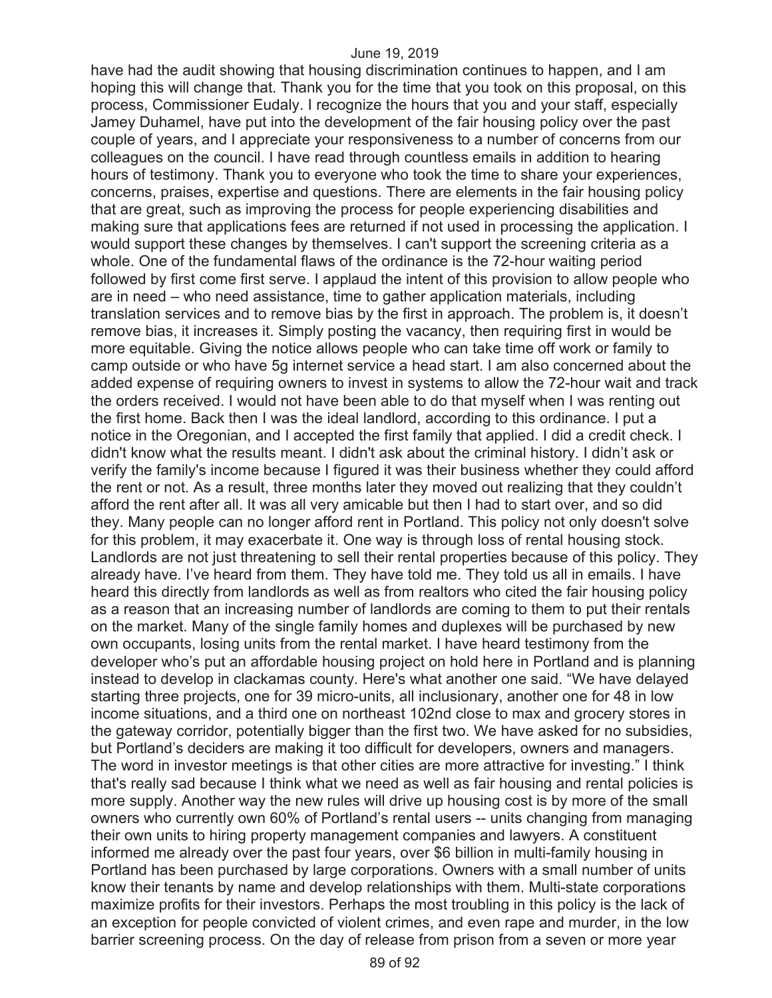have had the audit showing that housing discrimination continues to happen, and I am hoping this will change that. Thank you for the time that you took on this proposal, on this process, Commissioner Eudaly. I recognize the hours that you and your staff, especially Jamey Duhamel, have put into the development of the fair housing policy over the past couple of years, and I appreciate your responsiveness to a number of concerns from our colleagues on the council. I have read through countless emails in addition to hearing hours of testimony. Thank you to everyone who took the time to share your experiences, concerns, praises, expertise and questions. There are elements in the fair housing policy that are great, such as improving the process for people experiencing disabilities and making sure that applications fees are returned if not used in processing the application. I would support these changes by themselves. I can't support the screening criteria as a whole. One of the fundamental flaws of the ordinance is the 72-hour waiting period followed by first come first serve. I applaud the intent of this provision to allow people who are in need – who need assistance, time to gather application materials, including translation services and to remove bias by the first in approach. The problem is, it doesn't remove bias, it increases it. Simply posting the vacancy, then requiring first in would be more equitable. Giving the notice allows people who can take time off work or family to camp outside or who have 5g internet service a head start. I am also concerned about the added expense of requiring owners to invest in systems to allow the 72-hour wait and track the orders received. I would not have been able to do that myself when I was renting out the first home. Back then I was the ideal landlord, according to this ordinance. I put a notice in the Oregonian, and I accepted the first family that applied. I did a credit check. I didn't know what the results meant. I didn't ask about the criminal history. I didn't ask or verify the family's income because I figured it was their business whether they could afford the rent or not. As a result, three months later they moved out realizing that they couldn't afford the rent after all. It was all very amicable but then I had to start over, and so did they. Many people can no longer afford rent in Portland. This policy not only doesn't solve for this problem, it may exacerbate it. One way is through loss of rental housing stock. Landlords are not just threatening to sell their rental properties because of this policy. They already have. I've heard from them. They have told me. They told us all in emails. I have heard this directly from landlords as well as from realtors who cited the fair housing policy as a reason that an increasing number of landlords are coming to them to put their rentals on the market. Many of the single family homes and duplexes will be purchased by new own occupants, losing units from the rental market. I have heard testimony from the developer who's put an affordable housing project on hold here in Portland and is planning instead to develop in clackamas county. Here's what another one said. "We have delayed starting three projects, one for 39 micro-units, all inclusionary, another one for 48 in low income situations, and a third one on northeast 102nd close to max and grocery stores in the gateway corridor, potentially bigger than the first two. We have asked for no subsidies, but Portland's deciders are making it too difficult for developers, owners and managers. The word in investor meetings is that other cities are more attractive for investing." I think that's really sad because I think what we need as well as fair housing and rental policies is more supply. Another way the new rules will drive up housing cost is by more of the small owners who currently own 60% of Portland's rental users -- units changing from managing their own units to hiring property management companies and lawyers. A constituent informed me already over the past four years, over \$6 billion in multi-family housing in Portland has been purchased by large corporations. Owners with a small number of units know their tenants by name and develop relationships with them. Multi-state corporations maximize profits for their investors. Perhaps the most troubling in this policy is the lack of an exception for people convicted of violent crimes, and even rape and murder, in the low barrier screening process. On the day of release from prison from a seven or more year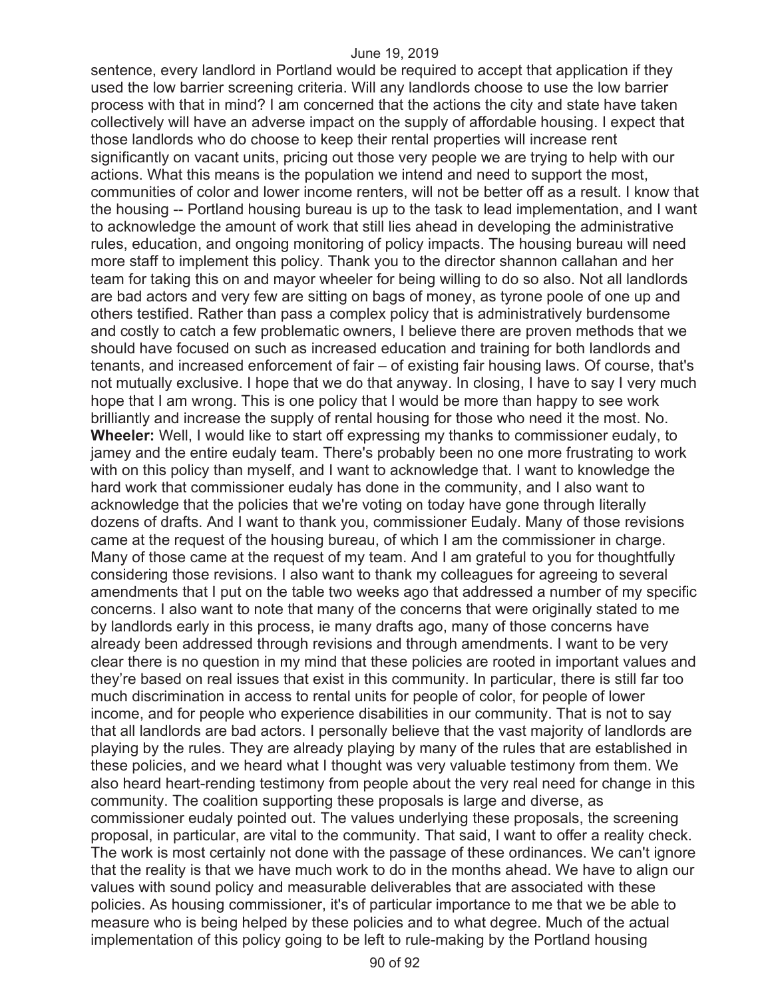sentence, every landlord in Portland would be required to accept that application if they used the low barrier screening criteria. Will any landlords choose to use the low barrier process with that in mind? I am concerned that the actions the city and state have taken collectively will have an adverse impact on the supply of affordable housing. I expect that those landlords who do choose to keep their rental properties will increase rent significantly on vacant units, pricing out those very people we are trying to help with our actions. What this means is the population we intend and need to support the most, communities of color and lower income renters, will not be better off as a result. I know that the housing -- Portland housing bureau is up to the task to lead implementation, and I want to acknowledge the amount of work that still lies ahead in developing the administrative rules, education, and ongoing monitoring of policy impacts. The housing bureau will need more staff to implement this policy. Thank you to the director shannon callahan and her team for taking this on and mayor wheeler for being willing to do so also. Not all landlords are bad actors and very few are sitting on bags of money, as tyrone poole of one up and others testified. Rather than pass a complex policy that is administratively burdensome and costly to catch a few problematic owners, I believe there are proven methods that we should have focused on such as increased education and training for both landlords and tenants, and increased enforcement of fair – of existing fair housing laws. Of course, that's not mutually exclusive. I hope that we do that anyway. In closing, I have to say I very much hope that I am wrong. This is one policy that I would be more than happy to see work brilliantly and increase the supply of rental housing for those who need it the most. No. **Wheeler:** Well, I would like to start off expressing my thanks to commissioner eudaly, to jamey and the entire eudaly team. There's probably been no one more frustrating to work with on this policy than myself, and I want to acknowledge that. I want to knowledge the hard work that commissioner eudaly has done in the community, and I also want to acknowledge that the policies that we're voting on today have gone through literally dozens of drafts. And I want to thank you, commissioner Eudaly. Many of those revisions came at the request of the housing bureau, of which I am the commissioner in charge. Many of those came at the request of my team. And I am grateful to you for thoughtfully considering those revisions. I also want to thank my colleagues for agreeing to several amendments that I put on the table two weeks ago that addressed a number of my specific concerns. I also want to note that many of the concerns that were originally stated to me by landlords early in this process, ie many drafts ago, many of those concerns have already been addressed through revisions and through amendments. I want to be very clear there is no question in my mind that these policies are rooted in important values and they're based on real issues that exist in this community. In particular, there is still far too much discrimination in access to rental units for people of color, for people of lower income, and for people who experience disabilities in our community. That is not to say that all landlords are bad actors. I personally believe that the vast majority of landlords are playing by the rules. They are already playing by many of the rules that are established in these policies, and we heard what I thought was very valuable testimony from them. We also heard heart-rending testimony from people about the very real need for change in this community. The coalition supporting these proposals is large and diverse, as commissioner eudaly pointed out. The values underlying these proposals, the screening proposal, in particular, are vital to the community. That said, I want to offer a reality check. The work is most certainly not done with the passage of these ordinances. We can't ignore that the reality is that we have much work to do in the months ahead. We have to align our values with sound policy and measurable deliverables that are associated with these policies. As housing commissioner, it's of particular importance to me that we be able to measure who is being helped by these policies and to what degree. Much of the actual implementation of this policy going to be left to rule-making by the Portland housing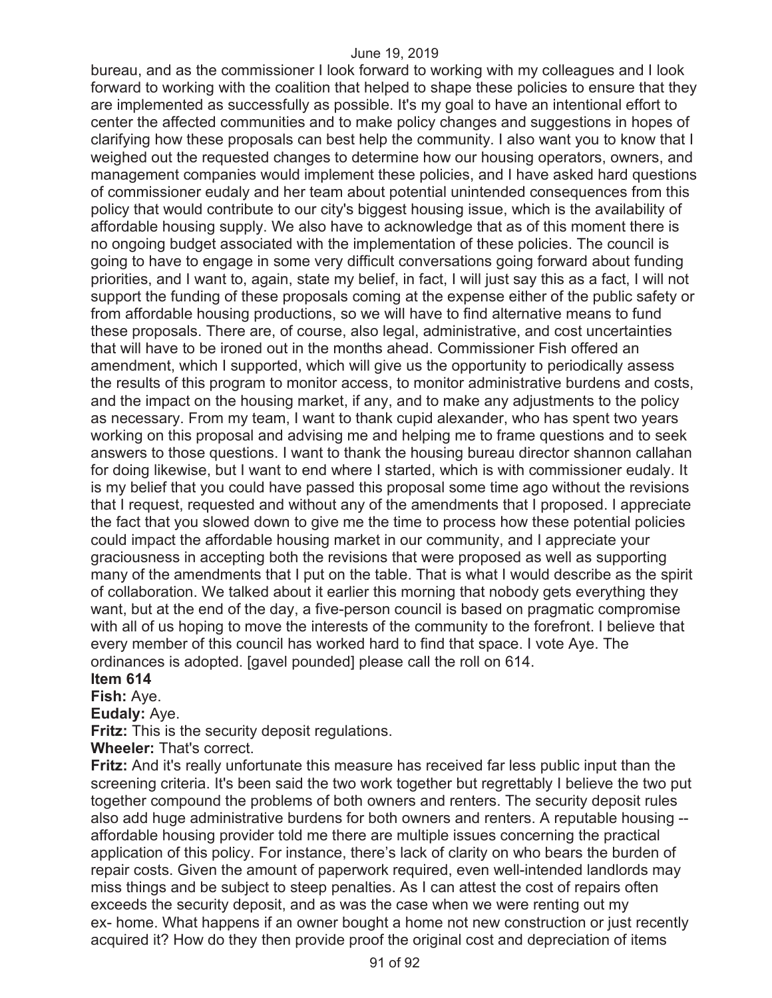bureau, and as the commissioner I look forward to working with my colleagues and I look forward to working with the coalition that helped to shape these policies to ensure that they are implemented as successfully as possible. It's my goal to have an intentional effort to center the affected communities and to make policy changes and suggestions in hopes of clarifying how these proposals can best help the community. I also want you to know that I weighed out the requested changes to determine how our housing operators, owners, and management companies would implement these policies, and I have asked hard questions of commissioner eudaly and her team about potential unintended consequences from this policy that would contribute to our city's biggest housing issue, which is the availability of affordable housing supply. We also have to acknowledge that as of this moment there is no ongoing budget associated with the implementation of these policies. The council is going to have to engage in some very difficult conversations going forward about funding priorities, and I want to, again, state my belief, in fact, I will just say this as a fact, I will not support the funding of these proposals coming at the expense either of the public safety or from affordable housing productions, so we will have to find alternative means to fund these proposals. There are, of course, also legal, administrative, and cost uncertainties that will have to be ironed out in the months ahead. Commissioner Fish offered an amendment, which I supported, which will give us the opportunity to periodically assess the results of this program to monitor access, to monitor administrative burdens and costs, and the impact on the housing market, if any, and to make any adjustments to the policy as necessary. From my team, I want to thank cupid alexander, who has spent two years working on this proposal and advising me and helping me to frame questions and to seek answers to those questions. I want to thank the housing bureau director shannon callahan for doing likewise, but I want to end where I started, which is with commissioner eudaly. It is my belief that you could have passed this proposal some time ago without the revisions that I request, requested and without any of the amendments that I proposed. I appreciate the fact that you slowed down to give me the time to process how these potential policies could impact the affordable housing market in our community, and I appreciate your graciousness in accepting both the revisions that were proposed as well as supporting many of the amendments that I put on the table. That is what I would describe as the spirit of collaboration. We talked about it earlier this morning that nobody gets everything they want, but at the end of the day, a five-person council is based on pragmatic compromise with all of us hoping to move the interests of the community to the forefront. I believe that every member of this council has worked hard to find that space. I vote Aye. The ordinances is adopted. [gavel pounded] please call the roll on 614.

## **Item 614**

**Fish:** Aye.

**Eudaly:** Aye.

**Fritz:** This is the security deposit regulations.

**Wheeler:** That's correct.

**Fritz:** And it's really unfortunate this measure has received far less public input than the screening criteria. It's been said the two work together but regrettably I believe the two put together compound the problems of both owners and renters. The security deposit rules also add huge administrative burdens for both owners and renters. A reputable housing - affordable housing provider told me there are multiple issues concerning the practical application of this policy. For instance, there's lack of clarity on who bears the burden of repair costs. Given the amount of paperwork required, even well-intended landlords may miss things and be subject to steep penalties. As I can attest the cost of repairs often exceeds the security deposit, and as was the case when we were renting out my ex- home. What happens if an owner bought a home not new construction or just recently acquired it? How do they then provide proof the original cost and depreciation of items